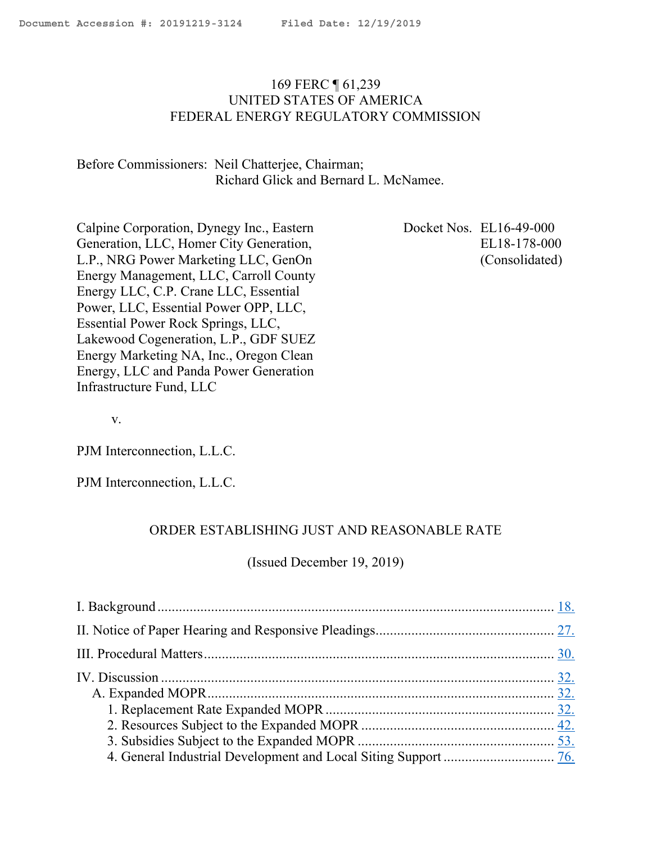# 169 FERC ¶ 61,239 UNITED STATES OF AMERICA FEDERAL ENERGY REGULATORY COMMISSION

# Before Commissioners: Neil Chatterjee, Chairman; Richard Glick and Bernard L. McNamee.

Calpine Corporation, Dynegy Inc., Eastern Generation, LLC, Homer City Generation, L.P., NRG Power Marketing LLC, GenOn Energy Management, LLC, Carroll County Energy LLC, C.P. Crane LLC, Essential Power, LLC, Essential Power OPP, LLC, Essential Power Rock Springs, LLC, Lakewood Cogeneration, L.P., GDF SUEZ Energy Marketing NA, Inc., Oregon Clean Energy, LLC and Panda Power Generation Infrastructure Fund, LLC

Docket Nos. EL16-49-000 EL18-178-000 (Consolidated)

v.

PJM Interconnection, L.L.C.

PJM Interconnection, L.L.C.

#### ORDER ESTABLISHING JUST AND REASONABLE RATE

(Issued December 19, 2019)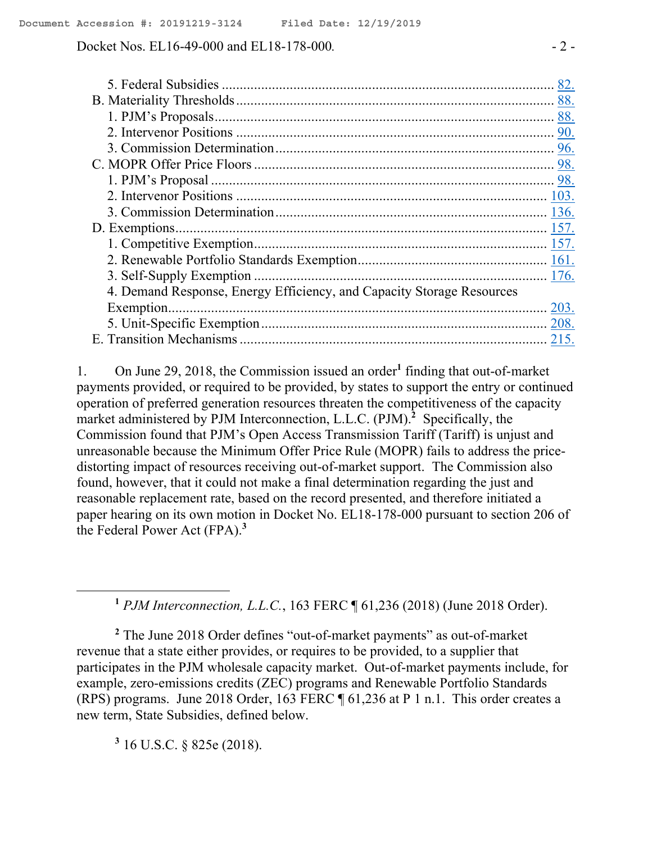Docket Nos. EL16-49-000 and EL18-178-000. - 2 -

|                                                                       | 82. |
|-----------------------------------------------------------------------|-----|
|                                                                       |     |
|                                                                       |     |
|                                                                       |     |
|                                                                       |     |
|                                                                       |     |
|                                                                       |     |
|                                                                       |     |
|                                                                       |     |
|                                                                       |     |
|                                                                       |     |
|                                                                       |     |
|                                                                       |     |
|                                                                       |     |
|                                                                       |     |
|                                                                       |     |
|                                                                       |     |
| 4. Demand Response, Energy Efficiency, and Capacity Storage Resources |     |

1. On June 29, 2018, the Commission issued an order**<sup>1</sup>** finding that out-of-market payments provided, or required to be provided, by states to support the entry or continued operation of preferred generation resources threaten the competitiveness of the capacity market administered by PJM Interconnection, L.L.C. (PJM).**<sup>2</sup>** Specifically, the Commission found that PJM's Open Access Transmission Tariff (Tariff) is unjust and unreasonable because the Minimum Offer Price Rule (MOPR) fails to address the pricedistorting impact of resources receiving out-of-market support. The Commission also found, however, that it could not make a final determination regarding the just and reasonable replacement rate, based on the record presented, and therefore initiated a paper hearing on its own motion in Docket No. EL18-178-000 pursuant to section 206 of the Federal Power Act (FPA).**<sup>3</sup>**

**<sup>1</sup>** *PJM Interconnection, L.L.C.*, 163 FERC ¶ 61,236 (2018) (June 2018 Order).

**<sup>2</sup>** The June 2018 Order defines "out-of-market payments" as out-of-market revenue that a state either provides, or requires to be provided, to a supplier that participates in the PJM wholesale capacity market. Out-of-market payments include, for example, zero-emissions credits (ZEC) programs and Renewable Portfolio Standards (RPS) programs. June 2018 Order, 163 FERC ¶ 61,236 at P 1 n.1. This order creates a new term, State Subsidies, defined below.

**3** 16 U.S.C. § 825e (2018).

 $\overline{a}$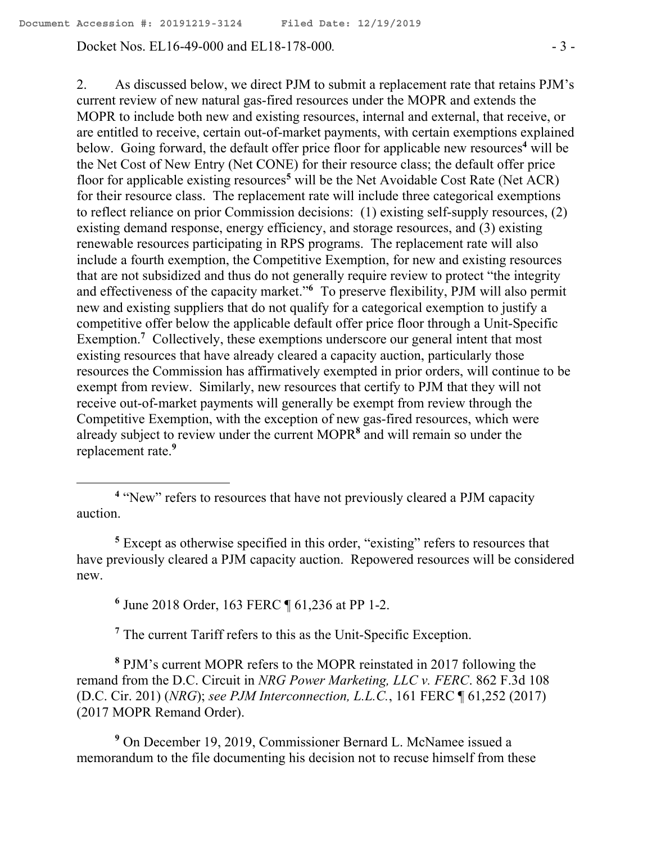Docket Nos. EL16-49-000 and EL18-178-000*.* - 3 -

2. As discussed below, we direct PJM to submit a replacement rate that retains PJM's current review of new natural gas-fired resources under the MOPR and extends the MOPR to include both new and existing resources, internal and external, that receive, or are entitled to receive, certain out-of-market payments, with certain exemptions explained below. Going forward, the default offer price floor for applicable new resources **<sup>4</sup>** will be the Net Cost of New Entry (Net CONE) for their resource class; the default offer price floor for applicable existing resources **<sup>5</sup>** will be the Net Avoidable Cost Rate (Net ACR) for their resource class. The replacement rate will include three categorical exemptions to reflect reliance on prior Commission decisions: (1) existing self-supply resources, (2) existing demand response, energy efficiency, and storage resources, and (3) existing renewable resources participating in RPS programs. The replacement rate will also include a fourth exemption, the Competitive Exemption, for new and existing resources that are not subsidized and thus do not generally require review to protect "the integrity and effectiveness of the capacity market."**<sup>6</sup>** To preserve flexibility, PJM will also permit new and existing suppliers that do not qualify for a categorical exemption to justify a competitive offer below the applicable default offer price floor through a Unit-Specific Exemption.<sup>7</sup> Collectively, these exemptions underscore our general intent that most existing resources that have already cleared a capacity auction, particularly those resources the Commission has affirmatively exempted in prior orders, will continue to be exempt from review. Similarly, new resources that certify to PJM that they will not receive out-of-market payments will generally be exempt from review through the Competitive Exemption, with the exception of new gas-fired resources, which were already subject to review under the current MOPR**<sup>8</sup>** and will remain so under the replacement rate. **9**

**<sup>5</sup>** Except as otherwise specified in this order, "existing" refers to resources that have previously cleared a PJM capacity auction. Repowered resources will be considered new.

**6** June 2018 Order, 163 FERC ¶ 61,236 at PP 1-2.

 $\overline{a}$ 

**<sup>7</sup>** The current Tariff refers to this as the Unit-Specific Exception.

**<sup>8</sup>** PJM's current MOPR refers to the MOPR reinstated in 2017 following the remand from the D.C. Circuit in *NRG Power Marketing, LLC v. FERC*. 862 F.3d 108 (D.C. Cir. 201) (*NRG*); *see PJM Interconnection, L.L.C.*, 161 FERC ¶ 61,252 (2017) (2017 MOPR Remand Order).

**<sup>9</sup>** On December 19, 2019, Commissioner Bernard L. McNamee issued a memorandum to the file documenting his decision not to recuse himself from these

<sup>&</sup>lt;sup>4</sup> "New" refers to resources that have not previously cleared a PJM capacity auction.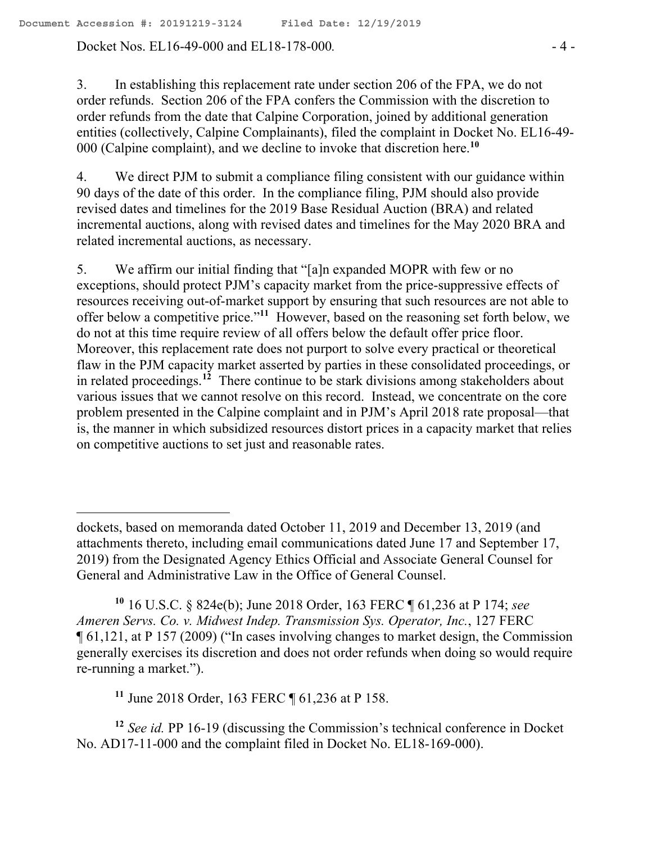Docket Nos. EL16-49-000 and EL18-178-000*.* - 4 -

3. In establishing this replacement rate under section 206 of the FPA, we do not order refunds. Section 206 of the FPA confers the Commission with the discretion to order refunds from the date that Calpine Corporation, joined by additional generation entities (collectively, Calpine Complainants), filed the complaint in Docket No. EL16-49- 000 (Calpine complaint), and we decline to invoke that discretion here.**<sup>10</sup>**

4. We direct PJM to submit a compliance filing consistent with our guidance within 90 days of the date of this order. In the compliance filing, PJM should also provide revised dates and timelines for the 2019 Base Residual Auction (BRA) and related incremental auctions, along with revised dates and timelines for the May 2020 BRA and related incremental auctions, as necessary.

5. We affirm our initial finding that "[a]n expanded MOPR with few or no exceptions, should protect PJM's capacity market from the price-suppressive effects of resources receiving out-of-market support by ensuring that such resources are not able to offer below a competitive price."**<sup>11</sup>** However, based on the reasoning set forth below, we do not at this time require review of all offers below the default offer price floor. Moreover, this replacement rate does not purport to solve every practical or theoretical flaw in the PJM capacity market asserted by parties in these consolidated proceedings, or in related proceedings. **<sup>12</sup>** There continue to be stark divisions among stakeholders about various issues that we cannot resolve on this record. Instead, we concentrate on the core problem presented in the Calpine complaint and in PJM's April 2018 rate proposal—that is, the manner in which subsidized resources distort prices in a capacity market that relies on competitive auctions to set just and reasonable rates.

**<sup>11</sup>** June 2018 Order, 163 FERC ¶ 61,236 at P 158.

 $\overline{a}$ 

**<sup>12</sup>** *See id.* PP 16-19 (discussing the Commission's technical conference in Docket No. AD17-11-000 and the complaint filed in Docket No. EL18-169-000).

dockets, based on memoranda dated October 11, 2019 and December 13, 2019 (and attachments thereto, including email communications dated June 17 and September 17, 2019) from the Designated Agency Ethics Official and Associate General Counsel for General and Administrative Law in the Office of General Counsel.

**<sup>10</sup>** 16 U.S.C. § 824e(b); June 2018 Order, 163 FERC ¶ 61,236 at P 174; *see Ameren Servs. Co. v. Midwest Indep. Transmission Sys. Operator, Inc.*, 127 FERC ¶ 61,121, at P 157 (2009) ("In cases involving changes to market design, the Commission generally exercises its discretion and does not order refunds when doing so would require re-running a market.").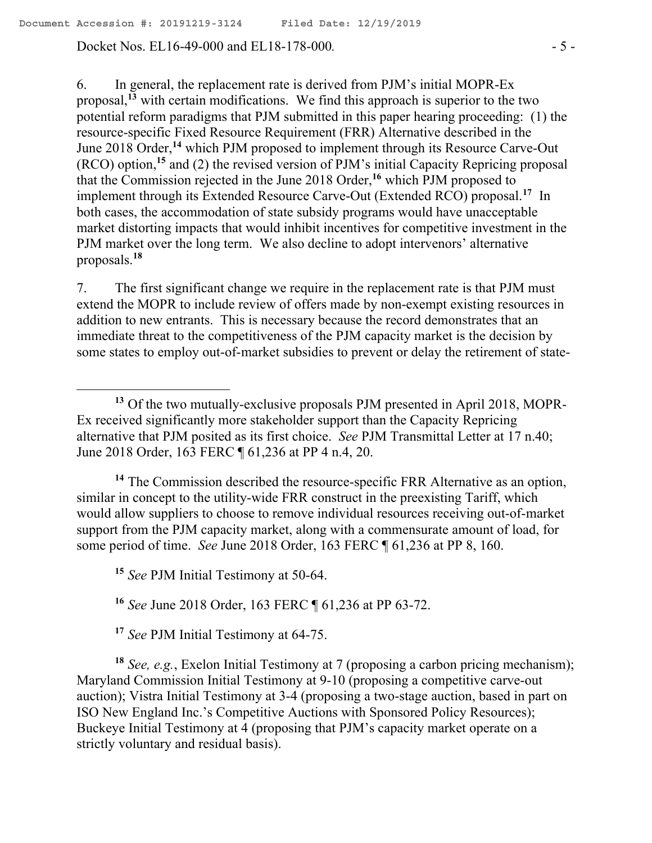Docket Nos. EL16-49-000 and EL18-178-000. - 5 -

6. In general, the replacement rate is derived from PJM's initial MOPR-Ex proposal,**<sup>13</sup>** with certain modifications. We find this approach is superior to the two potential reform paradigms that PJM submitted in this paper hearing proceeding: (1) the resource-specific Fixed Resource Requirement (FRR) Alternative described in the June 2018 Order,**<sup>14</sup>** which PJM proposed to implement through its Resource Carve-Out (RCO) option,**<sup>15</sup>** and (2) the revised version of PJM's initial Capacity Repricing proposal that the Commission rejected in the June 2018 Order,**<sup>16</sup>** which PJM proposed to implement through its Extended Resource Carve-Out (Extended RCO) proposal.**<sup>17</sup>** In both cases, the accommodation of state subsidy programs would have unacceptable market distorting impacts that would inhibit incentives for competitive investment in the PJM market over the long term. We also decline to adopt intervenors' alternative proposals.**<sup>18</sup>**

7. The first significant change we require in the replacement rate is that PJM must extend the MOPR to include review of offers made by non-exempt existing resources in addition to new entrants. This is necessary because the record demonstrates that an immediate threat to the competitiveness of the PJM capacity market is the decision by some states to employ out-of-market subsidies to prevent or delay the retirement of state-

**<sup>14</sup>** The Commission described the resource-specific FRR Alternative as an option, similar in concept to the utility-wide FRR construct in the preexisting Tariff, which would allow suppliers to choose to remove individual resources receiving out-of-market support from the PJM capacity market, along with a commensurate amount of load, for some period of time. *See* June 2018 Order, 163 FERC ¶ 61,236 at PP 8, 160.

**<sup>15</sup>** *See* PJM Initial Testimony at 50-64.

**<sup>16</sup>** *See* June 2018 Order, 163 FERC ¶ 61,236 at PP 63-72.

**<sup>17</sup>** *See* PJM Initial Testimony at 64-75.

**<sup>18</sup>** *See, e.g.*, Exelon Initial Testimony at 7 (proposing a carbon pricing mechanism); Maryland Commission Initial Testimony at 9-10 (proposing a competitive carve-out auction); Vistra Initial Testimony at 3-4 (proposing a two-stage auction, based in part on ISO New England Inc.'s Competitive Auctions with Sponsored Policy Resources); Buckeye Initial Testimony at 4 (proposing that PJM's capacity market operate on a strictly voluntary and residual basis).

**<sup>13</sup>** Of the two mutually-exclusive proposals PJM presented in April 2018, MOPR-Ex received significantly more stakeholder support than the Capacity Repricing alternative that PJM posited as its first choice. *See* PJM Transmittal Letter at 17 n.40; June 2018 Order, 163 FERC ¶ 61,236 at PP 4 n.4, 20.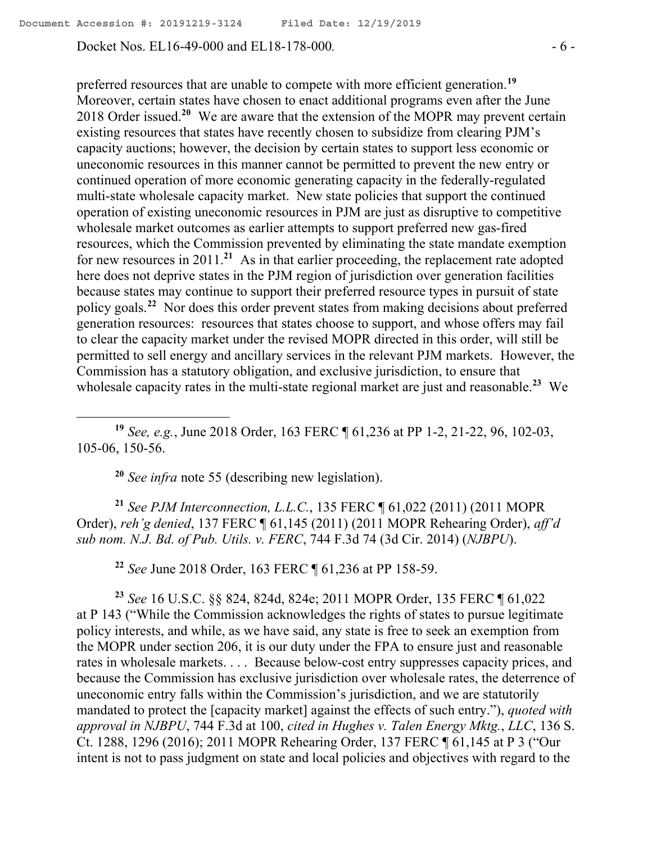Docket Nos. EL16-49-000 and EL18-178-000. - 6 -

preferred resources that are unable to compete with more efficient generation.**<sup>19</sup>** Moreover, certain states have chosen to enact additional programs even after the June 2018 Order issued.**<sup>20</sup>** We are aware that the extension of the MOPR may prevent certain existing resources that states have recently chosen to subsidize from clearing PJM's capacity auctions; however, the decision by certain states to support less economic or uneconomic resources in this manner cannot be permitted to prevent the new entry or continued operation of more economic generating capacity in the federally-regulated multi-state wholesale capacity market. New state policies that support the continued operation of existing uneconomic resources in PJM are just as disruptive to competitive wholesale market outcomes as earlier attempts to support preferred new gas-fired resources, which the Commission prevented by eliminating the state mandate exemption for new resources in 2011.**<sup>21</sup>** As in that earlier proceeding, the replacement rate adopted here does not deprive states in the PJM region of jurisdiction over generation facilities because states may continue to support their preferred resource types in pursuit of state policy goals.**<sup>22</sup>** Nor does this order prevent states from making decisions about preferred generation resources: resources that states choose to support, and whose offers may fail to clear the capacity market under the revised MOPR directed in this order, will still be permitted to sell energy and ancillary services in the relevant PJM markets. However, the Commission has a statutory obligation, and exclusive jurisdiction, to ensure that wholesale capacity rates in the multi-state regional market are just and reasonable.**<sup>23</sup>** We

**<sup>19</sup>** *See, e.g.*, June 2018 Order, 163 FERC ¶ 61,236 at PP 1-2, 21-22, 96, 102-03, 105-06, 150-56.

**<sup>20</sup>** *See infra* note 55 (describing new legislation).

**<sup>21</sup>** *See PJM Interconnection, L.L.C.*, 135 FERC ¶ 61,022 (2011) (2011 MOPR Order), *reh'g denied*, 137 FERC ¶ 61,145 (2011) (2011 MOPR Rehearing Order), *aff'd sub nom. N.J. Bd. of Pub. Utils. v. FERC*, 744 F.3d 74 (3d Cir. 2014) (*NJBPU*).

**<sup>22</sup>** *See* June 2018 Order, 163 FERC ¶ 61,236 at PP 158-59.

**<sup>23</sup>** *See* 16 U.S.C. §§ 824, 824d, 824e; 2011 MOPR Order, 135 FERC ¶ 61,022 at P 143 ("While the Commission acknowledges the rights of states to pursue legitimate policy interests, and while, as we have said, any state is free to seek an exemption from the MOPR under section 206, it is our duty under the FPA to ensure just and reasonable rates in wholesale markets. . . . Because below-cost entry suppresses capacity prices, and because the Commission has exclusive jurisdiction over wholesale rates, the deterrence of uneconomic entry falls within the Commission's jurisdiction, and we are statutorily mandated to protect the [capacity market] against the effects of such entry."), *quoted with approval in NJBPU*, 744 F.3d at 100, *cited in Hughes v. Talen Energy Mktg.*, *LLC*, 136 S. Ct. 1288, 1296 (2016); 2011 MOPR Rehearing Order, 137 FERC ¶ 61,145 at P 3 ("Our intent is not to pass judgment on state and local policies and objectives with regard to the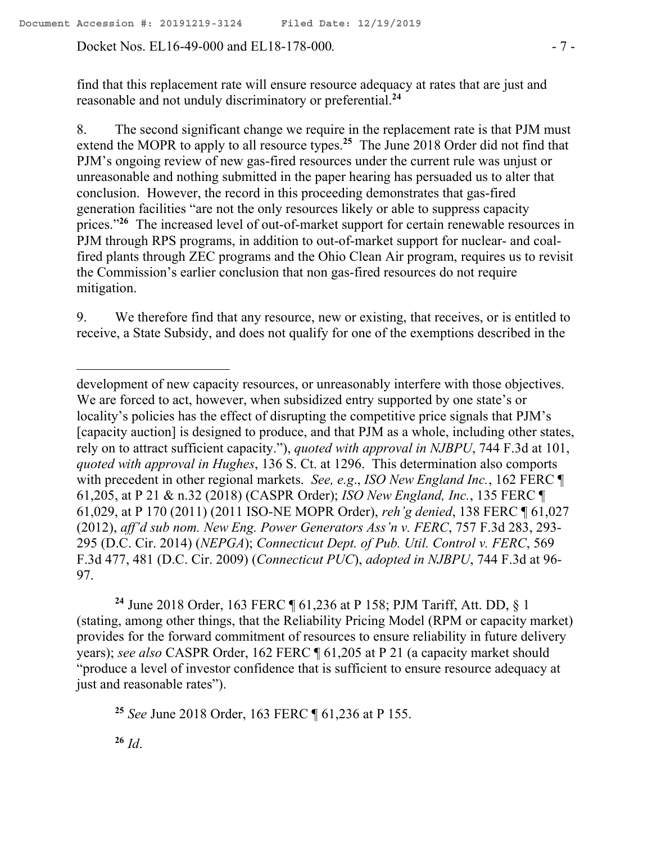Docket Nos. EL16-49-000 and EL18-178-000. - 7 -

find that this replacement rate will ensure resource adequacy at rates that are just and reasonable and not unduly discriminatory or preferential. **24**

8. The second significant change we require in the replacement rate is that PJM must extend the MOPR to apply to all resource types.<sup>25</sup> The June 2018 Order did not find that PJM's ongoing review of new gas-fired resources under the current rule was unjust or unreasonable and nothing submitted in the paper hearing has persuaded us to alter that conclusion. However, the record in this proceeding demonstrates that gas-fired generation facilities "are not the only resources likely or able to suppress capacity prices."<sup>26</sup> The increased level of out-of-market support for certain renewable resources in PJM through RPS programs, in addition to out-of-market support for nuclear- and coalfired plants through ZEC programs and the Ohio Clean Air program, requires us to revisit the Commission's earlier conclusion that non gas-fired resources do not require mitigation.

9. We therefore find that any resource, new or existing, that receives, or is entitled to receive, a State Subsidy, and does not qualify for one of the exemptions described in the

development of new capacity resources, or unreasonably interfere with those objectives. We are forced to act, however, when subsidized entry supported by one state's or locality's policies has the effect of disrupting the competitive price signals that PJM's [capacity auction] is designed to produce, and that PJM as a whole, including other states, rely on to attract sufficient capacity."), *quoted with approval in NJBPU*, 744 F.3d at 101, *quoted with approval in Hughes*, 136 S. Ct. at 1296. This determination also comports with precedent in other regional markets. *See, e.g*., *ISO New England Inc.*, 162 FERC ¶ 61,205, at P 21 & n.32 (2018) (CASPR Order); *ISO New England, Inc.*, 135 FERC ¶ 61,029, at P 170 (2011) (2011 ISO-NE MOPR Order), *reh'g denied*, 138 FERC ¶ 61,027 (2012), *aff'd sub nom. New Eng. Power Generators Ass'n v. FERC*, 757 F.3d 283, 293- 295 (D.C. Cir. 2014) (*NEPGA*); *Connecticut Dept. of Pub. Util. Control v. FERC*, 569 F.3d 477, 481 (D.C. Cir. 2009) (*Connecticut PUC*), *adopted in NJBPU*, 744 F.3d at 96- 97.

**<sup>24</sup>** June 2018 Order, 163 FERC ¶ 61,236 at P 158; PJM Tariff, Att. DD, § 1 (stating, among other things, that the Reliability Pricing Model (RPM or capacity market) provides for the forward commitment of resources to ensure reliability in future delivery years); *see also* CASPR Order, 162 FERC ¶ 61,205 at P 21 (a capacity market should "produce a level of investor confidence that is sufficient to ensure resource adequacy at just and reasonable rates").

**<sup>25</sup>** *See* June 2018 Order, 163 FERC ¶ 61,236 at P 155.

**<sup>26</sup>** *Id*.

 $\overline{a}$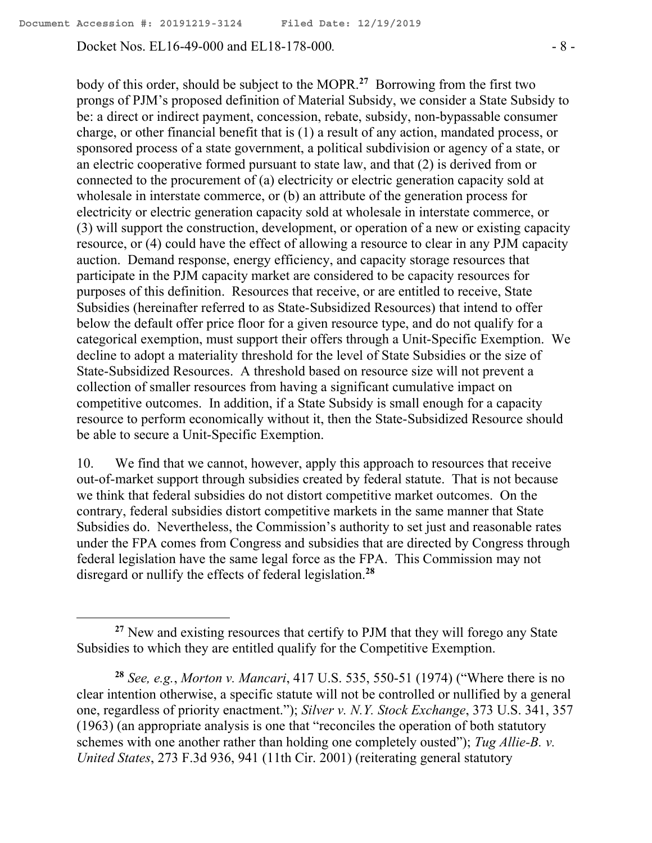Docket Nos. EL16-49-000 and EL18-178-000*.* - 8 -

 $\overline{a}$ 

body of this order, should be subject to the MOPR. **27** Borrowing from the first two prongs of PJM's proposed definition of Material Subsidy, we consider a State Subsidy to be: a direct or indirect payment, concession, rebate, subsidy, non-bypassable consumer charge, or other financial benefit that is (1) a result of any action, mandated process, or sponsored process of a state government, a political subdivision or agency of a state, or an electric cooperative formed pursuant to state law, and that (2) is derived from or connected to the procurement of (a) electricity or electric generation capacity sold at wholesale in interstate commerce, or (b) an attribute of the generation process for electricity or electric generation capacity sold at wholesale in interstate commerce, or (3) will support the construction, development, or operation of a new or existing capacity resource, or (4) could have the effect of allowing a resource to clear in any PJM capacity auction. Demand response, energy efficiency, and capacity storage resources that participate in the PJM capacity market are considered to be capacity resources for purposes of this definition. Resources that receive, or are entitled to receive, State Subsidies (hereinafter referred to as State-Subsidized Resources) that intend to offer below the default offer price floor for a given resource type, and do not qualify for a categorical exemption, must support their offers through a Unit-Specific Exemption. We decline to adopt a materiality threshold for the level of State Subsidies or the size of State-Subsidized Resources. A threshold based on resource size will not prevent a collection of smaller resources from having a significant cumulative impact on competitive outcomes. In addition, if a State Subsidy is small enough for a capacity resource to perform economically without it, then the State-Subsidized Resource should be able to secure a Unit-Specific Exemption.

10. We find that we cannot, however, apply this approach to resources that receive out-of-market support through subsidies created by federal statute. That is not because we think that federal subsidies do not distort competitive market outcomes. On the contrary, federal subsidies distort competitive markets in the same manner that State Subsidies do. Nevertheless, the Commission's authority to set just and reasonable rates under the FPA comes from Congress and subsidies that are directed by Congress through federal legislation have the same legal force as the FPA. This Commission may not disregard or nullify the effects of federal legislation. **28**

**<sup>27</sup>** New and existing resources that certify to PJM that they will forego any State Subsidies to which they are entitled qualify for the Competitive Exemption.

**<sup>28</sup>** *See, e.g.*, *Morton v. Mancari*, 417 U.S. 535, 550-51 (1974) ("Where there is no clear intention otherwise, a specific statute will not be controlled or nullified by a general one, regardless of priority enactment."); *Silver v. N.Y. Stock Exchange*, 373 U.S. 341, 357 (1963) (an appropriate analysis is one that "reconciles the operation of both statutory schemes with one another rather than holding one completely ousted"); *Tug Allie-B. v. United States*, 273 F.3d 936, 941 (11th Cir. 2001) (reiterating general statutory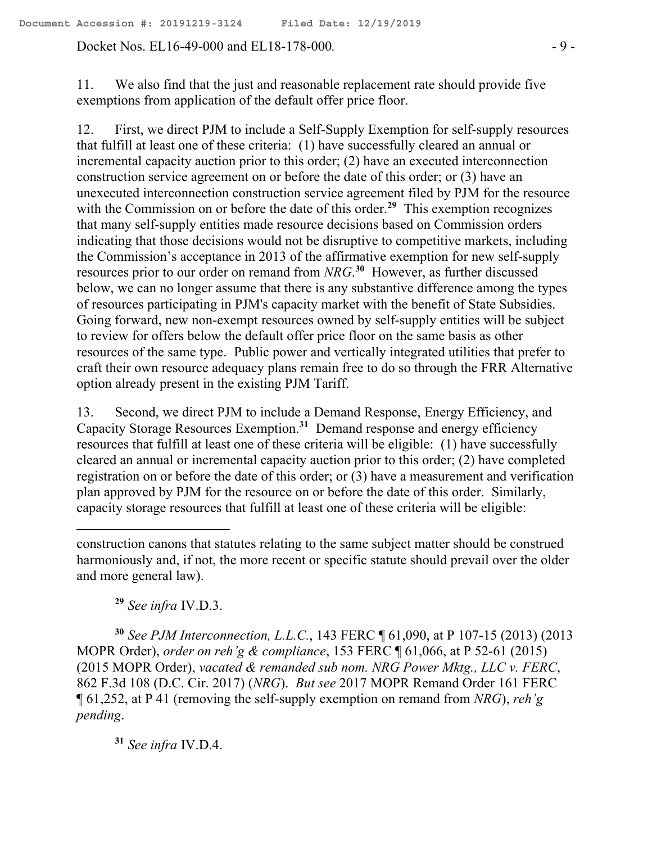Docket Nos. EL16-49-000 and EL18-178-000. - 9 -

11. We also find that the just and reasonable replacement rate should provide five exemptions from application of the default offer price floor.

12. First, we direct PJM to include a Self-Supply Exemption for self-supply resources that fulfill at least one of these criteria: (1) have successfully cleared an annual or incremental capacity auction prior to this order; (2) have an executed interconnection construction service agreement on or before the date of this order; or (3) have an unexecuted interconnection construction service agreement filed by PJM for the resource with the Commission on or before the date of this order.<sup>29</sup> This exemption recognizes that many self-supply entities made resource decisions based on Commission orders indicating that those decisions would not be disruptive to competitive markets, including the Commission's acceptance in 2013 of the affirmative exemption for new self-supply resources prior to our order on remand from *NRG*. **30** However, as further discussed below, we can no longer assume that there is any substantive difference among the types of resources participating in PJM's capacity market with the benefit of State Subsidies. Going forward, new non-exempt resources owned by self-supply entities will be subject to review for offers below the default offer price floor on the same basis as other resources of the same type. Public power and vertically integrated utilities that prefer to craft their own resource adequacy plans remain free to do so through the FRR Alternative option already present in the existing PJM Tariff.

13. Second, we direct PJM to include a Demand Response, Energy Efficiency, and Capacity Storage Resources Exemption. **31** Demand response and energy efficiency resources that fulfill at least one of these criteria will be eligible: (1) have successfully cleared an annual or incremental capacity auction prior to this order; (2) have completed registration on or before the date of this order; or (3) have a measurement and verification plan approved by PJM for the resource on or before the date of this order. Similarly, capacity storage resources that fulfill at least one of these criteria will be eligible:

**<sup>29</sup>** *See infra* IV.D.3.

**<sup>30</sup>** *See PJM Interconnection, L.L.C.*, 143 FERC ¶ 61,090, at P 107-15 (2013) (2013 MOPR Order), *order on reh'g & compliance*, 153 FERC ¶ 61,066, at P 52-61 (2015) (2015 MOPR Order), *vacated & remanded sub nom. NRG Power Mktg., LLC v. FERC*, 862 F.3d 108 (D.C. Cir. 2017) (*NRG*). *But see* 2017 MOPR Remand Order 161 FERC ¶ 61,252, at P 41 (removing the self-supply exemption on remand from *NRG*), *reh'g pending*.

**<sup>31</sup>** *See infra* IV.D.4.

construction canons that statutes relating to the same subject matter should be construed harmoniously and, if not, the more recent or specific statute should prevail over the older and more general law).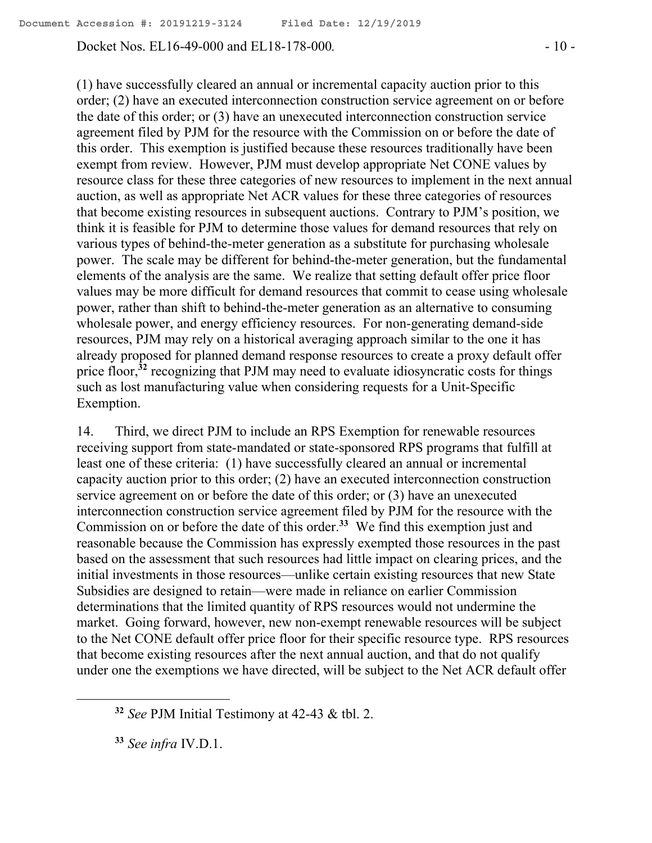Docket Nos. EL16-49-000 and EL18-178-000. - 10 -

(1) have successfully cleared an annual or incremental capacity auction prior to this order; (2) have an executed interconnection construction service agreement on or before the date of this order; or (3) have an unexecuted interconnection construction service agreement filed by PJM for the resource with the Commission on or before the date of this order. This exemption is justified because these resources traditionally have been exempt from review. However, PJM must develop appropriate Net CONE values by resource class for these three categories of new resources to implement in the next annual auction, as well as appropriate Net ACR values for these three categories of resources that become existing resources in subsequent auctions. Contrary to PJM's position, we think it is feasible for PJM to determine those values for demand resources that rely on various types of behind-the-meter generation as a substitute for purchasing wholesale power. The scale may be different for behind-the-meter generation, but the fundamental elements of the analysis are the same. We realize that setting default offer price floor values may be more difficult for demand resources that commit to cease using wholesale power, rather than shift to behind-the-meter generation as an alternative to consuming wholesale power, and energy efficiency resources. For non-generating demand-side resources, PJM may rely on a historical averaging approach similar to the one it has already proposed for planned demand response resources to create a proxy default offer price floor,<sup>32</sup> recognizing that PJM may need to evaluate idiosyncratic costs for things such as lost manufacturing value when considering requests for a Unit-Specific Exemption.

14. Third, we direct PJM to include an RPS Exemption for renewable resources receiving support from state-mandated or state-sponsored RPS programs that fulfill at least one of these criteria: (1) have successfully cleared an annual or incremental capacity auction prior to this order; (2) have an executed interconnection construction service agreement on or before the date of this order; or (3) have an unexecuted interconnection construction service agreement filed by PJM for the resource with the Commission on or before the date of this order. **33** We find this exemption just and reasonable because the Commission has expressly exempted those resources in the past based on the assessment that such resources had little impact on clearing prices, and the initial investments in those resources—unlike certain existing resources that new State Subsidies are designed to retain—were made in reliance on earlier Commission determinations that the limited quantity of RPS resources would not undermine the market. Going forward, however, new non-exempt renewable resources will be subject to the Net CONE default offer price floor for their specific resource type. RPS resources that become existing resources after the next annual auction, and that do not qualify under one the exemptions we have directed, will be subject to the Net ACR default offer

 $\overline{a}$ 

**<sup>32</sup>** *See* PJM Initial Testimony at 42-43 & tbl. 2.

**<sup>33</sup>** *See infra* IV.D.1.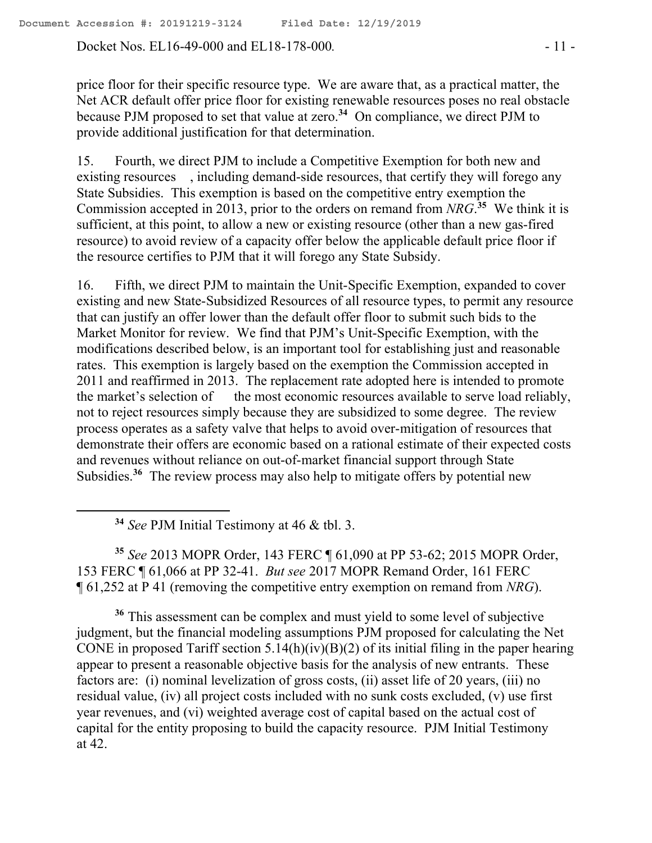Docket Nos. EL16-49-000 and EL18-178-000*.* - 11 -

price floor for their specific resource type. We are aware that, as a practical matter, the Net ACR default offer price floor for existing renewable resources poses no real obstacle because PJM proposed to set that value at zero.**<sup>34</sup>** On compliance, we direct PJM to provide additional justification for that determination.

15. Fourth, we direct PJM to include a Competitive Exemption for both new and existing resources , including demand-side resources, that certify they will forego any State Subsidies. This exemption is based on the competitive entry exemption the Commission accepted in 2013, prior to the orders on remand from  $NRG$ <sup>35</sup> We think it is sufficient, at this point, to allow a new or existing resource (other than a new gas-fired resource) to avoid review of a capacity offer below the applicable default price floor if the resource certifies to PJM that it will forego any State Subsidy.

16. Fifth, we direct PJM to maintain the Unit-Specific Exemption, expanded to cover existing and new State-Subsidized Resources of all resource types, to permit any resource that can justify an offer lower than the default offer floor to submit such bids to the Market Monitor for review. We find that PJM's Unit-Specific Exemption, with the modifications described below, is an important tool for establishing just and reasonable rates. This exemption is largely based on the exemption the Commission accepted in 2011 and reaffirmed in 2013. The replacement rate adopted here is intended to promote the market's selection of the most economic resources available to serve load reliably, not to reject resources simply because they are subsidized to some degree. The review process operates as a safety valve that helps to avoid over-mitigation of resources that demonstrate their offers are economic based on a rational estimate of their expected costs and revenues without reliance on out-of-market financial support through State Subsidies.<sup>36</sup> The review process may also help to mitigate offers by potential new

**<sup>34</sup>** *See* PJM Initial Testimony at 46 & tbl. 3.

 $\overline{a}$ 

**<sup>35</sup>** *See* 2013 MOPR Order, 143 FERC ¶ 61,090 at PP 53-62; 2015 MOPR Order, 153 FERC ¶ 61,066 at PP 32-41. *But see* 2017 MOPR Remand Order, 161 FERC ¶ 61,252 at P 41 (removing the competitive entry exemption on remand from *NRG*).

**<sup>36</sup>** This assessment can be complex and must yield to some level of subjective judgment, but the financial modeling assumptions PJM proposed for calculating the Net CONE in proposed Tariff section  $5.14(h)(iv)(B)(2)$  of its initial filing in the paper hearing appear to present a reasonable objective basis for the analysis of new entrants. These factors are: (i) nominal levelization of gross costs, (ii) asset life of 20 years, (iii) no residual value, (iv) all project costs included with no sunk costs excluded, (v) use first year revenues, and (vi) weighted average cost of capital based on the actual cost of capital for the entity proposing to build the capacity resource. PJM Initial Testimony at 42.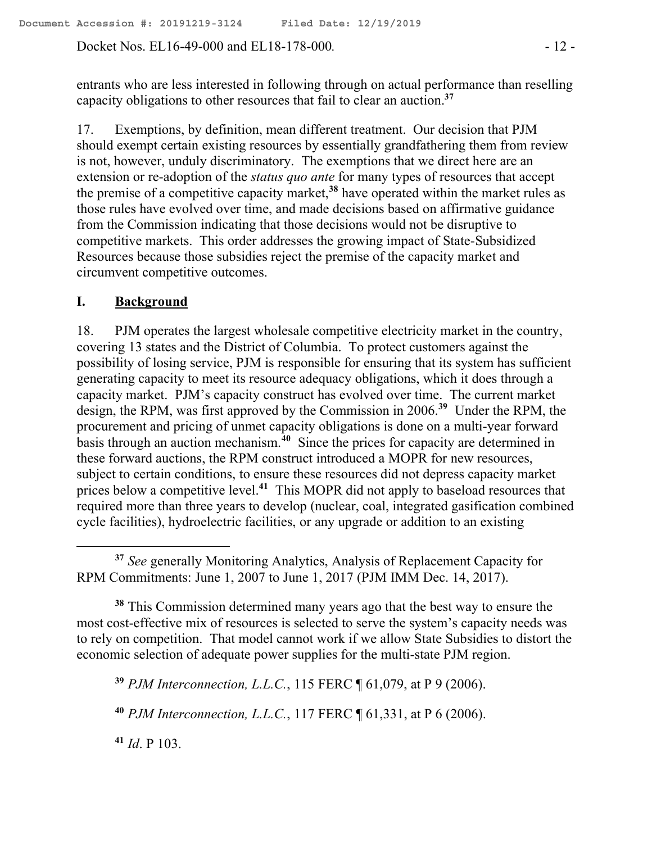Docket Nos. EL16-49-000 and EL18-178-000. - 12 -

entrants who are less interested in following through on actual performance than reselling capacity obligations to other resources that fail to clear an auction.**<sup>37</sup>**

17. Exemptions, by definition, mean different treatment. Our decision that PJM should exempt certain existing resources by essentially grandfathering them from review is not, however, unduly discriminatory. The exemptions that we direct here are an extension or re-adoption of the *status quo ante* for many types of resources that accept the premise of a competitive capacity market, **<sup>38</sup>** have operated within the market rules as those rules have evolved over time, and made decisions based on affirmative guidance from the Commission indicating that those decisions would not be disruptive to competitive markets. This order addresses the growing impact of State-Subsidized Resources because those subsidies reject the premise of the capacity market and circumvent competitive outcomes.

### **I. Background**

18. PJM operates the largest wholesale competitive electricity market in the country, covering 13 states and the District of Columbia. To protect customers against the possibility of losing service, PJM is responsible for ensuring that its system has sufficient generating capacity to meet its resource adequacy obligations, which it does through a capacity market. PJM's capacity construct has evolved over time. The current market design, the RPM, was first approved by the Commission in 2006.**<sup>39</sup>** Under the RPM, the procurement and pricing of unmet capacity obligations is done on a multi-year forward basis through an auction mechanism.**<sup>40</sup>** Since the prices for capacity are determined in these forward auctions, the RPM construct introduced a MOPR for new resources, subject to certain conditions, to ensure these resources did not depress capacity market prices below a competitive level.**<sup>41</sup>** This MOPR did not apply to baseload resources that required more than three years to develop (nuclear, coal, integrated gasification combined cycle facilities), hydroelectric facilities, or any upgrade or addition to an existing

**<sup>38</sup>** This Commission determined many years ago that the best way to ensure the most cost-effective mix of resources is selected to serve the system's capacity needs was to rely on competition. That model cannot work if we allow State Subsidies to distort the economic selection of adequate power supplies for the multi-state PJM region.

**<sup>39</sup>** *PJM Interconnection, L.L.C.*, 115 FERC ¶ 61,079, at P 9 (2006).

**<sup>40</sup>** *PJM Interconnection, L.L.C.*, 117 FERC ¶ 61,331, at P 6 (2006).

**<sup>41</sup>** *Id*. P 103.

**<sup>37</sup>** *See* generally Monitoring Analytics, Analysis of Replacement Capacity for RPM Commitments: June 1, 2007 to June 1, 2017 (PJM IMM Dec. 14, 2017).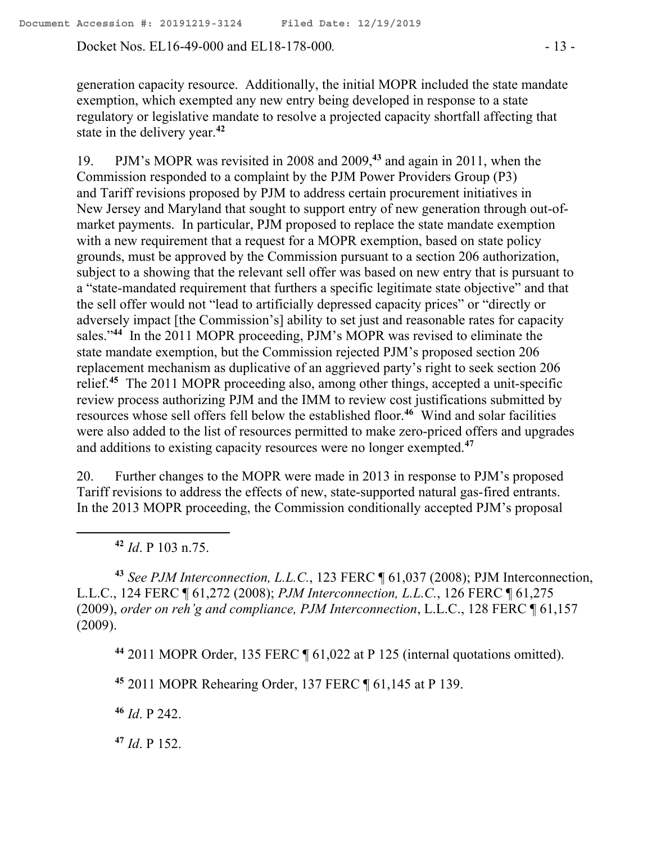Docket Nos. EL16-49-000 and EL18-178-000. - 13 -

generation capacity resource. Additionally, the initial MOPR included the state mandate exemption, which exempted any new entry being developed in response to a state regulatory or legislative mandate to resolve a projected capacity shortfall affecting that state in the delivery year. **42**

19. PJM's MOPR was revisited in 2008 and 2009,**<sup>43</sup>** and again in 2011, when the Commission responded to a complaint by the PJM Power Providers Group (P3) and Tariff revisions proposed by PJM to address certain procurement initiatives in New Jersey and Maryland that sought to support entry of new generation through out-ofmarket payments. In particular, PJM proposed to replace the state mandate exemption with a new requirement that a request for a MOPR exemption, based on state policy grounds, must be approved by the Commission pursuant to a section 206 authorization, subject to a showing that the relevant sell offer was based on new entry that is pursuant to a "state-mandated requirement that furthers a specific legitimate state objective" and that the sell offer would not "lead to artificially depressed capacity prices" or "directly or adversely impact [the Commission's] ability to set just and reasonable rates for capacity sales."<sup>44</sup> In the 2011 MOPR proceeding, PJM's MOPR was revised to eliminate the state mandate exemption, but the Commission rejected PJM's proposed section 206 replacement mechanism as duplicative of an aggrieved party's right to seek section 206 relief.**<sup>45</sup>** The 2011 MOPR proceeding also, among other things, accepted a unit-specific review process authorizing PJM and the IMM to review cost justifications submitted by resources whose sell offers fell below the established floor. **46** Wind and solar facilities were also added to the list of resources permitted to make zero-priced offers and upgrades and additions to existing capacity resources were no longer exempted. **47**

20. Further changes to the MOPR were made in 2013 in response to PJM's proposed Tariff revisions to address the effects of new, state-supported natural gas-fired entrants. In the 2013 MOPR proceeding, the Commission conditionally accepted PJM's proposal

**<sup>42</sup>** *Id*. P 103 n.75.

 $\overline{a}$ 

**<sup>43</sup>** *See PJM Interconnection, L.L.C.*, 123 FERC ¶ 61,037 (2008); PJM Interconnection, L.L.C., 124 FERC ¶ 61,272 (2008); *PJM Interconnection, L.L.C.*, 126 FERC ¶ 61,275 (2009), *order on reh'g and compliance, PJM Interconnection*, L.L.C., 128 FERC ¶ 61,157 (2009).

**<sup>44</sup>** 2011 MOPR Order, 135 FERC ¶ 61,022 at P 125 (internal quotations omitted).

**<sup>45</sup>** 2011 MOPR Rehearing Order, 137 FERC ¶ 61,145 at P 139.

**<sup>46</sup>** *Id*. P 242.

**<sup>47</sup>** *Id*. P 152.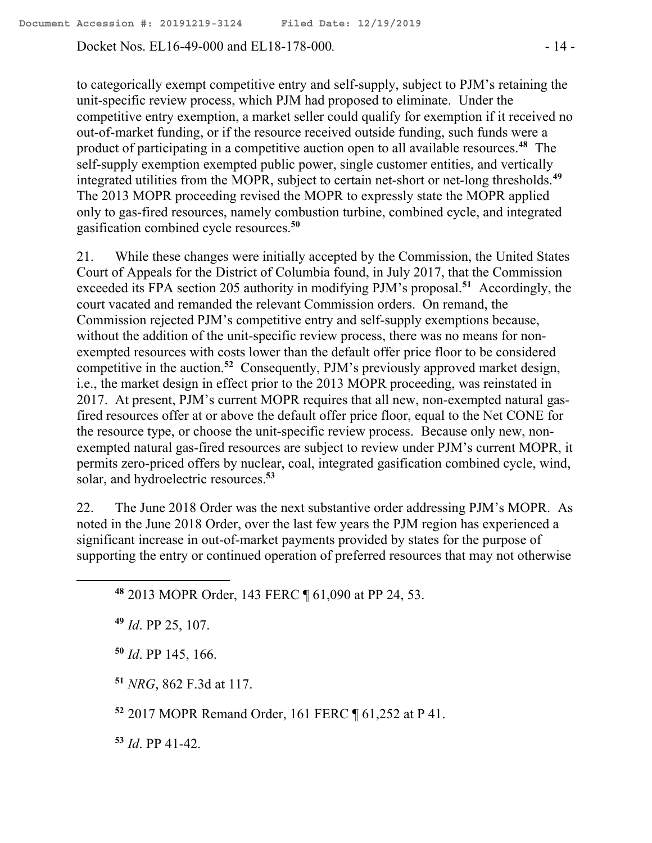Docket Nos. EL16-49-000 and EL18-178-000*.* - 14 -

to categorically exempt competitive entry and self-supply, subject to PJM's retaining the unit-specific review process, which PJM had proposed to eliminate. Under the competitive entry exemption, a market seller could qualify for exemption if it received no out-of-market funding, or if the resource received outside funding, such funds were a product of participating in a competitive auction open to all available resources.**<sup>48</sup>** The self-supply exemption exempted public power, single customer entities, and vertically integrated utilities from the MOPR, subject to certain net-short or net-long thresholds.**<sup>49</sup>** The 2013 MOPR proceeding revised the MOPR to expressly state the MOPR applied only to gas-fired resources, namely combustion turbine, combined cycle, and integrated gasification combined cycle resources.**<sup>50</sup>**

21. While these changes were initially accepted by the Commission, the United States Court of Appeals for the District of Columbia found, in July 2017, that the Commission exceeded its FPA section 205 authority in modifying PJM's proposal.**<sup>51</sup>** Accordingly, the court vacated and remanded the relevant Commission orders. On remand, the Commission rejected PJM's competitive entry and self-supply exemptions because, without the addition of the unit-specific review process, there was no means for nonexempted resources with costs lower than the default offer price floor to be considered competitive in the auction. **52** Consequently, PJM's previously approved market design, i.e., the market design in effect prior to the 2013 MOPR proceeding, was reinstated in 2017. At present, PJM's current MOPR requires that all new, non-exempted natural gasfired resources offer at or above the default offer price floor, equal to the Net CONE for the resource type, or choose the unit-specific review process. Because only new, nonexempted natural gas-fired resources are subject to review under PJM's current MOPR, it permits zero-priced offers by nuclear, coal, integrated gasification combined cycle, wind, solar, and hydroelectric resources. **53**

22. The June 2018 Order was the next substantive order addressing PJM's MOPR. As noted in the June 2018 Order, over the last few years the PJM region has experienced a significant increase in out-of-market payments provided by states for the purpose of supporting the entry or continued operation of preferred resources that may not otherwise

**<sup>48</sup>** 2013 MOPR Order, 143 FERC ¶ 61,090 at PP 24, 53.

**<sup>49</sup>** *Id*. PP 25, 107.

**<sup>50</sup>** *Id*. PP 145, 166.

**<sup>51</sup>** *NRG*, 862 F.3d at 117.

**<sup>52</sup>** 2017 MOPR Remand Order, 161 FERC ¶ 61,252 at P 41.

**<sup>53</sup>** *Id*. PP 41-42.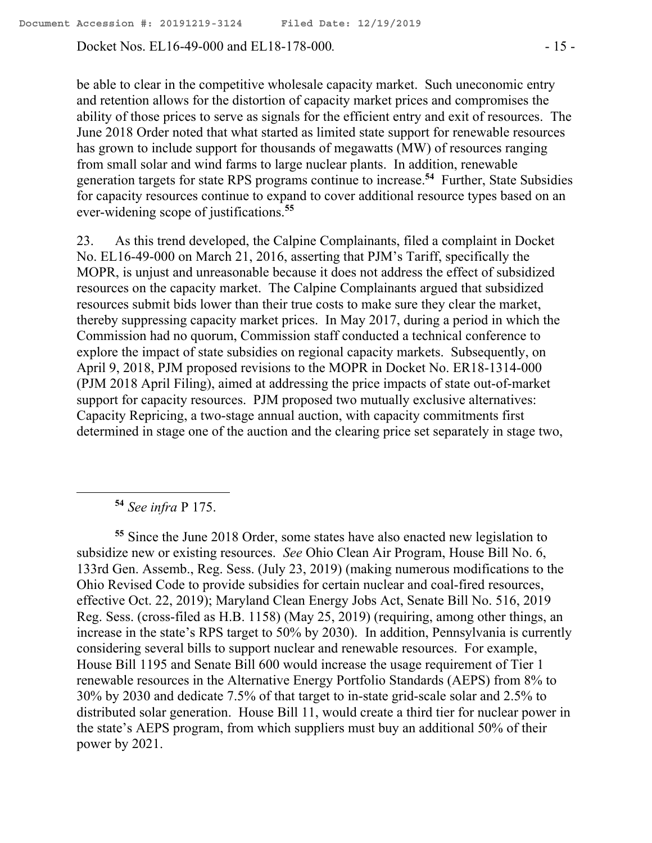Docket Nos. EL16-49-000 and EL18-178-000. - 15 -

be able to clear in the competitive wholesale capacity market. Such uneconomic entry and retention allows for the distortion of capacity market prices and compromises the ability of those prices to serve as signals for the efficient entry and exit of resources. The June 2018 Order noted that what started as limited state support for renewable resources has grown to include support for thousands of megawatts (MW) of resources ranging from small solar and wind farms to large nuclear plants. In addition, renewable generation targets for state RPS programs continue to increase.**<sup>54</sup>** Further, State Subsidies for capacity resources continue to expand to cover additional resource types based on an ever-widening scope of justifications.**<sup>55</sup>**

23. As this trend developed, the Calpine Complainants, filed a complaint in Docket No. EL16-49-000 on March 21, 2016, asserting that PJM's Tariff, specifically the MOPR, is unjust and unreasonable because it does not address the effect of subsidized resources on the capacity market. The Calpine Complainants argued that subsidized resources submit bids lower than their true costs to make sure they clear the market, thereby suppressing capacity market prices. In May 2017, during a period in which the Commission had no quorum, Commission staff conducted a technical conference to explore the impact of state subsidies on regional capacity markets. Subsequently, on April 9, 2018, PJM proposed revisions to the MOPR in Docket No. ER18-1314-000 (PJM 2018 April Filing), aimed at addressing the price impacts of state out-of-market support for capacity resources. PJM proposed two mutually exclusive alternatives: Capacity Repricing, a two-stage annual auction, with capacity commitments first determined in stage one of the auction and the clearing price set separately in stage two,

**<sup>54</sup>** *See infra* P 175.

 $\overline{a}$ 

**<sup>55</sup>** Since the June 2018 Order, some states have also enacted new legislation to subsidize new or existing resources. *See* Ohio Clean Air Program, House Bill No. 6, 133rd Gen. Assemb., Reg. Sess. (July 23, 2019) (making numerous modifications to the Ohio Revised Code to provide subsidies for certain nuclear and coal-fired resources, effective Oct. 22, 2019); Maryland Clean Energy Jobs Act, Senate Bill No. 516, 2019 Reg. Sess. (cross-filed as H.B. 1158) (May 25, 2019) (requiring, among other things, an increase in the state's RPS target to 50% by 2030). In addition, Pennsylvania is currently considering several bills to support nuclear and renewable resources. For example, House Bill 1195 and Senate Bill 600 would increase the usage requirement of Tier 1 renewable resources in the Alternative Energy Portfolio Standards (AEPS) from 8% to 30% by 2030 and dedicate 7.5% of that target to in-state grid-scale solar and 2.5% to distributed solar generation. House Bill 11, would create a third tier for nuclear power in the state's AEPS program, from which suppliers must buy an additional 50% of their power by 2021.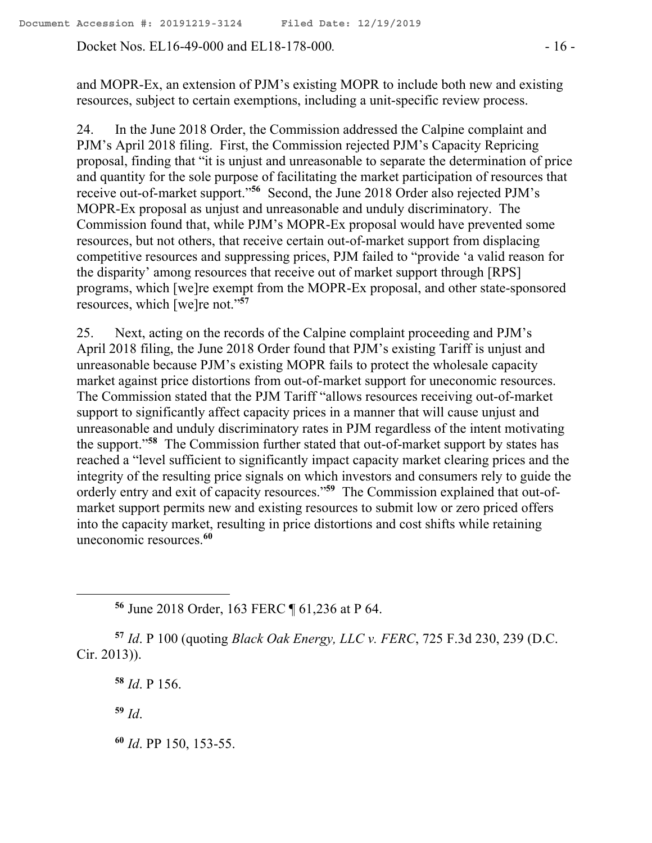Docket Nos. EL16-49-000 and EL18-178-000. - 16 -

and MOPR-Ex, an extension of PJM's existing MOPR to include both new and existing resources, subject to certain exemptions, including a unit-specific review process.

24. In the June 2018 Order, the Commission addressed the Calpine complaint and PJM's April 2018 filing. First, the Commission rejected PJM's Capacity Repricing proposal, finding that "it is unjust and unreasonable to separate the determination of price and quantity for the sole purpose of facilitating the market participation of resources that receive out-of-market support." **56** Second, the June 2018 Order also rejected PJM's MOPR-Ex proposal as unjust and unreasonable and unduly discriminatory. The Commission found that, while PJM's MOPR-Ex proposal would have prevented some resources, but not others, that receive certain out-of-market support from displacing competitive resources and suppressing prices, PJM failed to "provide 'a valid reason for the disparity' among resources that receive out of market support through [RPS] programs, which [we]re exempt from the MOPR-Ex proposal, and other state-sponsored resources, which [we]re not."**<sup>57</sup>**

25. Next, acting on the records of the Calpine complaint proceeding and PJM's April 2018 filing, the June 2018 Order found that PJM's existing Tariff is unjust and unreasonable because PJM's existing MOPR fails to protect the wholesale capacity market against price distortions from out-of-market support for uneconomic resources. The Commission stated that the PJM Tariff "allows resources receiving out-of-market support to significantly affect capacity prices in a manner that will cause unjust and unreasonable and unduly discriminatory rates in PJM regardless of the intent motivating the support."**<sup>58</sup>** The Commission further stated that out-of-market support by states has reached a "level sufficient to significantly impact capacity market clearing prices and the integrity of the resulting price signals on which investors and consumers rely to guide the orderly entry and exit of capacity resources."**<sup>59</sup>** The Commission explained that out-ofmarket support permits new and existing resources to submit low or zero priced offers into the capacity market, resulting in price distortions and cost shifts while retaining uneconomic resources.**<sup>60</sup>**

**<sup>56</sup>** June 2018 Order, 163 FERC ¶ 61,236 at P 64.

**<sup>57</sup>** *Id*. P 100 (quoting *Black Oak Energy, LLC v. FERC*, 725 F.3d 230, 239 (D.C. Cir. 2013)).

**<sup>58</sup>** *Id*. P 156.

**<sup>59</sup>** *Id*.

 $\overline{a}$ 

**<sup>60</sup>** *Id*. PP 150, 153-55.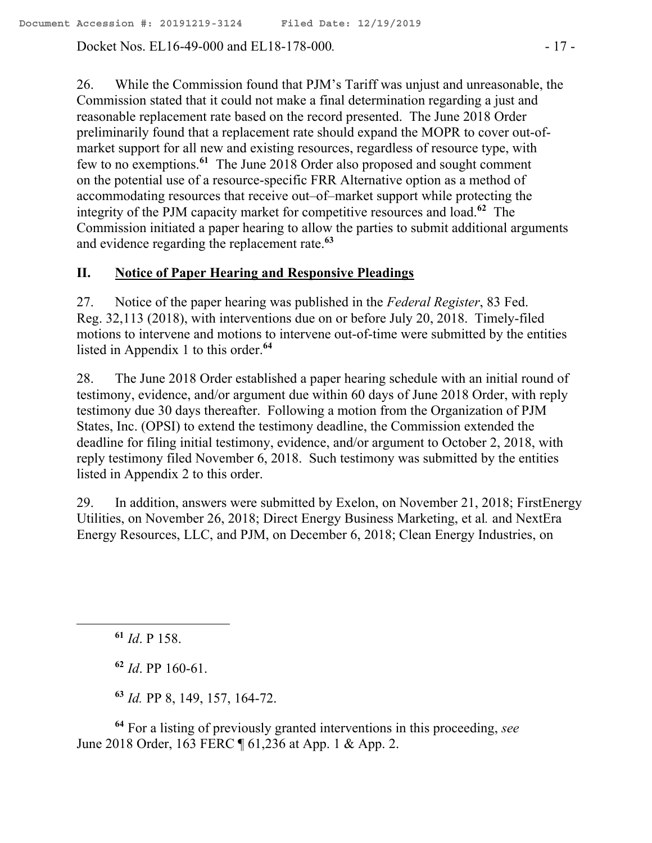Docket Nos. EL16-49-000 and EL18-178-000. - 17 -

26. While the Commission found that PJM's Tariff was unjust and unreasonable, the Commission stated that it could not make a final determination regarding a just and reasonable replacement rate based on the record presented. The June 2018 Order preliminarily found that a replacement rate should expand the MOPR to cover out-ofmarket support for all new and existing resources, regardless of resource type, with few to no exemptions.**<sup>61</sup>** The June 2018 Order also proposed and sought comment on the potential use of a resource-specific FRR Alternative option as a method of accommodating resources that receive out–of–market support while protecting the integrity of the PJM capacity market for competitive resources and load.**<sup>62</sup>** The Commission initiated a paper hearing to allow the parties to submit additional arguments and evidence regarding the replacement rate.**<sup>63</sup>**

# **II. Notice of Paper Hearing and Responsive Pleadings**

27. Notice of the paper hearing was published in the *Federal Register*, 83 Fed. Reg. 32,113 (2018), with interventions due on or before July 20, 2018. Timely-filed motions to intervene and motions to intervene out-of-time were submitted by the entities listed in Appendix 1 to this order.**<sup>64</sup>**

28. The June 2018 Order established a paper hearing schedule with an initial round of testimony, evidence, and/or argument due within 60 days of June 2018 Order, with reply testimony due 30 days thereafter. Following a motion from the Organization of PJM States, Inc. (OPSI) to extend the testimony deadline, the Commission extended the deadline for filing initial testimony, evidence, and/or argument to October 2, 2018, with reply testimony filed November 6, 2018. Such testimony was submitted by the entities listed in Appendix 2 to this order.

29. In addition, answers were submitted by Exelon, on November 21, 2018; FirstEnergy Utilities, on November 26, 2018; Direct Energy Business Marketing, et al*.* and NextEra Energy Resources, LLC, and PJM, on December 6, 2018; Clean Energy Industries, on

 $\overline{a}$ 

**<sup>62</sup>** *Id*. PP 160-61.

**<sup>63</sup>** *Id.* PP 8, 149, 157, 164-72.

**<sup>64</sup>** For a listing of previously granted interventions in this proceeding, *see* June 2018 Order, 163 FERC ¶ 61,236 at App. 1 & App. 2.

**<sup>61</sup>** *Id*. P 158.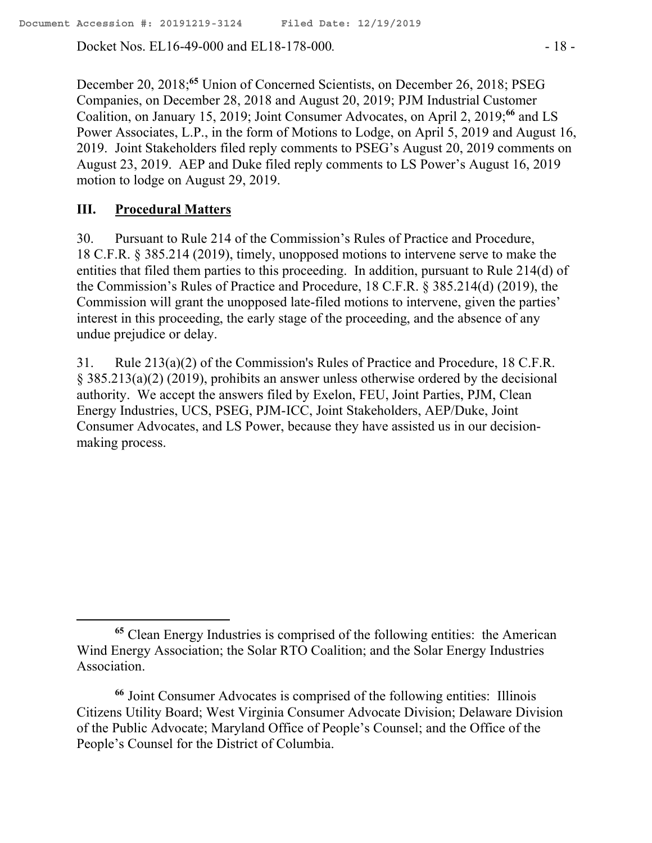Docket Nos. EL16-49-000 and EL18-178-000. - 18 -

December 20, 2018; **<sup>65</sup>** Union of Concerned Scientists, on December 26, 2018; PSEG Companies, on December 28, 2018 and August 20, 2019; PJM Industrial Customer Coalition, on January 15, 2019; Joint Consumer Advocates, on April 2, 2019; **<sup>66</sup>** and LS Power Associates, L.P., in the form of Motions to Lodge, on April 5, 2019 and August 16, 2019. Joint Stakeholders filed reply comments to PSEG's August 20, 2019 comments on August 23, 2019. AEP and Duke filed reply comments to LS Power's August 16, 2019 motion to lodge on August 29, 2019.

### **III. Procedural Matters**

 $\overline{a}$ 

30. Pursuant to Rule 214 of the Commission's Rules of Practice and Procedure, 18 C.F.R. § 385.214 (2019), timely, unopposed motions to intervene serve to make the entities that filed them parties to this proceeding. In addition, pursuant to Rule 214(d) of the Commission's Rules of Practice and Procedure, 18 C.F.R. § 385.214(d) (2019), the Commission will grant the unopposed late-filed motions to intervene, given the parties' interest in this proceeding, the early stage of the proceeding, and the absence of any undue prejudice or delay.

31. Rule 213(a)(2) of the Commission's Rules of Practice and Procedure, 18 C.F.R. § 385.213(a)(2) (2019), prohibits an answer unless otherwise ordered by the decisional authority. We accept the answers filed by Exelon, FEU, Joint Parties, PJM, Clean Energy Industries, UCS, PSEG, PJM-ICC, Joint Stakeholders, AEP/Duke, Joint Consumer Advocates, and LS Power, because they have assisted us in our decisionmaking process.

**<sup>65</sup>** Clean Energy Industries is comprised of the following entities: the American Wind Energy Association; the Solar RTO Coalition; and the Solar Energy Industries Association.

**<sup>66</sup>** Joint Consumer Advocates is comprised of the following entities: Illinois Citizens Utility Board; West Virginia Consumer Advocate Division; Delaware Division of the Public Advocate; Maryland Office of People's Counsel; and the Office of the People's Counsel for the District of Columbia.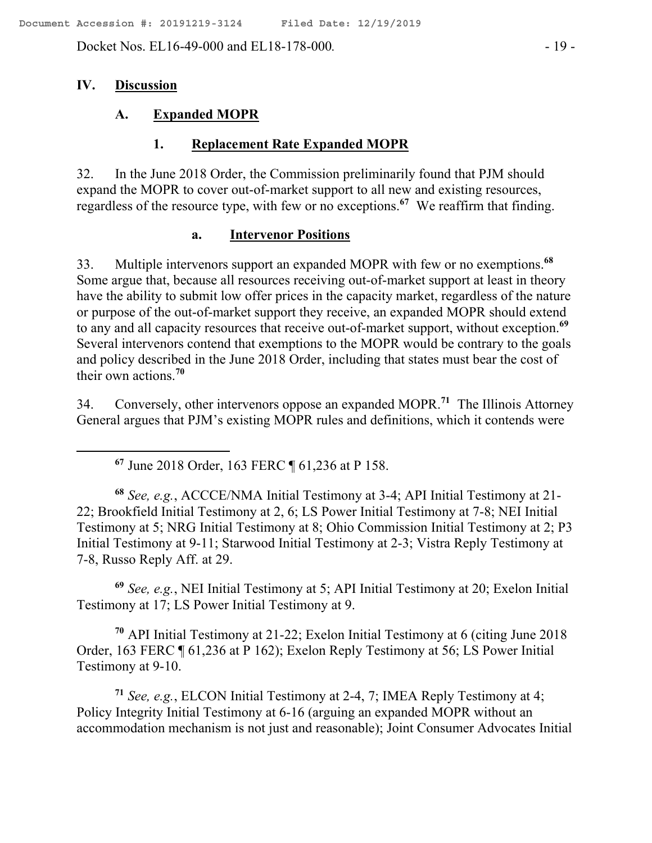Docket Nos. EL16-49-000 and EL18-178-000. - 19 -

### **IV. Discussion**

 $\overline{a}$ 

### **A. Expanded MOPR**

### **1. Replacement Rate Expanded MOPR**

32. In the June 2018 Order, the Commission preliminarily found that PJM should expand the MOPR to cover out-of-market support to all new and existing resources, regardless of the resource type, with few or no exceptions. **67** We reaffirm that finding.

#### **a. Intervenor Positions**

33. Multiple intervenors support an expanded MOPR with few or no exemptions.**<sup>68</sup>** Some argue that, because all resources receiving out-of-market support at least in theory have the ability to submit low offer prices in the capacity market, regardless of the nature or purpose of the out-of-market support they receive, an expanded MOPR should extend to any and all capacity resources that receive out-of-market support, without exception.**<sup>69</sup>** Several intervenors contend that exemptions to the MOPR would be contrary to the goals and policy described in the June 2018 Order, including that states must bear the cost of their own actions.**<sup>70</sup>**

34. Conversely, other intervenors oppose an expanded MOPR.**<sup>71</sup>** The Illinois Attorney General argues that PJM's existing MOPR rules and definitions, which it contends were

**<sup>67</sup>** June 2018 Order, 163 FERC ¶ 61,236 at P 158.

**<sup>68</sup>** *See, e.g.*, ACCCE/NMA Initial Testimony at 3-4; API Initial Testimony at 21- 22; Brookfield Initial Testimony at 2, 6; LS Power Initial Testimony at 7-8; NEI Initial Testimony at 5; NRG Initial Testimony at 8; Ohio Commission Initial Testimony at 2; P3 Initial Testimony at 9-11; Starwood Initial Testimony at 2-3; Vistra Reply Testimony at 7-8, Russo Reply Aff. at 29.

**<sup>69</sup>** *See, e.g.*, NEI Initial Testimony at 5; API Initial Testimony at 20; Exelon Initial Testimony at 17; LS Power Initial Testimony at 9.

**<sup>70</sup>** API Initial Testimony at 21-22; Exelon Initial Testimony at 6 (citing June 2018 Order, 163 FERC ¶ 61,236 at P 162); Exelon Reply Testimony at 56; LS Power Initial Testimony at 9-10.

**<sup>71</sup>** *See, e.g.*, ELCON Initial Testimony at 2-4, 7; IMEA Reply Testimony at 4; Policy Integrity Initial Testimony at 6-16 (arguing an expanded MOPR without an accommodation mechanism is not just and reasonable); Joint Consumer Advocates Initial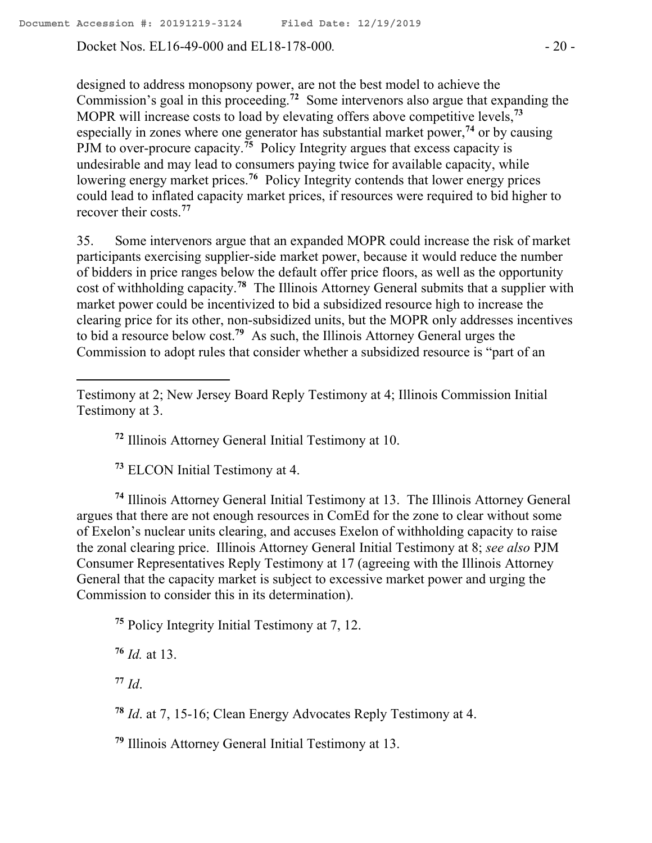Docket Nos. EL16-49-000 and EL18-178-000*.* - 20 -

designed to address monopsony power, are not the best model to achieve the Commission's goal in this proceeding. **72** Some intervenors also argue that expanding the MOPR will increase costs to load by elevating offers above competitive levels,**<sup>73</sup>** especially in zones where one generator has substantial market power,**<sup>74</sup>** or by causing PJM to over-procure capacity.<sup>75</sup> Policy Integrity argues that excess capacity is undesirable and may lead to consumers paying twice for available capacity, while lowering energy market prices.<sup>76</sup> Policy Integrity contends that lower energy prices could lead to inflated capacity market prices, if resources were required to bid higher to recover their costs. **77**

35. Some intervenors argue that an expanded MOPR could increase the risk of market participants exercising supplier-side market power, because it would reduce the number of bidders in price ranges below the default offer price floors, as well as the opportunity cost of withholding capacity.**<sup>78</sup>** The Illinois Attorney General submits that a supplier with market power could be incentivized to bid a subsidized resource high to increase the clearing price for its other, non-subsidized units, but the MOPR only addresses incentives to bid a resource below cost.**<sup>79</sup>** As such, the Illinois Attorney General urges the Commission to adopt rules that consider whether a subsidized resource is "part of an

**<sup>72</sup>** Illinois Attorney General Initial Testimony at 10.

**<sup>73</sup>** ELCON Initial Testimony at 4.

**<sup>74</sup>** Illinois Attorney General Initial Testimony at 13. The Illinois Attorney General argues that there are not enough resources in ComEd for the zone to clear without some of Exelon's nuclear units clearing, and accuses Exelon of withholding capacity to raise the zonal clearing price. Illinois Attorney General Initial Testimony at 8; *see also* PJM Consumer Representatives Reply Testimony at 17 (agreeing with the Illinois Attorney General that the capacity market is subject to excessive market power and urging the Commission to consider this in its determination).

**<sup>75</sup>** Policy Integrity Initial Testimony at 7, 12.

**<sup>76</sup>** *Id.* at 13.

**<sup>77</sup>** *Id*.

 $\overline{a}$ 

**<sup>78</sup>** *Id*. at 7, 15-16; Clean Energy Advocates Reply Testimony at 4.

**<sup>79</sup>** Illinois Attorney General Initial Testimony at 13.

Testimony at 2; New Jersey Board Reply Testimony at 4; Illinois Commission Initial Testimony at 3.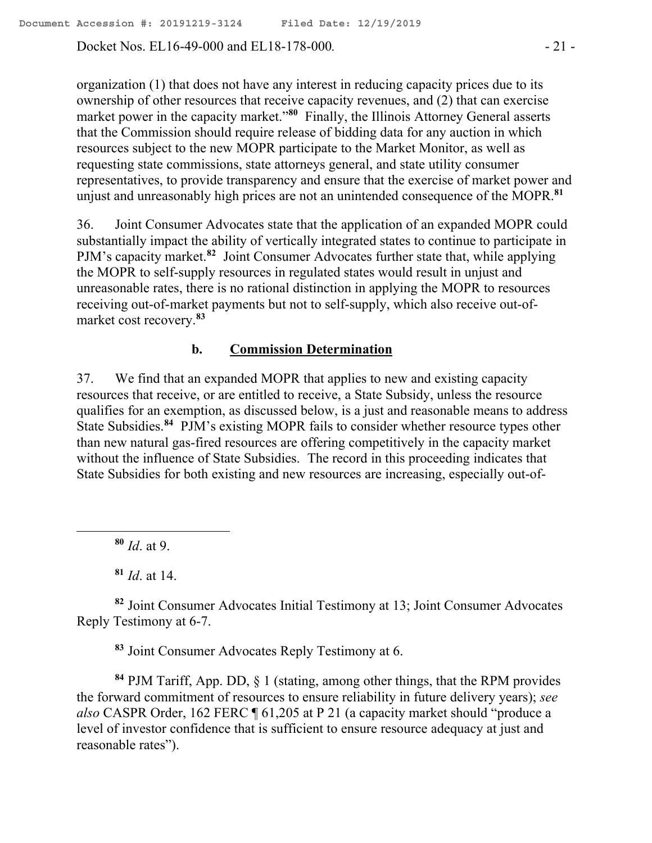Docket Nos. EL16-49-000 and EL18-178-000*.* - 21 -

organization (1) that does not have any interest in reducing capacity prices due to its ownership of other resources that receive capacity revenues, and (2) that can exercise market power in the capacity market."**<sup>80</sup>** Finally, the Illinois Attorney General asserts that the Commission should require release of bidding data for any auction in which resources subject to the new MOPR participate to the Market Monitor, as well as requesting state commissions, state attorneys general, and state utility consumer representatives, to provide transparency and ensure that the exercise of market power and unjust and unreasonably high prices are not an unintended consequence of the MOPR.<sup>81</sup>

36. Joint Consumer Advocates state that the application of an expanded MOPR could substantially impact the ability of vertically integrated states to continue to participate in PJM's capacity market.<sup>82</sup> Joint Consumer Advocates further state that, while applying the MOPR to self-supply resources in regulated states would result in unjust and unreasonable rates, there is no rational distinction in applying the MOPR to resources receiving out-of-market payments but not to self-supply, which also receive out-ofmarket cost recovery.**<sup>83</sup>**

#### **b. Commission Determination**

37. We find that an expanded MOPR that applies to new and existing capacity resources that receive, or are entitled to receive, a State Subsidy, unless the resource qualifies for an exemption, as discussed below, is a just and reasonable means to address State Subsidies.<sup>84</sup> PJM's existing MOPR fails to consider whether resource types other than new natural gas-fired resources are offering competitively in the capacity market without the influence of State Subsidies. The record in this proceeding indicates that State Subsidies for both existing and new resources are increasing, especially out-of-

**<sup>80</sup>** *Id*. at 9.

 $\overline{a}$ 

**<sup>81</sup>** *Id*. at 14.

**<sup>82</sup>** Joint Consumer Advocates Initial Testimony at 13; Joint Consumer Advocates Reply Testimony at 6-7.

**<sup>83</sup>** Joint Consumer Advocates Reply Testimony at 6.

**<sup>84</sup>** PJM Tariff, App. DD, § 1 (stating, among other things, that the RPM provides the forward commitment of resources to ensure reliability in future delivery years); *see also* CASPR Order, 162 FERC ¶ 61,205 at P 21 (a capacity market should "produce a level of investor confidence that is sufficient to ensure resource adequacy at just and reasonable rates").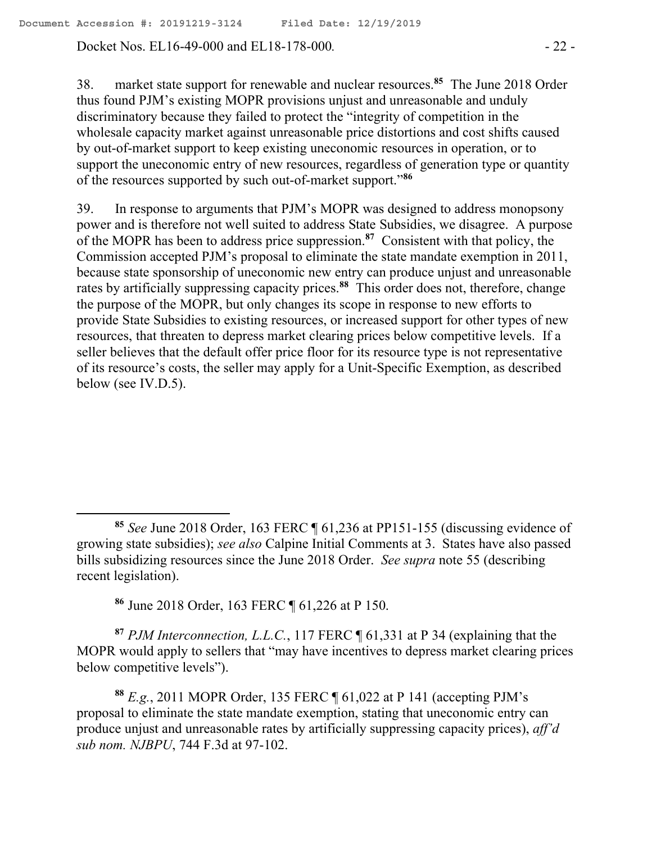Docket Nos. EL16-49-000 and EL18-178-000*.* - 22 -

38. market state support for renewable and nuclear resources.**<sup>85</sup>** The June 2018 Order thus found PJM's existing MOPR provisions unjust and unreasonable and unduly discriminatory because they failed to protect the "integrity of competition in the wholesale capacity market against unreasonable price distortions and cost shifts caused by out-of-market support to keep existing uneconomic resources in operation, or to support the uneconomic entry of new resources, regardless of generation type or quantity of the resources supported by such out-of-market support."**<sup>86</sup>**

39. In response to arguments that PJM's MOPR was designed to address monopsony power and is therefore not well suited to address State Subsidies, we disagree. A purpose of the MOPR has been to address price suppression.**<sup>87</sup>** Consistent with that policy, the Commission accepted PJM's proposal to eliminate the state mandate exemption in 2011, because state sponsorship of uneconomic new entry can produce unjust and unreasonable rates by artificially suppressing capacity prices.**<sup>88</sup>** This order does not, therefore, change the purpose of the MOPR, but only changes its scope in response to new efforts to provide State Subsidies to existing resources, or increased support for other types of new resources, that threaten to depress market clearing prices below competitive levels. If a seller believes that the default offer price floor for its resource type is not representative of its resource's costs, the seller may apply for a Unit-Specific Exemption, as described below (see IV.D.5).

**<sup>86</sup>** June 2018 Order, 163 FERC ¶ 61,226 at P 150.

 $\overline{a}$ 

**<sup>87</sup>** *PJM Interconnection, L.L.C.*, 117 FERC ¶ 61,331 at P 34 (explaining that the MOPR would apply to sellers that "may have incentives to depress market clearing prices below competitive levels").

**<sup>88</sup>** *E.g.*, 2011 MOPR Order, 135 FERC ¶ 61,022 at P 141 (accepting PJM's proposal to eliminate the state mandate exemption, stating that uneconomic entry can produce unjust and unreasonable rates by artificially suppressing capacity prices), *aff'd sub nom. NJBPU*, 744 F.3d at 97-102.

**<sup>85</sup>** *See* June 2018 Order, 163 FERC ¶ 61,236 at PP151-155 (discussing evidence of growing state subsidies); *see also* Calpine Initial Comments at 3. States have also passed bills subsidizing resources since the June 2018 Order. *See supra* note 55 (describing recent legislation).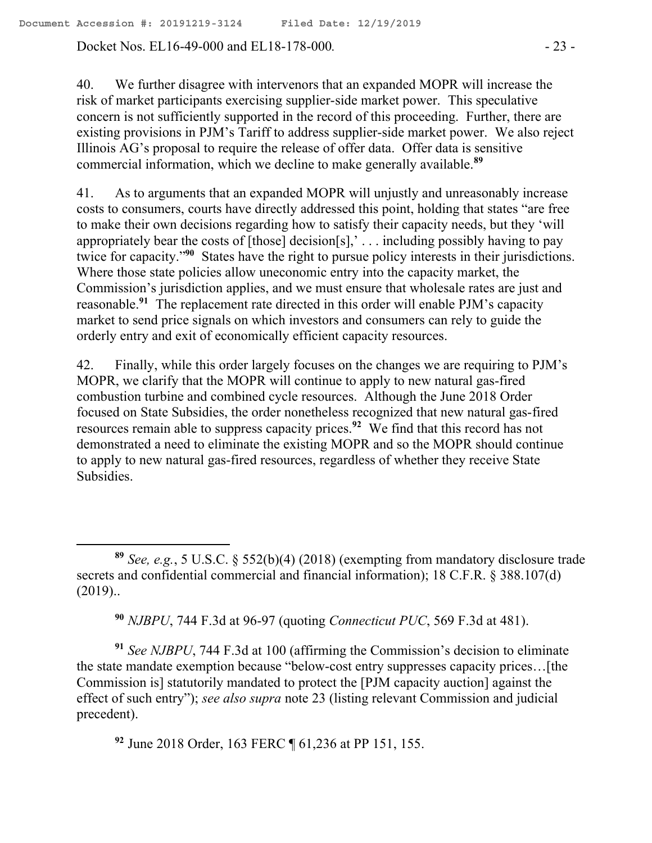Docket Nos. EL16-49-000 and EL18-178-000*.* - 23 -

 $\overline{a}$ 

40. We further disagree with intervenors that an expanded MOPR will increase the risk of market participants exercising supplier-side market power. This speculative concern is not sufficiently supported in the record of this proceeding. Further, there are existing provisions in PJM's Tariff to address supplier-side market power. We also reject Illinois AG's proposal to require the release of offer data. Offer data is sensitive commercial information, which we decline to make generally available.**<sup>89</sup>**

41. As to arguments that an expanded MOPR will unjustly and unreasonably increase costs to consumers, courts have directly addressed this point, holding that states "are free to make their own decisions regarding how to satisfy their capacity needs, but they 'will appropriately bear the costs of  $[$ those $]$  decision $[s]$ ,  $\ldots$  including possibly having to pay twice for capacity."**<sup>90</sup>** States have the right to pursue policy interests in their jurisdictions. Where those state policies allow uneconomic entry into the capacity market, the Commission's jurisdiction applies, and we must ensure that wholesale rates are just and reasonable.**<sup>91</sup>** The replacement rate directed in this order will enable PJM's capacity market to send price signals on which investors and consumers can rely to guide the orderly entry and exit of economically efficient capacity resources.

42. Finally, while this order largely focuses on the changes we are requiring to PJM's MOPR, we clarify that the MOPR will continue to apply to new natural gas-fired combustion turbine and combined cycle resources. Although the June 2018 Order focused on State Subsidies, the order nonetheless recognized that new natural gas-fired resources remain able to suppress capacity prices.**<sup>92</sup>** We find that this record has not demonstrated a need to eliminate the existing MOPR and so the MOPR should continue to apply to new natural gas-fired resources, regardless of whether they receive State Subsidies.

**<sup>90</sup>** *NJBPU*, 744 F.3d at 96-97 (quoting *Connecticut PUC*, 569 F.3d at 481).

**<sup>91</sup>** *See NJBPU*, 744 F.3d at 100 (affirming the Commission's decision to eliminate the state mandate exemption because "below-cost entry suppresses capacity prices…[the Commission is] statutorily mandated to protect the [PJM capacity auction] against the effect of such entry"); *see also supra* note 23 (listing relevant Commission and judicial precedent).

**<sup>92</sup>** June 2018 Order, 163 FERC ¶ 61,236 at PP 151, 155.

**<sup>89</sup>** *See, e.g.*, 5 U.S.C. § 552(b)(4) (2018) (exempting from mandatory disclosure trade secrets and confidential commercial and financial information); 18 C.F.R. § 388.107(d) (2019)..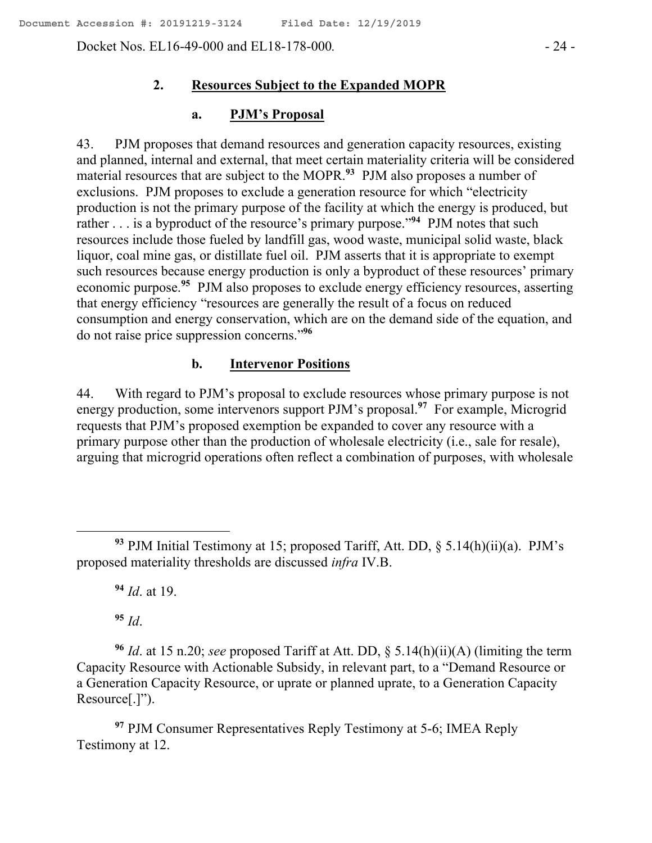Docket Nos. EL16-49-000 and EL18-178-000*.* - 24 -

### **2. Resources Subject to the Expanded MOPR**

#### **a. PJM's Proposal**

43. PJM proposes that demand resources and generation capacity resources, existing and planned, internal and external, that meet certain materiality criteria will be considered material resources that are subject to the MOPR. **93** PJM also proposes a number of exclusions. PJM proposes to exclude a generation resource for which "electricity production is not the primary purpose of the facility at which the energy is produced, but rather  $\dots$  is a byproduct of the resource's primary purpose."<sup>94</sup> PJM notes that such resources include those fueled by landfill gas, wood waste, municipal solid waste, black liquor, coal mine gas, or distillate fuel oil. PJM asserts that it is appropriate to exempt such resources because energy production is only a byproduct of these resources' primary economic purpose.**<sup>95</sup>** PJM also proposes to exclude energy efficiency resources, asserting that energy efficiency "resources are generally the result of a focus on reduced consumption and energy conservation, which are on the demand side of the equation, and do not raise price suppression concerns."**<sup>96</sup>**

#### **b. Intervenor Positions**

44. With regard to PJM's proposal to exclude resources whose primary purpose is not energy production, some intervenors support PJM's proposal.**<sup>97</sup>** For example, Microgrid requests that PJM's proposed exemption be expanded to cover any resource with a primary purpose other than the production of wholesale electricity (i.e., sale for resale), arguing that microgrid operations often reflect a combination of purposes, with wholesale

**<sup>94</sup>** *Id*. at 19.

**<sup>95</sup>** *Id*.

 $\overline{a}$ 

**<sup>96</sup>** *Id*. at 15 n.20; *see* proposed Tariff at Att. DD, § 5.14(h)(ii)(A) (limiting the term Capacity Resource with Actionable Subsidy, in relevant part, to a "Demand Resource or a Generation Capacity Resource, or uprate or planned uprate, to a Generation Capacity Resource[.]").

**<sup>97</sup>** PJM Consumer Representatives Reply Testimony at 5-6; IMEA Reply Testimony at 12.

**<sup>93</sup>** PJM Initial Testimony at 15; proposed Tariff, Att. DD, § 5.14(h)(ii)(a). PJM's proposed materiality thresholds are discussed *infra* IV.B.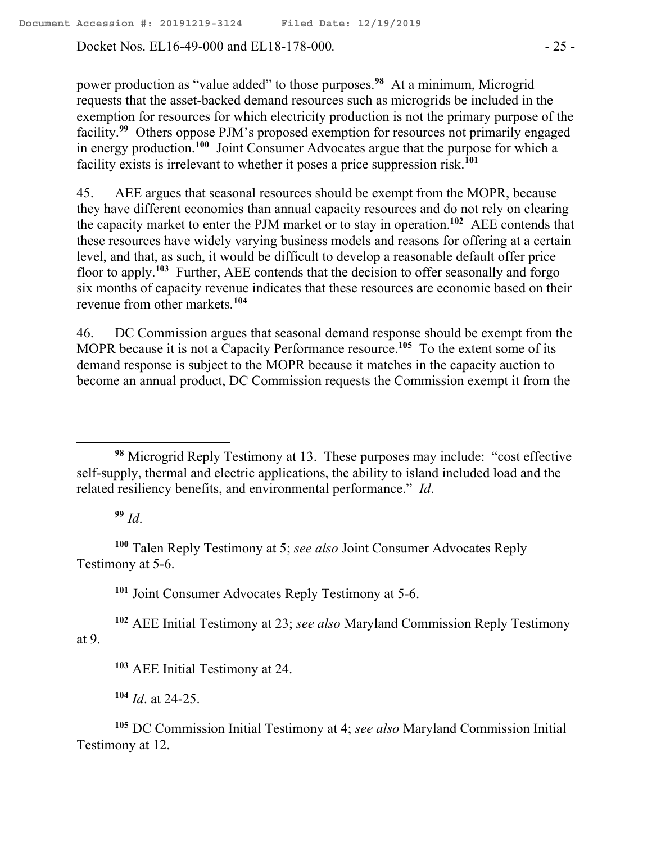Docket Nos. EL16-49-000 and EL18-178-000. - 25 -

power production as "value added" to those purposes.**<sup>98</sup>** At a minimum, Microgrid requests that the asset-backed demand resources such as microgrids be included in the exemption for resources for which electricity production is not the primary purpose of the facility.<sup>99</sup> Others oppose PJM's proposed exemption for resources not primarily engaged in energy production.**<sup>100</sup>** Joint Consumer Advocates argue that the purpose for which a facility exists is irrelevant to whether it poses a price suppression risk.**<sup>101</sup>**

45. AEE argues that seasonal resources should be exempt from the MOPR, because they have different economics than annual capacity resources and do not rely on clearing the capacity market to enter the PJM market or to stay in operation.**<sup>102</sup>** AEE contends that these resources have widely varying business models and reasons for offering at a certain level, and that, as such, it would be difficult to develop a reasonable default offer price floor to apply.**<sup>103</sup>** Further, AEE contends that the decision to offer seasonally and forgo six months of capacity revenue indicates that these resources are economic based on their revenue from other markets.**<sup>104</sup>**

46. DC Commission argues that seasonal demand response should be exempt from the MOPR because it is not a Capacity Performance resource.**<sup>105</sup>** To the extent some of its demand response is subject to the MOPR because it matches in the capacity auction to become an annual product, DC Commission requests the Commission exempt it from the

**<sup>99</sup>** *Id*.

 $\overline{a}$ 

**<sup>100</sup>** Talen Reply Testimony at 5; *see also* Joint Consumer Advocates Reply Testimony at 5-6.

**<sup>101</sup>** Joint Consumer Advocates Reply Testimony at 5-6.

**<sup>102</sup>** AEE Initial Testimony at 23; *see also* Maryland Commission Reply Testimony at 9.

**<sup>103</sup>** AEE Initial Testimony at 24.

**<sup>104</sup>** *Id*. at 24-25.

**<sup>105</sup>** DC Commission Initial Testimony at 4; *see also* Maryland Commission Initial Testimony at 12.

**<sup>98</sup>** Microgrid Reply Testimony at 13. These purposes may include: "cost effective self-supply, thermal and electric applications, the ability to island included load and the related resiliency benefits, and environmental performance." *Id*.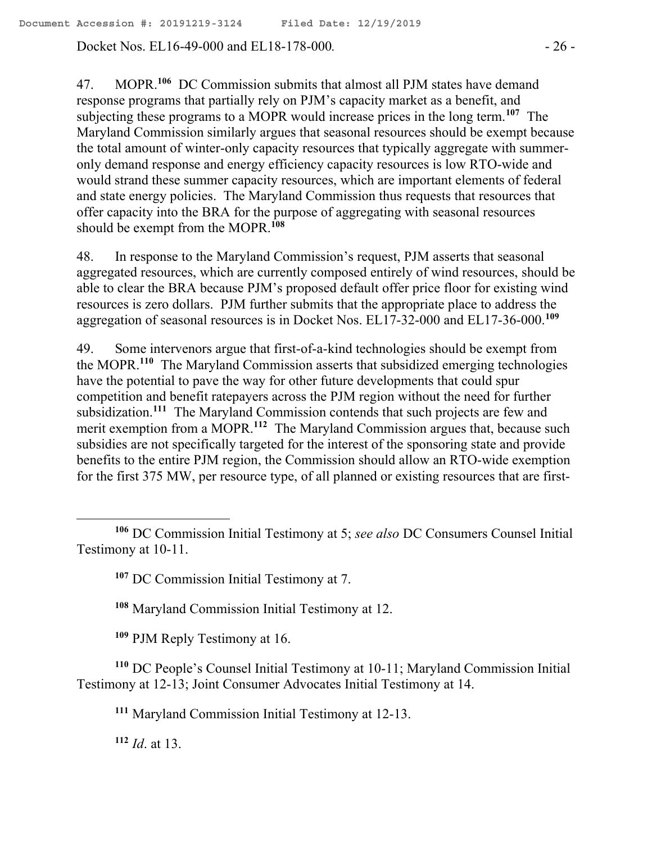Docket Nos. EL16-49-000 and EL18-178-000. - 26 -

47. MOPR.**<sup>106</sup>** DC Commission submits that almost all PJM states have demand response programs that partially rely on PJM's capacity market as a benefit, and subjecting these programs to a MOPR would increase prices in the long term.<sup>107</sup> The Maryland Commission similarly argues that seasonal resources should be exempt because the total amount of winter-only capacity resources that typically aggregate with summeronly demand response and energy efficiency capacity resources is low RTO-wide and would strand these summer capacity resources, which are important elements of federal and state energy policies. The Maryland Commission thus requests that resources that offer capacity into the BRA for the purpose of aggregating with seasonal resources should be exempt from the MOPR.**<sup>108</sup>**

48. In response to the Maryland Commission's request, PJM asserts that seasonal aggregated resources, which are currently composed entirely of wind resources, should be able to clear the BRA because PJM's proposed default offer price floor for existing wind resources is zero dollars. PJM further submits that the appropriate place to address the aggregation of seasonal resources is in Docket Nos. EL17-32-000 and EL17-36-000. **109**

49. Some intervenors argue that first-of-a-kind technologies should be exempt from the MOPR.**<sup>110</sup>** The Maryland Commission asserts that subsidized emerging technologies have the potential to pave the way for other future developments that could spur competition and benefit ratepayers across the PJM region without the need for further subsidization.**<sup>111</sup>** The Maryland Commission contends that such projects are few and merit exemption from a MOPR.<sup>112</sup> The Maryland Commission argues that, because such subsidies are not specifically targeted for the interest of the sponsoring state and provide benefits to the entire PJM region, the Commission should allow an RTO-wide exemption for the first 375 MW, per resource type, of all planned or existing resources that are first-

**<sup>108</sup>** Maryland Commission Initial Testimony at 12.

**<sup>109</sup>** PJM Reply Testimony at 16.

**<sup>110</sup>** DC People's Counsel Initial Testimony at 10-11; Maryland Commission Initial Testimony at 12-13; Joint Consumer Advocates Initial Testimony at 14.

**<sup>111</sup>** Maryland Commission Initial Testimony at 12-13.

**<sup>112</sup>** *Id*. at 13.

 $\overline{a}$ 

**<sup>106</sup>** DC Commission Initial Testimony at 5; *see also* DC Consumers Counsel Initial Testimony at 10-11.

**<sup>107</sup>** DC Commission Initial Testimony at 7.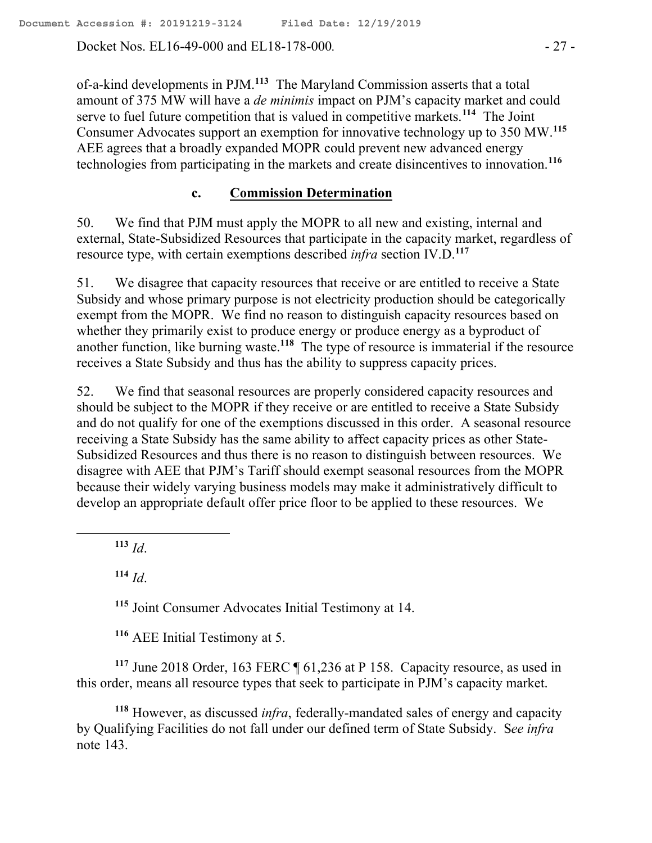Docket Nos. EL16-49-000 and EL18-178-000. - 27 -

of-a-kind developments in PJM.**<sup>113</sup>** The Maryland Commission asserts that a total amount of 375 MW will have a *de minimis* impact on PJM's capacity market and could serve to fuel future competition that is valued in competitive markets.**<sup>114</sup>** The Joint Consumer Advocates support an exemption for innovative technology up to 350 MW.**<sup>115</sup>** AEE agrees that a broadly expanded MOPR could prevent new advanced energy technologies from participating in the markets and create disincentives to innovation.**<sup>116</sup>**

### **c. Commission Determination**

50. We find that PJM must apply the MOPR to all new and existing, internal and external, State-Subsidized Resources that participate in the capacity market, regardless of resource type, with certain exemptions described *infra* section IV.D. **117**

51. We disagree that capacity resources that receive or are entitled to receive a State Subsidy and whose primary purpose is not electricity production should be categorically exempt from the MOPR. We find no reason to distinguish capacity resources based on whether they primarily exist to produce energy or produce energy as a byproduct of another function, like burning waste. **<sup>118</sup>** The type of resource is immaterial if the resource receives a State Subsidy and thus has the ability to suppress capacity prices.

52. We find that seasonal resources are properly considered capacity resources and should be subject to the MOPR if they receive or are entitled to receive a State Subsidy and do not qualify for one of the exemptions discussed in this order. A seasonal resource receiving a State Subsidy has the same ability to affect capacity prices as other State-Subsidized Resources and thus there is no reason to distinguish between resources. We disagree with AEE that PJM's Tariff should exempt seasonal resources from the MOPR because their widely varying business models may make it administratively difficult to develop an appropriate default offer price floor to be applied to these resources. We

**<sup>113</sup>** *Id*.

 $\overline{a}$ 

**<sup>114</sup>** *Id*.

**<sup>115</sup>** Joint Consumer Advocates Initial Testimony at 14.

**<sup>116</sup>** AEE Initial Testimony at 5.

**<sup>117</sup>** June 2018 Order, 163 FERC ¶ 61,236 at P 158. Capacity resource, as used in this order, means all resource types that seek to participate in PJM's capacity market.

**<sup>118</sup>** However, as discussed *infra*, federally-mandated sales of energy and capacity by Qualifying Facilities do not fall under our defined term of State Subsidy. S*ee infra*  note 143.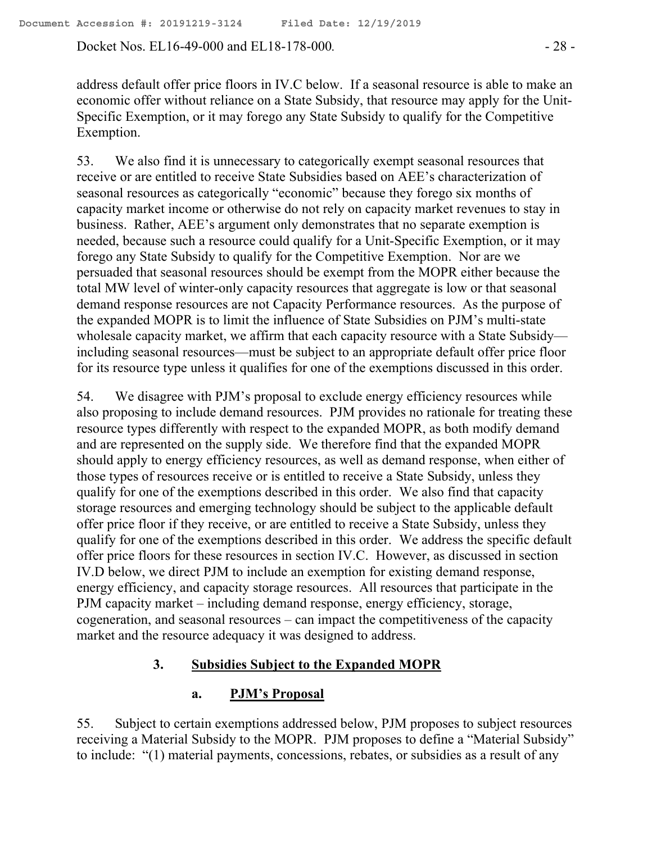Docket Nos. EL16-49-000 and EL18-178-000*.* - 28 -

address default offer price floors in IV.C below. If a seasonal resource is able to make an economic offer without reliance on a State Subsidy, that resource may apply for the Unit-Specific Exemption, or it may forego any State Subsidy to qualify for the Competitive Exemption.

53. We also find it is unnecessary to categorically exempt seasonal resources that receive or are entitled to receive State Subsidies based on AEE's characterization of seasonal resources as categorically "economic" because they forego six months of capacity market income or otherwise do not rely on capacity market revenues to stay in business. Rather, AEE's argument only demonstrates that no separate exemption is needed, because such a resource could qualify for a Unit-Specific Exemption, or it may forego any State Subsidy to qualify for the Competitive Exemption. Nor are we persuaded that seasonal resources should be exempt from the MOPR either because the total MW level of winter-only capacity resources that aggregate is low or that seasonal demand response resources are not Capacity Performance resources. As the purpose of the expanded MOPR is to limit the influence of State Subsidies on PJM's multi-state wholesale capacity market, we affirm that each capacity resource with a State Subsidy including seasonal resources—must be subject to an appropriate default offer price floor for its resource type unless it qualifies for one of the exemptions discussed in this order.

54. We disagree with PJM's proposal to exclude energy efficiency resources while also proposing to include demand resources. PJM provides no rationale for treating these resource types differently with respect to the expanded MOPR, as both modify demand and are represented on the supply side. We therefore find that the expanded MOPR should apply to energy efficiency resources, as well as demand response, when either of those types of resources receive or is entitled to receive a State Subsidy, unless they qualify for one of the exemptions described in this order. We also find that capacity storage resources and emerging technology should be subject to the applicable default offer price floor if they receive, or are entitled to receive a State Subsidy, unless they qualify for one of the exemptions described in this order. We address the specific default offer price floors for these resources in section IV.C. However, as discussed in section IV.D below, we direct PJM to include an exemption for existing demand response, energy efficiency, and capacity storage resources. All resources that participate in the PJM capacity market – including demand response, energy efficiency, storage, cogeneration, and seasonal resources – can impact the competitiveness of the capacity market and the resource adequacy it was designed to address.

### **3. Subsidies Subject to the Expanded MOPR**

### **a. PJM's Proposal**

55. Subject to certain exemptions addressed below, PJM proposes to subject resources receiving a Material Subsidy to the MOPR. PJM proposes to define a "Material Subsidy" to include: "(1) material payments, concessions, rebates, or subsidies as a result of any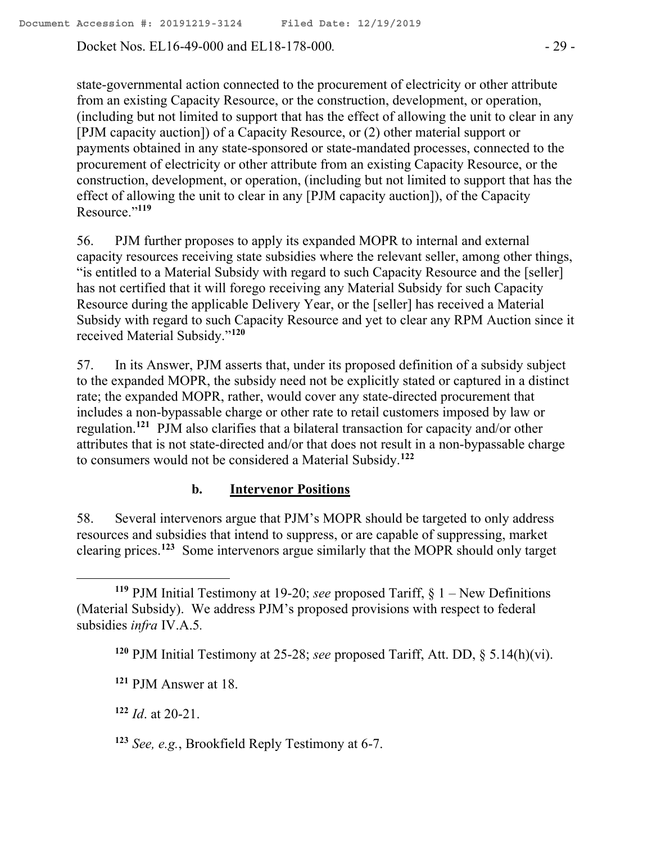Docket Nos. EL16-49-000 and EL18-178-000. - 29 -

state-governmental action connected to the procurement of electricity or other attribute from an existing Capacity Resource, or the construction, development, or operation, (including but not limited to support that has the effect of allowing the unit to clear in any [PJM capacity auction]) of a Capacity Resource, or (2) other material support or payments obtained in any state-sponsored or state-mandated processes, connected to the procurement of electricity or other attribute from an existing Capacity Resource, or the construction, development, or operation, (including but not limited to support that has the effect of allowing the unit to clear in any [PJM capacity auction]), of the Capacity Resource."**<sup>119</sup>**

56. PJM further proposes to apply its expanded MOPR to internal and external capacity resources receiving state subsidies where the relevant seller, among other things, "is entitled to a Material Subsidy with regard to such Capacity Resource and the [seller] has not certified that it will forego receiving any Material Subsidy for such Capacity Resource during the applicable Delivery Year, or the [seller] has received a Material Subsidy with regard to such Capacity Resource and yet to clear any RPM Auction since it received Material Subsidy." **120**

57. In its Answer, PJM asserts that, under its proposed definition of a subsidy subject to the expanded MOPR, the subsidy need not be explicitly stated or captured in a distinct rate; the expanded MOPR, rather, would cover any state-directed procurement that includes a non-bypassable charge or other rate to retail customers imposed by law or regulation.**<sup>121</sup>** PJM also clarifies that a bilateral transaction for capacity and/or other attributes that is not state-directed and/or that does not result in a non-bypassable charge to consumers would not be considered a Material Subsidy.**<sup>122</sup>**

# **b. Intervenor Positions**

58. Several intervenors argue that PJM's MOPR should be targeted to only address resources and subsidies that intend to suppress, or are capable of suppressing, market clearing prices.**<sup>123</sup>** Some intervenors argue similarly that the MOPR should only target

**<sup>122</sup>** *Id*. at 20-21.

**<sup>123</sup>** *See, e.g.*, Brookfield Reply Testimony at 6-7.

**<sup>119</sup>** PJM Initial Testimony at 19-20; *see* proposed Tariff, § 1 – New Definitions (Material Subsidy). We address PJM's proposed provisions with respect to federal subsidies *infra* IV.A.5*.*

**<sup>120</sup>** PJM Initial Testimony at 25-28; *see* proposed Tariff, Att. DD, § 5.14(h)(vi).

**<sup>121</sup>** PJM Answer at 18.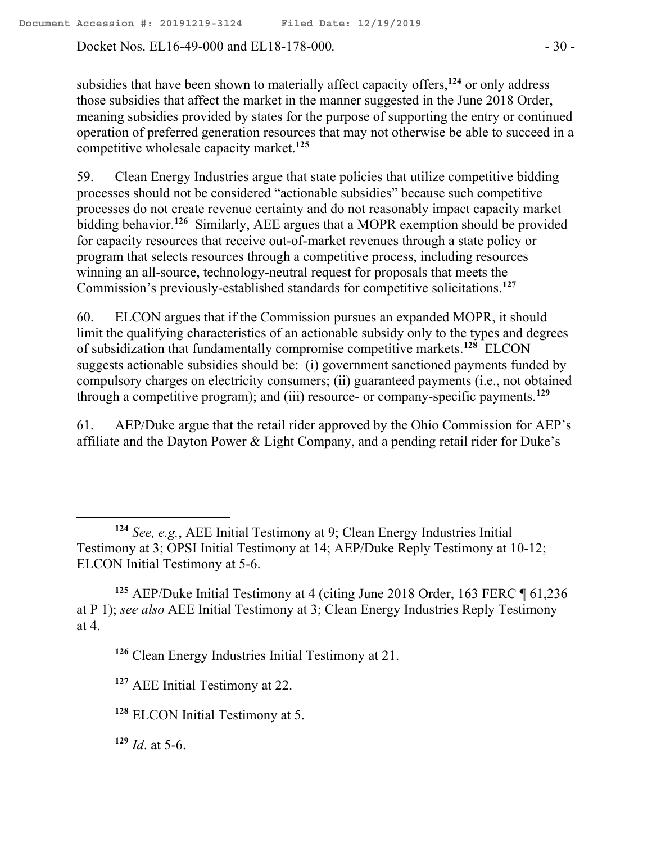Docket Nos. EL16-49-000 and EL18-178-000. - 30 -

subsidies that have been shown to materially affect capacity offers,**<sup>124</sup>** or only address those subsidies that affect the market in the manner suggested in the June 2018 Order, meaning subsidies provided by states for the purpose of supporting the entry or continued operation of preferred generation resources that may not otherwise be able to succeed in a competitive wholesale capacity market.**<sup>125</sup>**

59. Clean Energy Industries argue that state policies that utilize competitive bidding processes should not be considered "actionable subsidies" because such competitive processes do not create revenue certainty and do not reasonably impact capacity market bidding behavior.**<sup>126</sup>** Similarly, AEE argues that a MOPR exemption should be provided for capacity resources that receive out-of-market revenues through a state policy or program that selects resources through a competitive process, including resources winning an all-source, technology-neutral request for proposals that meets the Commission's previously-established standards for competitive solicitations.**<sup>127</sup>**

60. ELCON argues that if the Commission pursues an expanded MOPR, it should limit the qualifying characteristics of an actionable subsidy only to the types and degrees of subsidization that fundamentally compromise competitive markets.**<sup>128</sup>** ELCON suggests actionable subsidies should be: (i) government sanctioned payments funded by compulsory charges on electricity consumers; (ii) guaranteed payments (i.e., not obtained through a competitive program); and (iii) resource- or company-specific payments.**<sup>129</sup>**

61. AEP/Duke argue that the retail rider approved by the Ohio Commission for AEP's affiliate and the Dayton Power & Light Company, and a pending retail rider for Duke's

**<sup>129</sup>** *Id*. at 5-6.

 $\overline{a}$ 

**<sup>124</sup>** *See, e.g.*, AEE Initial Testimony at 9; Clean Energy Industries Initial Testimony at 3; OPSI Initial Testimony at 14; AEP/Duke Reply Testimony at 10-12; ELCON Initial Testimony at 5-6.

**<sup>125</sup>** AEP/Duke Initial Testimony at 4 (citing June 2018 Order, 163 FERC ¶ 61,236 at P 1); *see also* AEE Initial Testimony at 3; Clean Energy Industries Reply Testimony at 4.

**<sup>126</sup>** Clean Energy Industries Initial Testimony at 21.

**<sup>127</sup>** AEE Initial Testimony at 22.

**<sup>128</sup>** ELCON Initial Testimony at 5.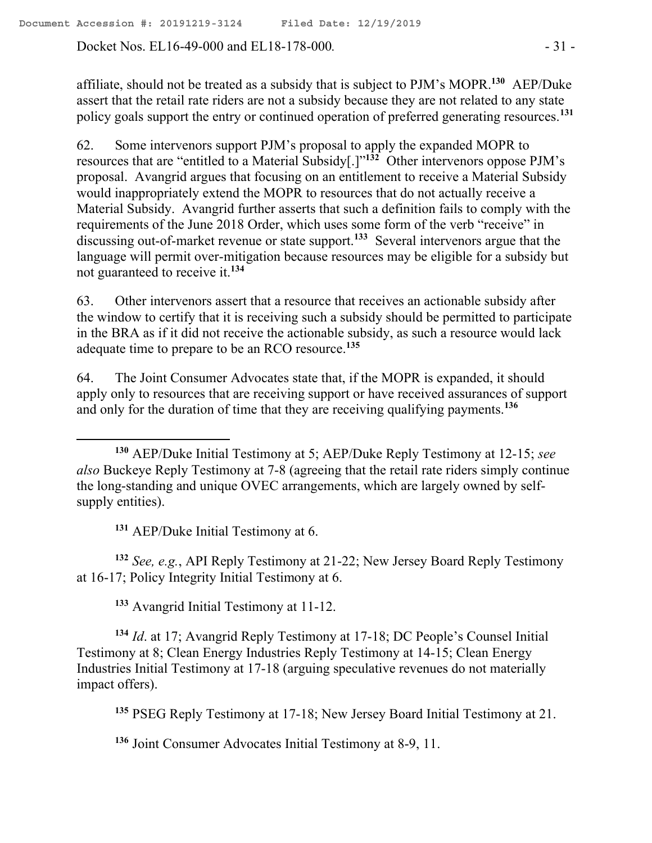Docket Nos. EL16-49-000 and EL18-178-000. - 31 -

affiliate, should not be treated as a subsidy that is subject to PJM's MOPR.**<sup>130</sup>** AEP/Duke assert that the retail rate riders are not a subsidy because they are not related to any state policy goals support the entry or continued operation of preferred generating resources. **131**

62. Some intervenors support PJM's proposal to apply the expanded MOPR to resources that are "entitled to a Material Subsidy[.]"**<sup>132</sup>** Other intervenors oppose PJM's proposal. Avangrid argues that focusing on an entitlement to receive a Material Subsidy would inappropriately extend the MOPR to resources that do not actually receive a Material Subsidy. Avangrid further asserts that such a definition fails to comply with the requirements of the June 2018 Order, which uses some form of the verb "receive" in discussing out-of-market revenue or state support.**<sup>133</sup>** Several intervenors argue that the language will permit over-mitigation because resources may be eligible for a subsidy but not guaranteed to receive it.**<sup>134</sup>**

63. Other intervenors assert that a resource that receives an actionable subsidy after the window to certify that it is receiving such a subsidy should be permitted to participate in the BRA as if it did not receive the actionable subsidy, as such a resource would lack adequate time to prepare to be an RCO resource.**<sup>135</sup>**

64. The Joint Consumer Advocates state that, if the MOPR is expanded, it should apply only to resources that are receiving support or have received assurances of support and only for the duration of time that they are receiving qualifying payments.**<sup>136</sup>**

**<sup>131</sup>** AEP/Duke Initial Testimony at 6.

 $\overline{a}$ 

**<sup>132</sup>** *See, e.g.*, API Reply Testimony at 21-22; New Jersey Board Reply Testimony at 16-17; Policy Integrity Initial Testimony at 6.

**<sup>133</sup>** Avangrid Initial Testimony at 11-12.

**<sup>134</sup>** *Id*. at 17; Avangrid Reply Testimony at 17-18; DC People's Counsel Initial Testimony at 8; Clean Energy Industries Reply Testimony at 14-15; Clean Energy Industries Initial Testimony at 17-18 (arguing speculative revenues do not materially impact offers).

**<sup>135</sup>** PSEG Reply Testimony at 17-18; New Jersey Board Initial Testimony at 21.

**<sup>136</sup>** Joint Consumer Advocates Initial Testimony at 8-9, 11.

**<sup>130</sup>** AEP/Duke Initial Testimony at 5; AEP/Duke Reply Testimony at 12-15; *see also* Buckeye Reply Testimony at 7-8 (agreeing that the retail rate riders simply continue the long-standing and unique OVEC arrangements, which are largely owned by selfsupply entities).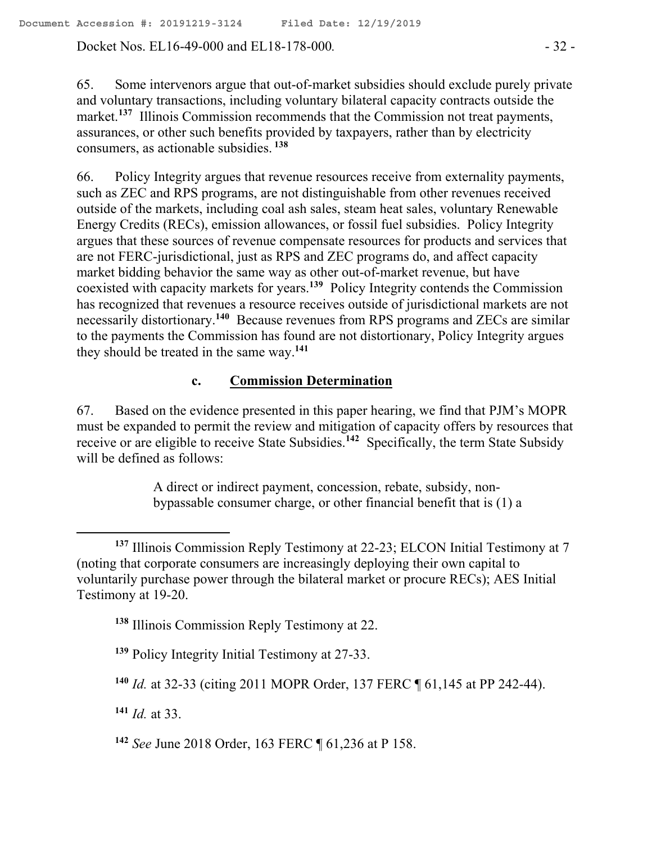Docket Nos. EL16-49-000 and EL18-178-000*.* - 32 -

65. Some intervenors argue that out-of-market subsidies should exclude purely private and voluntary transactions, including voluntary bilateral capacity contracts outside the market.<sup>137</sup> Illinois Commission recommends that the Commission not treat payments, assurances, or other such benefits provided by taxpayers, rather than by electricity consumers, as actionable subsidies. **<sup>138</sup>**

66. Policy Integrity argues that revenue resources receive from externality payments, such as ZEC and RPS programs, are not distinguishable from other revenues received outside of the markets, including coal ash sales, steam heat sales, voluntary Renewable Energy Credits (RECs), emission allowances, or fossil fuel subsidies. Policy Integrity argues that these sources of revenue compensate resources for products and services that are not FERC-jurisdictional, just as RPS and ZEC programs do, and affect capacity market bidding behavior the same way as other out-of-market revenue, but have coexisted with capacity markets for years. **139** Policy Integrity contends the Commission has recognized that revenues a resource receives outside of jurisdictional markets are not necessarily distortionary.<sup>140</sup> Because revenues from RPS programs and ZECs are similar to the payments the Commission has found are not distortionary, Policy Integrity argues they should be treated in the same way.**<sup>141</sup>**

# **c. Commission Determination**

67. Based on the evidence presented in this paper hearing, we find that PJM's MOPR must be expanded to permit the review and mitigation of capacity offers by resources that receive or are eligible to receive State Subsidies.<sup>142</sup> Specifically, the term State Subsidy will be defined as follows:

> A direct or indirect payment, concession, rebate, subsidy, nonbypassable consumer charge, or other financial benefit that is (1) a

**<sup>138</sup>** Illinois Commission Reply Testimony at 22.

**<sup>139</sup>** Policy Integrity Initial Testimony at 27-33.

**<sup>140</sup>** *Id.* at 32-33 (citing 2011 MOPR Order, 137 FERC ¶ 61,145 at PP 242-44).

**<sup>141</sup>** *Id.* at 33.

 $\overline{a}$ 

**<sup>142</sup>** *See* June 2018 Order, 163 FERC ¶ 61,236 at P 158.

**<sup>137</sup>** Illinois Commission Reply Testimony at 22-23; ELCON Initial Testimony at 7 (noting that corporate consumers are increasingly deploying their own capital to voluntarily purchase power through the bilateral market or procure RECs); AES Initial Testimony at 19-20.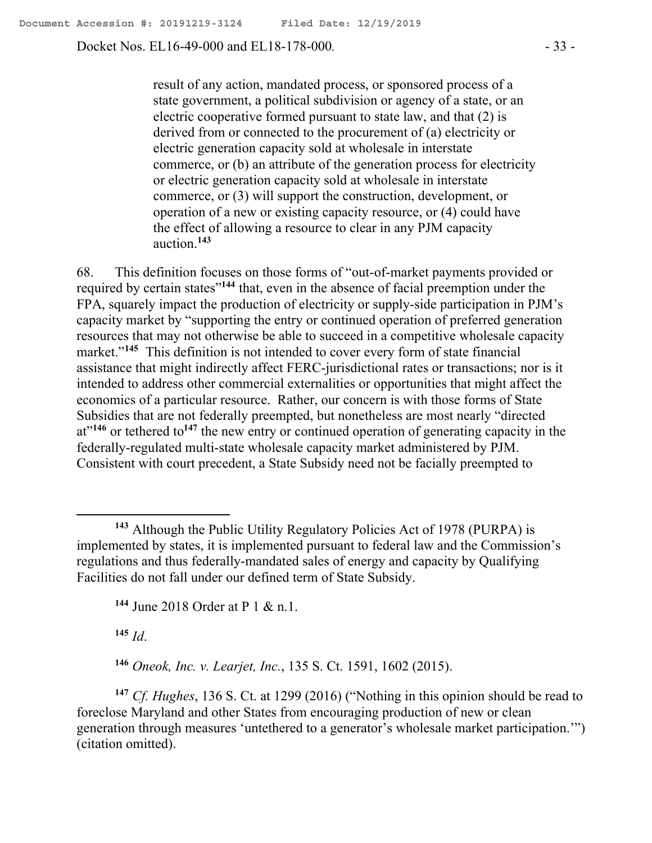Docket Nos. EL16-49-000 and EL18-178-000*.* - 33 -

result of any action, mandated process, or sponsored process of a state government, a political subdivision or agency of a state, or an electric cooperative formed pursuant to state law, and that (2) is derived from or connected to the procurement of (a) electricity or electric generation capacity sold at wholesale in interstate commerce, or (b) an attribute of the generation process for electricity or electric generation capacity sold at wholesale in interstate commerce, or (3) will support the construction, development, or operation of a new or existing capacity resource, or (4) could have the effect of allowing a resource to clear in any PJM capacity auction.**<sup>143</sup>**

68. This definition focuses on those forms of "out-of-market payments provided or required by certain states"<sup>144</sup> that, even in the absence of facial preemption under the FPA, squarely impact the production of electricity or supply-side participation in PJM's capacity market by "supporting the entry or continued operation of preferred generation resources that may not otherwise be able to succeed in a competitive wholesale capacity market."**<sup>145</sup>** This definition is not intended to cover every form of state financial assistance that might indirectly affect FERC-jurisdictional rates or transactions; nor is it intended to address other commercial externalities or opportunities that might affect the economics of a particular resource. Rather, our concern is with those forms of State Subsidies that are not federally preempted, but nonetheless are most nearly "directed at<sup>"146</sup> or tethered to<sup>147</sup> the new entry or continued operation of generating capacity in the federally-regulated multi-state wholesale capacity market administered by PJM. Consistent with court precedent, a State Subsidy need not be facially preempted to

**<sup>144</sup>** June 2018 Order at P 1 & n.1.

**<sup>145</sup>** *Id*.

 $\overline{a}$ 

**<sup>146</sup>** *Oneok, Inc. v. Learjet, Inc.*, 135 S. Ct. 1591, 1602 (2015).

**<sup>147</sup>** *Cf. Hughes*, 136 S. Ct. at 1299 (2016) ("Nothing in this opinion should be read to foreclose Maryland and other States from encouraging production of new or clean generation through measures 'untethered to a generator's wholesale market participation.'") (citation omitted).

**<sup>143</sup>** Although the Public Utility Regulatory Policies Act of 1978 (PURPA) is implemented by states, it is implemented pursuant to federal law and the Commission's regulations and thus federally-mandated sales of energy and capacity by Qualifying Facilities do not fall under our defined term of State Subsidy.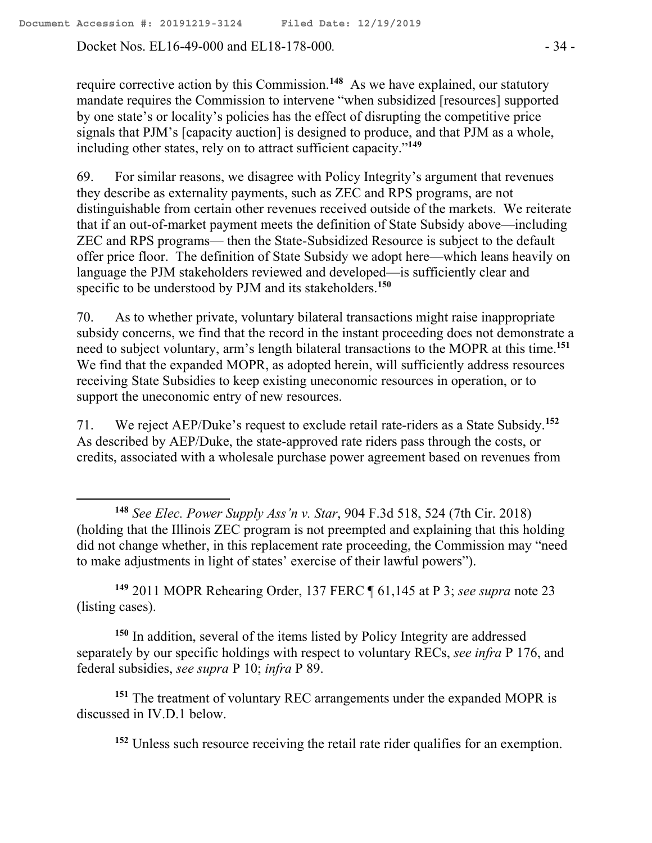Docket Nos. EL16-49-000 and EL18-178-000. - 34 -

 $\overline{a}$ 

require corrective action by this Commission.**<sup>148</sup>** As we have explained, our statutory mandate requires the Commission to intervene "when subsidized [resources] supported by one state's or locality's policies has the effect of disrupting the competitive price signals that PJM's [capacity auction] is designed to produce, and that PJM as a whole, including other states, rely on to attract sufficient capacity."**<sup>149</sup>**

69. For similar reasons, we disagree with Policy Integrity's argument that revenues they describe as externality payments, such as ZEC and RPS programs, are not distinguishable from certain other revenues received outside of the markets. We reiterate that if an out-of-market payment meets the definition of State Subsidy above—including ZEC and RPS programs— then the State-Subsidized Resource is subject to the default offer price floor. The definition of State Subsidy we adopt here—which leans heavily on language the PJM stakeholders reviewed and developed—is sufficiently clear and specific to be understood by PJM and its stakeholders.**<sup>150</sup>**

70. As to whether private, voluntary bilateral transactions might raise inappropriate subsidy concerns, we find that the record in the instant proceeding does not demonstrate a need to subject voluntary, arm's length bilateral transactions to the MOPR at this time. **151** We find that the expanded MOPR, as adopted herein, will sufficiently address resources receiving State Subsidies to keep existing uneconomic resources in operation, or to support the uneconomic entry of new resources.

71. We reject AEP/Duke's request to exclude retail rate-riders as a State Subsidy.**<sup>152</sup>** As described by AEP/Duke, the state-approved rate riders pass through the costs, or credits, associated with a wholesale purchase power agreement based on revenues from

**<sup>149</sup>** 2011 MOPR Rehearing Order, 137 FERC ¶ 61,145 at P 3; *see supra* note 23 (listing cases).

**<sup>150</sup>** In addition, several of the items listed by Policy Integrity are addressed separately by our specific holdings with respect to voluntary RECs, *see infra* P 176, and federal subsidies, *see supra* P 10; *infra* P 89.

**<sup>151</sup>** The treatment of voluntary REC arrangements under the expanded MOPR is discussed in IV.D.1 below.

**<sup>152</sup>** Unless such resource receiving the retail rate rider qualifies for an exemption.

**<sup>148</sup>** *See Elec. Power Supply Ass'n v. Star*, 904 F.3d 518, 524 (7th Cir. 2018) (holding that the Illinois ZEC program is not preempted and explaining that this holding did not change whether, in this replacement rate proceeding, the Commission may "need to make adjustments in light of states' exercise of their lawful powers").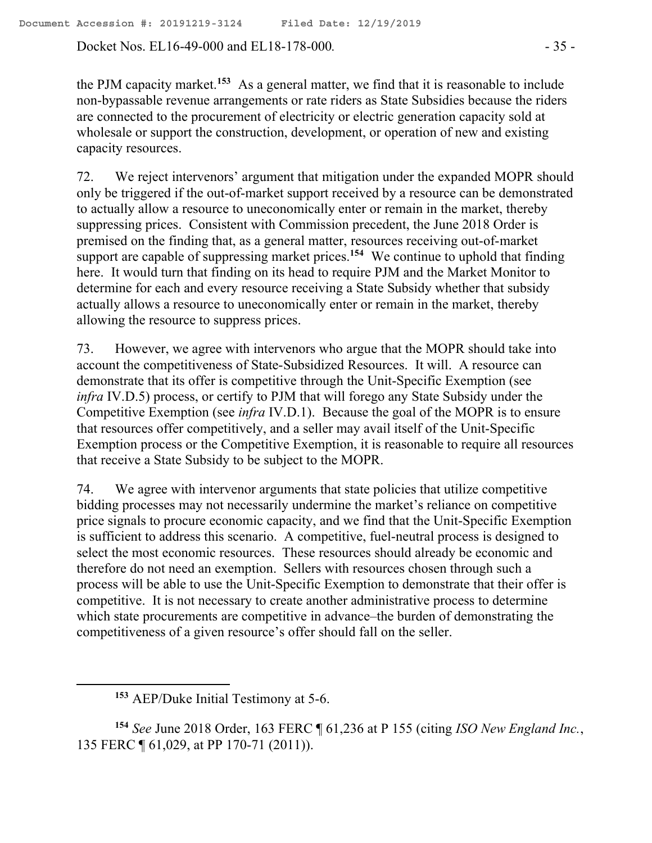Docket Nos. EL16-49-000 and EL18-178-000. - 35 -

the PJM capacity market.**<sup>153</sup>** As a general matter, we find that it is reasonable to include non-bypassable revenue arrangements or rate riders as State Subsidies because the riders are connected to the procurement of electricity or electric generation capacity sold at wholesale or support the construction, development, or operation of new and existing capacity resources.

72. We reject intervenors' argument that mitigation under the expanded MOPR should only be triggered if the out-of-market support received by a resource can be demonstrated to actually allow a resource to uneconomically enter or remain in the market, thereby suppressing prices. Consistent with Commission precedent, the June 2018 Order is premised on the finding that, as a general matter, resources receiving out-of-market support are capable of suppressing market prices.**<sup>154</sup>** We continue to uphold that finding here. It would turn that finding on its head to require PJM and the Market Monitor to determine for each and every resource receiving a State Subsidy whether that subsidy actually allows a resource to uneconomically enter or remain in the market, thereby allowing the resource to suppress prices.

73. However, we agree with intervenors who argue that the MOPR should take into account the competitiveness of State-Subsidized Resources. It will. A resource can demonstrate that its offer is competitive through the Unit-Specific Exemption (see *infra* IV.D.5) process, or certify to PJM that will forego any State Subsidy under the Competitive Exemption (see *infra* IV.D.1). Because the goal of the MOPR is to ensure that resources offer competitively, and a seller may avail itself of the Unit-Specific Exemption process or the Competitive Exemption, it is reasonable to require all resources that receive a State Subsidy to be subject to the MOPR.

74. We agree with intervenor arguments that state policies that utilize competitive bidding processes may not necessarily undermine the market's reliance on competitive price signals to procure economic capacity, and we find that the Unit-Specific Exemption is sufficient to address this scenario. A competitive, fuel-neutral process is designed to select the most economic resources. These resources should already be economic and therefore do not need an exemption. Sellers with resources chosen through such a process will be able to use the Unit-Specific Exemption to demonstrate that their offer is competitive. It is not necessary to create another administrative process to determine which state procurements are competitive in advance–the burden of demonstrating the competitiveness of a given resource's offer should fall on the seller.

 $\overline{a}$ 

**<sup>154</sup>** *See* June 2018 Order, 163 FERC ¶ 61,236 at P 155 (citing *ISO New England Inc.*, 135 FERC ¶ 61,029, at PP 170-71 (2011)).

**<sup>153</sup>** AEP/Duke Initial Testimony at 5-6.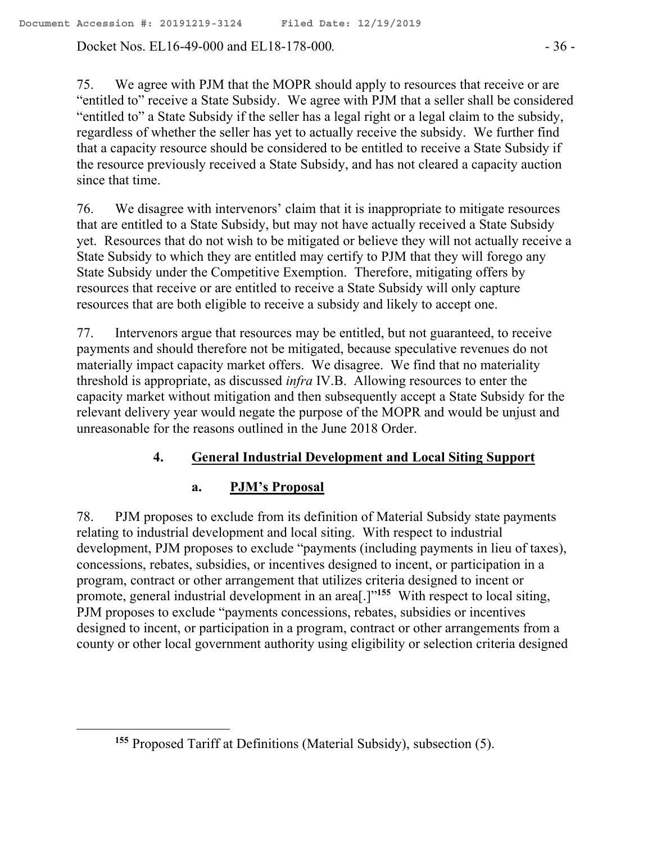Docket Nos. EL16-49-000 and EL18-178-000. - 36 -

75. We agree with PJM that the MOPR should apply to resources that receive or are "entitled to" receive a State Subsidy. We agree with PJM that a seller shall be considered "entitled to" a State Subsidy if the seller has a legal right or a legal claim to the subsidy, regardless of whether the seller has yet to actually receive the subsidy. We further find that a capacity resource should be considered to be entitled to receive a State Subsidy if the resource previously received a State Subsidy, and has not cleared a capacity auction since that time.

76. We disagree with intervenors' claim that it is inappropriate to mitigate resources that are entitled to a State Subsidy, but may not have actually received a State Subsidy yet. Resources that do not wish to be mitigated or believe they will not actually receive a State Subsidy to which they are entitled may certify to PJM that they will forego any State Subsidy under the Competitive Exemption. Therefore, mitigating offers by resources that receive or are entitled to receive a State Subsidy will only capture resources that are both eligible to receive a subsidy and likely to accept one.

77. Intervenors argue that resources may be entitled, but not guaranteed, to receive payments and should therefore not be mitigated, because speculative revenues do not materially impact capacity market offers. We disagree. We find that no materiality threshold is appropriate, as discussed *infra* IV.B. Allowing resources to enter the capacity market without mitigation and then subsequently accept a State Subsidy for the relevant delivery year would negate the purpose of the MOPR and would be unjust and unreasonable for the reasons outlined in the June 2018 Order.

### **4. General Industrial Development and Local Siting Support**

### **a. PJM's Proposal**

 $\overline{a}$ 

78. PJM proposes to exclude from its definition of Material Subsidy state payments relating to industrial development and local siting. With respect to industrial development, PJM proposes to exclude "payments (including payments in lieu of taxes), concessions, rebates, subsidies, or incentives designed to incent, or participation in a program, contract or other arrangement that utilizes criteria designed to incent or promote, general industrial development in an area<sup>[1]</sup><sup>155</sup> With respect to local siting, PJM proposes to exclude "payments concessions, rebates, subsidies or incentives designed to incent, or participation in a program, contract or other arrangements from a county or other local government authority using eligibility or selection criteria designed

**<sup>155</sup>** Proposed Tariff at Definitions (Material Subsidy), subsection (5).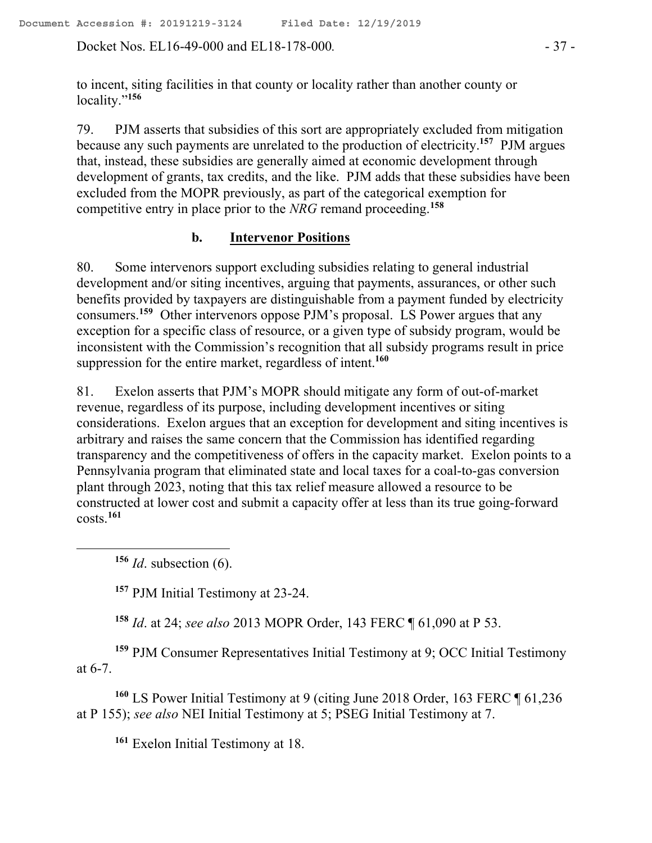Docket Nos. EL16-49-000 and EL18-178-000. - 37 -

to incent, siting facilities in that county or locality rather than another county or locality."**<sup>156</sup>**

79. PJM asserts that subsidies of this sort are appropriately excluded from mitigation because any such payments are unrelated to the production of electricity.**<sup>157</sup>** PJM argues that, instead, these subsidies are generally aimed at economic development through development of grants, tax credits, and the like. PJM adds that these subsidies have been excluded from the MOPR previously, as part of the categorical exemption for competitive entry in place prior to the *NRG* remand proceeding.**<sup>158</sup>**

## **b. Intervenor Positions**

80. Some intervenors support excluding subsidies relating to general industrial development and/or siting incentives, arguing that payments, assurances, or other such benefits provided by taxpayers are distinguishable from a payment funded by electricity consumers.**<sup>159</sup>** Other intervenors oppose PJM's proposal. LS Power argues that any exception for a specific class of resource, or a given type of subsidy program, would be inconsistent with the Commission's recognition that all subsidy programs result in price suppression for the entire market, regardless of intent.**<sup>160</sup>**

81. Exelon asserts that PJM's MOPR should mitigate any form of out-of-market revenue, regardless of its purpose, including development incentives or siting considerations. Exelon argues that an exception for development and siting incentives is arbitrary and raises the same concern that the Commission has identified regarding transparency and the competitiveness of offers in the capacity market. Exelon points to a Pennsylvania program that eliminated state and local taxes for a coal-to-gas conversion plant through 2023, noting that this tax relief measure allowed a resource to be constructed at lower cost and submit a capacity offer at less than its true going-forward costs.**<sup>161</sup>**

**<sup>156</sup>** *Id*. subsection (6).

 $\overline{a}$ 

**<sup>157</sup>** PJM Initial Testimony at 23-24.

**<sup>158</sup>** *Id*. at 24; *see also* 2013 MOPR Order, 143 FERC ¶ 61,090 at P 53.

**<sup>159</sup>** PJM Consumer Representatives Initial Testimony at 9; OCC Initial Testimony at 6-7.

**<sup>160</sup>** LS Power Initial Testimony at 9 (citing June 2018 Order, 163 FERC ¶ 61,236 at P 155); *see also* NEI Initial Testimony at 5; PSEG Initial Testimony at 7.

**<sup>161</sup>** Exelon Initial Testimony at 18.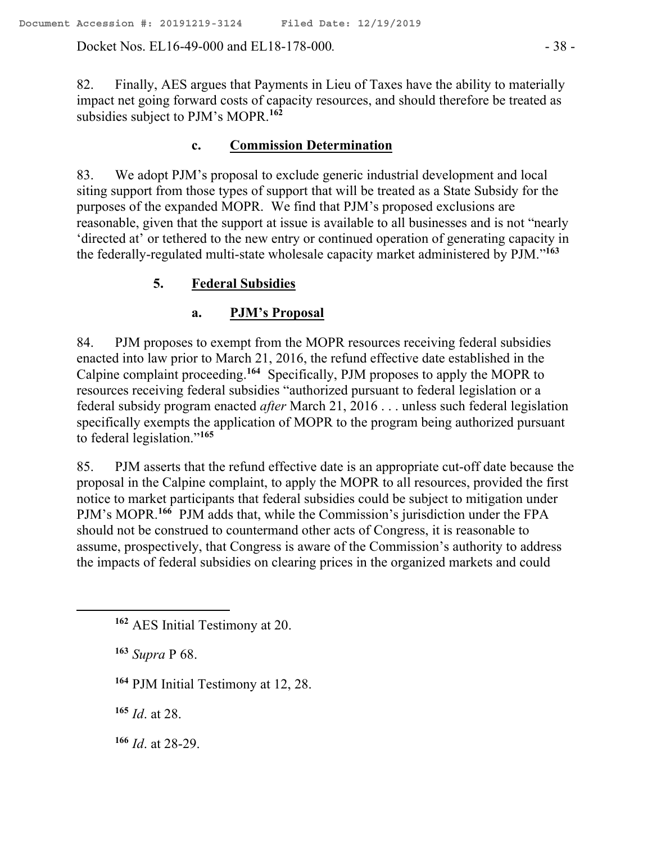Docket Nos. EL16-49-000 and EL18-178-000. - 38 -

82. Finally, AES argues that Payments in Lieu of Taxes have the ability to materially impact net going forward costs of capacity resources, and should therefore be treated as subsidies subject to PJM's MOPR.**<sup>162</sup>**

#### **c. Commission Determination**

83. We adopt PJM's proposal to exclude generic industrial development and local siting support from those types of support that will be treated as a State Subsidy for the purposes of the expanded MOPR. We find that PJM's proposed exclusions are reasonable, given that the support at issue is available to all businesses and is not "nearly 'directed at' or tethered to the new entry or continued operation of generating capacity in the federally-regulated multi-state wholesale capacity market administered by PJM." **163**

## **5. Federal Subsidies**

#### **a. PJM's Proposal**

84. PJM proposes to exempt from the MOPR resources receiving federal subsidies enacted into law prior to March 21, 2016, the refund effective date established in the Calpine complaint proceeding.**<sup>164</sup>** Specifically, PJM proposes to apply the MOPR to resources receiving federal subsidies "authorized pursuant to federal legislation or a federal subsidy program enacted *after* March 21, 2016 . . . unless such federal legislation specifically exempts the application of MOPR to the program being authorized pursuant to federal legislation."**<sup>165</sup>**

85. PJM asserts that the refund effective date is an appropriate cut-off date because the proposal in the Calpine complaint, to apply the MOPR to all resources, provided the first notice to market participants that federal subsidies could be subject to mitigation under PJM's MOPR.<sup>166</sup> PJM adds that, while the Commission's jurisdiction under the FPA should not be construed to countermand other acts of Congress, it is reasonable to assume, prospectively, that Congress is aware of the Commission's authority to address the impacts of federal subsidies on clearing prices in the organized markets and could

**<sup>163</sup>** *Supra* P 68.

**<sup>164</sup>** PJM Initial Testimony at 12, 28.

**<sup>165</sup>** *Id*. at 28.

**<sup>166</sup>** *Id*. at 28-29.

**<sup>162</sup>** AES Initial Testimony at 20.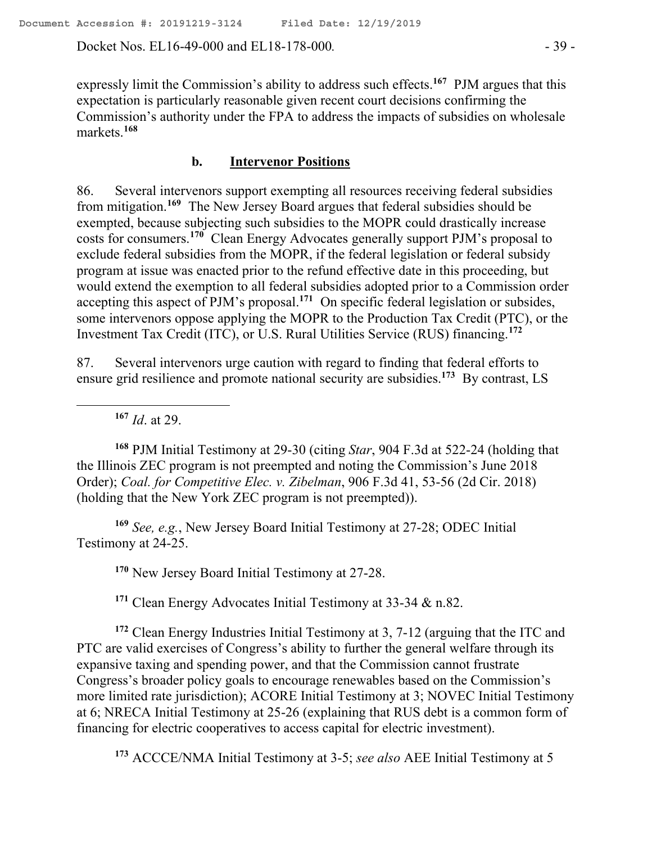Docket Nos. EL16-49-000 and EL18-178-000. - 39 -

expressly limit the Commission's ability to address such effects.<sup>167</sup> PJM argues that this expectation is particularly reasonable given recent court decisions confirming the Commission's authority under the FPA to address the impacts of subsidies on wholesale markets.**<sup>168</sup>**

#### **b. Intervenor Positions**

86. Several intervenors support exempting all resources receiving federal subsidies from mitigation. **169** The New Jersey Board argues that federal subsidies should be exempted, because subjecting such subsidies to the MOPR could drastically increase costs for consumers.**<sup>170</sup>** Clean Energy Advocates generally support PJM's proposal to exclude federal subsidies from the MOPR, if the federal legislation or federal subsidy program at issue was enacted prior to the refund effective date in this proceeding, but would extend the exemption to all federal subsidies adopted prior to a Commission order accepting this aspect of PJM's proposal.**<sup>171</sup>** On specific federal legislation or subsides, some intervenors oppose applying the MOPR to the Production Tax Credit (PTC), or the Investment Tax Credit (ITC), or U.S. Rural Utilities Service (RUS) financing.**<sup>172</sup>**

87. Several intervenors urge caution with regard to finding that federal efforts to ensure grid resilience and promote national security are subsidies.**<sup>173</sup>** By contrast, LS

**<sup>167</sup>** *Id*. at 29.

 $\overline{a}$ 

**<sup>168</sup>** PJM Initial Testimony at 29-30 (citing *Star*, 904 F.3d at 522-24 (holding that the Illinois ZEC program is not preempted and noting the Commission's June 2018 Order); *Coal. for Competitive Elec. v. Zibelman*, 906 F.3d 41, 53-56 (2d Cir. 2018) (holding that the New York ZEC program is not preempted)).

**<sup>169</sup>** *See, e.g.*, New Jersey Board Initial Testimony at 27-28; ODEC Initial Testimony at 24-25.

**<sup>170</sup>** New Jersey Board Initial Testimony at 27-28.

**<sup>171</sup>** Clean Energy Advocates Initial Testimony at 33-34 & n.82.

**<sup>172</sup>** Clean Energy Industries Initial Testimony at 3, 7-12 (arguing that the ITC and PTC are valid exercises of Congress's ability to further the general welfare through its expansive taxing and spending power, and that the Commission cannot frustrate Congress's broader policy goals to encourage renewables based on the Commission's more limited rate jurisdiction); ACORE Initial Testimony at 3; NOVEC Initial Testimony at 6; NRECA Initial Testimony at 25-26 (explaining that RUS debt is a common form of financing for electric cooperatives to access capital for electric investment).

**<sup>173</sup>** ACCCE/NMA Initial Testimony at 3-5; *see also* AEE Initial Testimony at 5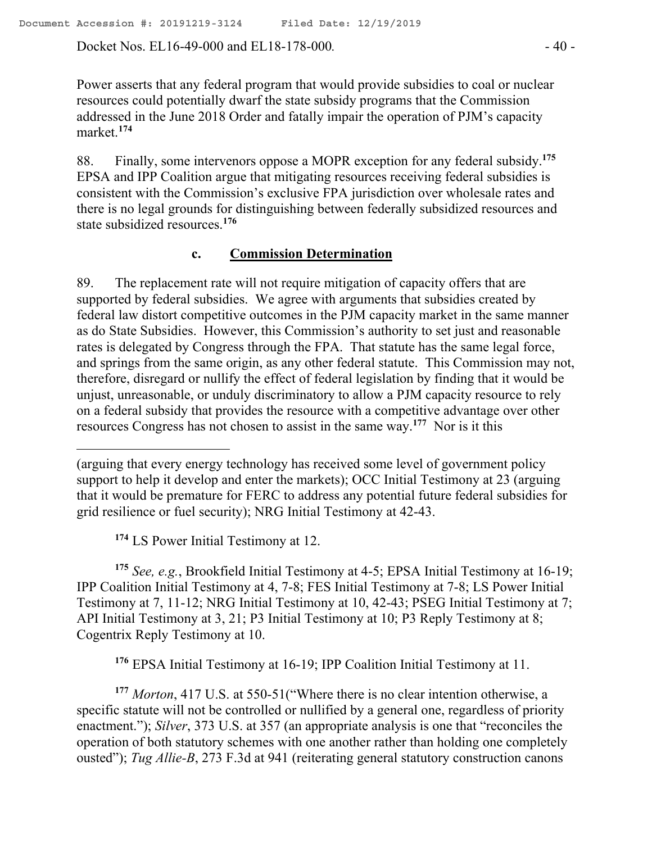Docket Nos. EL16-49-000 and EL18-178-000. - 40 -

Power asserts that any federal program that would provide subsidies to coal or nuclear resources could potentially dwarf the state subsidy programs that the Commission addressed in the June 2018 Order and fatally impair the operation of PJM's capacity market.**<sup>174</sup>**

88. Finally, some intervenors oppose a MOPR exception for any federal subsidy.**<sup>175</sup>** EPSA and IPP Coalition argue that mitigating resources receiving federal subsidies is consistent with the Commission's exclusive FPA jurisdiction over wholesale rates and there is no legal grounds for distinguishing between federally subsidized resources and state subsidized resources. **176**

#### **c. Commission Determination**

89. The replacement rate will not require mitigation of capacity offers that are supported by federal subsidies. We agree with arguments that subsidies created by federal law distort competitive outcomes in the PJM capacity market in the same manner as do State Subsidies. However, this Commission's authority to set just and reasonable rates is delegated by Congress through the FPA. That statute has the same legal force, and springs from the same origin, as any other federal statute. This Commission may not, therefore, disregard or nullify the effect of federal legislation by finding that it would be unjust, unreasonable, or unduly discriminatory to allow a PJM capacity resource to rely on a federal subsidy that provides the resource with a competitive advantage over other resources Congress has not chosen to assist in the same way.<sup>177</sup> Nor is it this

**<sup>174</sup>** LS Power Initial Testimony at 12.

**<sup>175</sup>** *See, e.g.*, Brookfield Initial Testimony at 4-5; EPSA Initial Testimony at 16-19; IPP Coalition Initial Testimony at 4, 7-8; FES Initial Testimony at 7-8; LS Power Initial Testimony at 7, 11-12; NRG Initial Testimony at 10, 42-43; PSEG Initial Testimony at 7; API Initial Testimony at 3, 21; P3 Initial Testimony at 10; P3 Reply Testimony at 8; Cogentrix Reply Testimony at 10.

**<sup>176</sup>** EPSA Initial Testimony at 16-19; IPP Coalition Initial Testimony at 11.

**<sup>177</sup>** *Morton*, 417 U.S. at 550-51("Where there is no clear intention otherwise, a specific statute will not be controlled or nullified by a general one, regardless of priority enactment."); *Silver*, 373 U.S. at 357 (an appropriate analysis is one that "reconciles the operation of both statutory schemes with one another rather than holding one completely ousted"); *Tug Allie-B*, 273 F.3d at 941 (reiterating general statutory construction canons

<sup>(</sup>arguing that every energy technology has received some level of government policy support to help it develop and enter the markets); OCC Initial Testimony at 23 (arguing that it would be premature for FERC to address any potential future federal subsidies for grid resilience or fuel security); NRG Initial Testimony at 42-43.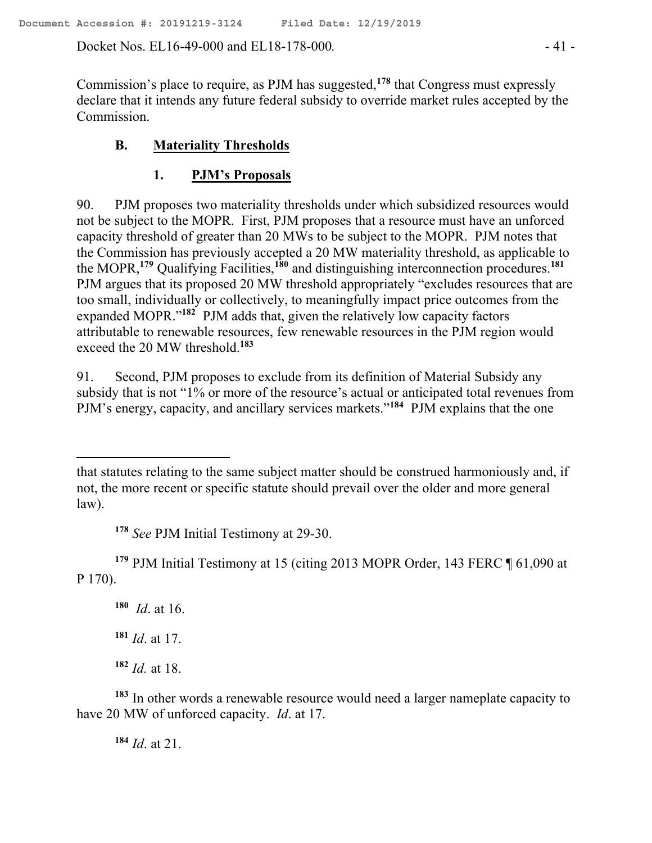Docket Nos. EL16-49-000 and EL18-178-000*.* - 41 -

Commission's place to require, as PJM has suggested,**<sup>178</sup>** that Congress must expressly declare that it intends any future federal subsidy to override market rules accepted by the Commission.

# **B. Materiality Thresholds**

# **1. PJM's Proposals**

90. PJM proposes two materiality thresholds under which subsidized resources would not be subject to the MOPR. First, PJM proposes that a resource must have an unforced capacity threshold of greater than 20 MWs to be subject to the MOPR. PJM notes that the Commission has previously accepted a 20 MW materiality threshold, as applicable to the MOPR,**<sup>179</sup>** Qualifying Facilities,**<sup>180</sup>** and distinguishing interconnection procedures.**<sup>181</sup>** PJM argues that its proposed 20 MW threshold appropriately "excludes resources that are too small, individually or collectively, to meaningfully impact price outcomes from the expanded MOPR."**<sup>182</sup>** PJM adds that, given the relatively low capacity factors attributable to renewable resources, few renewable resources in the PJM region would exceed the 20 MW threshold.**<sup>183</sup>**

91. Second, PJM proposes to exclude from its definition of Material Subsidy any subsidy that is not "1% or more of the resource's actual or anticipated total revenues from PJM's energy, capacity, and ancillary services markets."**<sup>184</sup>** PJM explains that the one

**<sup>178</sup>** *See* PJM Initial Testimony at 29-30.

**<sup>179</sup>** PJM Initial Testimony at 15 (citing 2013 MOPR Order, 143 FERC ¶ 61,090 at P 170).

**180** *Id*. at 16.

 $\overline{a}$ 

**<sup>181</sup>** *Id*. at 17.

**<sup>182</sup>** *Id.* at 18.

**<sup>183</sup>** In other words a renewable resource would need a larger nameplate capacity to have 20 MW of unforced capacity. *Id*. at 17.

**<sup>184</sup>** *Id*. at 21.

that statutes relating to the same subject matter should be construed harmoniously and, if not, the more recent or specific statute should prevail over the older and more general law).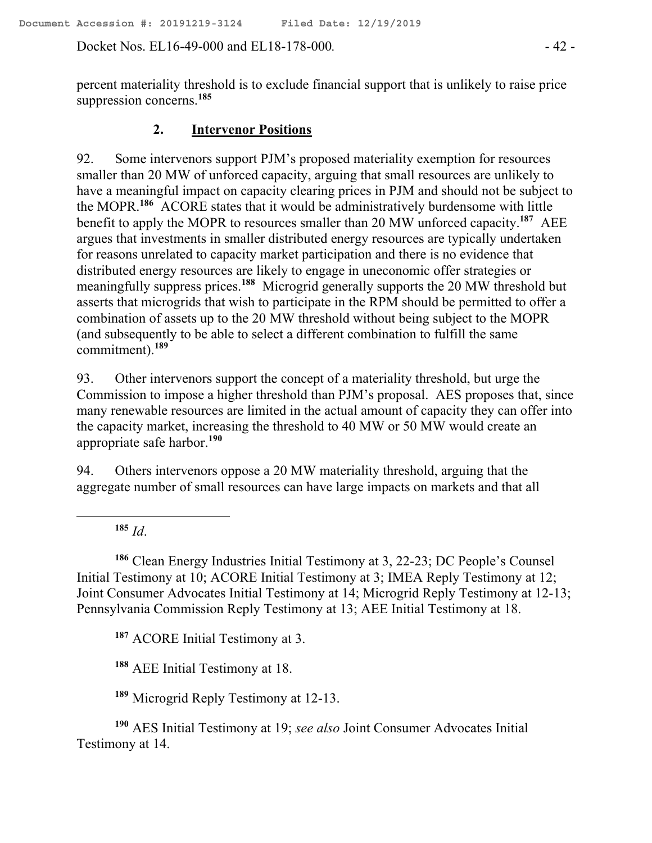Docket Nos. EL16-49-000 and EL18-178-000*.* - 42 -

percent materiality threshold is to exclude financial support that is unlikely to raise price suppression concerns.**<sup>185</sup>**

# **2. Intervenor Positions**

92. Some intervenors support PJM's proposed materiality exemption for resources smaller than 20 MW of unforced capacity, arguing that small resources are unlikely to have a meaningful impact on capacity clearing prices in PJM and should not be subject to the MOPR. **<sup>186</sup>** ACORE states that it would be administratively burdensome with little benefit to apply the MOPR to resources smaller than 20 MW unforced capacity.**<sup>187</sup>** AEE argues that investments in smaller distributed energy resources are typically undertaken for reasons unrelated to capacity market participation and there is no evidence that distributed energy resources are likely to engage in uneconomic offer strategies or meaningfully suppress prices.**<sup>188</sup>** Microgrid generally supports the 20 MW threshold but asserts that microgrids that wish to participate in the RPM should be permitted to offer a combination of assets up to the 20 MW threshold without being subject to the MOPR (and subsequently to be able to select a different combination to fulfill the same commitment).**<sup>189</sup>**

93. Other intervenors support the concept of a materiality threshold, but urge the Commission to impose a higher threshold than PJM's proposal. AES proposes that, since many renewable resources are limited in the actual amount of capacity they can offer into the capacity market, increasing the threshold to 40 MW or 50 MW would create an appropriate safe harbor.**<sup>190</sup>**

94. Others intervenors oppose a 20 MW materiality threshold, arguing that the aggregate number of small resources can have large impacts on markets and that all

**<sup>185</sup>** *Id*.

 $\overline{a}$ 

**<sup>186</sup>** Clean Energy Industries Initial Testimony at 3, 22-23; DC People's Counsel Initial Testimony at 10; ACORE Initial Testimony at 3; IMEA Reply Testimony at 12; Joint Consumer Advocates Initial Testimony at 14; Microgrid Reply Testimony at 12-13; Pennsylvania Commission Reply Testimony at 13; AEE Initial Testimony at 18.

**<sup>187</sup>** ACORE Initial Testimony at 3.

**<sup>188</sup>** AEE Initial Testimony at 18.

**<sup>189</sup>** Microgrid Reply Testimony at 12-13.

**<sup>190</sup>** AES Initial Testimony at 19; *see also* Joint Consumer Advocates Initial Testimony at 14.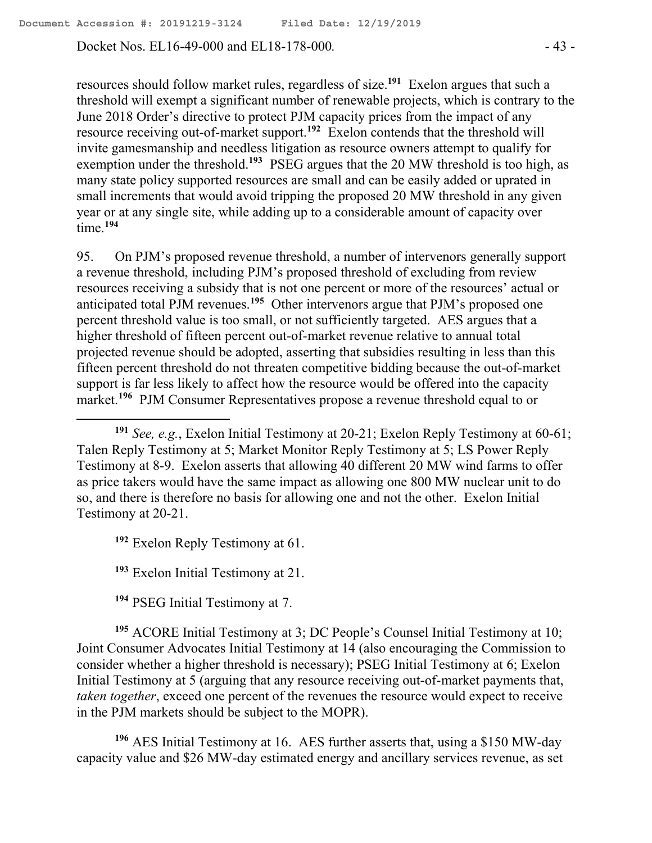Docket Nos. EL16-49-000 and EL18-178-000*.* - 43 -

resources should follow market rules, regardless of size.**<sup>191</sup>** Exelon argues that such a threshold will exempt a significant number of renewable projects, which is contrary to the June 2018 Order's directive to protect PJM capacity prices from the impact of any resource receiving out-of-market support.**<sup>192</sup>** Exelon contends that the threshold will invite gamesmanship and needless litigation as resource owners attempt to qualify for exemption under the threshold.<sup>193</sup> PSEG argues that the 20 MW threshold is too high, as many state policy supported resources are small and can be easily added or uprated in small increments that would avoid tripping the proposed 20 MW threshold in any given year or at any single site, while adding up to a considerable amount of capacity over time.**<sup>194</sup>**

95. On PJM's proposed revenue threshold, a number of intervenors generally support a revenue threshold, including PJM's proposed threshold of excluding from review resources receiving a subsidy that is not one percent or more of the resources' actual or anticipated total PJM revenues.<sup>195</sup> Other intervenors argue that PJM's proposed one percent threshold value is too small, or not sufficiently targeted. AES argues that a higher threshold of fifteen percent out-of-market revenue relative to annual total projected revenue should be adopted, asserting that subsidies resulting in less than this fifteen percent threshold do not threaten competitive bidding because the out-of-market support is far less likely to affect how the resource would be offered into the capacity market.**<sup>196</sup>** PJM Consumer Representatives propose a revenue threshold equal to or

**<sup>192</sup>** Exelon Reply Testimony at 61.

 $\overline{a}$ 

**<sup>193</sup>** Exelon Initial Testimony at 21.

**<sup>194</sup>** PSEG Initial Testimony at 7.

**<sup>195</sup>** ACORE Initial Testimony at 3; DC People's Counsel Initial Testimony at 10; Joint Consumer Advocates Initial Testimony at 14 (also encouraging the Commission to consider whether a higher threshold is necessary); PSEG Initial Testimony at 6; Exelon Initial Testimony at 5 (arguing that any resource receiving out-of-market payments that, *taken together*, exceed one percent of the revenues the resource would expect to receive in the PJM markets should be subject to the MOPR).

**<sup>196</sup>** AES Initial Testimony at 16. AES further asserts that, using a \$150 MW-day capacity value and \$26 MW-day estimated energy and ancillary services revenue, as set

**<sup>191</sup>** *See, e.g.*, Exelon Initial Testimony at 20-21; Exelon Reply Testimony at 60-61; Talen Reply Testimony at 5; Market Monitor Reply Testimony at 5; LS Power Reply Testimony at 8-9. Exelon asserts that allowing 40 different 20 MW wind farms to offer as price takers would have the same impact as allowing one 800 MW nuclear unit to do so, and there is therefore no basis for allowing one and not the other. Exelon Initial Testimony at 20-21.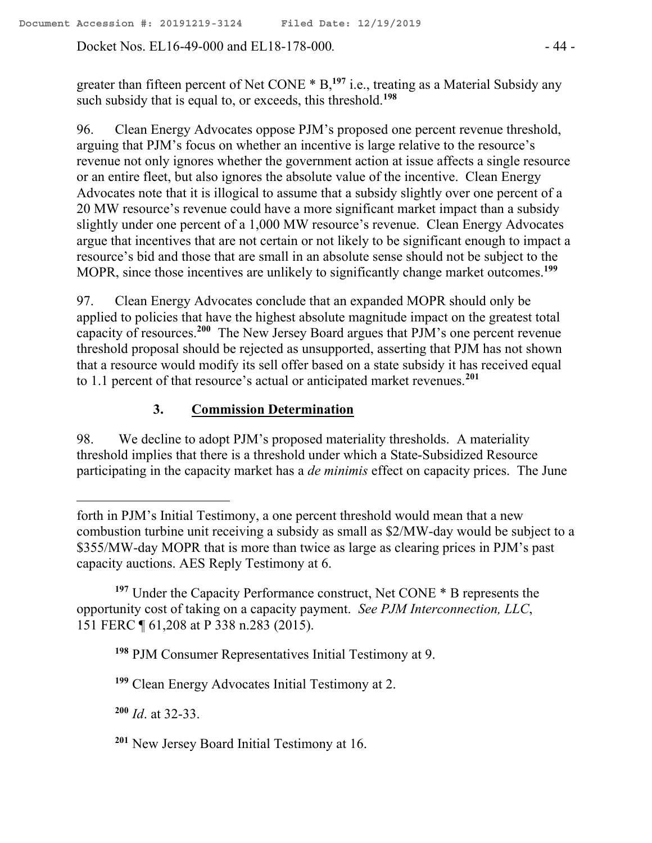Docket Nos. EL16-49-000 and EL18-178-000*.* - 44 -

greater than fifteen percent of Net CONE \* B,**<sup>197</sup>** i.e., treating as a Material Subsidy any such subsidy that is equal to, or exceeds, this threshold.**<sup>198</sup>**

96. Clean Energy Advocates oppose PJM's proposed one percent revenue threshold, arguing that PJM's focus on whether an incentive is large relative to the resource's revenue not only ignores whether the government action at issue affects a single resource or an entire fleet, but also ignores the absolute value of the incentive. Clean Energy Advocates note that it is illogical to assume that a subsidy slightly over one percent of a 20 MW resource's revenue could have a more significant market impact than a subsidy slightly under one percent of a 1,000 MW resource's revenue. Clean Energy Advocates argue that incentives that are not certain or not likely to be significant enough to impact a resource's bid and those that are small in an absolute sense should not be subject to the MOPR, since those incentives are unlikely to significantly change market outcomes.**<sup>199</sup>**

97. Clean Energy Advocates conclude that an expanded MOPR should only be applied to policies that have the highest absolute magnitude impact on the greatest total capacity of resources.**<sup>200</sup>** The New Jersey Board argues that PJM's one percent revenue threshold proposal should be rejected as unsupported, asserting that PJM has not shown that a resource would modify its sell offer based on a state subsidy it has received equal to 1.1 percent of that resource's actual or anticipated market revenues.**<sup>201</sup>**

# **3. Commission Determination**

98. We decline to adopt PJM's proposed materiality thresholds. A materiality threshold implies that there is a threshold under which a State-Subsidized Resource participating in the capacity market has a *de minimis* effect on capacity prices. The June

**<sup>197</sup>** Under the Capacity Performance construct, Net CONE \* B represents the opportunity cost of taking on a capacity payment. *See PJM Interconnection, LLC*, 151 FERC ¶ 61,208 at P 338 n.283 (2015).

**<sup>198</sup>** PJM Consumer Representatives Initial Testimony at 9.

**<sup>199</sup>** Clean Energy Advocates Initial Testimony at 2.

**<sup>200</sup>** *Id*. at 32-33.

forth in PJM's Initial Testimony, a one percent threshold would mean that a new combustion turbine unit receiving a subsidy as small as \$2/MW-day would be subject to a \$355/MW-day MOPR that is more than twice as large as clearing prices in PJM's past capacity auctions. AES Reply Testimony at 6.

**<sup>201</sup>** New Jersey Board Initial Testimony at 16.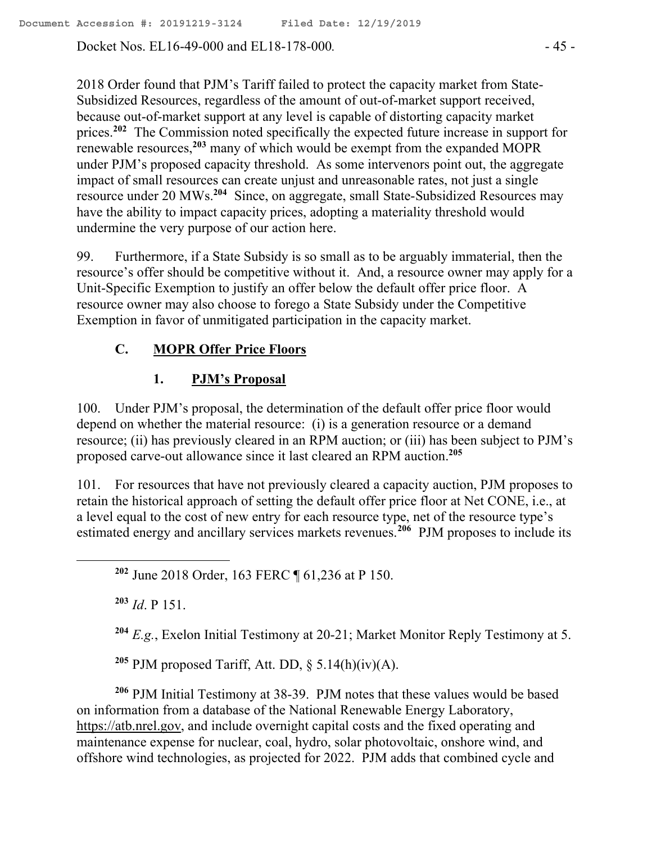Docket Nos. EL16-49-000 and EL18-178-000*.* - 45 -

2018 Order found that PJM's Tariff failed to protect the capacity market from State-Subsidized Resources, regardless of the amount of out-of-market support received, because out-of-market support at any level is capable of distorting capacity market prices.**<sup>202</sup>** The Commission noted specifically the expected future increase in support for renewable resources,**<sup>203</sup>** many of which would be exempt from the expanded MOPR under PJM's proposed capacity threshold. As some intervenors point out, the aggregate impact of small resources can create unjust and unreasonable rates, not just a single resource under 20 MWs.**<sup>204</sup>** Since, on aggregate, small State-Subsidized Resources may have the ability to impact capacity prices, adopting a materiality threshold would undermine the very purpose of our action here.

99. Furthermore, if a State Subsidy is so small as to be arguably immaterial, then the resource's offer should be competitive without it. And, a resource owner may apply for a Unit-Specific Exemption to justify an offer below the default offer price floor. A resource owner may also choose to forego a State Subsidy under the Competitive Exemption in favor of unmitigated participation in the capacity market.

# **C. MOPR Offer Price Floors**

## **1. PJM's Proposal**

100. Under PJM's proposal, the determination of the default offer price floor would depend on whether the material resource: (i) is a generation resource or a demand resource; (ii) has previously cleared in an RPM auction; or (iii) has been subject to PJM's proposed carve-out allowance since it last cleared an RPM auction.**<sup>205</sup>**

101. For resources that have not previously cleared a capacity auction, PJM proposes to retain the historical approach of setting the default offer price floor at Net CONE, i.e., at a level equal to the cost of new entry for each resource type, net of the resource type's estimated energy and ancillary services markets revenues.<sup>206</sup> PJM proposes to include its

**<sup>203</sup>** *Id*. P 151.

**<sup>204</sup>** *E.g.*, Exelon Initial Testimony at 20-21; Market Monitor Reply Testimony at 5.

<sup>205</sup> PJM proposed Tariff, Att. DD,  $\S$  5.14(h)(iv)(A).

**<sup>206</sup>** PJM Initial Testimony at 38-39. PJM notes that these values would be based on information from a database of the National Renewable Energy Laboratory, https://atb.nrel.gov, and include overnight capital costs and the fixed operating and maintenance expense for nuclear, coal, hydro, solar photovoltaic, onshore wind, and offshore wind technologies, as projected for 2022. PJM adds that combined cycle and

**<sup>202</sup>** June 2018 Order, 163 FERC ¶ 61,236 at P 150.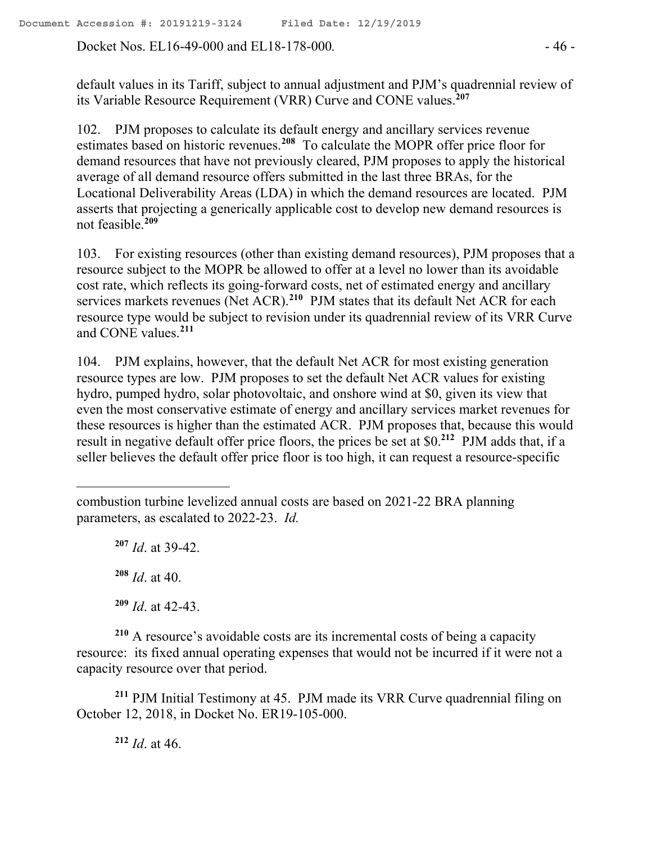Docket Nos. EL16-49-000 and EL18-178-000*.* - 46 -

default values in its Tariff, subject to annual adjustment and PJM's quadrennial review of its Variable Resource Requirement (VRR) Curve and CONE values.**<sup>207</sup>**

102. PJM proposes to calculate its default energy and ancillary services revenue estimates based on historic revenues.**<sup>208</sup>** To calculate the MOPR offer price floor for demand resources that have not previously cleared, PJM proposes to apply the historical average of all demand resource offers submitted in the last three BRAs, for the Locational Deliverability Areas (LDA) in which the demand resources are located. PJM asserts that projecting a generically applicable cost to develop new demand resources is not feasible.**<sup>209</sup>**

103. For existing resources (other than existing demand resources), PJM proposes that a resource subject to the MOPR be allowed to offer at a level no lower than its avoidable cost rate, which reflects its going-forward costs, net of estimated energy and ancillary services markets revenues (Net ACR).<sup>210</sup> PJM states that its default Net ACR for each resource type would be subject to revision under its quadrennial review of its VRR Curve and CONE values.**<sup>211</sup>**

104. PJM explains, however, that the default Net ACR for most existing generation resource types are low. PJM proposes to set the default Net ACR values for existing hydro, pumped hydro, solar photovoltaic, and onshore wind at \$0, given its view that even the most conservative estimate of energy and ancillary services market revenues for these resources is higher than the estimated ACR. PJM proposes that, because this would result in negative default offer price floors, the prices be set at \$0.**<sup>212</sup>** PJM adds that, if a seller believes the default offer price floor is too high, it can request a resource-specific

**<sup>207</sup>** *Id*. at 39-42. **<sup>208</sup>** *Id*. at 40. **<sup>209</sup>** *Id*. at 42-43.

 $\overline{a}$ 

**<sup>210</sup>** A resource's avoidable costs are its incremental costs of being a capacity resource: its fixed annual operating expenses that would not be incurred if it were not a capacity resource over that period.

**<sup>211</sup>** PJM Initial Testimony at 45. PJM made its VRR Curve quadrennial filing on October 12, 2018, in Docket No. ER19-105-000.

**<sup>212</sup>** *Id*. at 46.

combustion turbine levelized annual costs are based on 2021-22 BRA planning parameters, as escalated to 2022-23. *Id.*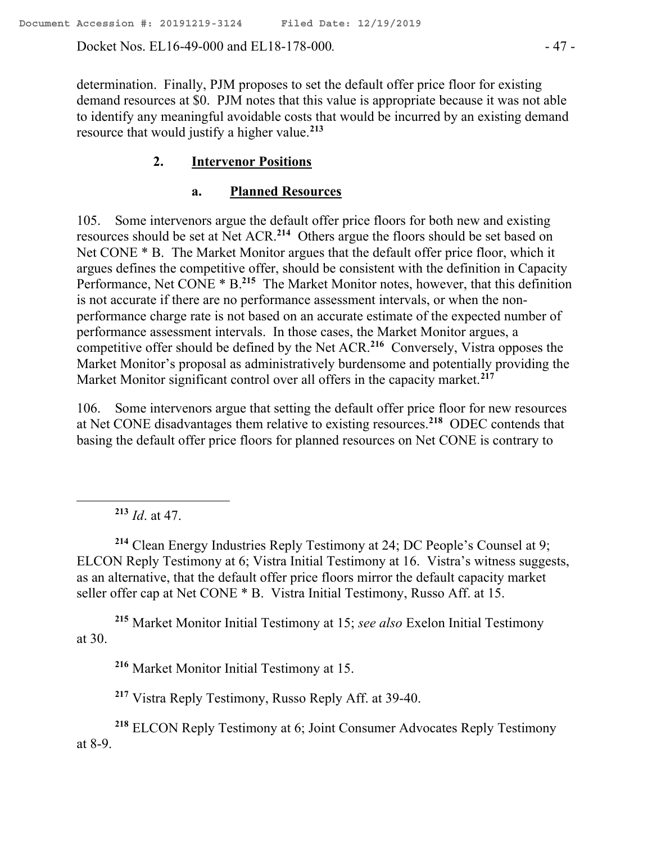Docket Nos. EL16-49-000 and EL18-178-000*.* - 47 -

determination. Finally, PJM proposes to set the default offer price floor for existing demand resources at \$0. PJM notes that this value is appropriate because it was not able to identify any meaningful avoidable costs that would be incurred by an existing demand resource that would justify a higher value.**<sup>213</sup>**

## **2. Intervenor Positions**

#### **a. Planned Resources**

105. Some intervenors argue the default offer price floors for both new and existing resources should be set at Net ACR.**<sup>214</sup>** Others argue the floors should be set based on Net CONE \* B. The Market Monitor argues that the default offer price floor, which it argues defines the competitive offer, should be consistent with the definition in Capacity Performance, Net CONE \* B.<sup>215</sup> The Market Monitor notes, however, that this definition is not accurate if there are no performance assessment intervals, or when the nonperformance charge rate is not based on an accurate estimate of the expected number of performance assessment intervals. In those cases, the Market Monitor argues, a competitive offer should be defined by the Net ACR. **216** Conversely, Vistra opposes the Market Monitor's proposal as administratively burdensome and potentially providing the Market Monitor significant control over all offers in the capacity market.**<sup>217</sup>**

106. Some intervenors argue that setting the default offer price floor for new resources at Net CONE disadvantages them relative to existing resources.**<sup>218</sup>** ODEC contends that basing the default offer price floors for planned resources on Net CONE is contrary to

**<sup>213</sup>** *Id*. at 47.

**<sup>214</sup>** Clean Energy Industries Reply Testimony at 24; DC People's Counsel at 9; ELCON Reply Testimony at 6; Vistra Initial Testimony at 16. Vistra's witness suggests, as an alternative, that the default offer price floors mirror the default capacity market seller offer cap at Net CONE \* B. Vistra Initial Testimony, Russo Aff. at 15.

**<sup>215</sup>** Market Monitor Initial Testimony at 15; *see also* Exelon Initial Testimony at 30.

**<sup>216</sup>** Market Monitor Initial Testimony at 15.

**<sup>217</sup>** Vistra Reply Testimony, Russo Reply Aff. at 39-40.

**<sup>218</sup>** ELCON Reply Testimony at 6; Joint Consumer Advocates Reply Testimony at 8-9.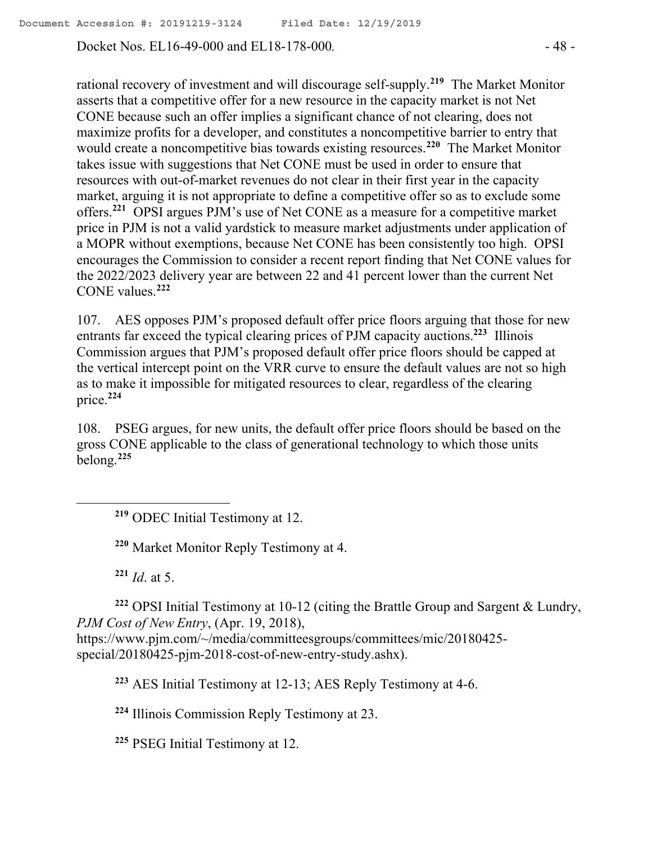Docket Nos. EL16-49-000 and EL18-178-000*.* - 48 -

rational recovery of investment and will discourage self-supply.**<sup>219</sup>** The Market Monitor asserts that a competitive offer for a new resource in the capacity market is not Net CONE because such an offer implies a significant chance of not clearing, does not maximize profits for a developer, and constitutes a noncompetitive barrier to entry that would create a noncompetitive bias towards existing resources.**<sup>220</sup>** The Market Monitor takes issue with suggestions that Net CONE must be used in order to ensure that resources with out-of-market revenues do not clear in their first year in the capacity market, arguing it is not appropriate to define a competitive offer so as to exclude some offers.**<sup>221</sup>** OPSI argues PJM's use of Net CONE as a measure for a competitive market price in PJM is not a valid yardstick to measure market adjustments under application of a MOPR without exemptions, because Net CONE has been consistently too high. OPSI encourages the Commission to consider a recent report finding that Net CONE values for the 2022/2023 delivery year are between 22 and 41 percent lower than the current Net CONE values.**<sup>222</sup>**

107. AES opposes PJM's proposed default offer price floors arguing that those for new entrants far exceed the typical clearing prices of PJM capacity auctions.<sup>223</sup> Illinois Commission argues that PJM's proposed default offer price floors should be capped at the vertical intercept point on the VRR curve to ensure the default values are not so high as to make it impossible for mitigated resources to clear, regardless of the clearing price. **224**

108. PSEG argues, for new units, the default offer price floors should be based on the gross CONE applicable to the class of generational technology to which those units belong.**<sup>225</sup>**

**<sup>219</sup>** ODEC Initial Testimony at 12.

**<sup>220</sup>** Market Monitor Reply Testimony at 4.

**<sup>221</sup>** *Id*. at 5.

**<sup>222</sup>** OPSI Initial Testimony at 10-12 (citing the Brattle Group and Sargent & Lundry, *PJM Cost of New Entry*, (Apr. 19, 2018),

https://www.pjm.com/~/media/committeesgroups/committees/mic/20180425 special/20180425-pjm-2018-cost-of-new-entry-study.ashx).

**<sup>223</sup>** AES Initial Testimony at 12-13; AES Reply Testimony at 4-6.

**<sup>224</sup>** Illinois Commission Reply Testimony at 23.

**<sup>225</sup>** PSEG Initial Testimony at 12.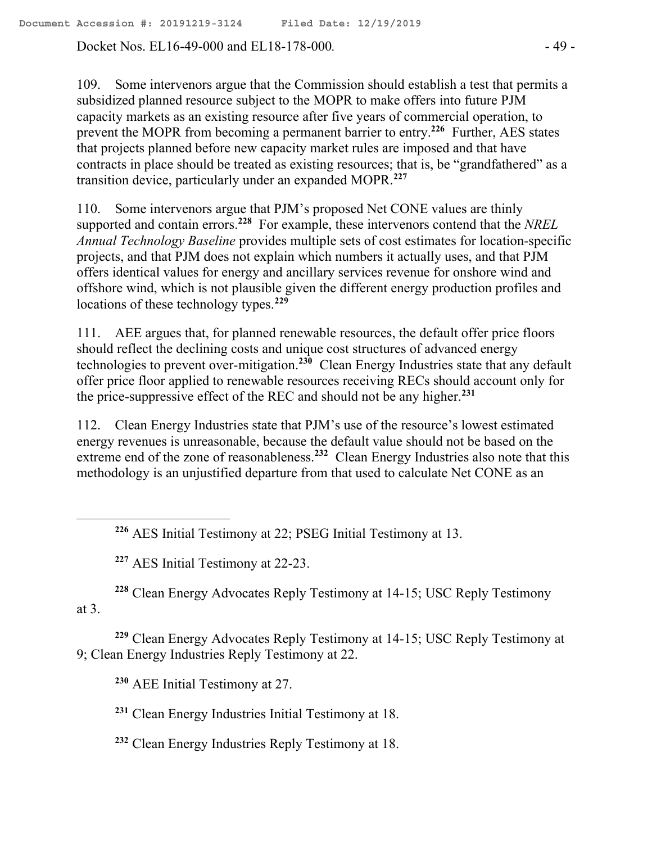Docket Nos. EL16-49-000 and EL18-178-000*.* - 49 -

109. Some intervenors argue that the Commission should establish a test that permits a subsidized planned resource subject to the MOPR to make offers into future PJM capacity markets as an existing resource after five years of commercial operation, to prevent the MOPR from becoming a permanent barrier to entry.**<sup>226</sup>** Further, AES states that projects planned before new capacity market rules are imposed and that have contracts in place should be treated as existing resources; that is, be "grandfathered" as a transition device, particularly under an expanded MOPR.**<sup>227</sup>**

110. Some intervenors argue that PJM's proposed Net CONE values are thinly supported and contain errors.**<sup>228</sup>** For example, these intervenors contend that the *NREL Annual Technology Baseline* provides multiple sets of cost estimates for location-specific projects, and that PJM does not explain which numbers it actually uses, and that PJM offers identical values for energy and ancillary services revenue for onshore wind and offshore wind, which is not plausible given the different energy production profiles and locations of these technology types.**<sup>229</sup>**

111. AEE argues that, for planned renewable resources, the default offer price floors should reflect the declining costs and unique cost structures of advanced energy technologies to prevent over-mitigation.**<sup>230</sup>** Clean Energy Industries state that any default offer price floor applied to renewable resources receiving RECs should account only for the price-suppressive effect of the REC and should not be any higher.**<sup>231</sup>**

112. Clean Energy Industries state that PJM's use of the resource's lowest estimated energy revenues is unreasonable, because the default value should not be based on the extreme end of the zone of reasonableness.<sup>232</sup> Clean Energy Industries also note that this methodology is an unjustified departure from that used to calculate Net CONE as an

**<sup>226</sup>** AES Initial Testimony at 22; PSEG Initial Testimony at 13.

**<sup>227</sup>** AES Initial Testimony at 22-23.

 $\overline{a}$ 

**<sup>228</sup>** Clean Energy Advocates Reply Testimony at 14-15; USC Reply Testimony at 3.

**<sup>229</sup>** Clean Energy Advocates Reply Testimony at 14-15; USC Reply Testimony at 9; Clean Energy Industries Reply Testimony at 22.

**<sup>230</sup>** AEE Initial Testimony at 27.

**<sup>231</sup>** Clean Energy Industries Initial Testimony at 18.

**<sup>232</sup>** Clean Energy Industries Reply Testimony at 18.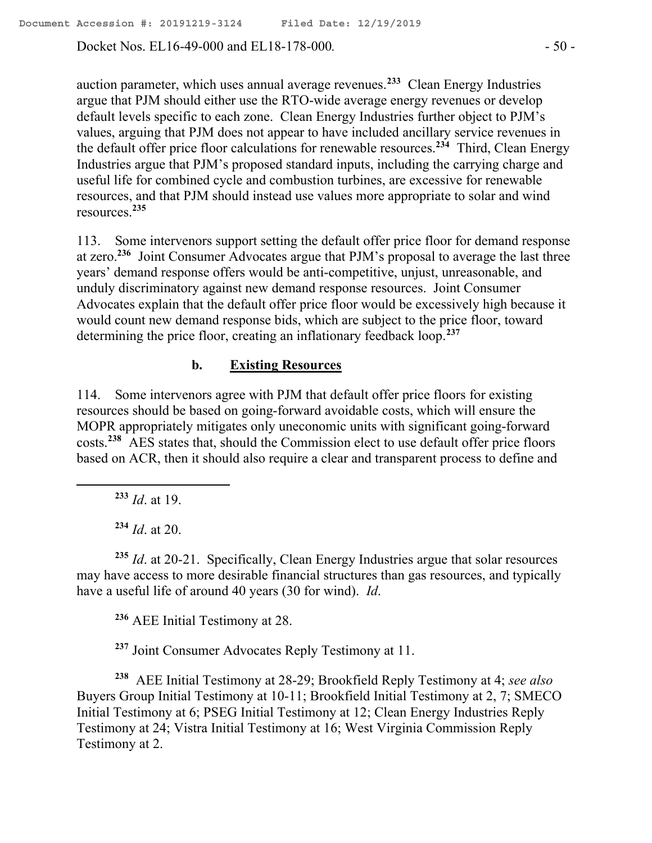Docket Nos. EL16-49-000 and EL18-178-000. - 50 -

auction parameter, which uses annual average revenues.**<sup>233</sup>** Clean Energy Industries argue that PJM should either use the RTO-wide average energy revenues or develop default levels specific to each zone. Clean Energy Industries further object to PJM's values, arguing that PJM does not appear to have included ancillary service revenues in the default offer price floor calculations for renewable resources.**<sup>234</sup>** Third, Clean Energy Industries argue that PJM's proposed standard inputs, including the carrying charge and useful life for combined cycle and combustion turbines, are excessive for renewable resources, and that PJM should instead use values more appropriate to solar and wind resources.**<sup>235</sup>**

113. Some intervenors support setting the default offer price floor for demand response at zero.<sup>236</sup> Joint Consumer Advocates argue that PJM's proposal to average the last three years' demand response offers would be anti-competitive, unjust, unreasonable, and unduly discriminatory against new demand response resources. Joint Consumer Advocates explain that the default offer price floor would be excessively high because it would count new demand response bids, which are subject to the price floor, toward determining the price floor, creating an inflationary feedback loop.**<sup>237</sup>**

## **b. Existing Resources**

114. Some intervenors agree with PJM that default offer price floors for existing resources should be based on going-forward avoidable costs, which will ensure the MOPR appropriately mitigates only uneconomic units with significant going-forward costs. **238** AES states that, should the Commission elect to use default offer price floors based on ACR, then it should also require a clear and transparent process to define and

**<sup>233</sup>** *Id*. at 19.

 $\overline{a}$ 

**<sup>234</sup>** *Id*. at 20.

**<sup>235</sup>** *Id*. at 20-21. Specifically, Clean Energy Industries argue that solar resources may have access to more desirable financial structures than gas resources, and typically have a useful life of around 40 years (30 for wind). *Id*.

**<sup>236</sup>** AEE Initial Testimony at 28.

**<sup>237</sup>** Joint Consumer Advocates Reply Testimony at 11.

**238** AEE Initial Testimony at 28-29; Brookfield Reply Testimony at 4; *see also* Buyers Group Initial Testimony at 10-11; Brookfield Initial Testimony at 2, 7; SMECO Initial Testimony at 6; PSEG Initial Testimony at 12; Clean Energy Industries Reply Testimony at 24; Vistra Initial Testimony at 16; West Virginia Commission Reply Testimony at 2.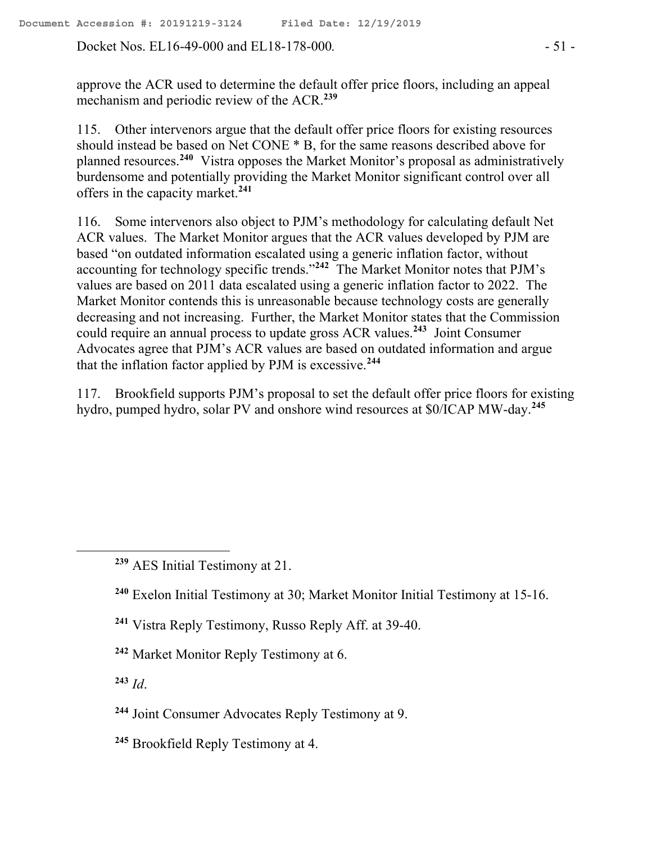Docket Nos. EL16-49-000 and EL18-178-000. - 51 -

approve the ACR used to determine the default offer price floors, including an appeal mechanism and periodic review of the ACR.**<sup>239</sup>**

115. Other intervenors argue that the default offer price floors for existing resources should instead be based on Net CONE \* B, for the same reasons described above for planned resources. **240** Vistra opposes the Market Monitor's proposal as administratively burdensome and potentially providing the Market Monitor significant control over all offers in the capacity market.**<sup>241</sup>**

116. Some intervenors also object to PJM's methodology for calculating default Net ACR values. The Market Monitor argues that the ACR values developed by PJM are based "on outdated information escalated using a generic inflation factor, without accounting for technology specific trends."**<sup>242</sup>** The Market Monitor notes that PJM's values are based on 2011 data escalated using a generic inflation factor to 2022. The Market Monitor contends this is unreasonable because technology costs are generally decreasing and not increasing. Further, the Market Monitor states that the Commission could require an annual process to update gross ACR values.**<sup>243</sup>** Joint Consumer Advocates agree that PJM's ACR values are based on outdated information and argue that the inflation factor applied by PJM is excessive.**<sup>244</sup>**

117. Brookfield supports PJM's proposal to set the default offer price floors for existing hydro, pumped hydro, solar PV and onshore wind resources at \$0/ICAP MW-day.**<sup>245</sup>**

- **<sup>241</sup>** Vistra Reply Testimony, Russo Reply Aff. at 39-40.
- **<sup>242</sup>** Market Monitor Reply Testimony at 6.

**<sup>243</sup>** *Id*.

 $\overline{a}$ 

- **<sup>244</sup>** Joint Consumer Advocates Reply Testimony at 9.
- **<sup>245</sup>** Brookfield Reply Testimony at 4.

**<sup>239</sup>** AES Initial Testimony at 21.

**<sup>240</sup>** Exelon Initial Testimony at 30; Market Monitor Initial Testimony at 15-16.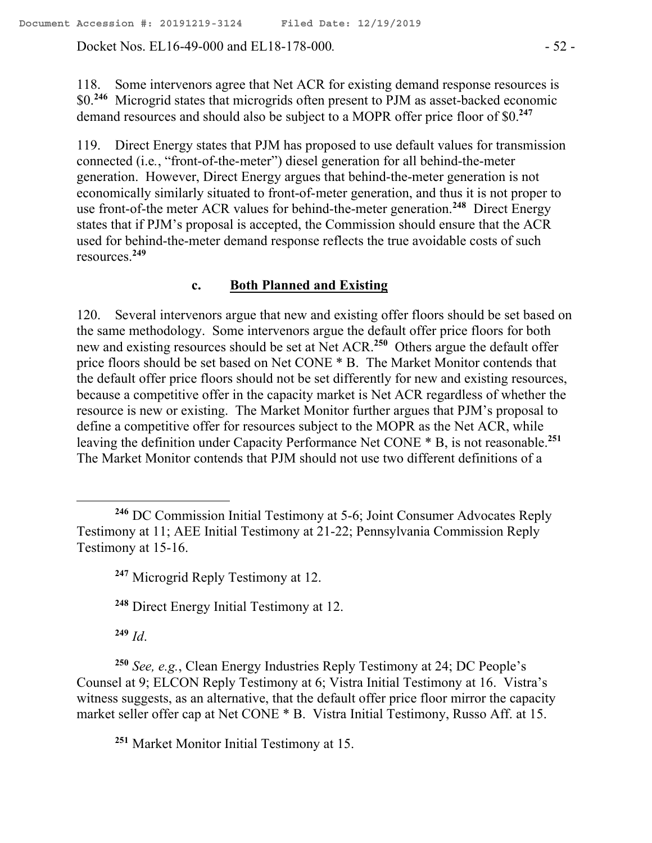Docket Nos. EL16-49-000 and EL18-178-000. - 52 -

118. Some intervenors agree that Net ACR for existing demand response resources is \$0.**<sup>246</sup>** Microgrid states that microgrids often present to PJM as asset-backed economic demand resources and should also be subject to a MOPR offer price floor of \$0.**<sup>247</sup>**

119. Direct Energy states that PJM has proposed to use default values for transmission connected (i.e*.*, "front-of-the-meter") diesel generation for all behind-the-meter generation. However, Direct Energy argues that behind-the-meter generation is not economically similarly situated to front-of-meter generation, and thus it is not proper to use front-of-the meter ACR values for behind-the-meter generation.**<sup>248</sup>** Direct Energy states that if PJM's proposal is accepted, the Commission should ensure that the ACR used for behind-the-meter demand response reflects the true avoidable costs of such resources.**<sup>249</sup>**

#### **c. Both Planned and Existing**

120. Several intervenors argue that new and existing offer floors should be set based on the same methodology. Some intervenors argue the default offer price floors for both new and existing resources should be set at Net ACR.**<sup>250</sup>** Others argue the default offer price floors should be set based on Net CONE \* B. The Market Monitor contends that the default offer price floors should not be set differently for new and existing resources, because a competitive offer in the capacity market is Net ACR regardless of whether the resource is new or existing. The Market Monitor further argues that PJM's proposal to define a competitive offer for resources subject to the MOPR as the Net ACR, while leaving the definition under Capacity Performance Net CONE \* B, is not reasonable.**<sup>251</sup>** The Market Monitor contends that PJM should not use two different definitions of a

**<sup>249</sup>** *Id*.

**<sup>250</sup>** *See, e.g.*, Clean Energy Industries Reply Testimony at 24; DC People's Counsel at 9; ELCON Reply Testimony at 6; Vistra Initial Testimony at 16. Vistra's witness suggests, as an alternative, that the default offer price floor mirror the capacity market seller offer cap at Net CONE \* B. Vistra Initial Testimony, Russo Aff. at 15.

**<sup>251</sup>** Market Monitor Initial Testimony at 15.

**<sup>246</sup>** DC Commission Initial Testimony at 5-6; Joint Consumer Advocates Reply Testimony at 11; AEE Initial Testimony at 21-22; Pennsylvania Commission Reply Testimony at 15-16.

**<sup>247</sup>** Microgrid Reply Testimony at 12.

**<sup>248</sup>** Direct Energy Initial Testimony at 12.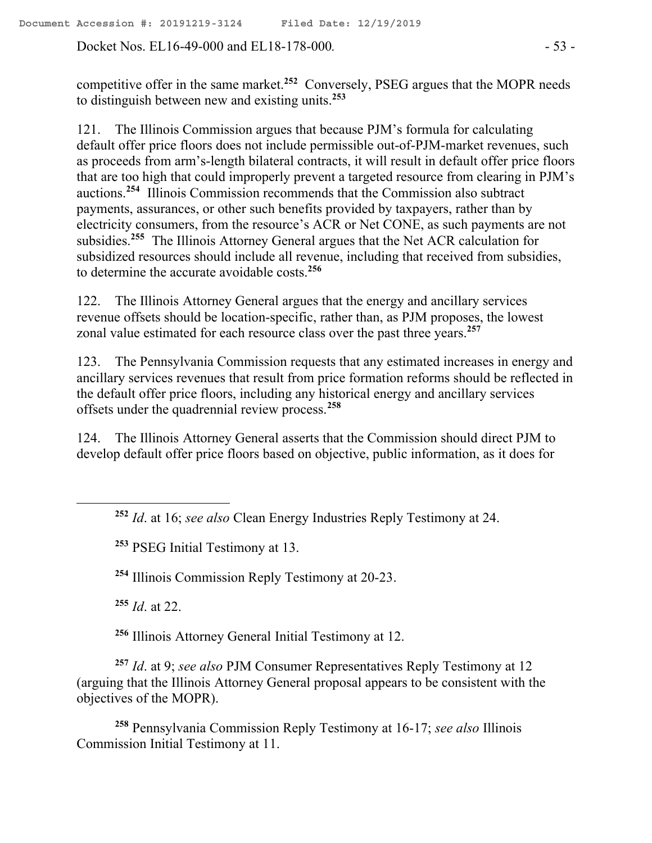Docket Nos. EL16-49-000 and EL18-178-000. - 53 -

competitive offer in the same market.**<sup>252</sup>** Conversely, PSEG argues that the MOPR needs to distinguish between new and existing units.**<sup>253</sup>**

121. The Illinois Commission argues that because PJM's formula for calculating default offer price floors does not include permissible out-of-PJM-market revenues, such as proceeds from arm's-length bilateral contracts, it will result in default offer price floors that are too high that could improperly prevent a targeted resource from clearing in PJM's auctions.**<sup>254</sup>** Illinois Commission recommends that the Commission also subtract payments, assurances, or other such benefits provided by taxpayers, rather than by electricity consumers, from the resource's ACR or Net CONE, as such payments are not subsidies.**<sup>255</sup>** The Illinois Attorney General argues that the Net ACR calculation for subsidized resources should include all revenue, including that received from subsidies, to determine the accurate avoidable costs.**<sup>256</sup>**

122. The Illinois Attorney General argues that the energy and ancillary services revenue offsets should be location-specific, rather than, as PJM proposes, the lowest zonal value estimated for each resource class over the past three years.**<sup>257</sup>**

123. The Pennsylvania Commission requests that any estimated increases in energy and ancillary services revenues that result from price formation reforms should be reflected in the default offer price floors, including any historical energy and ancillary services offsets under the quadrennial review process.**<sup>258</sup>**

124. The Illinois Attorney General asserts that the Commission should direct PJM to develop default offer price floors based on objective, public information, as it does for

**<sup>253</sup>** PSEG Initial Testimony at 13.

**<sup>254</sup>** Illinois Commission Reply Testimony at 20-23.

**<sup>255</sup>** *Id*. at 22.

**<sup>256</sup>** Illinois Attorney General Initial Testimony at 12.

**<sup>257</sup>** *Id*. at 9; *see also* PJM Consumer Representatives Reply Testimony at 12 (arguing that the Illinois Attorney General proposal appears to be consistent with the objectives of the MOPR).

**<sup>258</sup>** Pennsylvania Commission Reply Testimony at 16-17; *see also* Illinois Commission Initial Testimony at 11.

**<sup>252</sup>** *Id*. at 16; *see also* Clean Energy Industries Reply Testimony at 24.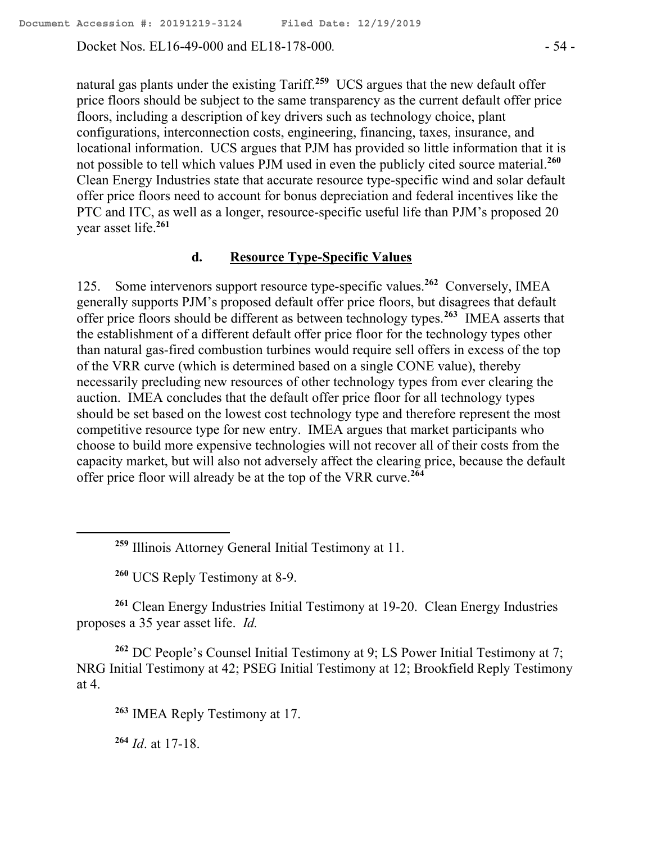Docket Nos. EL16-49-000 and EL18-178-000. - 54 -

natural gas plants under the existing Tariff. **259** UCS argues that the new default offer price floors should be subject to the same transparency as the current default offer price floors, including a description of key drivers such as technology choice, plant configurations, interconnection costs, engineering, financing, taxes, insurance, and locational information. UCS argues that PJM has provided so little information that it is not possible to tell which values PJM used in even the publicly cited source material.**<sup>260</sup>** Clean Energy Industries state that accurate resource type-specific wind and solar default offer price floors need to account for bonus depreciation and federal incentives like the PTC and ITC, as well as a longer, resource-specific useful life than PJM's proposed 20 year asset life.**<sup>261</sup>**

#### **d. Resource Type-Specific Values**

125. Some intervenors support resource type-specific values.**<sup>262</sup>** Conversely, IMEA generally supports PJM's proposed default offer price floors, but disagrees that default offer price floors should be different as between technology types.**<sup>263</sup>** IMEA asserts that the establishment of a different default offer price floor for the technology types other than natural gas-fired combustion turbines would require sell offers in excess of the top of the VRR curve (which is determined based on a single CONE value), thereby necessarily precluding new resources of other technology types from ever clearing the auction. IMEA concludes that the default offer price floor for all technology types should be set based on the lowest cost technology type and therefore represent the most competitive resource type for new entry. IMEA argues that market participants who choose to build more expensive technologies will not recover all of their costs from the capacity market, but will also not adversely affect the clearing price, because the default offer price floor will already be at the top of the VRR curve.**<sup>264</sup>**

**<sup>260</sup>** UCS Reply Testimony at 8-9.

**<sup>261</sup>** Clean Energy Industries Initial Testimony at 19-20. Clean Energy Industries proposes a 35 year asset life. *Id.*

**<sup>262</sup>** DC People's Counsel Initial Testimony at 9; LS Power Initial Testimony at 7; NRG Initial Testimony at 42; PSEG Initial Testimony at 12; Brookfield Reply Testimony at 4.

**<sup>263</sup>** IMEA Reply Testimony at 17.

**<sup>264</sup>** *Id*. at 17-18.

 $\overline{a}$ 

**<sup>259</sup>** Illinois Attorney General Initial Testimony at 11.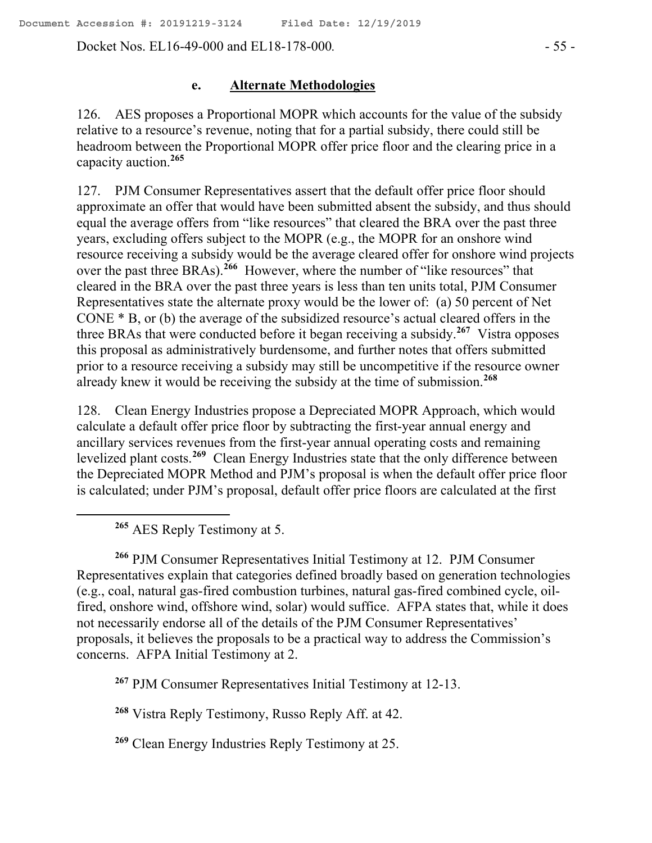Docket Nos. EL16-49-000 and EL18-178-000. - 55 -

#### **e. Alternate Methodologies**

126. AES proposes a Proportional MOPR which accounts for the value of the subsidy relative to a resource's revenue, noting that for a partial subsidy, there could still be headroom between the Proportional MOPR offer price floor and the clearing price in a capacity auction.**<sup>265</sup>**

127. PJM Consumer Representatives assert that the default offer price floor should approximate an offer that would have been submitted absent the subsidy, and thus should equal the average offers from "like resources" that cleared the BRA over the past three years, excluding offers subject to the MOPR (e.g., the MOPR for an onshore wind resource receiving a subsidy would be the average cleared offer for onshore wind projects over the past three BRAs).<sup>266</sup> However, where the number of "like resources" that cleared in the BRA over the past three years is less than ten units total, PJM Consumer Representatives state the alternate proxy would be the lower of: (a) 50 percent of Net CONE \* B, or (b) the average of the subsidized resource's actual cleared offers in the three BRAs that were conducted before it began receiving a subsidy.**<sup>267</sup>** Vistra opposes this proposal as administratively burdensome, and further notes that offers submitted prior to a resource receiving a subsidy may still be uncompetitive if the resource owner already knew it would be receiving the subsidy at the time of submission.**<sup>268</sup>**

128. Clean Energy Industries propose a Depreciated MOPR Approach, which would calculate a default offer price floor by subtracting the first-year annual energy and ancillary services revenues from the first-year annual operating costs and remaining levelized plant costs.**<sup>269</sup>** Clean Energy Industries state that the only difference between the Depreciated MOPR Method and PJM's proposal is when the default offer price floor is calculated; under PJM's proposal, default offer price floors are calculated at the first

**<sup>265</sup>** AES Reply Testimony at 5.

 $\overline{a}$ 

**<sup>266</sup>** PJM Consumer Representatives Initial Testimony at 12. PJM Consumer Representatives explain that categories defined broadly based on generation technologies (e.g., coal, natural gas-fired combustion turbines, natural gas-fired combined cycle, oilfired, onshore wind, offshore wind, solar) would suffice. AFPA states that, while it does not necessarily endorse all of the details of the PJM Consumer Representatives' proposals, it believes the proposals to be a practical way to address the Commission's concerns. AFPA Initial Testimony at 2.

**<sup>267</sup>** PJM Consumer Representatives Initial Testimony at 12-13.

**<sup>268</sup>** Vistra Reply Testimony, Russo Reply Aff. at 42.

**<sup>269</sup>** Clean Energy Industries Reply Testimony at 25.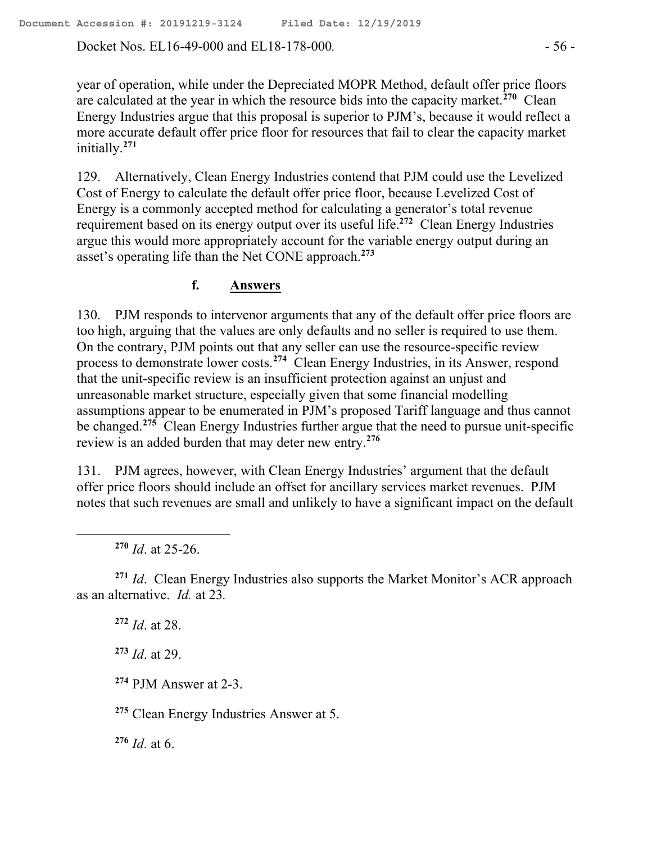Docket Nos. EL16-49-000 and EL18-178-000. - 56 -

year of operation, while under the Depreciated MOPR Method, default offer price floors are calculated at the year in which the resource bids into the capacity market.**<sup>270</sup>** Clean Energy Industries argue that this proposal is superior to PJM's, because it would reflect a more accurate default offer price floor for resources that fail to clear the capacity market initially.**<sup>271</sup>**

129. Alternatively, Clean Energy Industries contend that PJM could use the Levelized Cost of Energy to calculate the default offer price floor, because Levelized Cost of Energy is a commonly accepted method for calculating a generator's total revenue requirement based on its energy output over its useful life.**<sup>272</sup>** Clean Energy Industries argue this would more appropriately account for the variable energy output during an asset's operating life than the Net CONE approach.**<sup>273</sup>**

## **f. Answers**

130. PJM responds to intervenor arguments that any of the default offer price floors are too high, arguing that the values are only defaults and no seller is required to use them. On the contrary, PJM points out that any seller can use the resource-specific review process to demonstrate lower costs.**<sup>274</sup>** Clean Energy Industries, in its Answer, respond that the unit-specific review is an insufficient protection against an unjust and unreasonable market structure, especially given that some financial modelling assumptions appear to be enumerated in PJM's proposed Tariff language and thus cannot be changed.<sup>275</sup> Clean Energy Industries further argue that the need to pursue unit-specific review is an added burden that may deter new entry.**<sup>276</sup>**

131. PJM agrees, however, with Clean Energy Industries' argument that the default offer price floors should include an offset for ancillary services market revenues. PJM notes that such revenues are small and unlikely to have a significant impact on the default

**<sup>270</sup>** *Id*. at 25-26.

 $\overline{a}$ 

**<sup>271</sup>** *Id*. Clean Energy Industries also supports the Market Monitor's ACR approach as an alternative. *Id.* at 23*.*

**<sup>272</sup>** *Id*. at 28.

**<sup>273</sup>** *Id*. at 29.

**<sup>274</sup>** PJM Answer at 2-3.

**<sup>275</sup>** Clean Energy Industries Answer at 5.

**<sup>276</sup>** *Id*. at 6.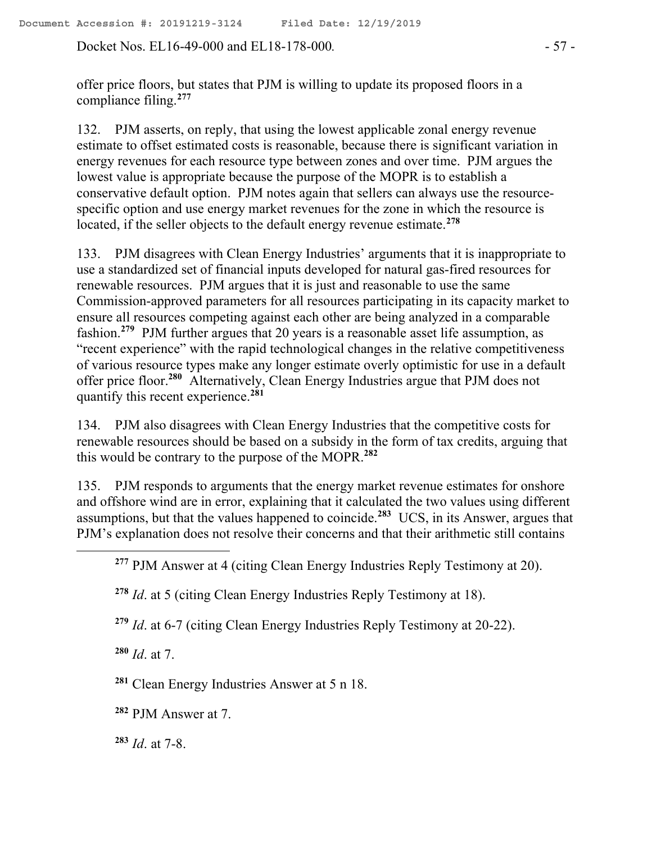Docket Nos. EL16-49-000 and EL18-178-000. - 57 -

offer price floors, but states that PJM is willing to update its proposed floors in a compliance filing.**<sup>277</sup>**

132. PJM asserts, on reply, that using the lowest applicable zonal energy revenue estimate to offset estimated costs is reasonable, because there is significant variation in energy revenues for each resource type between zones and over time. PJM argues the lowest value is appropriate because the purpose of the MOPR is to establish a conservative default option. PJM notes again that sellers can always use the resourcespecific option and use energy market revenues for the zone in which the resource is located, if the seller objects to the default energy revenue estimate. **278**

133. PJM disagrees with Clean Energy Industries' arguments that it is inappropriate to use a standardized set of financial inputs developed for natural gas-fired resources for renewable resources. PJM argues that it is just and reasonable to use the same Commission-approved parameters for all resources participating in its capacity market to ensure all resources competing against each other are being analyzed in a comparable fashion.**<sup>279</sup>** PJM further argues that 20 years is a reasonable asset life assumption, as "recent experience" with the rapid technological changes in the relative competitiveness of various resource types make any longer estimate overly optimistic for use in a default offer price floor. **280** Alternatively, Clean Energy Industries argue that PJM does not quantify this recent experience.**<sup>281</sup>**

134. PJM also disagrees with Clean Energy Industries that the competitive costs for renewable resources should be based on a subsidy in the form of tax credits, arguing that this would be contrary to the purpose of the MOPR.**<sup>282</sup>**

135. PJM responds to arguments that the energy market revenue estimates for onshore and offshore wind are in error, explaining that it calculated the two values using different assumptions, but that the values happened to coincide.**<sup>283</sup>** UCS, in its Answer, argues that PJM's explanation does not resolve their concerns and that their arithmetic still contains

**<sup>278</sup>** *Id*. at 5 (citing Clean Energy Industries Reply Testimony at 18).

**<sup>279</sup>** *Id*. at 6-7 (citing Clean Energy Industries Reply Testimony at 20-22).

**<sup>280</sup>** *Id*. at 7.

 $\overline{a}$ 

**<sup>281</sup>** Clean Energy Industries Answer at 5 n 18.

**<sup>282</sup>** PJM Answer at 7.

**<sup>283</sup>** *Id*. at 7-8.

**<sup>277</sup>** PJM Answer at 4 (citing Clean Energy Industries Reply Testimony at 20).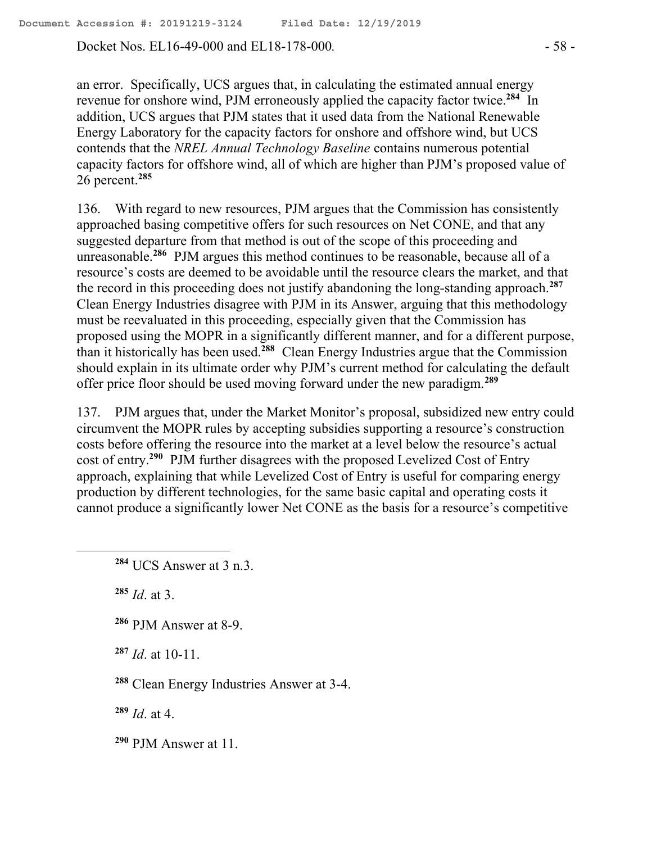Docket Nos. EL16-49-000 and EL18-178-000. - 58 -

an error. Specifically, UCS argues that, in calculating the estimated annual energy revenue for onshore wind, PJM erroneously applied the capacity factor twice.**<sup>284</sup>** In addition, UCS argues that PJM states that it used data from the National Renewable Energy Laboratory for the capacity factors for onshore and offshore wind, but UCS contends that the *NREL Annual Technology Baseline* contains numerous potential capacity factors for offshore wind, all of which are higher than PJM's proposed value of 26 percent.**<sup>285</sup>**

136. With regard to new resources, PJM argues that the Commission has consistently approached basing competitive offers for such resources on Net CONE, and that any suggested departure from that method is out of the scope of this proceeding and unreasonable.**<sup>286</sup>** PJM argues this method continues to be reasonable, because all of a resource's costs are deemed to be avoidable until the resource clears the market, and that the record in this proceeding does not justify abandoning the long-standing approach.**<sup>287</sup>** Clean Energy Industries disagree with PJM in its Answer, arguing that this methodology must be reevaluated in this proceeding, especially given that the Commission has proposed using the MOPR in a significantly different manner, and for a different purpose, than it historically has been used.**<sup>288</sup>** Clean Energy Industries argue that the Commission should explain in its ultimate order why PJM's current method for calculating the default offer price floor should be used moving forward under the new paradigm.**<sup>289</sup>**

137. PJM argues that, under the Market Monitor's proposal, subsidized new entry could circumvent the MOPR rules by accepting subsidies supporting a resource's construction costs before offering the resource into the market at a level below the resource's actual cost of entry.**<sup>290</sup>** PJM further disagrees with the proposed Levelized Cost of Entry approach, explaining that while Levelized Cost of Entry is useful for comparing energy production by different technologies, for the same basic capital and operating costs it cannot produce a significantly lower Net CONE as the basis for a resource's competitive

**<sup>285</sup>** *Id*. at 3.

 $\overline{a}$ 

**<sup>286</sup>** PJM Answer at 8-9.

**<sup>287</sup>** *Id*. at 10-11.

**<sup>288</sup>** Clean Energy Industries Answer at 3-4.

**<sup>289</sup>** *Id*. at 4.

**<sup>290</sup>** PJM Answer at 11.

**<sup>284</sup>** UCS Answer at 3 n.3.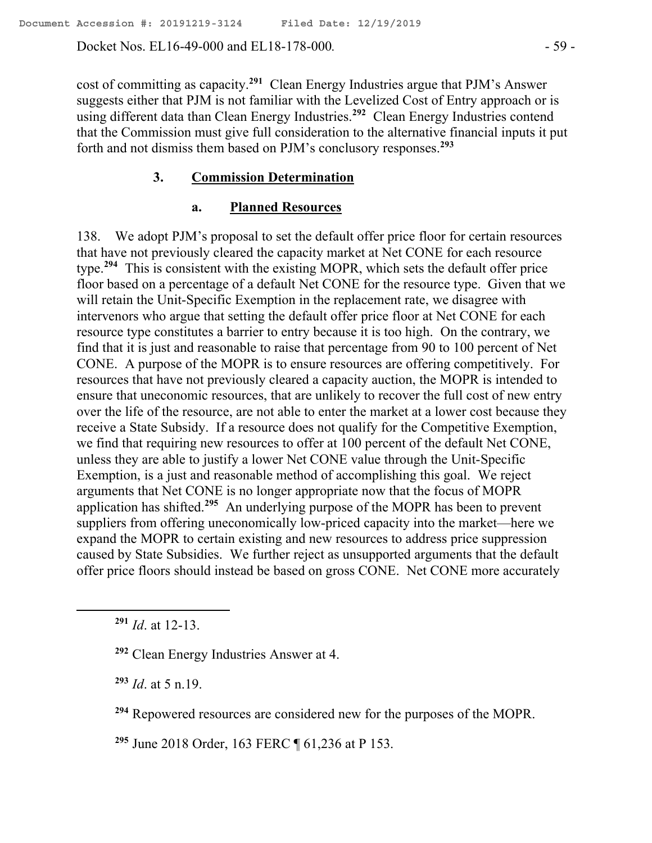Docket Nos. EL16-49-000 and EL18-178-000. - 59 -

cost of committing as capacity.**<sup>291</sup>** Clean Energy Industries argue that PJM's Answer suggests either that PJM is not familiar with the Levelized Cost of Entry approach or is using different data than Clean Energy Industries.**<sup>292</sup>** Clean Energy Industries contend that the Commission must give full consideration to the alternative financial inputs it put forth and not dismiss them based on PJM's conclusory responses.**<sup>293</sup>**

#### **3. Commission Determination**

#### **a. Planned Resources**

138. We adopt PJM's proposal to set the default offer price floor for certain resources that have not previously cleared the capacity market at Net CONE for each resource type. **294** This is consistent with the existing MOPR, which sets the default offer price floor based on a percentage of a default Net CONE for the resource type. Given that we will retain the Unit-Specific Exemption in the replacement rate, we disagree with intervenors who argue that setting the default offer price floor at Net CONE for each resource type constitutes a barrier to entry because it is too high. On the contrary, we find that it is just and reasonable to raise that percentage from 90 to 100 percent of Net CONE. A purpose of the MOPR is to ensure resources are offering competitively. For resources that have not previously cleared a capacity auction, the MOPR is intended to ensure that uneconomic resources, that are unlikely to recover the full cost of new entry over the life of the resource, are not able to enter the market at a lower cost because they receive a State Subsidy. If a resource does not qualify for the Competitive Exemption, we find that requiring new resources to offer at 100 percent of the default Net CONE, unless they are able to justify a lower Net CONE value through the Unit-Specific Exemption, is a just and reasonable method of accomplishing this goal. We reject arguments that Net CONE is no longer appropriate now that the focus of MOPR application has shifted. **295** An underlying purpose of the MOPR has been to prevent suppliers from offering uneconomically low-priced capacity into the market—here we expand the MOPR to certain existing and new resources to address price suppression caused by State Subsidies. We further reject as unsupported arguments that the default offer price floors should instead be based on gross CONE. Net CONE more accurately

**<sup>291</sup>** *Id*. at 12-13.

**<sup>292</sup>** Clean Energy Industries Answer at 4.

**<sup>293</sup>** *Id*. at 5 n.19.

**<sup>294</sup>** Repowered resources are considered new for the purposes of the MOPR.

**<sup>295</sup>** June 2018 Order, 163 FERC ¶ 61,236 at P 153.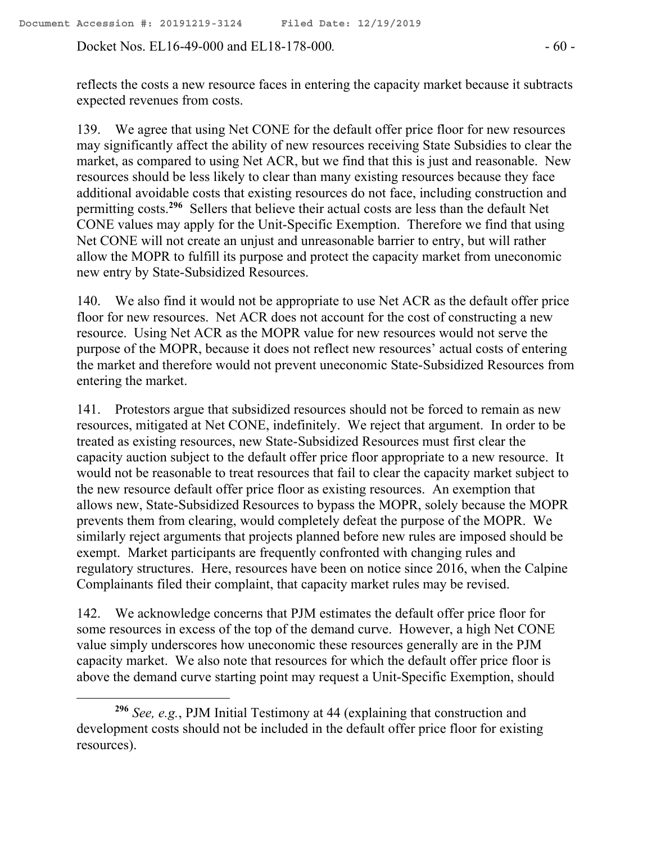Docket Nos. EL16-49-000 and EL18-178-000*.* - 60 -

reflects the costs a new resource faces in entering the capacity market because it subtracts expected revenues from costs.

139. We agree that using Net CONE for the default offer price floor for new resources may significantly affect the ability of new resources receiving State Subsidies to clear the market, as compared to using Net ACR, but we find that this is just and reasonable. New resources should be less likely to clear than many existing resources because they face additional avoidable costs that existing resources do not face, including construction and permitting costs. **296** Sellers that believe their actual costs are less than the default Net CONE values may apply for the Unit-Specific Exemption. Therefore we find that using Net CONE will not create an unjust and unreasonable barrier to entry, but will rather allow the MOPR to fulfill its purpose and protect the capacity market from uneconomic new entry by State-Subsidized Resources.

140. We also find it would not be appropriate to use Net ACR as the default offer price floor for new resources. Net ACR does not account for the cost of constructing a new resource. Using Net ACR as the MOPR value for new resources would not serve the purpose of the MOPR, because it does not reflect new resources' actual costs of entering the market and therefore would not prevent uneconomic State-Subsidized Resources from entering the market.

141. Protestors argue that subsidized resources should not be forced to remain as new resources, mitigated at Net CONE, indefinitely. We reject that argument. In order to be treated as existing resources, new State-Subsidized Resources must first clear the capacity auction subject to the default offer price floor appropriate to a new resource. It would not be reasonable to treat resources that fail to clear the capacity market subject to the new resource default offer price floor as existing resources. An exemption that allows new, State-Subsidized Resources to bypass the MOPR, solely because the MOPR prevents them from clearing, would completely defeat the purpose of the MOPR. We similarly reject arguments that projects planned before new rules are imposed should be exempt. Market participants are frequently confronted with changing rules and regulatory structures. Here, resources have been on notice since 2016, when the Calpine Complainants filed their complaint, that capacity market rules may be revised.

142. We acknowledge concerns that PJM estimates the default offer price floor for some resources in excess of the top of the demand curve. However, a high Net CONE value simply underscores how uneconomic these resources generally are in the PJM capacity market. We also note that resources for which the default offer price floor is above the demand curve starting point may request a Unit-Specific Exemption, should

**<sup>296</sup>** *See, e.g.*, PJM Initial Testimony at 44 (explaining that construction and development costs should not be included in the default offer price floor for existing resources).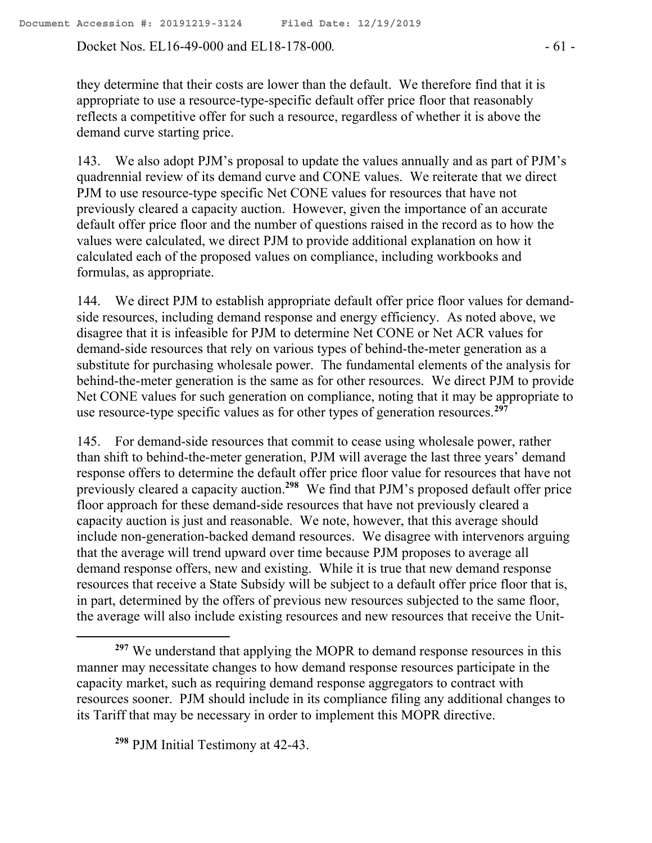Docket Nos. EL16-49-000 and EL18-178-000. - 61 -

they determine that their costs are lower than the default. We therefore find that it is appropriate to use a resource-type-specific default offer price floor that reasonably reflects a competitive offer for such a resource, regardless of whether it is above the demand curve starting price.

143. We also adopt PJM's proposal to update the values annually and as part of PJM's quadrennial review of its demand curve and CONE values. We reiterate that we direct PJM to use resource-type specific Net CONE values for resources that have not previously cleared a capacity auction. However, given the importance of an accurate default offer price floor and the number of questions raised in the record as to how the values were calculated, we direct PJM to provide additional explanation on how it calculated each of the proposed values on compliance, including workbooks and formulas, as appropriate.

144. We direct PJM to establish appropriate default offer price floor values for demandside resources, including demand response and energy efficiency. As noted above, we disagree that it is infeasible for PJM to determine Net CONE or Net ACR values for demand-side resources that rely on various types of behind-the-meter generation as a substitute for purchasing wholesale power. The fundamental elements of the analysis for behind-the-meter generation is the same as for other resources. We direct PJM to provide Net CONE values for such generation on compliance, noting that it may be appropriate to use resource-type specific values as for other types of generation resources. **297**

145. For demand-side resources that commit to cease using wholesale power, rather than shift to behind-the-meter generation, PJM will average the last three years' demand response offers to determine the default offer price floor value for resources that have not previously cleared a capacity auction.**<sup>298</sup>** We find that PJM's proposed default offer price floor approach for these demand-side resources that have not previously cleared a capacity auction is just and reasonable. We note, however, that this average should include non-generation-backed demand resources. We disagree with intervenors arguing that the average will trend upward over time because PJM proposes to average all demand response offers, new and existing. While it is true that new demand response resources that receive a State Subsidy will be subject to a default offer price floor that is, in part, determined by the offers of previous new resources subjected to the same floor, the average will also include existing resources and new resources that receive the Unit-

 $\overline{a}$ 

<sup>&</sup>lt;sup>297</sup> We understand that applying the MOPR to demand response resources in this manner may necessitate changes to how demand response resources participate in the capacity market, such as requiring demand response aggregators to contract with resources sooner. PJM should include in its compliance filing any additional changes to its Tariff that may be necessary in order to implement this MOPR directive.

**<sup>298</sup>** PJM Initial Testimony at 42-43.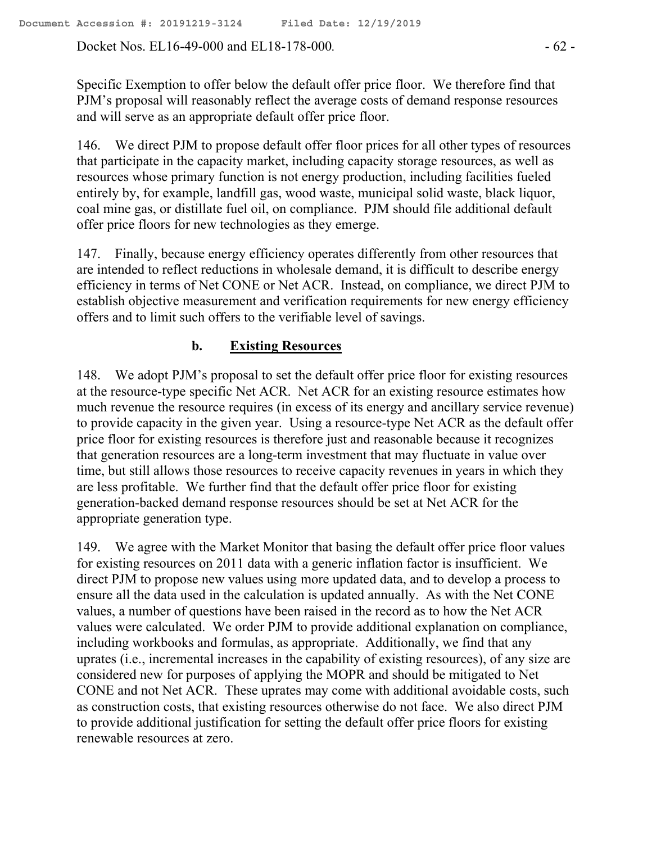Docket Nos. EL16-49-000 and EL18-178-000*.* - 62 -

Specific Exemption to offer below the default offer price floor. We therefore find that PJM's proposal will reasonably reflect the average costs of demand response resources and will serve as an appropriate default offer price floor.

146. We direct PJM to propose default offer floor prices for all other types of resources that participate in the capacity market, including capacity storage resources, as well as resources whose primary function is not energy production, including facilities fueled entirely by, for example, landfill gas, wood waste, municipal solid waste, black liquor, coal mine gas, or distillate fuel oil, on compliance. PJM should file additional default offer price floors for new technologies as they emerge.

147. Finally, because energy efficiency operates differently from other resources that are intended to reflect reductions in wholesale demand, it is difficult to describe energy efficiency in terms of Net CONE or Net ACR. Instead, on compliance, we direct PJM to establish objective measurement and verification requirements for new energy efficiency offers and to limit such offers to the verifiable level of savings.

## **b. Existing Resources**

148. We adopt PJM's proposal to set the default offer price floor for existing resources at the resource-type specific Net ACR. Net ACR for an existing resource estimates how much revenue the resource requires (in excess of its energy and ancillary service revenue) to provide capacity in the given year. Using a resource-type Net ACR as the default offer price floor for existing resources is therefore just and reasonable because it recognizes that generation resources are a long-term investment that may fluctuate in value over time, but still allows those resources to receive capacity revenues in years in which they are less profitable. We further find that the default offer price floor for existing generation-backed demand response resources should be set at Net ACR for the appropriate generation type.

149. We agree with the Market Monitor that basing the default offer price floor values for existing resources on 2011 data with a generic inflation factor is insufficient. We direct PJM to propose new values using more updated data, and to develop a process to ensure all the data used in the calculation is updated annually. As with the Net CONE values, a number of questions have been raised in the record as to how the Net ACR values were calculated. We order PJM to provide additional explanation on compliance, including workbooks and formulas, as appropriate. Additionally, we find that any uprates (i.e., incremental increases in the capability of existing resources), of any size are considered new for purposes of applying the MOPR and should be mitigated to Net CONE and not Net ACR. These uprates may come with additional avoidable costs, such as construction costs, that existing resources otherwise do not face. We also direct PJM to provide additional justification for setting the default offer price floors for existing renewable resources at zero.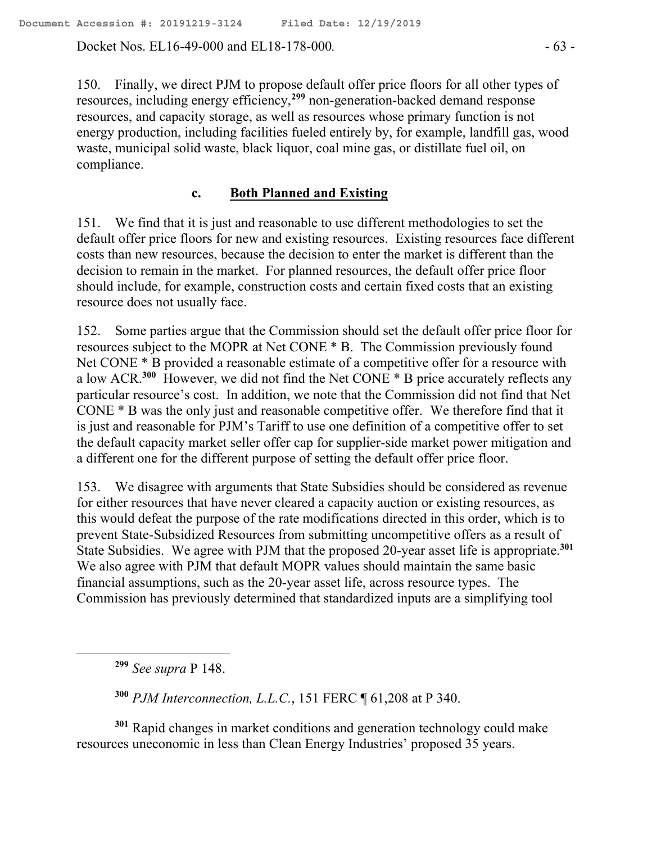Docket Nos. EL16-49-000 and EL18-178-000*.* - 63 -

150. Finally, we direct PJM to propose default offer price floors for all other types of resources, including energy efficiency, **<sup>299</sup>** non-generation-backed demand response resources, and capacity storage, as well as resources whose primary function is not energy production, including facilities fueled entirely by, for example, landfill gas, wood waste, municipal solid waste, black liquor, coal mine gas, or distillate fuel oil, on compliance.

#### **c. Both Planned and Existing**

151. We find that it is just and reasonable to use different methodologies to set the default offer price floors for new and existing resources. Existing resources face different costs than new resources, because the decision to enter the market is different than the decision to remain in the market. For planned resources, the default offer price floor should include, for example, construction costs and certain fixed costs that an existing resource does not usually face.

152. Some parties argue that the Commission should set the default offer price floor for resources subject to the MOPR at Net CONE \* B. The Commission previously found Net CONE  $*$  B provided a reasonable estimate of a competitive offer for a resource with a low ACR.<sup>300</sup> However, we did not find the Net CONE \* B price accurately reflects any particular resource's cost. In addition, we note that the Commission did not find that Net CONE \* B was the only just and reasonable competitive offer. We therefore find that it is just and reasonable for PJM's Tariff to use one definition of a competitive offer to set the default capacity market seller offer cap for supplier-side market power mitigation and a different one for the different purpose of setting the default offer price floor.

153. We disagree with arguments that State Subsidies should be considered as revenue for either resources that have never cleared a capacity auction or existing resources, as this would defeat the purpose of the rate modifications directed in this order, which is to prevent State-Subsidized Resources from submitting uncompetitive offers as a result of State Subsidies. We agree with PJM that the proposed 20-year asset life is appropriate.**<sup>301</sup>** We also agree with PJM that default MOPR values should maintain the same basic financial assumptions, such as the 20-year asset life, across resource types. The Commission has previously determined that standardized inputs are a simplifying tool

**<sup>299</sup>** *See supra* P 148.

 $\overline{a}$ 

**<sup>300</sup>** *PJM Interconnection, L.L.C.*, 151 FERC ¶ 61,208 at P 340.

**<sup>301</sup>** Rapid changes in market conditions and generation technology could make resources uneconomic in less than Clean Energy Industries' proposed 35 years.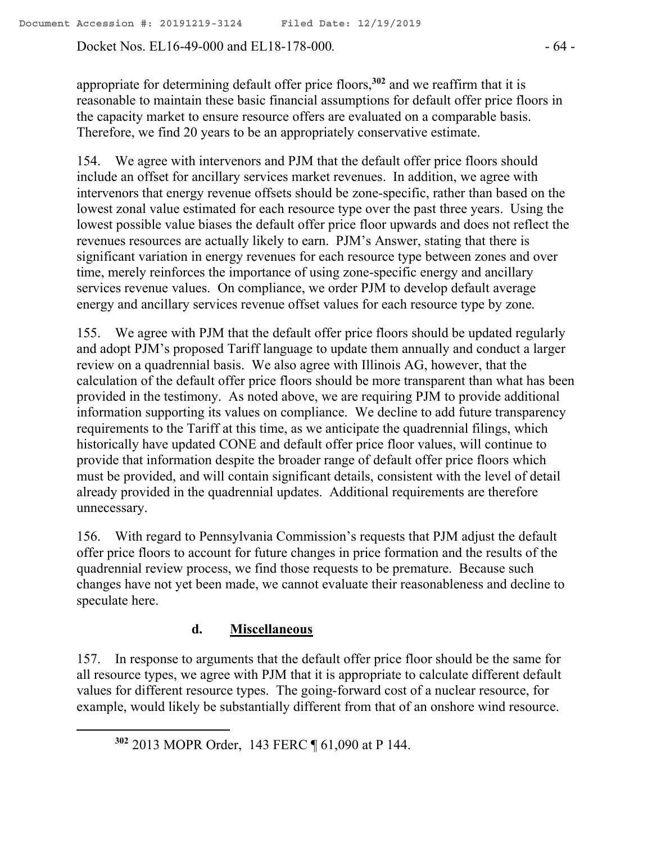Docket Nos. EL16-49-000 and EL18-178-000*.* - 64 -

appropriate for determining default offer price floors, **<sup>302</sup>** and we reaffirm that it is reasonable to maintain these basic financial assumptions for default offer price floors in the capacity market to ensure resource offers are evaluated on a comparable basis. Therefore, we find 20 years to be an appropriately conservative estimate.

154. We agree with intervenors and PJM that the default offer price floors should include an offset for ancillary services market revenues. In addition, we agree with intervenors that energy revenue offsets should be zone-specific, rather than based on the lowest zonal value estimated for each resource type over the past three years. Using the lowest possible value biases the default offer price floor upwards and does not reflect the revenues resources are actually likely to earn. PJM's Answer, stating that there is significant variation in energy revenues for each resource type between zones and over time, merely reinforces the importance of using zone-specific energy and ancillary services revenue values. On compliance, we order PJM to develop default average energy and ancillary services revenue offset values for each resource type by zone.

155. We agree with PJM that the default offer price floors should be updated regularly and adopt PJM's proposed Tariff language to update them annually and conduct a larger review on a quadrennial basis. We also agree with Illinois AG, however, that the calculation of the default offer price floors should be more transparent than what has been provided in the testimony. As noted above, we are requiring PJM to provide additional information supporting its values on compliance. We decline to add future transparency requirements to the Tariff at this time, as we anticipate the quadrennial filings, which historically have updated CONE and default offer price floor values, will continue to provide that information despite the broader range of default offer price floors which must be provided, and will contain significant details, consistent with the level of detail already provided in the quadrennial updates. Additional requirements are therefore unnecessary.

156. With regard to Pennsylvania Commission's requests that PJM adjust the default offer price floors to account for future changes in price formation and the results of the quadrennial review process, we find those requests to be premature. Because such changes have not yet been made, we cannot evaluate their reasonableness and decline to speculate here.

# **d. Miscellaneous**

157. In response to arguments that the default offer price floor should be the same for all resource types, we agree with PJM that it is appropriate to calculate different default values for different resource types. The going-forward cost of a nuclear resource, for example, would likely be substantially different from that of an onshore wind resource.

 $\overline{a}$ 

**<sup>302</sup>** 2013 MOPR Order, 143 FERC ¶ 61,090 at P 144.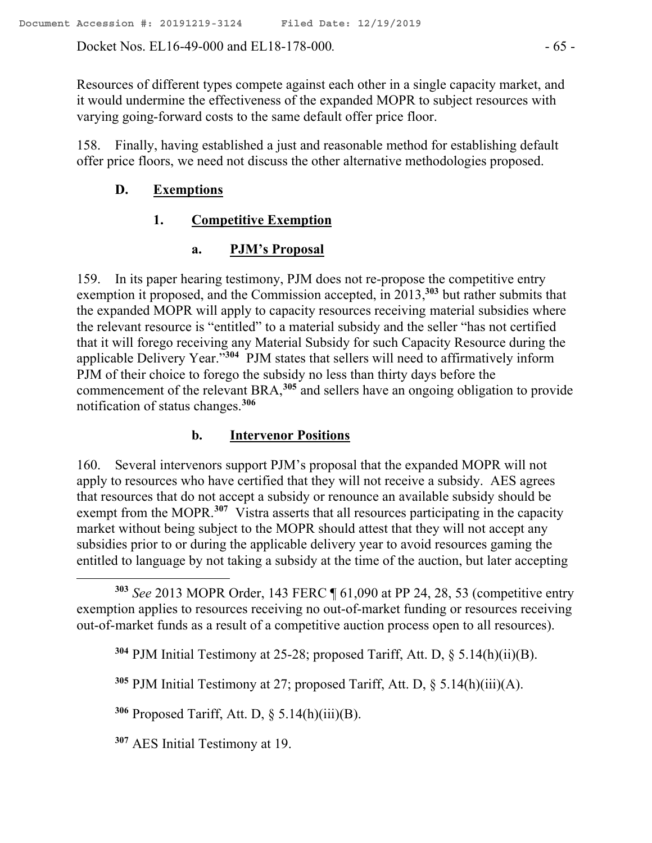Docket Nos. EL16-49-000 and EL18-178-000. - 65 -

Resources of different types compete against each other in a single capacity market, and it would undermine the effectiveness of the expanded MOPR to subject resources with varying going-forward costs to the same default offer price floor.

158. Finally, having established a just and reasonable method for establishing default offer price floors, we need not discuss the other alternative methodologies proposed.

## **D. Exemptions**

# **1. Competitive Exemption**

# **a. PJM's Proposal**

159. In its paper hearing testimony, PJM does not re-propose the competitive entry exemption it proposed, and the Commission accepted, in 2013,**<sup>303</sup>** but rather submits that the expanded MOPR will apply to capacity resources receiving material subsidies where the relevant resource is "entitled" to a material subsidy and the seller "has not certified that it will forego receiving any Material Subsidy for such Capacity Resource during the applicable Delivery Year."**<sup>304</sup>** PJM states that sellers will need to affirmatively inform PJM of their choice to forego the subsidy no less than thirty days before the commencement of the relevant BRA,**<sup>305</sup>** and sellers have an ongoing obligation to provide notification of status changes.**<sup>306</sup>**

## **b. Intervenor Positions**

160. Several intervenors support PJM's proposal that the expanded MOPR will not apply to resources who have certified that they will not receive a subsidy. AES agrees that resources that do not accept a subsidy or renounce an available subsidy should be exempt from the MOPR.<sup>307</sup> Vistra asserts that all resources participating in the capacity market without being subject to the MOPR should attest that they will not accept any subsidies prior to or during the applicable delivery year to avoid resources gaming the entitled to language by not taking a subsidy at the time of the auction, but later accepting

**<sup>303</sup>** *See* 2013 MOPR Order, 143 FERC ¶ 61,090 at PP 24, 28, 53 (competitive entry exemption applies to resources receiving no out-of-market funding or resources receiving out-of-market funds as a result of a competitive auction process open to all resources).

**<sup>304</sup>** PJM Initial Testimony at 25-28; proposed Tariff, Att. D, § 5.14(h)(ii)(B).

**<sup>305</sup>** PJM Initial Testimony at 27; proposed Tariff, Att. D, § 5.14(h)(iii)(A).

**<sup>306</sup>** Proposed Tariff, Att. D, § 5.14(h)(iii)(B).

**<sup>307</sup>** AES Initial Testimony at 19.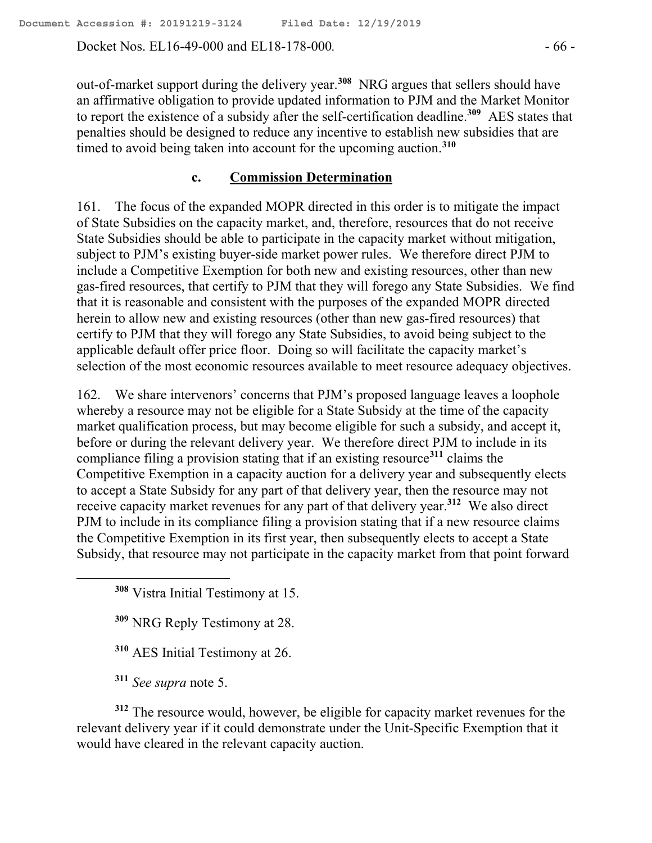Docket Nos. EL16-49-000 and EL18-178-000*.* - 66 -

out-of-market support during the delivery year.**<sup>308</sup>** NRG argues that sellers should have an affirmative obligation to provide updated information to PJM and the Market Monitor to report the existence of a subsidy after the self-certification deadline.**<sup>309</sup>** AES states that penalties should be designed to reduce any incentive to establish new subsidies that are timed to avoid being taken into account for the upcoming auction.**<sup>310</sup>**

# **c. Commission Determination**

161. The focus of the expanded MOPR directed in this order is to mitigate the impact of State Subsidies on the capacity market, and, therefore, resources that do not receive State Subsidies should be able to participate in the capacity market without mitigation, subject to PJM's existing buyer-side market power rules. We therefore direct PJM to include a Competitive Exemption for both new and existing resources, other than new gas-fired resources, that certify to PJM that they will forego any State Subsidies. We find that it is reasonable and consistent with the purposes of the expanded MOPR directed herein to allow new and existing resources (other than new gas-fired resources) that certify to PJM that they will forego any State Subsidies, to avoid being subject to the applicable default offer price floor. Doing so will facilitate the capacity market's selection of the most economic resources available to meet resource adequacy objectives.

162. We share intervenors' concerns that PJM's proposed language leaves a loophole whereby a resource may not be eligible for a State Subsidy at the time of the capacity market qualification process, but may become eligible for such a subsidy, and accept it, before or during the relevant delivery year. We therefore direct PJM to include in its compliance filing a provision stating that if an existing resource**<sup>311</sup>** claims the Competitive Exemption in a capacity auction for a delivery year and subsequently elects to accept a State Subsidy for any part of that delivery year, then the resource may not receive capacity market revenues for any part of that delivery year.**<sup>312</sup>** We also direct PJM to include in its compliance filing a provision stating that if a new resource claims the Competitive Exemption in its first year, then subsequently elects to accept a State Subsidy, that resource may not participate in the capacity market from that point forward

- **<sup>309</sup>** NRG Reply Testimony at 28.
- **<sup>310</sup>** AES Initial Testimony at 26.
- **<sup>311</sup>** *See supra* note 5.

**<sup>312</sup>** The resource would, however, be eligible for capacity market revenues for the relevant delivery year if it could demonstrate under the Unit-Specific Exemption that it would have cleared in the relevant capacity auction.

**<sup>308</sup>** Vistra Initial Testimony at 15.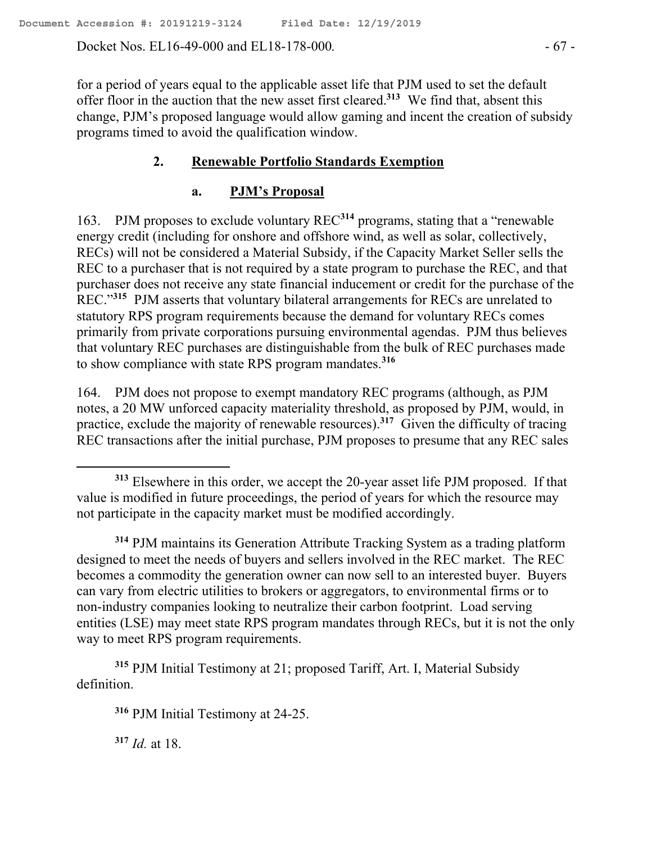Docket Nos. EL16-49-000 and EL18-178-000*.* - 67 -

for a period of years equal to the applicable asset life that PJM used to set the default offer floor in the auction that the new asset first cleared.**<sup>313</sup>** We find that, absent this change, PJM's proposed language would allow gaming and incent the creation of subsidy programs timed to avoid the qualification window.

# **2. Renewable Portfolio Standards Exemption**

## **a. PJM's Proposal**

163. PJM proposes to exclude voluntary REC**<sup>314</sup>** programs, stating that a "renewable energy credit (including for onshore and offshore wind, as well as solar, collectively, RECs) will not be considered a Material Subsidy, if the Capacity Market Seller sells the REC to a purchaser that is not required by a state program to purchase the REC, and that purchaser does not receive any state financial inducement or credit for the purchase of the REC."**<sup>315</sup>** PJM asserts that voluntary bilateral arrangements for RECs are unrelated to statutory RPS program requirements because the demand for voluntary RECs comes primarily from private corporations pursuing environmental agendas. PJM thus believes that voluntary REC purchases are distinguishable from the bulk of REC purchases made to show compliance with state RPS program mandates.**<sup>316</sup>**

164. PJM does not propose to exempt mandatory REC programs (although, as PJM notes, a 20 MW unforced capacity materiality threshold, as proposed by PJM, would, in practice, exclude the majority of renewable resources).**<sup>317</sup>** Given the difficulty of tracing REC transactions after the initial purchase, PJM proposes to presume that any REC sales

**<sup>314</sup>** PJM maintains its Generation Attribute Tracking System as a trading platform designed to meet the needs of buyers and sellers involved in the REC market. The REC becomes a commodity the generation owner can now sell to an interested buyer. Buyers can vary from electric utilities to brokers or aggregators, to environmental firms or to non-industry companies looking to neutralize their carbon footprint. Load serving entities (LSE) may meet state RPS program mandates through RECs, but it is not the only way to meet RPS program requirements.

**<sup>315</sup>** PJM Initial Testimony at 21; proposed Tariff, Art. I, Material Subsidy definition.

**<sup>316</sup>** PJM Initial Testimony at 24-25.

**<sup>317</sup>** *Id.* at 18.

 $\overline{a}$ 

**<sup>313</sup>** Elsewhere in this order, we accept the 20-year asset life PJM proposed. If that value is modified in future proceedings, the period of years for which the resource may not participate in the capacity market must be modified accordingly.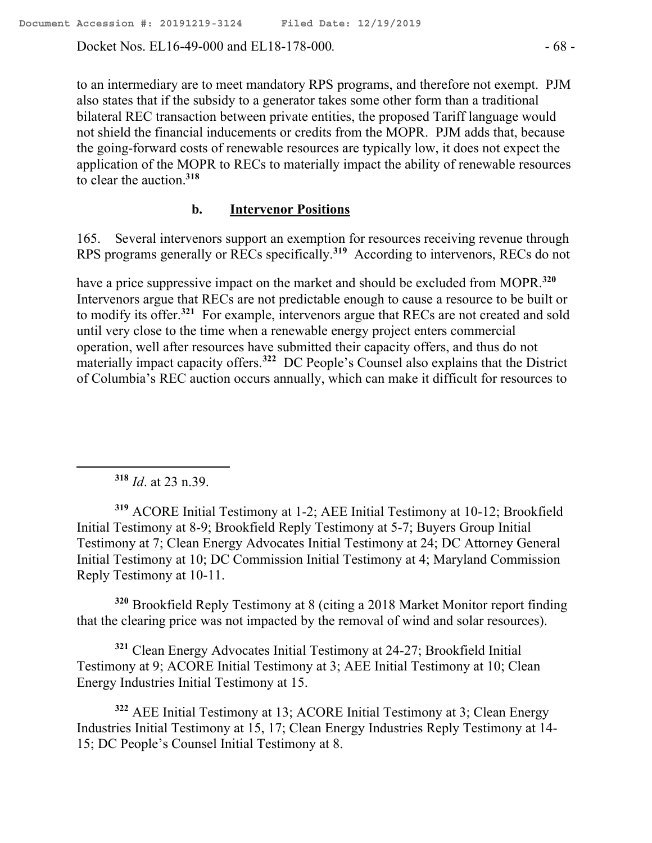Docket Nos. EL16-49-000 and EL18-178-000*.* - 68 -

to an intermediary are to meet mandatory RPS programs, and therefore not exempt. PJM also states that if the subsidy to a generator takes some other form than a traditional bilateral REC transaction between private entities, the proposed Tariff language would not shield the financial inducements or credits from the MOPR. PJM adds that, because the going-forward costs of renewable resources are typically low, it does not expect the application of the MOPR to RECs to materially impact the ability of renewable resources to clear the auction.**<sup>318</sup>**

#### **b. Intervenor Positions**

165. Several intervenors support an exemption for resources receiving revenue through RPS programs generally or RECs specifically.**<sup>319</sup>** According to intervenors, RECs do not

have a price suppressive impact on the market and should be excluded from MOPR.**<sup>320</sup>** Intervenors argue that RECs are not predictable enough to cause a resource to be built or to modify its offer.**<sup>321</sup>** For example, intervenors argue that RECs are not created and sold until very close to the time when a renewable energy project enters commercial operation, well after resources have submitted their capacity offers, and thus do not materially impact capacity offers.**<sup>322</sup>** DC People's Counsel also explains that the District of Columbia's REC auction occurs annually, which can make it difficult for resources to

**<sup>318</sup>** *Id*. at 23 n.39.

 $\overline{a}$ 

**<sup>319</sup>** ACORE Initial Testimony at 1-2; AEE Initial Testimony at 10-12; Brookfield Initial Testimony at 8-9; Brookfield Reply Testimony at 5-7; Buyers Group Initial Testimony at 7; Clean Energy Advocates Initial Testimony at 24; DC Attorney General Initial Testimony at 10; DC Commission Initial Testimony at 4; Maryland Commission Reply Testimony at 10-11.

**<sup>320</sup>** Brookfield Reply Testimony at 8 (citing a 2018 Market Monitor report finding that the clearing price was not impacted by the removal of wind and solar resources).

**<sup>321</sup>** Clean Energy Advocates Initial Testimony at 24-27; Brookfield Initial Testimony at 9; ACORE Initial Testimony at 3; AEE Initial Testimony at 10; Clean Energy Industries Initial Testimony at 15.

**<sup>322</sup>** AEE Initial Testimony at 13; ACORE Initial Testimony at 3; Clean Energy Industries Initial Testimony at 15, 17; Clean Energy Industries Reply Testimony at 14- 15; DC People's Counsel Initial Testimony at 8.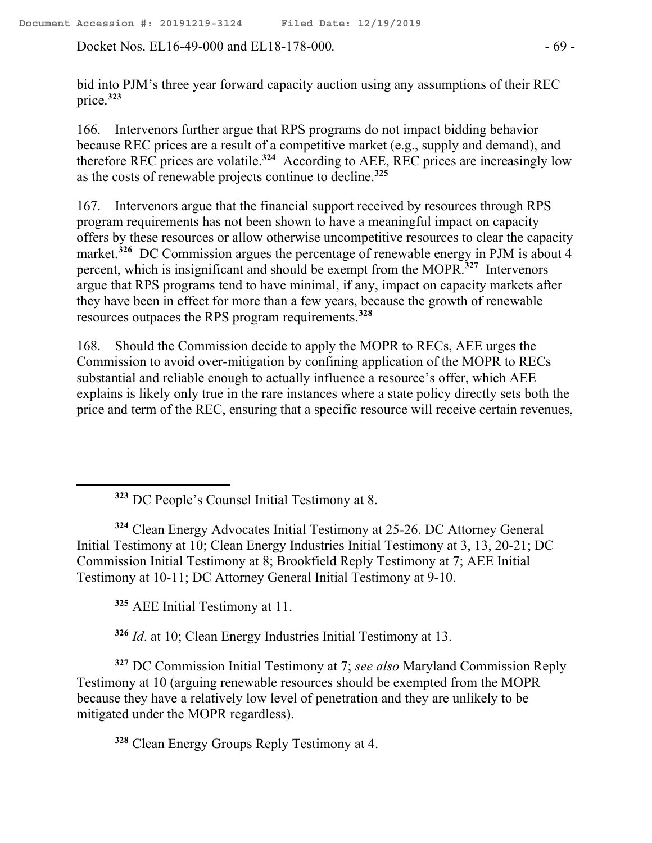Docket Nos. EL16-49-000 and EL18-178-000. - 69 -

bid into PJM's three year forward capacity auction using any assumptions of their REC price.**<sup>323</sup>**

166. Intervenors further argue that RPS programs do not impact bidding behavior because REC prices are a result of a competitive market (e.g., supply and demand), and therefore REC prices are volatile.**<sup>324</sup>** According to AEE, REC prices are increasingly low as the costs of renewable projects continue to decline.**<sup>325</sup>**

167. Intervenors argue that the financial support received by resources through RPS program requirements has not been shown to have a meaningful impact on capacity offers by these resources or allow otherwise uncompetitive resources to clear the capacity market.**<sup>326</sup>** DC Commission argues the percentage of renewable energy in PJM is about 4 percent, which is insignificant and should be exempt from the MOPR.**<sup>327</sup>** Intervenors argue that RPS programs tend to have minimal, if any, impact on capacity markets after they have been in effect for more than a few years, because the growth of renewable resources outpaces the RPS program requirements.**<sup>328</sup>**

168. Should the Commission decide to apply the MOPR to RECs, AEE urges the Commission to avoid over-mitigation by confining application of the MOPR to RECs substantial and reliable enough to actually influence a resource's offer, which AEE explains is likely only true in the rare instances where a state policy directly sets both the price and term of the REC, ensuring that a specific resource will receive certain revenues,

**<sup>323</sup>** DC People's Counsel Initial Testimony at 8.

**<sup>324</sup>** Clean Energy Advocates Initial Testimony at 25-26. DC Attorney General Initial Testimony at 10; Clean Energy Industries Initial Testimony at 3, 13, 20-21; DC Commission Initial Testimony at 8; Brookfield Reply Testimony at 7; AEE Initial Testimony at 10-11; DC Attorney General Initial Testimony at 9-10.

**<sup>325</sup>** AEE Initial Testimony at 11.

 $\overline{a}$ 

**<sup>326</sup>** *Id*. at 10; Clean Energy Industries Initial Testimony at 13.

**<sup>327</sup>** DC Commission Initial Testimony at 7; *see also* Maryland Commission Reply Testimony at 10 (arguing renewable resources should be exempted from the MOPR because they have a relatively low level of penetration and they are unlikely to be mitigated under the MOPR regardless).

**<sup>328</sup>** Clean Energy Groups Reply Testimony at 4.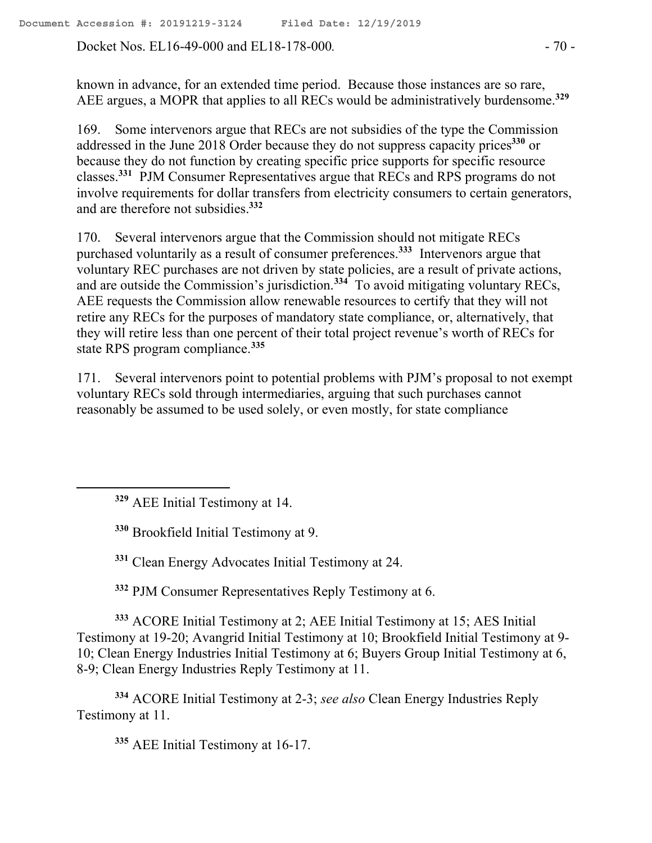Docket Nos. EL16-49-000 and EL18-178-000. - 70 -

known in advance, for an extended time period. Because those instances are so rare, AEE argues, a MOPR that applies to all RECs would be administratively burdensome.**<sup>329</sup>**

169. Some intervenors argue that RECs are not subsidies of the type the Commission addressed in the June 2018 Order because they do not suppress capacity prices**<sup>330</sup>** or because they do not function by creating specific price supports for specific resource classes.**<sup>331</sup>** PJM Consumer Representatives argue that RECs and RPS programs do not involve requirements for dollar transfers from electricity consumers to certain generators, and are therefore not subsidies.**<sup>332</sup>**

170. Several intervenors argue that the Commission should not mitigate RECs purchased voluntarily as a result of consumer preferences.**<sup>333</sup>** Intervenors argue that voluntary REC purchases are not driven by state policies, are a result of private actions, and are outside the Commission's jurisdiction.**<sup>334</sup>** To avoid mitigating voluntary RECs, AEE requests the Commission allow renewable resources to certify that they will not retire any RECs for the purposes of mandatory state compliance, or, alternatively, that they will retire less than one percent of their total project revenue's worth of RECs for state RPS program compliance.**<sup>335</sup>**

171. Several intervenors point to potential problems with PJM's proposal to not exempt voluntary RECs sold through intermediaries, arguing that such purchases cannot reasonably be assumed to be used solely, or even mostly, for state compliance

**<sup>329</sup>** AEE Initial Testimony at 14.

 $\overline{a}$ 

**<sup>330</sup>** Brookfield Initial Testimony at 9.

**<sup>331</sup>** Clean Energy Advocates Initial Testimony at 24.

**<sup>332</sup>** PJM Consumer Representatives Reply Testimony at 6.

**<sup>333</sup>** ACORE Initial Testimony at 2; AEE Initial Testimony at 15; AES Initial Testimony at 19-20; Avangrid Initial Testimony at 10; Brookfield Initial Testimony at 9- 10; Clean Energy Industries Initial Testimony at 6; Buyers Group Initial Testimony at 6, 8-9; Clean Energy Industries Reply Testimony at 11.

**<sup>334</sup>** ACORE Initial Testimony at 2-3; *see also* Clean Energy Industries Reply Testimony at 11.

**<sup>335</sup>** AEE Initial Testimony at 16-17.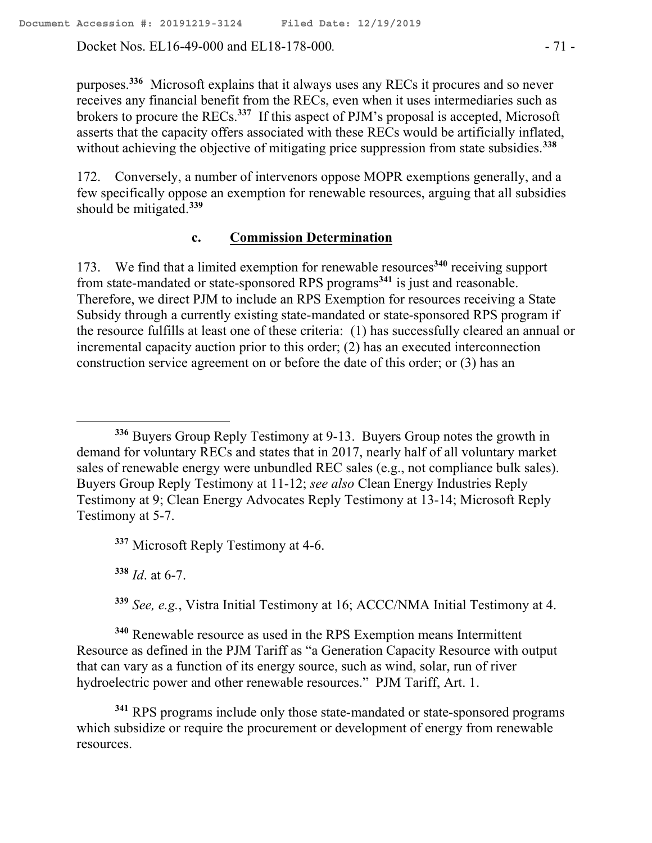Docket Nos. EL16-49-000 and EL18-178-000. - 71 -

purposes.**<sup>336</sup>** Microsoft explains that it always uses any RECs it procures and so never receives any financial benefit from the RECs, even when it uses intermediaries such as brokers to procure the RECs.**<sup>337</sup>** If this aspect of PJM's proposal is accepted, Microsoft asserts that the capacity offers associated with these RECs would be artificially inflated, without achieving the objective of mitigating price suppression from state subsidies.**<sup>338</sup>**

172. Conversely, a number of intervenors oppose MOPR exemptions generally, and a few specifically oppose an exemption for renewable resources, arguing that all subsidies should be mitigated.**<sup>339</sup>**

#### **c. Commission Determination**

173. We find that a limited exemption for renewable resources**<sup>340</sup>** receiving support from state-mandated or state-sponsored RPS programs<sup>341</sup> is just and reasonable. Therefore, we direct PJM to include an RPS Exemption for resources receiving a State Subsidy through a currently existing state-mandated or state-sponsored RPS program if the resource fulfills at least one of these criteria: (1) has successfully cleared an annual or incremental capacity auction prior to this order; (2) has an executed interconnection construction service agreement on or before the date of this order; or (3) has an

**<sup>337</sup>** Microsoft Reply Testimony at 4-6.

**<sup>338</sup>** *Id*. at 6-7.

 $\overline{a}$ 

**<sup>339</sup>** *See, e.g.*, Vistra Initial Testimony at 16; ACCC/NMA Initial Testimony at 4.

**<sup>340</sup>** Renewable resource as used in the RPS Exemption means Intermittent Resource as defined in the PJM Tariff as "a Generation Capacity Resource with output that can vary as a function of its energy source, such as wind, solar, run of river hydroelectric power and other renewable resources." PJM Tariff, Art. 1.

**<sup>341</sup>** RPS programs include only those state-mandated or state-sponsored programs which subsidize or require the procurement or development of energy from renewable resources.

**<sup>336</sup>** Buyers Group Reply Testimony at 9-13. Buyers Group notes the growth in demand for voluntary RECs and states that in 2017, nearly half of all voluntary market sales of renewable energy were unbundled REC sales (e.g., not compliance bulk sales). Buyers Group Reply Testimony at 11-12; *see also* Clean Energy Industries Reply Testimony at 9; Clean Energy Advocates Reply Testimony at 13-14; Microsoft Reply Testimony at 5-7.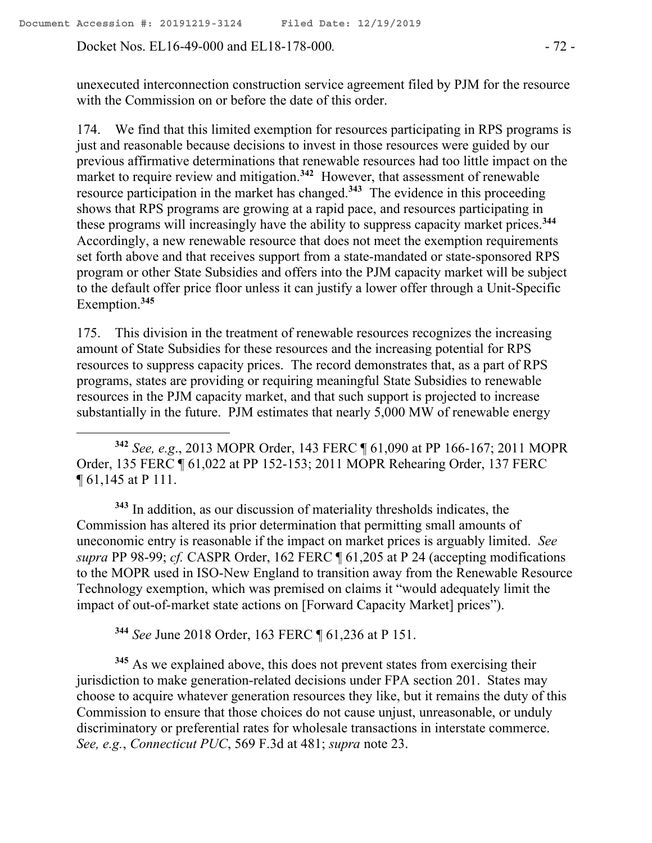Docket Nos. EL16-49-000 and EL18-178-000. - 72 -

 $\overline{a}$ 

unexecuted interconnection construction service agreement filed by PJM for the resource with the Commission on or before the date of this order.

174. We find that this limited exemption for resources participating in RPS programs is just and reasonable because decisions to invest in those resources were guided by our previous affirmative determinations that renewable resources had too little impact on the market to require review and mitigation. **342** However, that assessment of renewable resource participation in the market has changed.**<sup>343</sup>** The evidence in this proceeding shows that RPS programs are growing at a rapid pace, and resources participating in these programs will increasingly have the ability to suppress capacity market prices.**<sup>344</sup>** Accordingly, a new renewable resource that does not meet the exemption requirements set forth above and that receives support from a state-mandated or state-sponsored RPS program or other State Subsidies and offers into the PJM capacity market will be subject to the default offer price floor unless it can justify a lower offer through a Unit-Specific Exemption. **345**

175. This division in the treatment of renewable resources recognizes the increasing amount of State Subsidies for these resources and the increasing potential for RPS resources to suppress capacity prices. The record demonstrates that, as a part of RPS programs, states are providing or requiring meaningful State Subsidies to renewable resources in the PJM capacity market, and that such support is projected to increase substantially in the future. PJM estimates that nearly 5,000 MW of renewable energy

**<sup>342</sup>** *See, e.g*., 2013 MOPR Order, 143 FERC ¶ 61,090 at PP 166-167; 2011 MOPR Order, 135 FERC ¶ 61,022 at PP 152-153; 2011 MOPR Rehearing Order, 137 FERC ¶ 61,145 at P 111.

**<sup>343</sup>** In addition, as our discussion of materiality thresholds indicates, the Commission has altered its prior determination that permitting small amounts of uneconomic entry is reasonable if the impact on market prices is arguably limited. *See supra* PP 98-99; *cf.* CASPR Order, 162 FERC ¶ 61,205 at P 24 (accepting modifications to the MOPR used in ISO-New England to transition away from the Renewable Resource Technology exemption, which was premised on claims it "would adequately limit the impact of out-of-market state actions on [Forward Capacity Market] prices").

**<sup>344</sup>** *See* June 2018 Order, 163 FERC ¶ 61,236 at P 151.

**<sup>345</sup>** As we explained above, this does not prevent states from exercising their jurisdiction to make generation-related decisions under FPA section 201. States may choose to acquire whatever generation resources they like, but it remains the duty of this Commission to ensure that those choices do not cause unjust, unreasonable, or unduly discriminatory or preferential rates for wholesale transactions in interstate commerce. *See, e.g.*, *Connecticut PUC*, 569 F.3d at 481; *supra* note 23.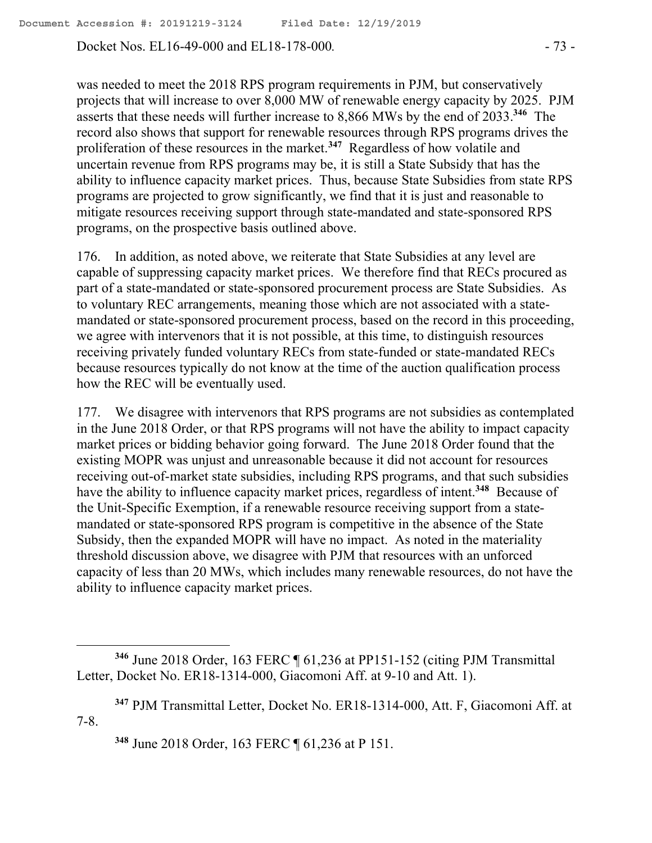Docket Nos. EL16-49-000 and EL18-178-000. - 73 -

was needed to meet the 2018 RPS program requirements in PJM, but conservatively projects that will increase to over 8,000 MW of renewable energy capacity by 2025. PJM asserts that these needs will further increase to 8,866 MWs by the end of 2033.**<sup>346</sup>** The record also shows that support for renewable resources through RPS programs drives the proliferation of these resources in the market. **347** Regardless of how volatile and uncertain revenue from RPS programs may be, it is still a State Subsidy that has the ability to influence capacity market prices. Thus, because State Subsidies from state RPS programs are projected to grow significantly, we find that it is just and reasonable to mitigate resources receiving support through state-mandated and state-sponsored RPS programs, on the prospective basis outlined above.

176. In addition, as noted above, we reiterate that State Subsidies at any level are capable of suppressing capacity market prices. We therefore find that RECs procured as part of a state-mandated or state-sponsored procurement process are State Subsidies. As to voluntary REC arrangements, meaning those which are not associated with a statemandated or state-sponsored procurement process, based on the record in this proceeding, we agree with intervenors that it is not possible, at this time, to distinguish resources receiving privately funded voluntary RECs from state-funded or state-mandated RECs because resources typically do not know at the time of the auction qualification process how the REC will be eventually used.

177. We disagree with intervenors that RPS programs are not subsidies as contemplated in the June 2018 Order, or that RPS programs will not have the ability to impact capacity market prices or bidding behavior going forward. The June 2018 Order found that the existing MOPR was unjust and unreasonable because it did not account for resources receiving out-of-market state subsidies, including RPS programs, and that such subsidies have the ability to influence capacity market prices, regardless of intent.**<sup>348</sup>** Because of the Unit-Specific Exemption, if a renewable resource receiving support from a statemandated or state-sponsored RPS program is competitive in the absence of the State Subsidy, then the expanded MOPR will have no impact. As noted in the materiality threshold discussion above, we disagree with PJM that resources with an unforced capacity of less than 20 MWs, which includes many renewable resources, do not have the ability to influence capacity market prices.

 $\overline{a}$ 

**<sup>346</sup>** June 2018 Order, 163 FERC ¶ 61,236 at PP151-152 (citing PJM Transmittal Letter, Docket No. ER18-1314-000, Giacomoni Aff. at 9-10 and Att. 1).

**<sup>347</sup>** PJM Transmittal Letter, Docket No. ER18-1314-000, Att. F, Giacomoni Aff. at 7-8.

**<sup>348</sup>** June 2018 Order, 163 FERC ¶ 61,236 at P 151.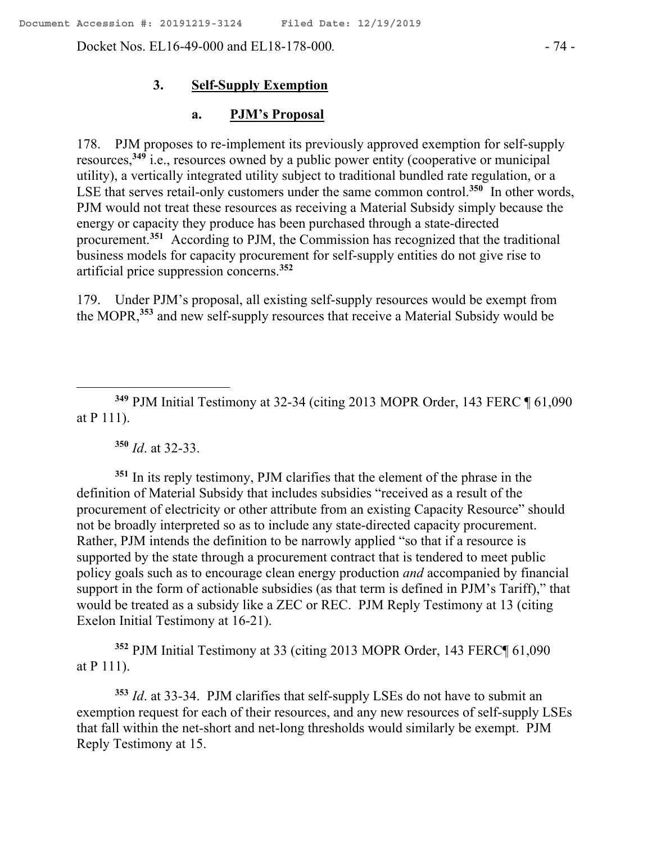Docket Nos. EL16-49-000 and EL18-178-000. - 74 -

#### **3. Self-Supply Exemption**

### **a. PJM's Proposal**

178. PJM proposes to re-implement its previously approved exemption for self-supply resources,**<sup>349</sup>** i.e., resources owned by a public power entity (cooperative or municipal utility), a vertically integrated utility subject to traditional bundled rate regulation, or a LSE that serves retail-only customers under the same common control.<sup>350</sup> In other words, PJM would not treat these resources as receiving a Material Subsidy simply because the energy or capacity they produce has been purchased through a state-directed procurement.**<sup>351</sup>** According to PJM, the Commission has recognized that the traditional business models for capacity procurement for self-supply entities do not give rise to artificial price suppression concerns.**<sup>352</sup>**

179. Under PJM's proposal, all existing self-supply resources would be exempt from the MOPR,**<sup>353</sup>** and new self-supply resources that receive a Material Subsidy would be

**<sup>349</sup>** PJM Initial Testimony at 32-34 (citing 2013 MOPR Order, 143 FERC ¶ 61,090 at P 111).

**<sup>350</sup>** *Id*. at 32-33.

 $\overline{a}$ 

**<sup>351</sup>** In its reply testimony, PJM clarifies that the element of the phrase in the definition of Material Subsidy that includes subsidies "received as a result of the procurement of electricity or other attribute from an existing Capacity Resource" should not be broadly interpreted so as to include any state-directed capacity procurement. Rather, PJM intends the definition to be narrowly applied "so that if a resource is supported by the state through a procurement contract that is tendered to meet public policy goals such as to encourage clean energy production *and* accompanied by financial support in the form of actionable subsidies (as that term is defined in PJM's Tariff)," that would be treated as a subsidy like a ZEC or REC. PJM Reply Testimony at 13 (citing Exelon Initial Testimony at 16-21).

**<sup>352</sup>** PJM Initial Testimony at 33 (citing 2013 MOPR Order, 143 FERC¶ 61,090 at P 111).

**<sup>353</sup>** *Id*. at 33-34. PJM clarifies that self-supply LSEs do not have to submit an exemption request for each of their resources, and any new resources of self-supply LSEs that fall within the net-short and net-long thresholds would similarly be exempt. PJM Reply Testimony at 15.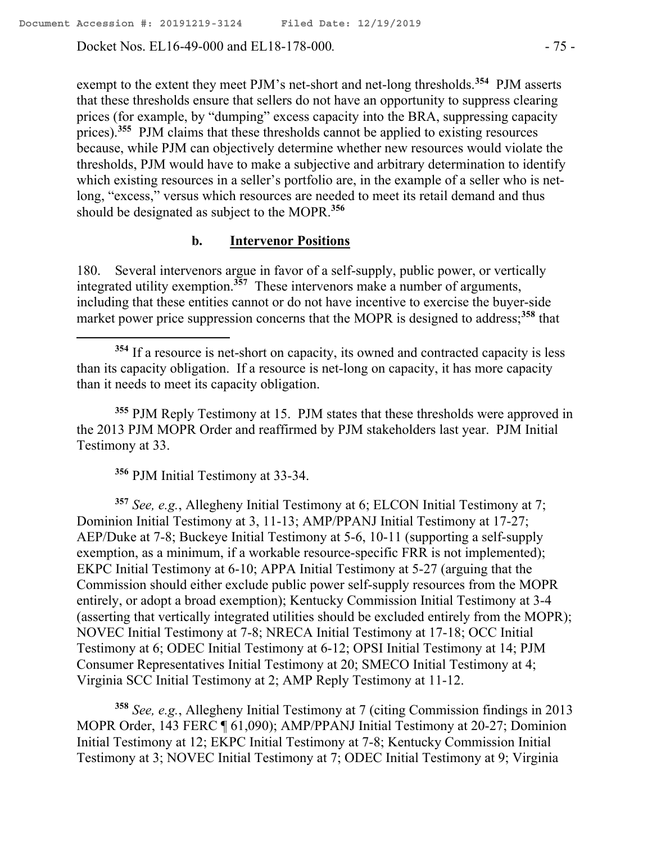Docket Nos. EL16-49-000 and EL18-178-000. - 75 -

exempt to the extent they meet PJM's net-short and net-long thresholds.**<sup>354</sup>** PJM asserts that these thresholds ensure that sellers do not have an opportunity to suppress clearing prices (for example, by "dumping" excess capacity into the BRA, suppressing capacity prices).**<sup>355</sup>** PJM claims that these thresholds cannot be applied to existing resources because, while PJM can objectively determine whether new resources would violate the thresholds, PJM would have to make a subjective and arbitrary determination to identify which existing resources in a seller's portfolio are, in the example of a seller who is netlong, "excess," versus which resources are needed to meet its retail demand and thus should be designated as subject to the MOPR.**<sup>356</sup>**

### **b. Intervenor Positions**

180. Several intervenors argue in favor of a self-supply, public power, or vertically integrated utility exemption.**<sup>357</sup>** These intervenors make a number of arguments, including that these entities cannot or do not have incentive to exercise the buyer-side market power price suppression concerns that the MOPR is designed to address;<sup>358</sup> that

**<sup>355</sup>** PJM Reply Testimony at 15. PJM states that these thresholds were approved in the 2013 PJM MOPR Order and reaffirmed by PJM stakeholders last year. PJM Initial Testimony at 33.

**<sup>356</sup>** PJM Initial Testimony at 33-34.

**<sup>357</sup>** *See, e.g.*, Allegheny Initial Testimony at 6; ELCON Initial Testimony at 7; Dominion Initial Testimony at 3, 11-13; AMP/PPANJ Initial Testimony at 17-27; AEP/Duke at 7-8; Buckeye Initial Testimony at 5-6, 10-11 (supporting a self-supply exemption, as a minimum, if a workable resource-specific FRR is not implemented); EKPC Initial Testimony at 6-10; APPA Initial Testimony at 5-27 (arguing that the Commission should either exclude public power self-supply resources from the MOPR entirely, or adopt a broad exemption); Kentucky Commission Initial Testimony at 3-4 (asserting that vertically integrated utilities should be excluded entirely from the MOPR); NOVEC Initial Testimony at 7-8; NRECA Initial Testimony at 17-18; OCC Initial Testimony at 6; ODEC Initial Testimony at 6-12; OPSI Initial Testimony at 14; PJM Consumer Representatives Initial Testimony at 20; SMECO Initial Testimony at 4; Virginia SCC Initial Testimony at 2; AMP Reply Testimony at 11-12.

**<sup>358</sup>** *See, e.g.*, Allegheny Initial Testimony at 7 (citing Commission findings in 2013 MOPR Order, 143 FERC ¶ 61,090); AMP/PPANJ Initial Testimony at 20-27; Dominion Initial Testimony at 12; EKPC Initial Testimony at 7-8; Kentucky Commission Initial Testimony at 3; NOVEC Initial Testimony at 7; ODEC Initial Testimony at 9; Virginia

**<sup>354</sup>** If a resource is net-short on capacity, its owned and contracted capacity is less than its capacity obligation. If a resource is net-long on capacity, it has more capacity than it needs to meet its capacity obligation.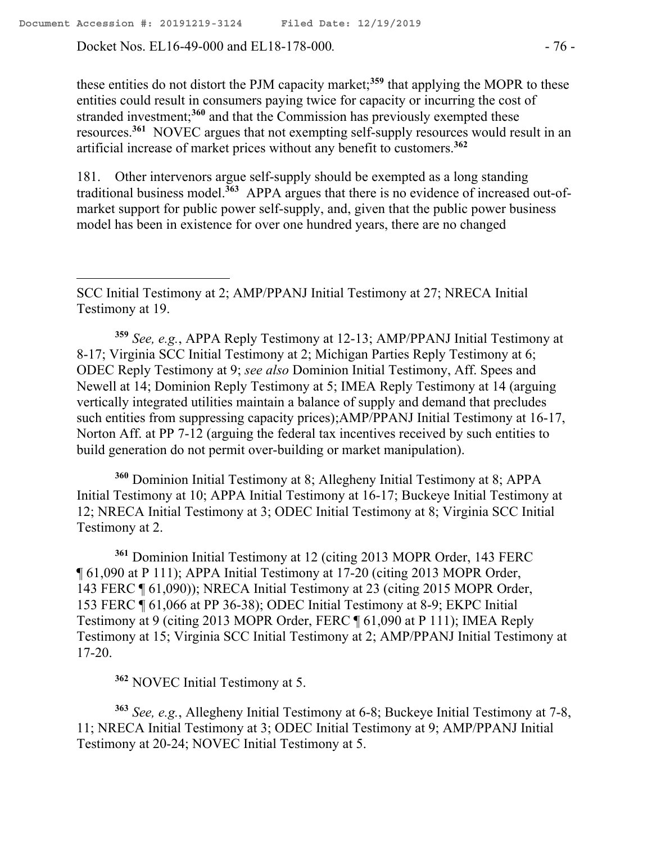Docket Nos. EL16-49-000 and EL18-178-000. - 76 -

these entities do not distort the PJM capacity market;**<sup>359</sup>** that applying the MOPR to these entities could result in consumers paying twice for capacity or incurring the cost of stranded investment;**<sup>360</sup>** and that the Commission has previously exempted these resources.**<sup>361</sup>** NOVEC argues that not exempting self-supply resources would result in an artificial increase of market prices without any benefit to customers.**<sup>362</sup>**

181. Other intervenors argue self-supply should be exempted as a long standing traditional business model.**<sup>363</sup>** APPA argues that there is no evidence of increased out-ofmarket support for public power self-supply, and, given that the public power business model has been in existence for over one hundred years, there are no changed

**<sup>359</sup>** *See, e.g.*, APPA Reply Testimony at 12-13; AMP/PPANJ Initial Testimony at 8-17; Virginia SCC Initial Testimony at 2; Michigan Parties Reply Testimony at 6; ODEC Reply Testimony at 9; *see also* Dominion Initial Testimony, Aff. Spees and Newell at 14; Dominion Reply Testimony at 5; IMEA Reply Testimony at 14 (arguing vertically integrated utilities maintain a balance of supply and demand that precludes such entities from suppressing capacity prices);AMP/PPANJ Initial Testimony at 16-17, Norton Aff. at PP 7-12 (arguing the federal tax incentives received by such entities to build generation do not permit over-building or market manipulation).

**<sup>360</sup>** Dominion Initial Testimony at 8; Allegheny Initial Testimony at 8; APPA Initial Testimony at 10; APPA Initial Testimony at 16-17; Buckeye Initial Testimony at 12; NRECA Initial Testimony at 3; ODEC Initial Testimony at 8; Virginia SCC Initial Testimony at 2.

**<sup>361</sup>** Dominion Initial Testimony at 12 (citing 2013 MOPR Order, 143 FERC ¶ 61,090 at P 111); APPA Initial Testimony at 17-20 (citing 2013 MOPR Order, 143 FERC ¶ 61,090)); NRECA Initial Testimony at 23 (citing 2015 MOPR Order, 153 FERC ¶ 61,066 at PP 36-38); ODEC Initial Testimony at 8-9; EKPC Initial Testimony at 9 (citing 2013 MOPR Order, FERC ¶ 61,090 at P 111); IMEA Reply Testimony at 15; Virginia SCC Initial Testimony at 2; AMP/PPANJ Initial Testimony at 17-20.

**<sup>362</sup>** NOVEC Initial Testimony at 5.

**<sup>363</sup>** *See, e.g.*, Allegheny Initial Testimony at 6-8; Buckeye Initial Testimony at 7-8, 11; NRECA Initial Testimony at 3; ODEC Initial Testimony at 9; AMP/PPANJ Initial Testimony at 20-24; NOVEC Initial Testimony at 5.

SCC Initial Testimony at 2; AMP/PPANJ Initial Testimony at 27; NRECA Initial Testimony at 19.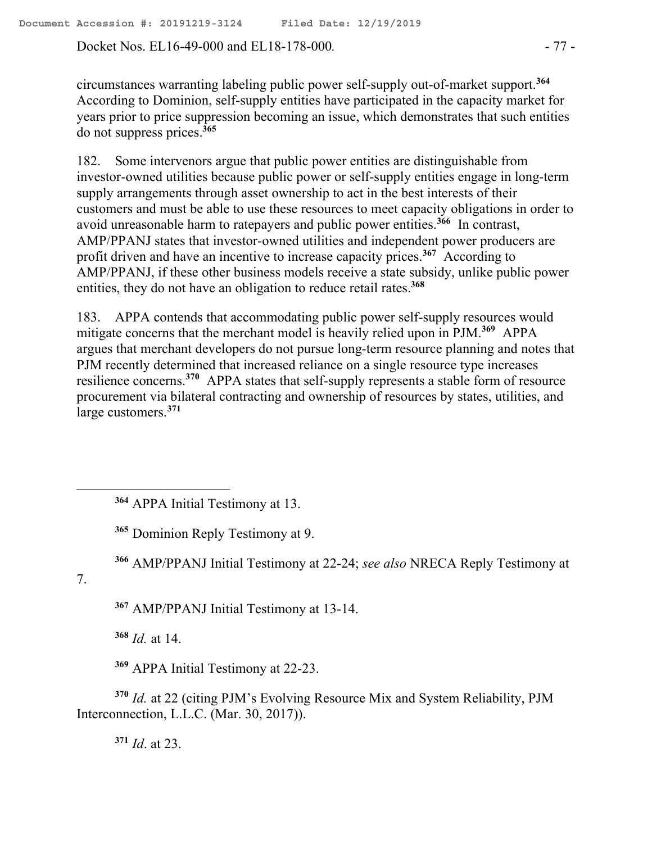Docket Nos. EL16-49-000 and EL18-178-000. - 77 -

circumstances warranting labeling public power self-supply out-of-market support.**<sup>364</sup>** According to Dominion, self-supply entities have participated in the capacity market for years prior to price suppression becoming an issue, which demonstrates that such entities do not suppress prices.**<sup>365</sup>**

182. Some intervenors argue that public power entities are distinguishable from investor-owned utilities because public power or self-supply entities engage in long-term supply arrangements through asset ownership to act in the best interests of their customers and must be able to use these resources to meet capacity obligations in order to avoid unreasonable harm to ratepayers and public power entities.**<sup>366</sup>** In contrast, AMP/PPANJ states that investor-owned utilities and independent power producers are profit driven and have an incentive to increase capacity prices.**<sup>367</sup>** According to AMP/PPANJ, if these other business models receive a state subsidy, unlike public power entities, they do not have an obligation to reduce retail rates.**<sup>368</sup>**

183. APPA contends that accommodating public power self-supply resources would mitigate concerns that the merchant model is heavily relied upon in PJM.**<sup>369</sup>** APPA argues that merchant developers do not pursue long-term resource planning and notes that PJM recently determined that increased reliance on a single resource type increases resilience concerns.**<sup>370</sup>** APPA states that self-supply represents a stable form of resource procurement via bilateral contracting and ownership of resources by states, utilities, and large customers.**<sup>371</sup>**

**<sup>364</sup>** APPA Initial Testimony at 13.

**<sup>365</sup>** Dominion Reply Testimony at 9.

**<sup>366</sup>** AMP/PPANJ Initial Testimony at 22-24; *see also* NRECA Reply Testimony at

7.

 $\overline{a}$ 

**<sup>367</sup>** AMP/PPANJ Initial Testimony at 13-14.

**<sup>368</sup>** *Id.* at 14.

**<sup>369</sup>** APPA Initial Testimony at 22-23.

**<sup>370</sup>** *Id.* at 22 (citing PJM's Evolving Resource Mix and System Reliability, PJM Interconnection, L.L.C. (Mar. 30, 2017)).

**<sup>371</sup>** *Id*. at 23.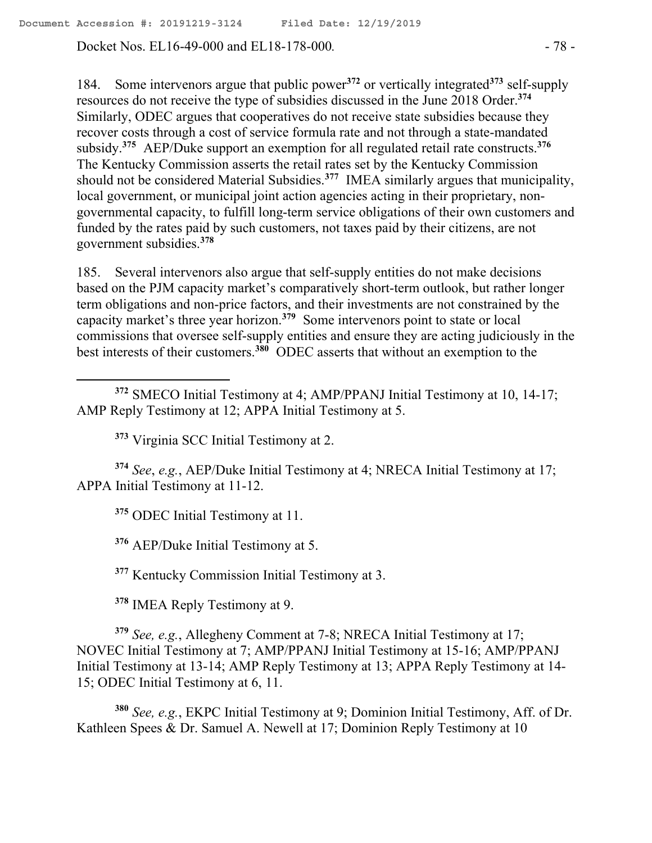Docket Nos. EL16-49-000 and EL18-178-000. - 78 -

184. Some intervenors argue that public power**<sup>372</sup>** or vertically integrated**<sup>373</sup>** self-supply resources do not receive the type of subsidies discussed in the June 2018 Order.**<sup>374</sup>** Similarly, ODEC argues that cooperatives do not receive state subsidies because they recover costs through a cost of service formula rate and not through a state-mandated subsidy.**<sup>375</sup>** AEP/Duke support an exemption for all regulated retail rate constructs.**<sup>376</sup>** The Kentucky Commission asserts the retail rates set by the Kentucky Commission should not be considered Material Subsidies.**<sup>377</sup>** IMEA similarly argues that municipality, local government, or municipal joint action agencies acting in their proprietary, nongovernmental capacity, to fulfill long-term service obligations of their own customers and funded by the rates paid by such customers, not taxes paid by their citizens, are not government subsidies.**<sup>378</sup>**

185. Several intervenors also argue that self-supply entities do not make decisions based on the PJM capacity market's comparatively short-term outlook, but rather longer term obligations and non-price factors, and their investments are not constrained by the capacity market's three year horizon.**<sup>379</sup>** Some intervenors point to state or local commissions that oversee self-supply entities and ensure they are acting judiciously in the best interests of their customers.**<sup>380</sup>** ODEC asserts that without an exemption to the

**<sup>372</sup>** SMECO Initial Testimony at 4; AMP/PPANJ Initial Testimony at 10, 14-17; AMP Reply Testimony at 12; APPA Initial Testimony at 5.

**<sup>373</sup>** Virginia SCC Initial Testimony at 2.

**<sup>374</sup>** *See*, *e.g.*, AEP/Duke Initial Testimony at 4; NRECA Initial Testimony at 17; APPA Initial Testimony at 11-12.

**<sup>375</sup>** ODEC Initial Testimony at 11.

 $\overline{a}$ 

**<sup>376</sup>** AEP/Duke Initial Testimony at 5.

**<sup>377</sup>** Kentucky Commission Initial Testimony at 3.

**<sup>378</sup>** IMEA Reply Testimony at 9.

**<sup>379</sup>** *See, e.g.*, Allegheny Comment at 7-8; NRECA Initial Testimony at 17; NOVEC Initial Testimony at 7; AMP/PPANJ Initial Testimony at 15-16; AMP/PPANJ Initial Testimony at 13-14; AMP Reply Testimony at 13; APPA Reply Testimony at 14- 15; ODEC Initial Testimony at 6, 11.

**<sup>380</sup>** *See, e.g.*, EKPC Initial Testimony at 9; Dominion Initial Testimony, Aff. of Dr. Kathleen Spees & Dr. Samuel A. Newell at 17; Dominion Reply Testimony at 10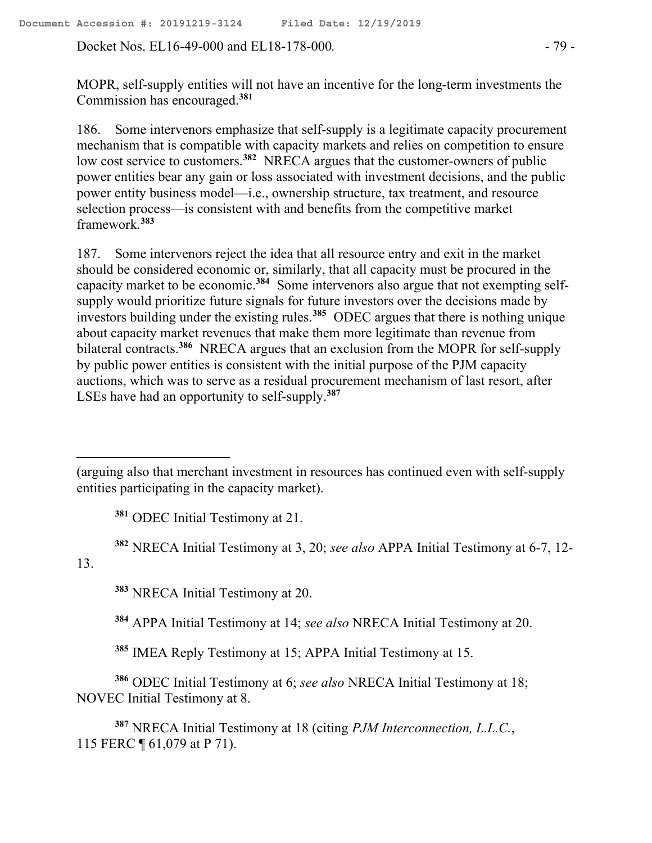Docket Nos. EL16-49-000 and EL18-178-000. - 79 -

MOPR, self-supply entities will not have an incentive for the long-term investments the Commission has encouraged.**<sup>381</sup>**

186. Some intervenors emphasize that self-supply is a legitimate capacity procurement mechanism that is compatible with capacity markets and relies on competition to ensure low cost service to customers.<sup>382</sup> NRECA argues that the customer-owners of public power entities bear any gain or loss associated with investment decisions, and the public power entity business model—i.e., ownership structure, tax treatment, and resource selection process—is consistent with and benefits from the competitive market framework. **383**

187. Some intervenors reject the idea that all resource entry and exit in the market should be considered economic or, similarly, that all capacity must be procured in the capacity market to be economic.**<sup>384</sup>** Some intervenors also argue that not exempting selfsupply would prioritize future signals for future investors over the decisions made by investors building under the existing rules.**<sup>385</sup>** ODEC argues that there is nothing unique about capacity market revenues that make them more legitimate than revenue from bilateral contracts.**<sup>386</sup>** NRECA argues that an exclusion from the MOPR for self-supply by public power entities is consistent with the initial purpose of the PJM capacity auctions, which was to serve as a residual procurement mechanism of last resort, after LSEs have had an opportunity to self-supply.**<sup>387</sup>**

**<sup>381</sup>** ODEC Initial Testimony at 21.

**<sup>382</sup>** NRECA Initial Testimony at 3, 20; *see also* APPA Initial Testimony at 6-7, 12-

13.

 $\overline{a}$ 

**<sup>383</sup>** NRECA Initial Testimony at 20.

**<sup>384</sup>** APPA Initial Testimony at 14; *see also* NRECA Initial Testimony at 20.

**<sup>385</sup>** IMEA Reply Testimony at 15; APPA Initial Testimony at 15.

**<sup>386</sup>** ODEC Initial Testimony at 6; *see also* NRECA Initial Testimony at 18; NOVEC Initial Testimony at 8.

**<sup>387</sup>** NRECA Initial Testimony at 18 (citing *PJM Interconnection, L.L.C.*, 115 FERC ¶ 61,079 at P 71).

<sup>(</sup>arguing also that merchant investment in resources has continued even with self-supply entities participating in the capacity market).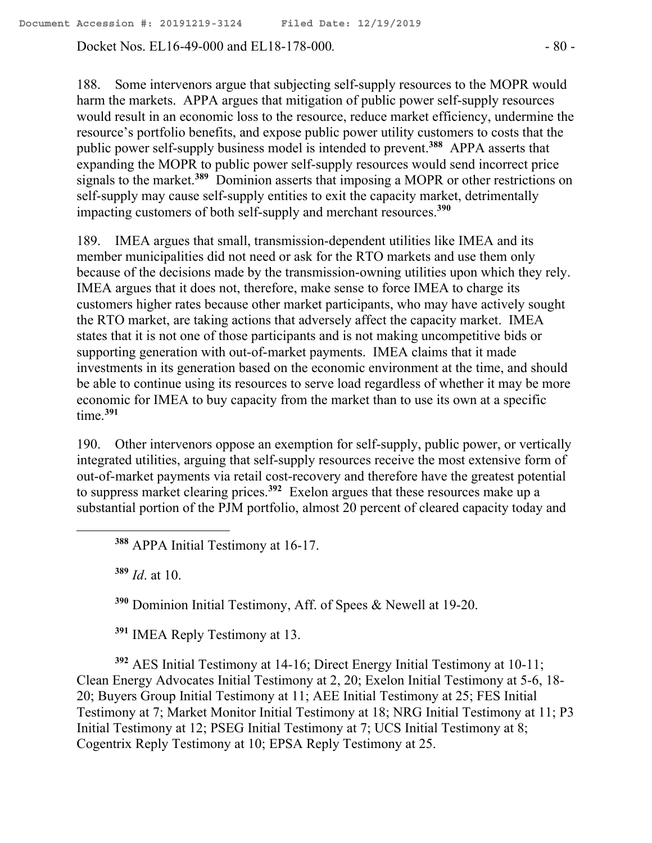Docket Nos. EL16-49-000 and EL18-178-000*.* - 80 -

188. Some intervenors argue that subjecting self-supply resources to the MOPR would harm the markets. APPA argues that mitigation of public power self-supply resources would result in an economic loss to the resource, reduce market efficiency, undermine the resource's portfolio benefits, and expose public power utility customers to costs that the public power self-supply business model is intended to prevent.**<sup>388</sup>** APPA asserts that expanding the MOPR to public power self-supply resources would send incorrect price signals to the market.**<sup>389</sup>** Dominion asserts that imposing a MOPR or other restrictions on self-supply may cause self-supply entities to exit the capacity market, detrimentally impacting customers of both self-supply and merchant resources.**<sup>390</sup>**

189. IMEA argues that small, transmission-dependent utilities like IMEA and its member municipalities did not need or ask for the RTO markets and use them only because of the decisions made by the transmission-owning utilities upon which they rely. IMEA argues that it does not, therefore, make sense to force IMEA to charge its customers higher rates because other market participants, who may have actively sought the RTO market, are taking actions that adversely affect the capacity market. IMEA states that it is not one of those participants and is not making uncompetitive bids or supporting generation with out-of-market payments. IMEA claims that it made investments in its generation based on the economic environment at the time, and should be able to continue using its resources to serve load regardless of whether it may be more economic for IMEA to buy capacity from the market than to use its own at a specific time.**<sup>391</sup>**

190. Other intervenors oppose an exemption for self-supply, public power, or vertically integrated utilities, arguing that self-supply resources receive the most extensive form of out-of-market payments via retail cost-recovery and therefore have the greatest potential to suppress market clearing prices.**<sup>392</sup>** Exelon argues that these resources make up a substantial portion of the PJM portfolio, almost 20 percent of cleared capacity today and

**<sup>388</sup>** APPA Initial Testimony at 16-17.

**<sup>389</sup>** *Id*. at 10.

 $\overline{a}$ 

**<sup>390</sup>** Dominion Initial Testimony, Aff. of Spees & Newell at 19-20.

**<sup>391</sup>** IMEA Reply Testimony at 13.

**<sup>392</sup>** AES Initial Testimony at 14-16; Direct Energy Initial Testimony at 10-11; Clean Energy Advocates Initial Testimony at 2, 20; Exelon Initial Testimony at 5-6, 18- 20; Buyers Group Initial Testimony at 11; AEE Initial Testimony at 25; FES Initial Testimony at 7; Market Monitor Initial Testimony at 18; NRG Initial Testimony at 11; P3 Initial Testimony at 12; PSEG Initial Testimony at 7; UCS Initial Testimony at 8; Cogentrix Reply Testimony at 10; EPSA Reply Testimony at 25.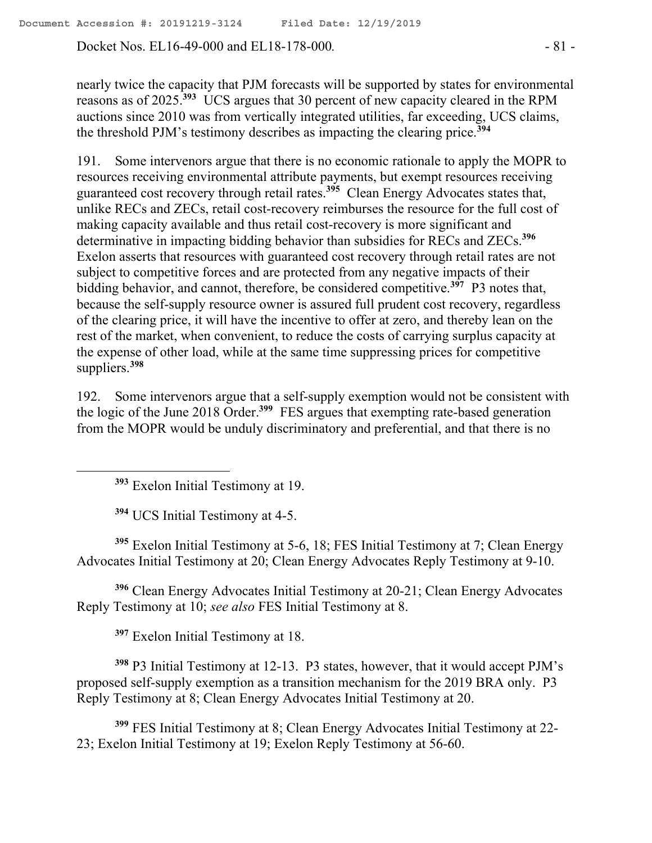Docket Nos. EL16-49-000 and EL18-178-000*.* - 81 -

nearly twice the capacity that PJM forecasts will be supported by states for environmental reasons as of 2025.**<sup>393</sup>** UCS argues that 30 percent of new capacity cleared in the RPM auctions since 2010 was from vertically integrated utilities, far exceeding, UCS claims, the threshold PJM's testimony describes as impacting the clearing price.**<sup>394</sup>**

191. Some intervenors argue that there is no economic rationale to apply the MOPR to resources receiving environmental attribute payments, but exempt resources receiving guaranteed cost recovery through retail rates.**<sup>395</sup>** Clean Energy Advocates states that, unlike RECs and ZECs, retail cost-recovery reimburses the resource for the full cost of making capacity available and thus retail cost-recovery is more significant and determinative in impacting bidding behavior than subsidies for RECs and ZECs.**<sup>396</sup>** Exelon asserts that resources with guaranteed cost recovery through retail rates are not subject to competitive forces and are protected from any negative impacts of their bidding behavior, and cannot, therefore, be considered competitive.**<sup>397</sup>** P3 notes that, because the self-supply resource owner is assured full prudent cost recovery, regardless of the clearing price, it will have the incentive to offer at zero, and thereby lean on the rest of the market, when convenient, to reduce the costs of carrying surplus capacity at the expense of other load, while at the same time suppressing prices for competitive suppliers.**<sup>398</sup>**

192. Some intervenors argue that a self-supply exemption would not be consistent with the logic of the June 2018 Order.**<sup>399</sup>** FES argues that exempting rate-based generation from the MOPR would be unduly discriminatory and preferential, and that there is no

**<sup>393</sup>** Exelon Initial Testimony at 19.

**<sup>394</sup>** UCS Initial Testimony at 4-5.

**<sup>395</sup>** Exelon Initial Testimony at 5-6, 18; FES Initial Testimony at 7; Clean Energy Advocates Initial Testimony at 20; Clean Energy Advocates Reply Testimony at 9-10.

**<sup>396</sup>** Clean Energy Advocates Initial Testimony at 20-21; Clean Energy Advocates Reply Testimony at 10; *see also* FES Initial Testimony at 8.

**<sup>397</sup>** Exelon Initial Testimony at 18.

**<sup>398</sup>** P3 Initial Testimony at 12-13. P3 states, however, that it would accept PJM's proposed self-supply exemption as a transition mechanism for the 2019 BRA only. P3 Reply Testimony at 8; Clean Energy Advocates Initial Testimony at 20.

**<sup>399</sup>** FES Initial Testimony at 8; Clean Energy Advocates Initial Testimony at 22- 23; Exelon Initial Testimony at 19; Exelon Reply Testimony at 56-60.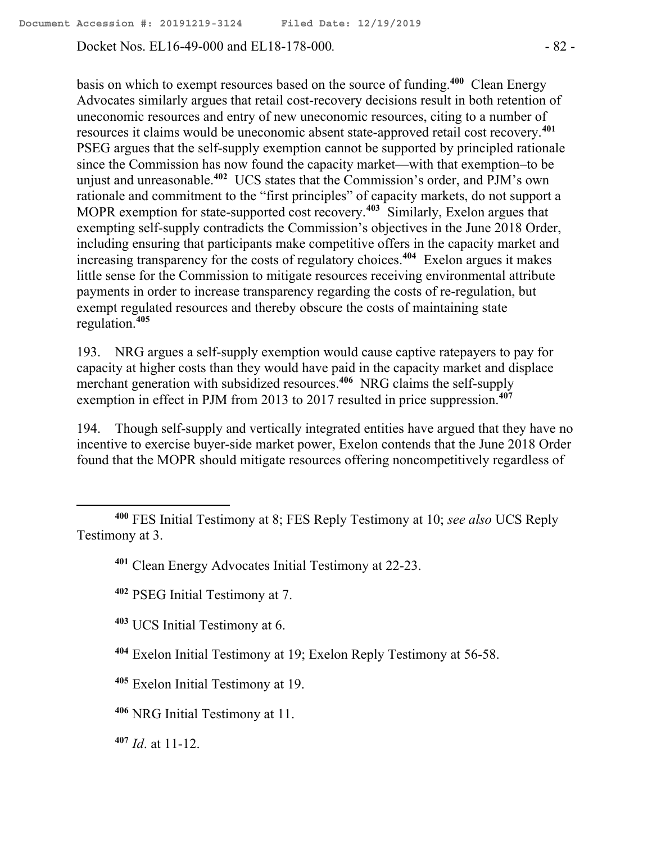Docket Nos. EL16-49-000 and EL18-178-000*.* - 82 -

basis on which to exempt resources based on the source of funding. **400** Clean Energy Advocates similarly argues that retail cost-recovery decisions result in both retention of uneconomic resources and entry of new uneconomic resources, citing to a number of resources it claims would be uneconomic absent state-approved retail cost recovery.**<sup>401</sup>** PSEG argues that the self-supply exemption cannot be supported by principled rationale since the Commission has now found the capacity market—with that exemption–to be unjust and unreasonable.**<sup>402</sup>** UCS states that the Commission's order, and PJM's own rationale and commitment to the "first principles" of capacity markets, do not support a MOPR exemption for state-supported cost recovery.**<sup>403</sup>** Similarly, Exelon argues that exempting self-supply contradicts the Commission's objectives in the June 2018 Order, including ensuring that participants make competitive offers in the capacity market and increasing transparency for the costs of regulatory choices.**<sup>404</sup>** Exelon argues it makes little sense for the Commission to mitigate resources receiving environmental attribute payments in order to increase transparency regarding the costs of re-regulation, but exempt regulated resources and thereby obscure the costs of maintaining state regulation.**<sup>405</sup>**

193. NRG argues a self-supply exemption would cause captive ratepayers to pay for capacity at higher costs than they would have paid in the capacity market and displace merchant generation with subsidized resources.**<sup>406</sup>** NRG claims the self-supply exemption in effect in PJM from 2013 to 2017 resulted in price suppression.**<sup>407</sup>**

194. Though self-supply and vertically integrated entities have argued that they have no incentive to exercise buyer-side market power, Exelon contends that the June 2018 Order found that the MOPR should mitigate resources offering noncompetitively regardless of

- **<sup>403</sup>** UCS Initial Testimony at 6.
- **<sup>404</sup>** Exelon Initial Testimony at 19; Exelon Reply Testimony at 56-58.
- **<sup>405</sup>** Exelon Initial Testimony at 19.
- **<sup>406</sup>** NRG Initial Testimony at 11.
- **<sup>407</sup>** *Id*. at 11-12.

 $\overline{a}$ 

**<sup>400</sup>** FES Initial Testimony at 8; FES Reply Testimony at 10; *see also* UCS Reply Testimony at 3.

**<sup>401</sup>** Clean Energy Advocates Initial Testimony at 22-23.

**<sup>402</sup>** PSEG Initial Testimony at 7.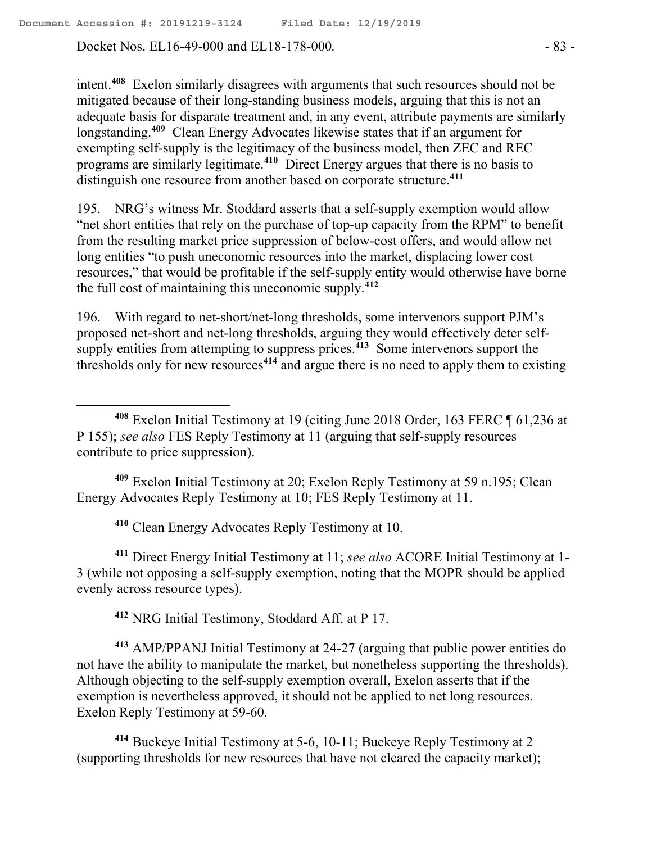Docket Nos. EL16-49-000 and EL18-178-000*.* - 83 -

 $\overline{a}$ 

intent.**<sup>408</sup>** Exelon similarly disagrees with arguments that such resources should not be mitigated because of their long-standing business models, arguing that this is not an adequate basis for disparate treatment and, in any event, attribute payments are similarly longstanding.**<sup>409</sup>** Clean Energy Advocates likewise states that if an argument for exempting self-supply is the legitimacy of the business model, then ZEC and REC programs are similarly legitimate.**<sup>410</sup>** Direct Energy argues that there is no basis to distinguish one resource from another based on corporate structure.**<sup>411</sup>**

195. NRG's witness Mr. Stoddard asserts that a self-supply exemption would allow "net short entities that rely on the purchase of top-up capacity from the RPM" to benefit from the resulting market price suppression of below-cost offers, and would allow net long entities "to push uneconomic resources into the market, displacing lower cost resources," that would be profitable if the self-supply entity would otherwise have borne the full cost of maintaining this uneconomic supply.**<sup>412</sup>**

196. With regard to net-short/net-long thresholds, some intervenors support PJM's proposed net-short and net-long thresholds, arguing they would effectively deter selfsupply entities from attempting to suppress prices.**<sup>413</sup>** Some intervenors support the thresholds only for new resources**<sup>414</sup>** and argue there is no need to apply them to existing

**<sup>409</sup>** Exelon Initial Testimony at 20; Exelon Reply Testimony at 59 n.195; Clean Energy Advocates Reply Testimony at 10; FES Reply Testimony at 11.

**<sup>410</sup>** Clean Energy Advocates Reply Testimony at 10.

**<sup>411</sup>** Direct Energy Initial Testimony at 11; *see also* ACORE Initial Testimony at 1- 3 (while not opposing a self-supply exemption, noting that the MOPR should be applied evenly across resource types).

**<sup>412</sup>** NRG Initial Testimony, Stoddard Aff. at P 17.

**<sup>413</sup>** AMP/PPANJ Initial Testimony at 24-27 (arguing that public power entities do not have the ability to manipulate the market, but nonetheless supporting the thresholds). Although objecting to the self-supply exemption overall, Exelon asserts that if the exemption is nevertheless approved, it should not be applied to net long resources. Exelon Reply Testimony at 59-60.

**<sup>414</sup>** Buckeye Initial Testimony at 5-6, 10-11; Buckeye Reply Testimony at 2 (supporting thresholds for new resources that have not cleared the capacity market);

**<sup>408</sup>** Exelon Initial Testimony at 19 (citing June 2018 Order, 163 FERC ¶ 61,236 at P 155); *see also* FES Reply Testimony at 11 (arguing that self-supply resources contribute to price suppression).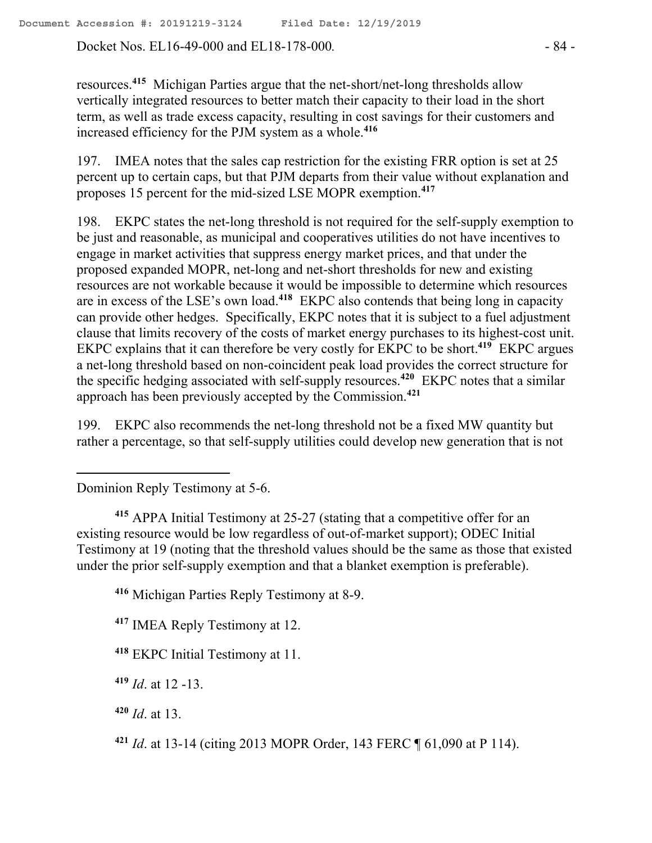Docket Nos. EL16-49-000 and EL18-178-000*.* - 84 -

resources.**<sup>415</sup>** Michigan Parties argue that the net-short/net-long thresholds allow vertically integrated resources to better match their capacity to their load in the short term, as well as trade excess capacity, resulting in cost savings for their customers and increased efficiency for the PJM system as a whole.**<sup>416</sup>**

197. IMEA notes that the sales cap restriction for the existing FRR option is set at 25 percent up to certain caps, but that PJM departs from their value without explanation and proposes 15 percent for the mid-sized LSE MOPR exemption.**<sup>417</sup>**

198. EKPC states the net-long threshold is not required for the self-supply exemption to be just and reasonable, as municipal and cooperatives utilities do not have incentives to engage in market activities that suppress energy market prices, and that under the proposed expanded MOPR, net-long and net-short thresholds for new and existing resources are not workable because it would be impossible to determine which resources are in excess of the LSE's own load.**<sup>418</sup>** EKPC also contends that being long in capacity can provide other hedges. Specifically, EKPC notes that it is subject to a fuel adjustment clause that limits recovery of the costs of market energy purchases to its highest-cost unit. EKPC explains that it can therefore be very costly for EKPC to be short.**<sup>419</sup>** EKPC argues a net-long threshold based on non-coincident peak load provides the correct structure for the specific hedging associated with self-supply resources.**<sup>420</sup>** EKPC notes that a similar approach has been previously accepted by the Commission.**<sup>421</sup>**

199. EKPC also recommends the net-long threshold not be a fixed MW quantity but rather a percentage, so that self-supply utilities could develop new generation that is not

Dominion Reply Testimony at 5-6.

 $\overline{a}$ 

**<sup>415</sup>** APPA Initial Testimony at 25-27 (stating that a competitive offer for an existing resource would be low regardless of out-of-market support); ODEC Initial Testimony at 19 (noting that the threshold values should be the same as those that existed under the prior self-supply exemption and that a blanket exemption is preferable).

**<sup>416</sup>** Michigan Parties Reply Testimony at 8-9.

**<sup>417</sup>** IMEA Reply Testimony at 12.

**<sup>418</sup>** EKPC Initial Testimony at 11.

**<sup>419</sup>** *Id*. at 12 -13.

**<sup>420</sup>** *Id*. at 13.

**<sup>421</sup>** *Id*. at 13-14 (citing 2013 MOPR Order, 143 FERC ¶ 61,090 at P 114).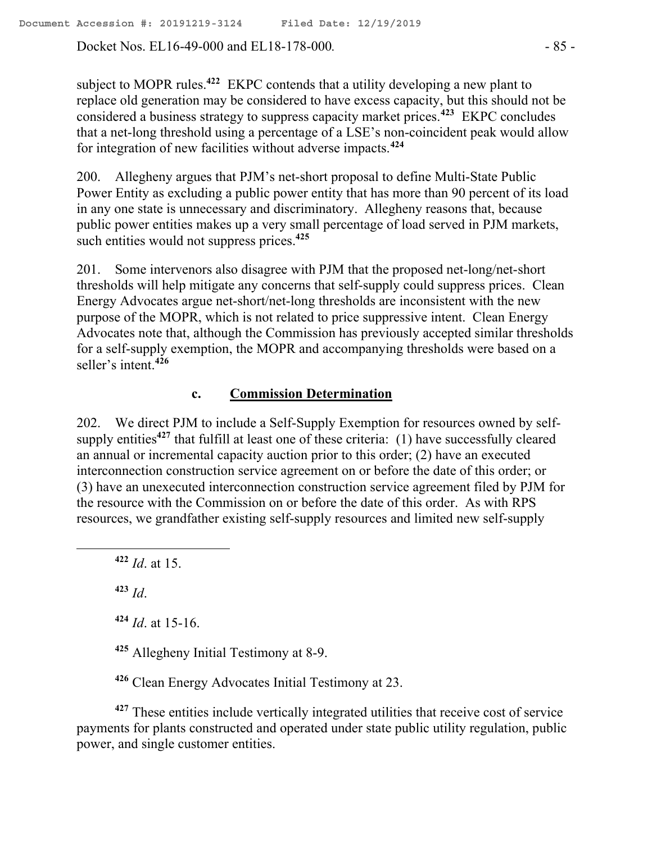Docket Nos. EL16-49-000 and EL18-178-000*.* - 85 -

subject to MOPR rules.**<sup>422</sup>** EKPC contends that a utility developing a new plant to replace old generation may be considered to have excess capacity, but this should not be considered a business strategy to suppress capacity market prices.**<sup>423</sup>** EKPC concludes that a net-long threshold using a percentage of a LSE's non-coincident peak would allow for integration of new facilities without adverse impacts.**<sup>424</sup>**

200. Allegheny argues that PJM's net-short proposal to define Multi-State Public Power Entity as excluding a public power entity that has more than 90 percent of its load in any one state is unnecessary and discriminatory. Allegheny reasons that, because public power entities makes up a very small percentage of load served in PJM markets, such entities would not suppress prices.<sup>425</sup>

201. Some intervenors also disagree with PJM that the proposed net-long/net-short thresholds will help mitigate any concerns that self-supply could suppress prices. Clean Energy Advocates argue net-short/net-long thresholds are inconsistent with the new purpose of the MOPR, which is not related to price suppressive intent. Clean Energy Advocates note that, although the Commission has previously accepted similar thresholds for a self-supply exemption, the MOPR and accompanying thresholds were based on a seller's intent.**<sup>426</sup>**

## **c. Commission Determination**

202. We direct PJM to include a Self-Supply Exemption for resources owned by selfsupply entities<sup>427</sup> that fulfill at least one of these criteria: (1) have successfully cleared an annual or incremental capacity auction prior to this order; (2) have an executed interconnection construction service agreement on or before the date of this order; or (3) have an unexecuted interconnection construction service agreement filed by PJM for the resource with the Commission on or before the date of this order. As with RPS resources, we grandfather existing self-supply resources and limited new self-supply

**<sup>422</sup>** *Id*. at 15.

**<sup>423</sup>** *Id*.

 $\overline{a}$ 

**<sup>424</sup>** *Id*. at 15-16.

**<sup>425</sup>** Allegheny Initial Testimony at 8-9.

**<sup>426</sup>** Clean Energy Advocates Initial Testimony at 23.

**<sup>427</sup>** These entities include vertically integrated utilities that receive cost of service payments for plants constructed and operated under state public utility regulation, public power, and single customer entities.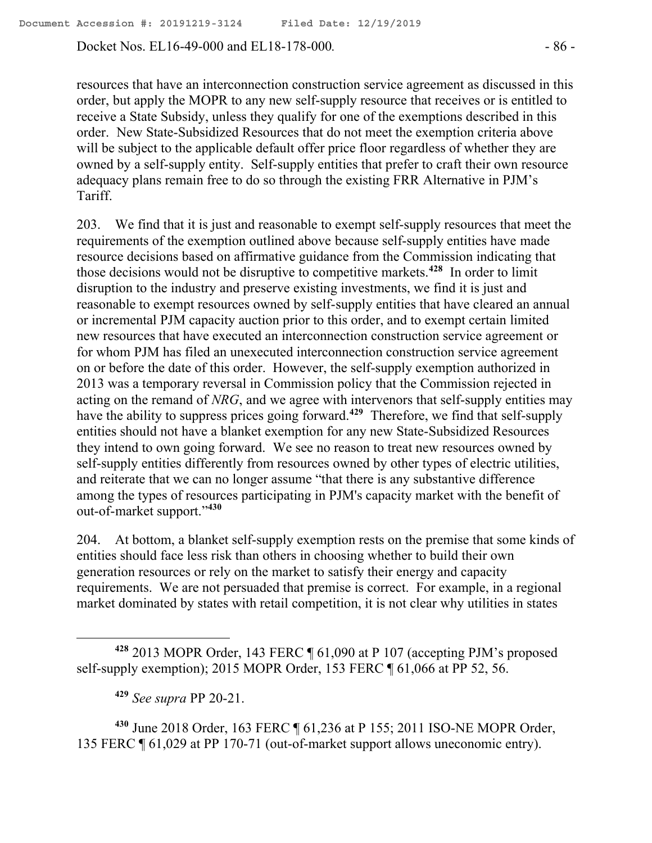Docket Nos. EL16-49-000 and EL18-178-000*.* - 86 -

resources that have an interconnection construction service agreement as discussed in this order, but apply the MOPR to any new self-supply resource that receives or is entitled to receive a State Subsidy, unless they qualify for one of the exemptions described in this order. New State-Subsidized Resources that do not meet the exemption criteria above will be subject to the applicable default offer price floor regardless of whether they are owned by a self-supply entity. Self-supply entities that prefer to craft their own resource adequacy plans remain free to do so through the existing FRR Alternative in PJM's Tariff.

203. We find that it is just and reasonable to exempt self-supply resources that meet the requirements of the exemption outlined above because self-supply entities have made resource decisions based on affirmative guidance from the Commission indicating that those decisions would not be disruptive to competitive markets.**<sup>428</sup>** In order to limit disruption to the industry and preserve existing investments, we find it is just and reasonable to exempt resources owned by self-supply entities that have cleared an annual or incremental PJM capacity auction prior to this order, and to exempt certain limited new resources that have executed an interconnection construction service agreement or for whom PJM has filed an unexecuted interconnection construction service agreement on or before the date of this order. However, the self-supply exemption authorized in 2013 was a temporary reversal in Commission policy that the Commission rejected in acting on the remand of *NRG*, and we agree with intervenors that self-supply entities may have the ability to suppress prices going forward.<sup>429</sup> Therefore, we find that self-supply entities should not have a blanket exemption for any new State-Subsidized Resources they intend to own going forward. We see no reason to treat new resources owned by self-supply entities differently from resources owned by other types of electric utilities, and reiterate that we can no longer assume "that there is any substantive difference among the types of resources participating in PJM's capacity market with the benefit of out-of-market support." **430**

204. At bottom, a blanket self-supply exemption rests on the premise that some kinds of entities should face less risk than others in choosing whether to build their own generation resources or rely on the market to satisfy their energy and capacity requirements. We are not persuaded that premise is correct. For example, in a regional market dominated by states with retail competition, it is not clear why utilities in states

**<sup>429</sup>** *See supra* PP 20-21.

**<sup>430</sup>** June 2018 Order, 163 FERC ¶ 61,236 at P 155; 2011 ISO-NE MOPR Order, 135 FERC ¶ 61,029 at PP 170-71 (out-of-market support allows uneconomic entry).

**<sup>428</sup>** 2013 MOPR Order, 143 FERC ¶ 61,090 at P 107 (accepting PJM's proposed self-supply exemption); 2015 MOPR Order, 153 FERC ¶ 61,066 at PP 52, 56.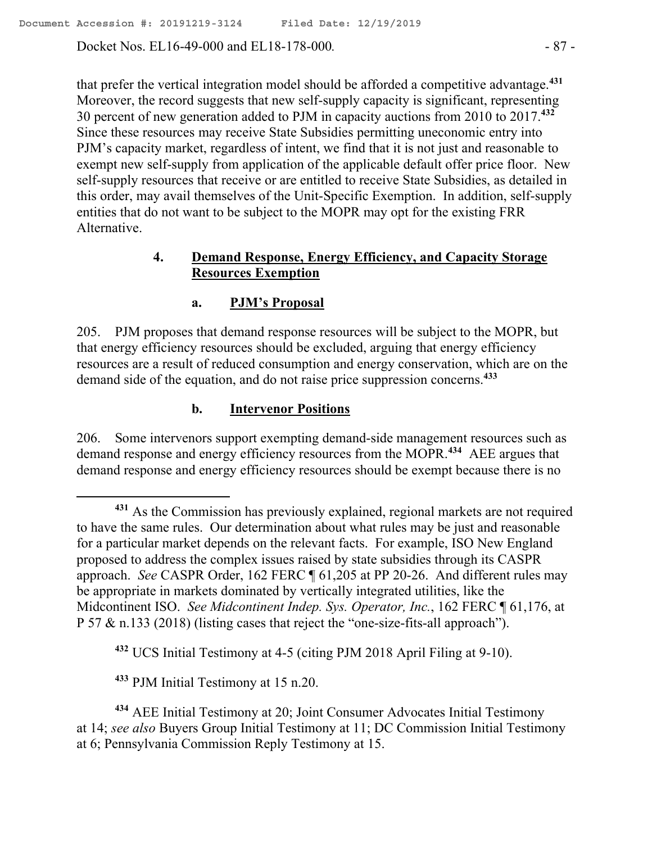Docket Nos. EL16-49-000 and EL18-178-000*.* - 87 -

that prefer the vertical integration model should be afforded a competitive advantage.**<sup>431</sup>** Moreover, the record suggests that new self-supply capacity is significant, representing 30 percent of new generation added to PJM in capacity auctions from 2010 to 2017. **432** Since these resources may receive State Subsidies permitting uneconomic entry into PJM's capacity market, regardless of intent, we find that it is not just and reasonable to exempt new self-supply from application of the applicable default offer price floor. New self-supply resources that receive or are entitled to receive State Subsidies, as detailed in this order, may avail themselves of the Unit-Specific Exemption. In addition, self-supply entities that do not want to be subject to the MOPR may opt for the existing FRR Alternative.

# **4. Demand Response, Energy Efficiency, and Capacity Storage Resources Exemption**

# **a. PJM's Proposal**

205. PJM proposes that demand response resources will be subject to the MOPR, but that energy efficiency resources should be excluded, arguing that energy efficiency resources are a result of reduced consumption and energy conservation, which are on the demand side of the equation, and do not raise price suppression concerns.**<sup>433</sup>**

# **b. Intervenor Positions**

206. Some intervenors support exempting demand-side management resources such as demand response and energy efficiency resources from the MOPR.**<sup>434</sup>** AEE argues that demand response and energy efficiency resources should be exempt because there is no

**<sup>432</sup>** UCS Initial Testimony at 4-5 (citing PJM 2018 April Filing at 9-10).

**<sup>433</sup>** PJM Initial Testimony at 15 n.20.

**<sup>434</sup>** AEE Initial Testimony at 20; Joint Consumer Advocates Initial Testimony at 14; *see also* Buyers Group Initial Testimony at 11; DC Commission Initial Testimony at 6; Pennsylvania Commission Reply Testimony at 15.

**<sup>431</sup>** As the Commission has previously explained, regional markets are not required to have the same rules. Our determination about what rules may be just and reasonable for a particular market depends on the relevant facts. For example, ISO New England proposed to address the complex issues raised by state subsidies through its CASPR approach. *See* CASPR Order, 162 FERC ¶ 61,205 at PP 20-26. And different rules may be appropriate in markets dominated by vertically integrated utilities, like the Midcontinent ISO. *See Midcontinent Indep. Sys. Operator, Inc.*, 162 FERC ¶ 61,176, at P 57 & n.133 (2018) (listing cases that reject the "one-size-fits-all approach").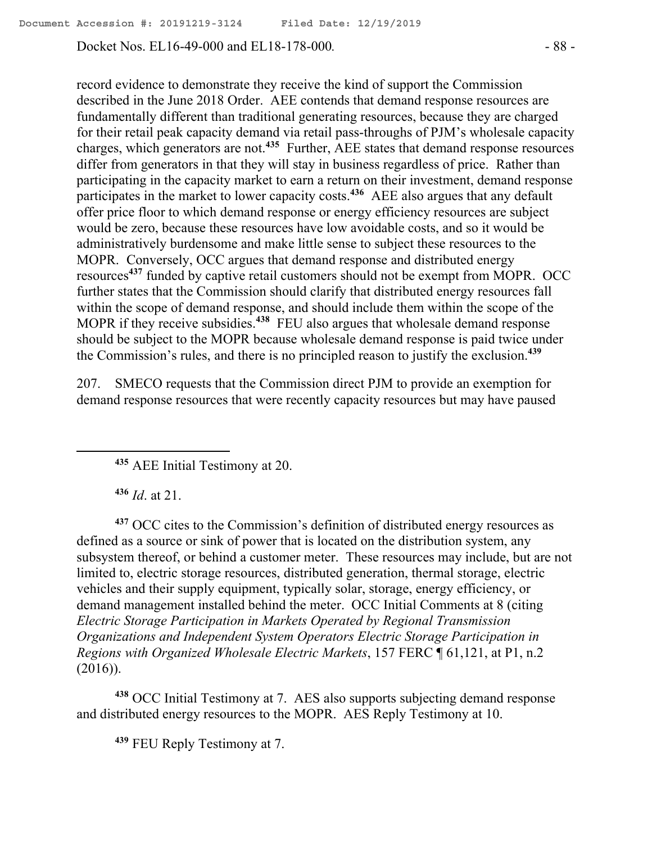Docket Nos. EL16-49-000 and EL18-178-000*.* - 88 -

record evidence to demonstrate they receive the kind of support the Commission described in the June 2018 Order. AEE contends that demand response resources are fundamentally different than traditional generating resources, because they are charged for their retail peak capacity demand via retail pass-throughs of PJM's wholesale capacity charges, which generators are not.**<sup>435</sup>** Further, AEE states that demand response resources differ from generators in that they will stay in business regardless of price. Rather than participating in the capacity market to earn a return on their investment, demand response participates in the market to lower capacity costs.**<sup>436</sup>** AEE also argues that any default offer price floor to which demand response or energy efficiency resources are subject would be zero, because these resources have low avoidable costs, and so it would be administratively burdensome and make little sense to subject these resources to the MOPR. Conversely, OCC argues that demand response and distributed energy resources**<sup>437</sup>** funded by captive retail customers should not be exempt from MOPR. OCC further states that the Commission should clarify that distributed energy resources fall within the scope of demand response, and should include them within the scope of the MOPR if they receive subsidies.**<sup>438</sup>** FEU also argues that wholesale demand response should be subject to the MOPR because wholesale demand response is paid twice under the Commission's rules, and there is no principled reason to justify the exclusion.**<sup>439</sup>**

207. SMECO requests that the Commission direct PJM to provide an exemption for demand response resources that were recently capacity resources but may have paused

**<sup>435</sup>** AEE Initial Testimony at 20.

**<sup>436</sup>** *Id*. at 21.

 $\overline{a}$ 

**<sup>437</sup>** OCC cites to the Commission's definition of distributed energy resources as defined as a source or sink of power that is located on the distribution system, any subsystem thereof, or behind a customer meter. These resources may include, but are not limited to, electric storage resources, distributed generation, thermal storage, electric vehicles and their supply equipment, typically solar, storage, energy efficiency, or demand management installed behind the meter. OCC Initial Comments at 8 (citing *Electric Storage Participation in Markets Operated by Regional Transmission Organizations and Independent System Operators Electric Storage Participation in Regions with Organized Wholesale Electric Markets*, 157 FERC ¶ 61,121, at P1, n.2 (2016)).

**<sup>438</sup>** OCC Initial Testimony at 7. AES also supports subjecting demand response and distributed energy resources to the MOPR. AES Reply Testimony at 10.

**<sup>439</sup>** FEU Reply Testimony at 7.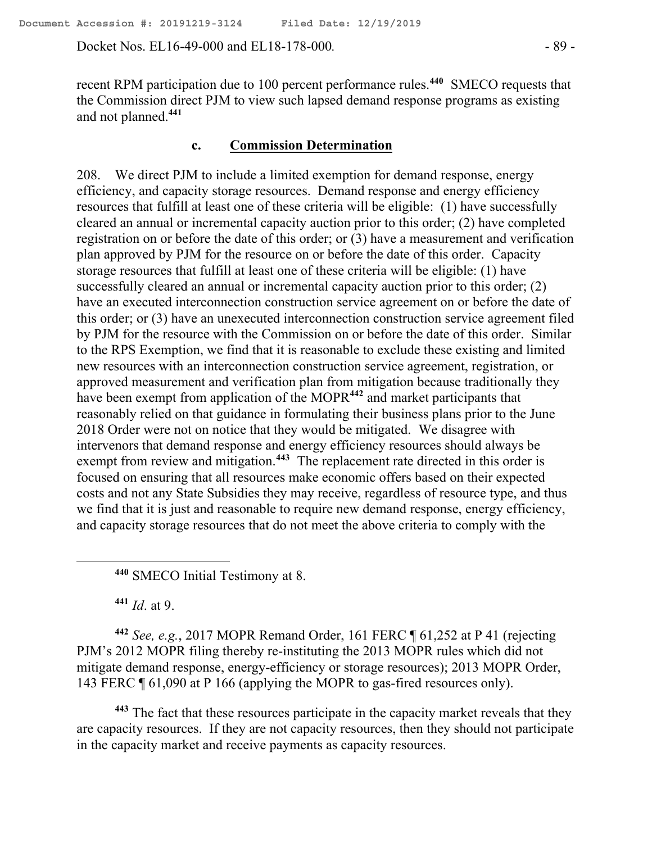Docket Nos. EL16-49-000 and EL18-178-000*.* - 89 -

recent RPM participation due to 100 percent performance rules.**<sup>440</sup>** SMECO requests that the Commission direct PJM to view such lapsed demand response programs as existing and not planned.**<sup>441</sup>**

#### **c. Commission Determination**

208. We direct PJM to include a limited exemption for demand response, energy efficiency, and capacity storage resources. Demand response and energy efficiency resources that fulfill at least one of these criteria will be eligible: (1) have successfully cleared an annual or incremental capacity auction prior to this order; (2) have completed registration on or before the date of this order; or (3) have a measurement and verification plan approved by PJM for the resource on or before the date of this order. Capacity storage resources that fulfill at least one of these criteria will be eligible: (1) have successfully cleared an annual or incremental capacity auction prior to this order; (2) have an executed interconnection construction service agreement on or before the date of this order; or (3) have an unexecuted interconnection construction service agreement filed by PJM for the resource with the Commission on or before the date of this order. Similar to the RPS Exemption, we find that it is reasonable to exclude these existing and limited new resources with an interconnection construction service agreement, registration, or approved measurement and verification plan from mitigation because traditionally they have been exempt from application of the MOPR<sup>442</sup> and market participants that reasonably relied on that guidance in formulating their business plans prior to the June 2018 Order were not on notice that they would be mitigated. We disagree with intervenors that demand response and energy efficiency resources should always be exempt from review and mitigation.<sup>443</sup> The replacement rate directed in this order is focused on ensuring that all resources make economic offers based on their expected costs and not any State Subsidies they may receive, regardless of resource type, and thus we find that it is just and reasonable to require new demand response, energy efficiency, and capacity storage resources that do not meet the above criteria to comply with the

**<sup>440</sup>** SMECO Initial Testimony at 8.

**<sup>441</sup>** *Id*. at 9.

 $\overline{a}$ 

**<sup>442</sup>** *See, e.g.*, 2017 MOPR Remand Order, 161 FERC ¶ 61,252 at P 41 (rejecting PJM's 2012 MOPR filing thereby re-instituting the 2013 MOPR rules which did not mitigate demand response, energy-efficiency or storage resources); 2013 MOPR Order, 143 FERC ¶ 61,090 at P 166 (applying the MOPR to gas-fired resources only).

**<sup>443</sup>** The fact that these resources participate in the capacity market reveals that they are capacity resources. If they are not capacity resources, then they should not participate in the capacity market and receive payments as capacity resources.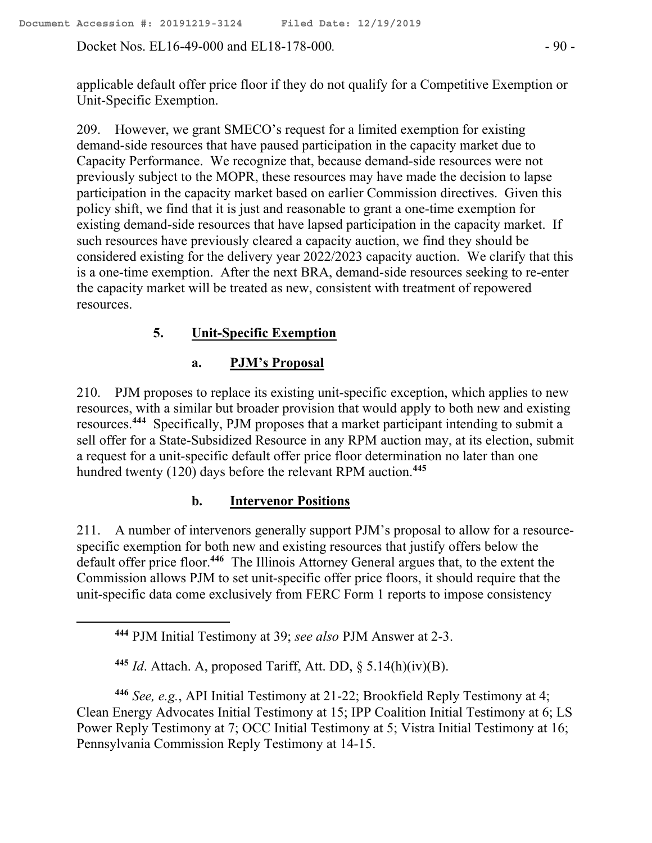Docket Nos. EL16-49-000 and EL18-178-000. - 90 -

applicable default offer price floor if they do not qualify for a Competitive Exemption or Unit-Specific Exemption.

209. However, we grant SMECO's request for a limited exemption for existing demand-side resources that have paused participation in the capacity market due to Capacity Performance. We recognize that, because demand-side resources were not previously subject to the MOPR, these resources may have made the decision to lapse participation in the capacity market based on earlier Commission directives. Given this policy shift, we find that it is just and reasonable to grant a one-time exemption for existing demand-side resources that have lapsed participation in the capacity market. If such resources have previously cleared a capacity auction, we find they should be considered existing for the delivery year  $2022/2023$  capacity auction. We clarify that this is a one-time exemption. After the next BRA, demand-side resources seeking to re-enter the capacity market will be treated as new, consistent with treatment of repowered resources.

# **5. Unit-Specific Exemption**

### **a. PJM's Proposal**

210. PJM proposes to replace its existing unit-specific exception, which applies to new resources, with a similar but broader provision that would apply to both new and existing resources. **444** Specifically, PJM proposes that a market participant intending to submit a sell offer for a State-Subsidized Resource in any RPM auction may, at its election, submit a request for a unit-specific default offer price floor determination no later than one hundred twenty (120) days before the relevant RPM auction.**<sup>445</sup>**

## **b. Intervenor Positions**

211. A number of intervenors generally support PJM's proposal to allow for a resourcespecific exemption for both new and existing resources that justify offers below the default offer price floor.<sup>446</sup> The Illinois Attorney General argues that, to the extent the Commission allows PJM to set unit-specific offer price floors, it should require that the unit-specific data come exclusively from FERC Form 1 reports to impose consistency

 $\overline{a}$ 

**<sup>444</sup>** PJM Initial Testimony at 39; *see also* PJM Answer at 2-3.

**<sup>445</sup>** *Id*. Attach. A, proposed Tariff, Att. DD, § 5.14(h)(iv)(B).

**<sup>446</sup>** *See, e.g.*, API Initial Testimony at 21-22; Brookfield Reply Testimony at 4; Clean Energy Advocates Initial Testimony at 15; IPP Coalition Initial Testimony at 6; LS Power Reply Testimony at 7; OCC Initial Testimony at 5; Vistra Initial Testimony at 16; Pennsylvania Commission Reply Testimony at 14-15.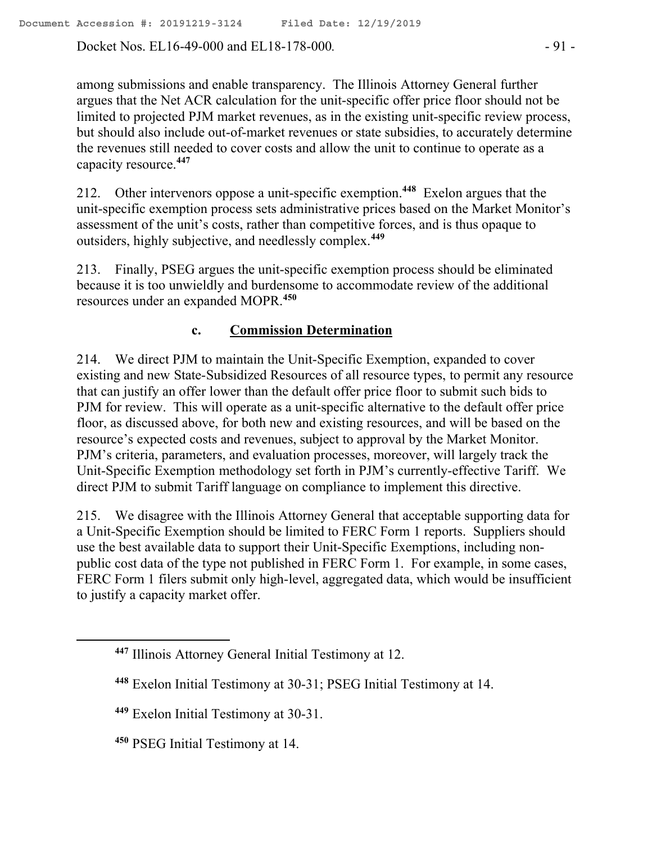Docket Nos. EL16-49-000 and EL18-178-000. - 91 -

among submissions and enable transparency. The Illinois Attorney General further argues that the Net ACR calculation for the unit-specific offer price floor should not be limited to projected PJM market revenues, as in the existing unit-specific review process, but should also include out-of-market revenues or state subsidies, to accurately determine the revenues still needed to cover costs and allow the unit to continue to operate as a capacity resource.**<sup>447</sup>**

212. Other intervenors oppose a unit-specific exemption.**<sup>448</sup>** Exelon argues that the unit-specific exemption process sets administrative prices based on the Market Monitor's assessment of the unit's costs, rather than competitive forces, and is thus opaque to outsiders, highly subjective, and needlessly complex.**<sup>449</sup>**

213. Finally, PSEG argues the unit-specific exemption process should be eliminated because it is too unwieldly and burdensome to accommodate review of the additional resources under an expanded MOPR.**<sup>450</sup>**

### **c. Commission Determination**

214. We direct PJM to maintain the Unit-Specific Exemption, expanded to cover existing and new State-Subsidized Resources of all resource types, to permit any resource that can justify an offer lower than the default offer price floor to submit such bids to PJM for review. This will operate as a unit-specific alternative to the default offer price floor, as discussed above, for both new and existing resources, and will be based on the resource's expected costs and revenues, subject to approval by the Market Monitor. PJM's criteria, parameters, and evaluation processes, moreover, will largely track the Unit-Specific Exemption methodology set forth in PJM's currently-effective Tariff. We direct PJM to submit Tariff language on compliance to implement this directive.

215. We disagree with the Illinois Attorney General that acceptable supporting data for a Unit-Specific Exemption should be limited to FERC Form 1 reports. Suppliers should use the best available data to support their Unit-Specific Exemptions, including nonpublic cost data of the type not published in FERC Form 1. For example, in some cases, FERC Form 1 filers submit only high-level, aggregated data, which would be insufficient to justify a capacity market offer.

 $\overline{a}$ 

**<sup>447</sup>** Illinois Attorney General Initial Testimony at 12.

**<sup>448</sup>** Exelon Initial Testimony at 30-31; PSEG Initial Testimony at 14.

**<sup>449</sup>** Exelon Initial Testimony at 30-31.

**<sup>450</sup>** PSEG Initial Testimony at 14.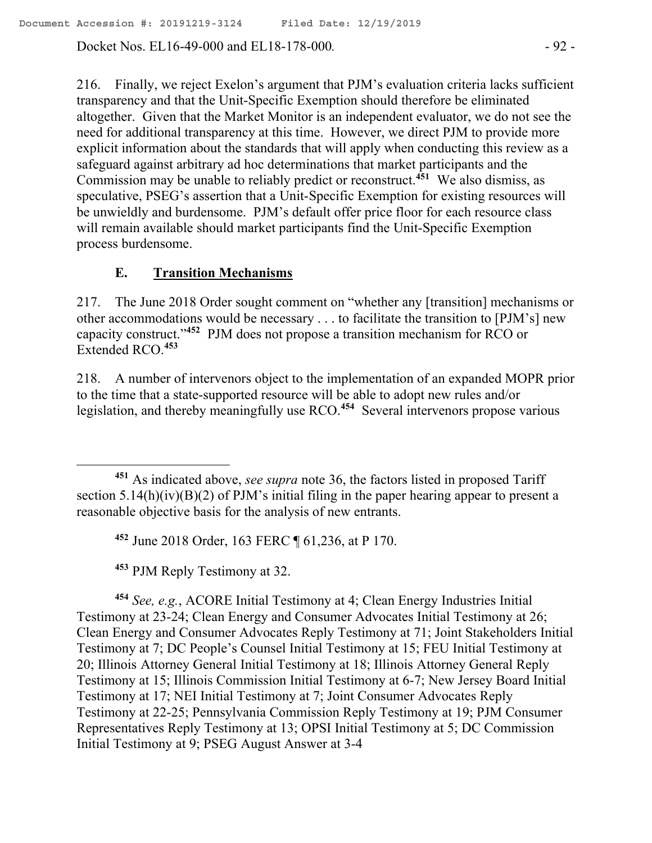Docket Nos. EL16-49-000 and EL18-178-000*.* - 92 -

216. Finally, we reject Exelon's argument that PJM's evaluation criteria lacks sufficient transparency and that the Unit-Specific Exemption should therefore be eliminated altogether. Given that the Market Monitor is an independent evaluator, we do not see the need for additional transparency at this time. However, we direct PJM to provide more explicit information about the standards that will apply when conducting this review as a safeguard against arbitrary ad hoc determinations that market participants and the Commission may be unable to reliably predict or reconstruct.**<sup>451</sup>** We also dismiss, as speculative, PSEG's assertion that a Unit-Specific Exemption for existing resources will be unwieldly and burdensome. PJM's default offer price floor for each resource class will remain available should market participants find the Unit-Specific Exemption process burdensome.

### **E. Transition Mechanisms**

217. The June 2018 Order sought comment on "whether any [transition] mechanisms or other accommodations would be necessary . . . to facilitate the transition to [PJM's] new capacity construct."**<sup>452</sup>** PJM does not propose a transition mechanism for RCO or Extended RCO.**<sup>453</sup>**

218. A number of intervenors object to the implementation of an expanded MOPR prior to the time that a state-supported resource will be able to adopt new rules and/or legislation, and thereby meaningfully use RCO.**<sup>454</sup>** Several intervenors propose various

**<sup>452</sup>** June 2018 Order, 163 FERC ¶ 61,236, at P 170.

**<sup>453</sup>** PJM Reply Testimony at 32.

 $\overline{a}$ 

**<sup>454</sup>** *See, e.g.*, ACORE Initial Testimony at 4; Clean Energy Industries Initial Testimony at 23-24; Clean Energy and Consumer Advocates Initial Testimony at 26; Clean Energy and Consumer Advocates Reply Testimony at 71; Joint Stakeholders Initial Testimony at 7; DC People's Counsel Initial Testimony at 15; FEU Initial Testimony at 20; Illinois Attorney General Initial Testimony at 18; Illinois Attorney General Reply Testimony at 15; Illinois Commission Initial Testimony at 6-7; New Jersey Board Initial Testimony at 17; NEI Initial Testimony at 7; Joint Consumer Advocates Reply Testimony at 22-25; Pennsylvania Commission Reply Testimony at 19; PJM Consumer Representatives Reply Testimony at 13; OPSI Initial Testimony at 5; DC Commission Initial Testimony at 9; PSEG August Answer at 3-4

**<sup>451</sup>** As indicated above, *see supra* note 36, the factors listed in proposed Tariff section  $5.14(h)(iv)(B)(2)$  of PJM's initial filing in the paper hearing appear to present a reasonable objective basis for the analysis of new entrants.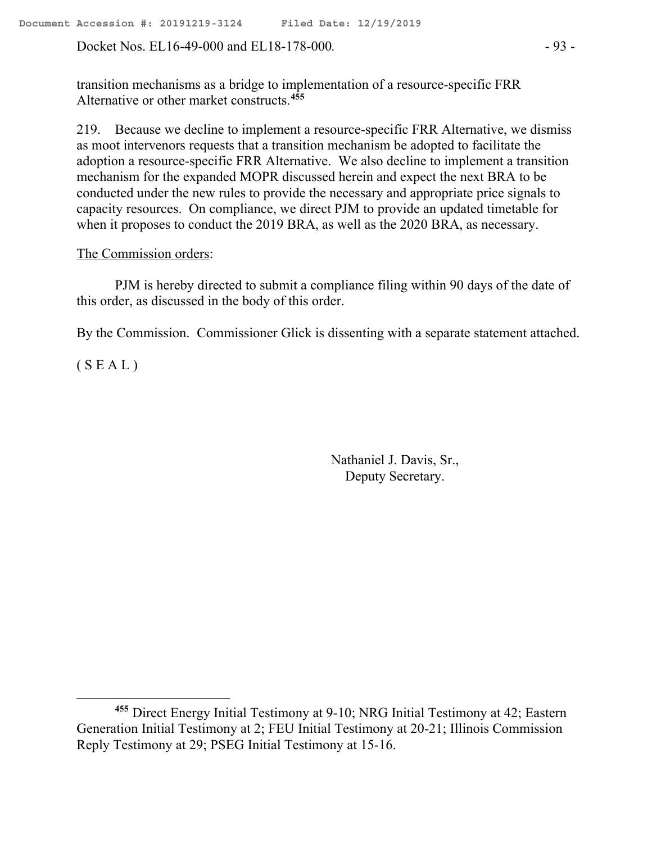Docket Nos. EL16-49-000 and EL18-178-000. - 93 -

transition mechanisms as a bridge to implementation of a resource-specific FRR Alternative or other market constructs.**<sup>455</sup>**

219. Because we decline to implement a resource-specific FRR Alternative, we dismiss as moot intervenors requests that a transition mechanism be adopted to facilitate the adoption a resource-specific FRR Alternative. We also decline to implement a transition mechanism for the expanded MOPR discussed herein and expect the next BRA to be conducted under the new rules to provide the necessary and appropriate price signals to capacity resources. On compliance, we direct PJM to provide an updated timetable for when it proposes to conduct the 2019 BRA, as well as the 2020 BRA, as necessary.

#### The Commission orders:

PJM is hereby directed to submit a compliance filing within 90 days of the date of this order, as discussed in the body of this order.

By the Commission. Commissioner Glick is dissenting with a separate statement attached.

 $(S E A L)$ 

Nathaniel J. Davis, Sr., Deputy Secretary.

**<sup>455</sup>** Direct Energy Initial Testimony at 9-10; NRG Initial Testimony at 42; Eastern Generation Initial Testimony at 2; FEU Initial Testimony at 20-21; Illinois Commission Reply Testimony at 29; PSEG Initial Testimony at 15-16.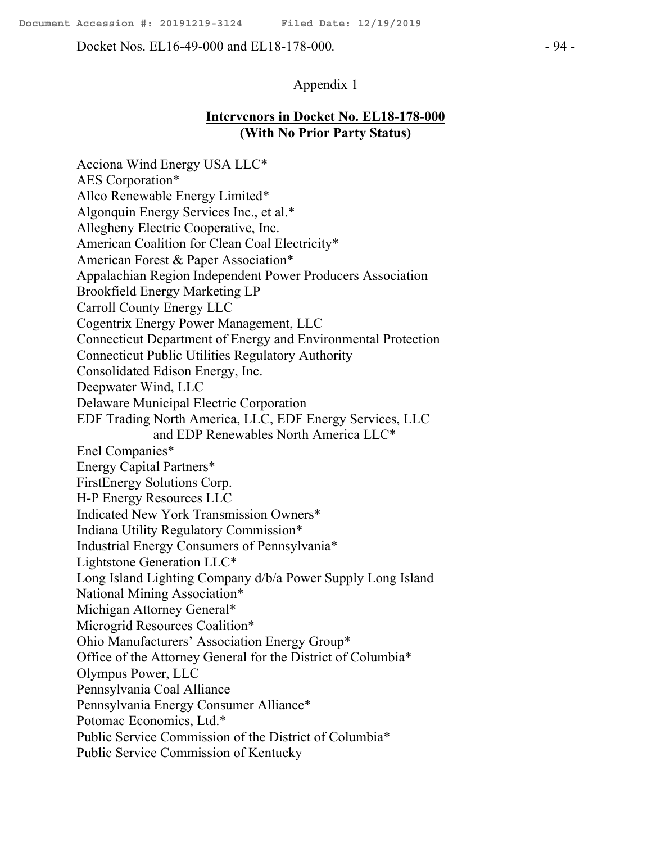Docket Nos. EL16-49-000 and EL18-178-000*.* - 94 -

### **Intervenors in Docket No. EL18-178-000 (With No Prior Party Status)**

Acciona Wind Energy USA LLC\* AES Corporation\* Allco Renewable Energy Limited\* Algonquin Energy Services Inc., et al.\* Allegheny Electric Cooperative, Inc. American Coalition for Clean Coal Electricity\* American Forest & Paper Association\* Appalachian Region Independent Power Producers Association Brookfield Energy Marketing LP Carroll County Energy LLC Cogentrix Energy Power Management, LLC Connecticut Department of Energy and Environmental Protection Connecticut Public Utilities Regulatory Authority Consolidated Edison Energy, Inc. Deepwater Wind, LLC Delaware Municipal Electric Corporation EDF Trading North America, LLC, EDF Energy Services, LLC and EDP Renewables North America LLC\* Enel Companies\* Energy Capital Partners\* FirstEnergy Solutions Corp. H-P Energy Resources LLC Indicated New York Transmission Owners\* Indiana Utility Regulatory Commission\* Industrial Energy Consumers of Pennsylvania\* Lightstone Generation LLC\* Long Island Lighting Company d/b/a Power Supply Long Island National Mining Association\* Michigan Attorney General\* Microgrid Resources Coalition\* Ohio Manufacturers' Association Energy Group\* Office of the Attorney General for the District of Columbia\* Olympus Power, LLC Pennsylvania Coal Alliance Pennsylvania Energy Consumer Alliance\* Potomac Economics, Ltd.\* Public Service Commission of the District of Columbia\* Public Service Commission of Kentucky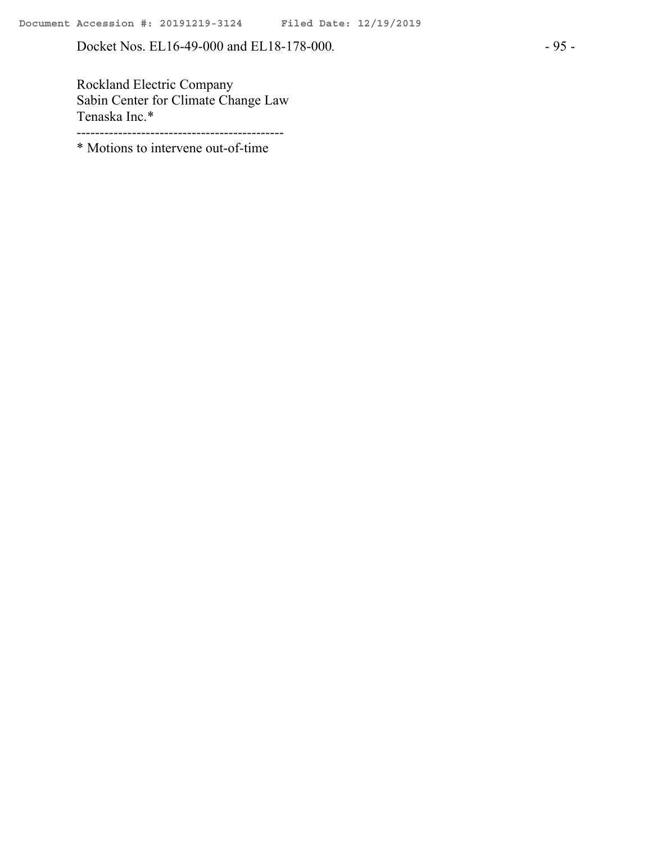Docket Nos. EL16-49-000 and EL18-178-000. - 95 -

Rockland Electric Company Sabin Center for Climate Change Law Tenaska Inc.\* ---------------------------------------------

\* Motions to intervene out-of-time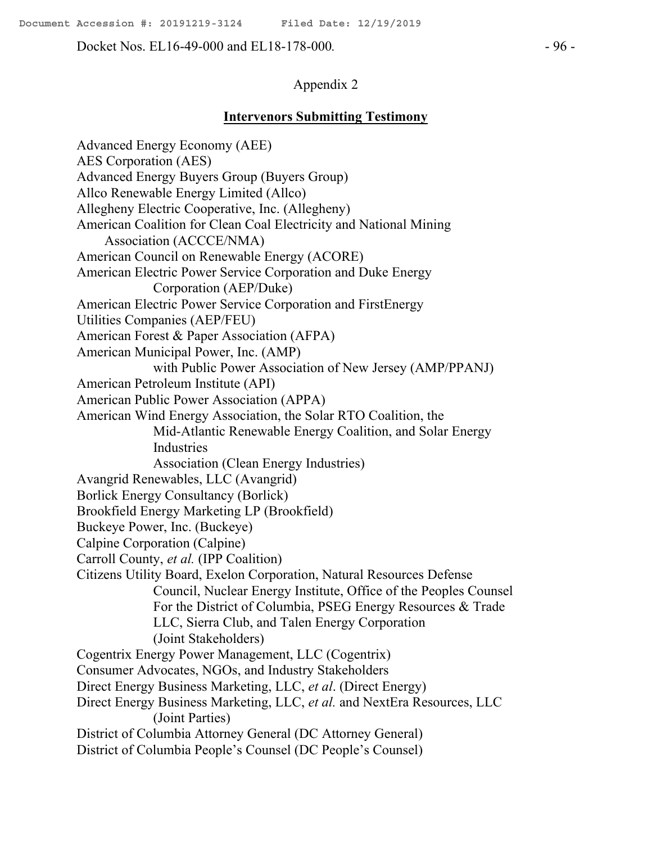Docket Nos. EL16-49-000 and EL18-178-000*.* - 96 -

### Appendix 2

#### **Intervenors Submitting Testimony**

Advanced Energy Economy (AEE) AES Corporation (AES) Advanced Energy Buyers Group (Buyers Group) Allco Renewable Energy Limited (Allco) Allegheny Electric Cooperative, Inc. (Allegheny) American Coalition for Clean Coal Electricity and National Mining Association (ACCCE/NMA) American Council on Renewable Energy (ACORE) American Electric Power Service Corporation and Duke Energy Corporation (AEP/Duke) American Electric Power Service Corporation and FirstEnergy Utilities Companies (AEP/FEU) American Forest & Paper Association (AFPA) American Municipal Power, Inc. (AMP) with Public Power Association of New Jersey (AMP/PPANJ) American Petroleum Institute (API) American Public Power Association (APPA) American Wind Energy Association, the Solar RTO Coalition, the Mid-Atlantic Renewable Energy Coalition, and Solar Energy Industries Association (Clean Energy Industries) Avangrid Renewables, LLC (Avangrid) Borlick Energy Consultancy (Borlick) Brookfield Energy Marketing LP (Brookfield) Buckeye Power, Inc. (Buckeye) Calpine Corporation (Calpine) Carroll County, *et al.* (IPP Coalition) Citizens Utility Board, Exelon Corporation, Natural Resources Defense Council, Nuclear Energy Institute, Office of the Peoples Counsel For the District of Columbia, PSEG Energy Resources & Trade LLC, Sierra Club, and Talen Energy Corporation (Joint Stakeholders) Cogentrix Energy Power Management, LLC (Cogentrix) Consumer Advocates, NGOs, and Industry Stakeholders Direct Energy Business Marketing, LLC, *et al*. (Direct Energy) Direct Energy Business Marketing, LLC, *et al.* and NextEra Resources, LLC (Joint Parties) District of Columbia Attorney General (DC Attorney General) District of Columbia People's Counsel (DC People's Counsel)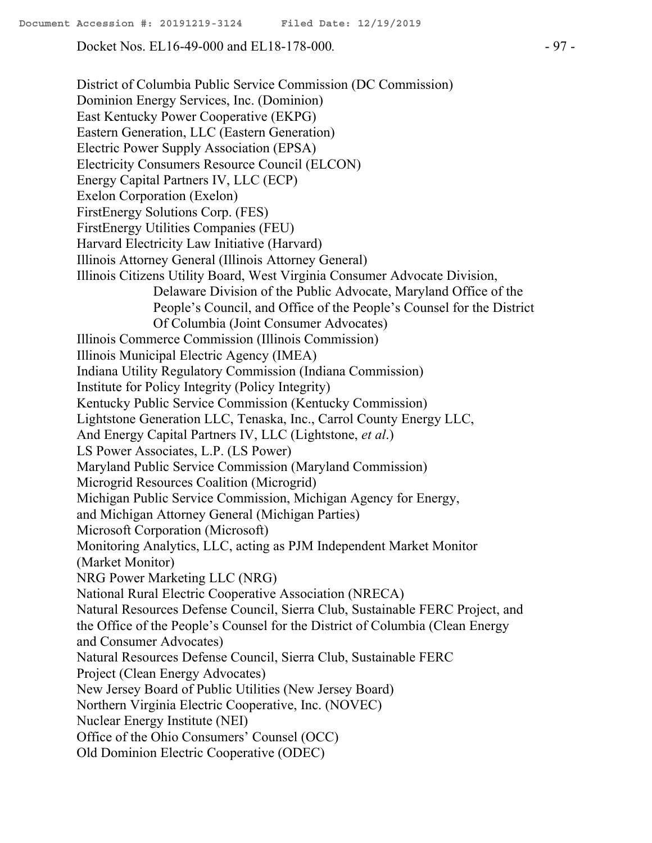Docket Nos. EL16-49-000 and EL18-178-000. - 97 -

District of Columbia Public Service Commission (DC Commission) Dominion Energy Services, Inc. (Dominion) East Kentucky Power Cooperative (EKPG) Eastern Generation, LLC (Eastern Generation) Electric Power Supply Association (EPSA) Electricity Consumers Resource Council (ELCON) Energy Capital Partners IV, LLC (ECP) Exelon Corporation (Exelon) FirstEnergy Solutions Corp. (FES) FirstEnergy Utilities Companies (FEU) Harvard Electricity Law Initiative (Harvard) Illinois Attorney General (Illinois Attorney General) Illinois Citizens Utility Board, West Virginia Consumer Advocate Division, Delaware Division of the Public Advocate, Maryland Office of the People's Council, and Office of the People's Counsel for the District Of Columbia (Joint Consumer Advocates) Illinois Commerce Commission (Illinois Commission) Illinois Municipal Electric Agency (IMEA) Indiana Utility Regulatory Commission (Indiana Commission) Institute for Policy Integrity (Policy Integrity) Kentucky Public Service Commission (Kentucky Commission) Lightstone Generation LLC, Tenaska, Inc., Carrol County Energy LLC, And Energy Capital Partners IV, LLC (Lightstone, *et al*.) LS Power Associates, L.P. (LS Power) Maryland Public Service Commission (Maryland Commission) Microgrid Resources Coalition (Microgrid) Michigan Public Service Commission, Michigan Agency for Energy, and Michigan Attorney General (Michigan Parties) Microsoft Corporation (Microsoft) Monitoring Analytics, LLC, acting as PJM Independent Market Monitor (Market Monitor) NRG Power Marketing LLC (NRG) National Rural Electric Cooperative Association (NRECA) Natural Resources Defense Council, Sierra Club, Sustainable FERC Project, and the Office of the People's Counsel for the District of Columbia (Clean Energy and Consumer Advocates) Natural Resources Defense Council, Sierra Club, Sustainable FERC Project (Clean Energy Advocates) New Jersey Board of Public Utilities (New Jersey Board) Northern Virginia Electric Cooperative, Inc. (NOVEC) Nuclear Energy Institute (NEI) Office of the Ohio Consumers' Counsel (OCC) Old Dominion Electric Cooperative (ODEC)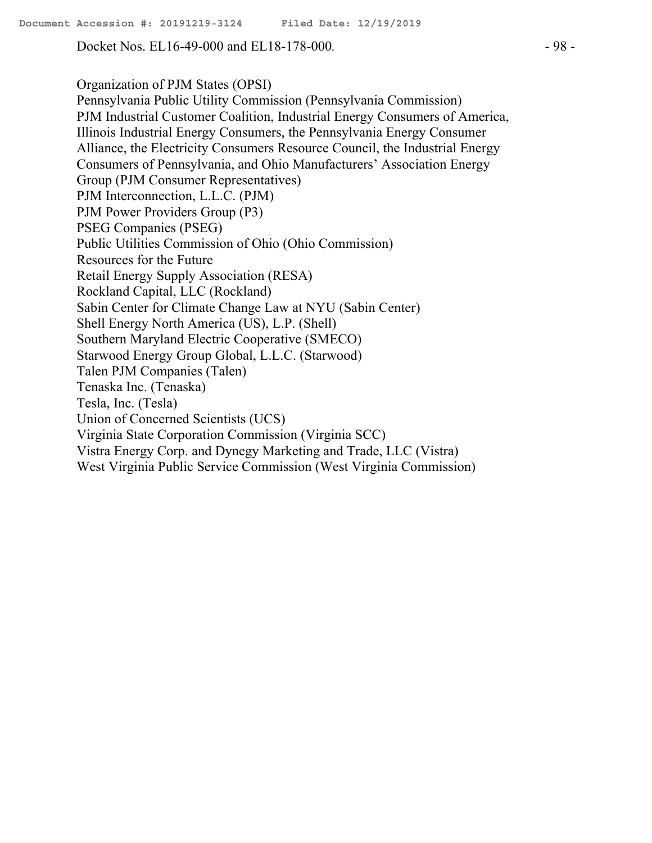Docket Nos. EL16-49-000 and EL18-178-000*.* - 98 -

Organization of PJM States (OPSI) Pennsylvania Public Utility Commission (Pennsylvania Commission) PJM Industrial Customer Coalition, Industrial Energy Consumers of America, Illinois Industrial Energy Consumers, the Pennsylvania Energy Consumer Alliance, the Electricity Consumers Resource Council, the Industrial Energy Consumers of Pennsylvania, and Ohio Manufacturers' Association Energy Group (PJM Consumer Representatives) PJM Interconnection, L.L.C. (PJM) PJM Power Providers Group (P3) PSEG Companies (PSEG) Public Utilities Commission of Ohio (Ohio Commission) Resources for the Future Retail Energy Supply Association (RESA) Rockland Capital, LLC (Rockland) Sabin Center for Climate Change Law at NYU (Sabin Center) Shell Energy North America (US), L.P. (Shell) Southern Maryland Electric Cooperative (SMECO) Starwood Energy Group Global, L.L.C. (Starwood) Talen PJM Companies (Talen) Tenaska Inc. (Tenaska) Tesla, Inc. (Tesla) Union of Concerned Scientists (UCS) Virginia State Corporation Commission (Virginia SCC) Vistra Energy Corp. and Dynegy Marketing and Trade, LLC (Vistra) West Virginia Public Service Commission (West Virginia Commission)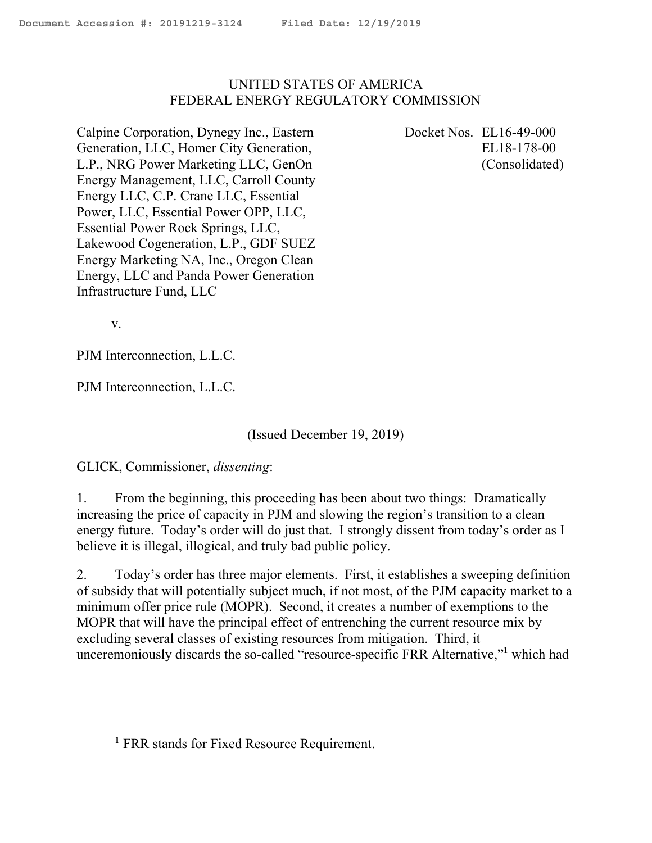## UNITED STATES OF AMERICA FEDERAL ENERGY REGULATORY COMMISSION

Calpine Corporation, Dynegy Inc., Eastern Generation, LLC, Homer City Generation, L.P., NRG Power Marketing LLC, GenOn Energy Management, LLC, Carroll County Energy LLC, C.P. Crane LLC, Essential Power, LLC, Essential Power OPP, LLC, Essential Power Rock Springs, LLC, Lakewood Cogeneration, L.P., GDF SUEZ Energy Marketing NA, Inc., Oregon Clean Energy, LLC and Panda Power Generation Infrastructure Fund, LLC

Docket Nos. EL16-49-000 EL18-178-00 (Consolidated)

v.

 $\overline{a}$ 

PJM Interconnection, L.L.C.

PJM Interconnection, L.L.C.

(Issued December 19, 2019)

GLICK, Commissioner, *dissenting*:

1. From the beginning, this proceeding has been about two things: Dramatically increasing the price of capacity in PJM and slowing the region's transition to a clean energy future. Today's order will do just that. I strongly dissent from today's order as I believe it is illegal, illogical, and truly bad public policy.

2. Today's order has three major elements. First, it establishes a sweeping definition of subsidy that will potentially subject much, if not most, of the PJM capacity market to a minimum offer price rule (MOPR). Second, it creates a number of exemptions to the MOPR that will have the principal effect of entrenching the current resource mix by excluding several classes of existing resources from mitigation. Third, it unceremoniously discards the so-called "resource-specific FRR Alternative,"**<sup>1</sup>** which had

**<sup>1</sup>** FRR stands for Fixed Resource Requirement.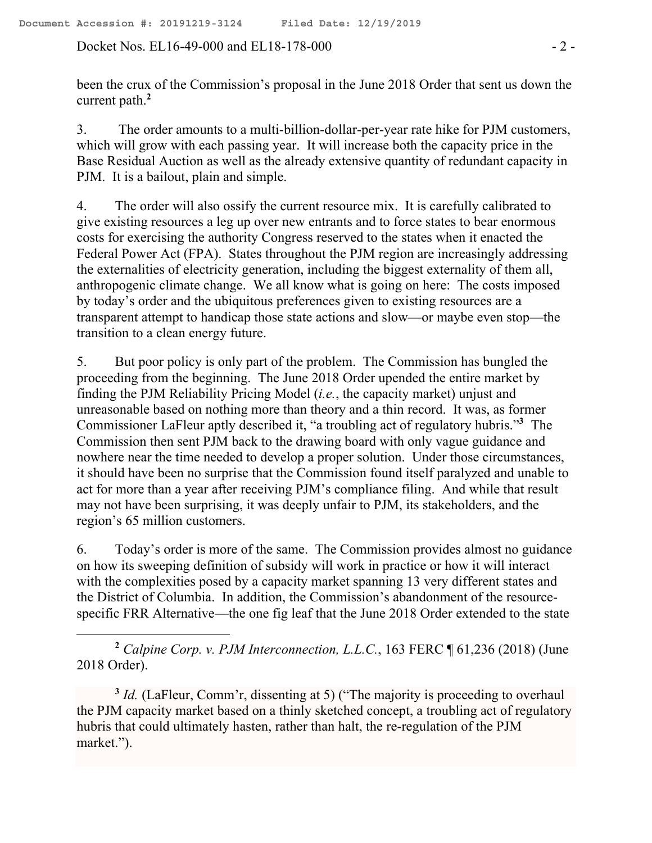Docket Nos. EL16-49-000 and EL18-178-000 - 2 -

 $\overline{a}$ 

been the crux of the Commission's proposal in the June 2018 Order that sent us down the current path.**<sup>2</sup>**

3. The order amounts to a multi-billion-dollar-per-year rate hike for PJM customers, which will grow with each passing year. It will increase both the capacity price in the Base Residual Auction as well as the already extensive quantity of redundant capacity in PJM. It is a bailout, plain and simple.

4. The order will also ossify the current resource mix. It is carefully calibrated to give existing resources a leg up over new entrants and to force states to bear enormous costs for exercising the authority Congress reserved to the states when it enacted the Federal Power Act (FPA). States throughout the PJM region are increasingly addressing the externalities of electricity generation, including the biggest externality of them all, anthropogenic climate change. We all know what is going on here: The costs imposed by today's order and the ubiquitous preferences given to existing resources are a transparent attempt to handicap those state actions and slow—or maybe even stop—the transition to a clean energy future.

5. But poor policy is only part of the problem. The Commission has bungled the proceeding from the beginning. The June 2018 Order upended the entire market by finding the PJM Reliability Pricing Model (*i.e.*, the capacity market) unjust and unreasonable based on nothing more than theory and a thin record. It was, as former Commissioner LaFleur aptly described it, "a troubling act of regulatory hubris."**<sup>3</sup>** The Commission then sent PJM back to the drawing board with only vague guidance and nowhere near the time needed to develop a proper solution. Under those circumstances, it should have been no surprise that the Commission found itself paralyzed and unable to act for more than a year after receiving PJM's compliance filing. And while that result may not have been surprising, it was deeply unfair to PJM, its stakeholders, and the region's 65 million customers.

6. Today's order is more of the same. The Commission provides almost no guidance on how its sweeping definition of subsidy will work in practice or how it will interact with the complexities posed by a capacity market spanning 13 very different states and the District of Columbia. In addition, the Commission's abandonment of the resourcespecific FRR Alternative—the one fig leaf that the June 2018 Order extended to the state

**<sup>2</sup>** *Calpine Corp. v. PJM Interconnection, L.L.C.*, 163 FERC ¶ 61,236 (2018) (June 2018 Order).

<sup>3</sup> *Id.* (LaFleur, Comm'r, dissenting at 5) ("The majority is proceeding to overhaul the PJM capacity market based on a thinly sketched concept, a troubling act of regulatory hubris that could ultimately hasten, rather than halt, the re-regulation of the PJM market.").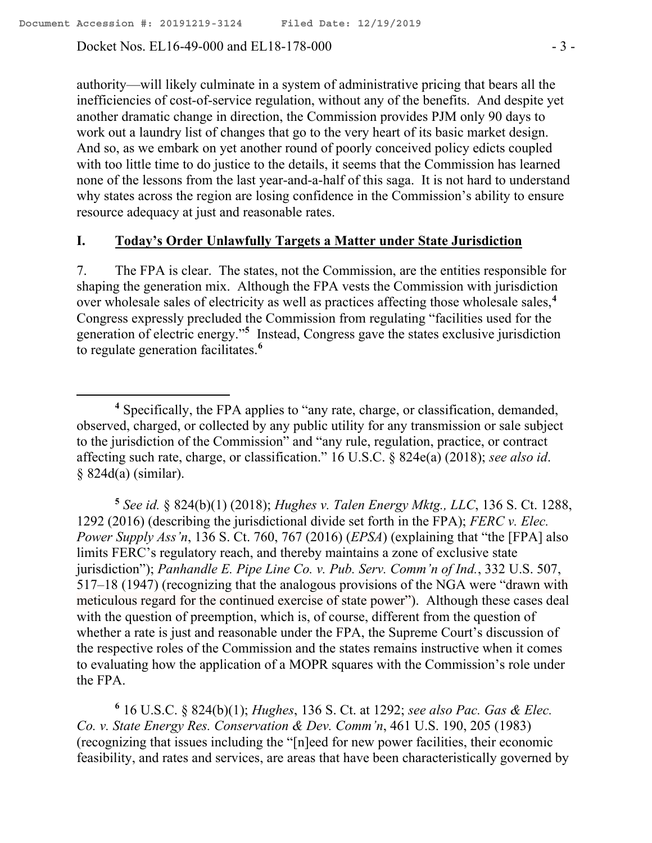Docket Nos. EL16-49-000 and EL18-178-000  $-3$  -

 $\overline{a}$ 

authority—will likely culminate in a system of administrative pricing that bears all the inefficiencies of cost-of-service regulation, without any of the benefits. And despite yet another dramatic change in direction, the Commission provides PJM only 90 days to work out a laundry list of changes that go to the very heart of its basic market design. And so, as we embark on yet another round of poorly conceived policy edicts coupled with too little time to do justice to the details, it seems that the Commission has learned none of the lessons from the last year-and-a-half of this saga. It is not hard to understand why states across the region are losing confidence in the Commission's ability to ensure resource adequacy at just and reasonable rates.

#### **I. Today's Order Unlawfully Targets a Matter under State Jurisdiction**

7. The FPA is clear. The states, not the Commission, are the entities responsible for shaping the generation mix. Although the FPA vests the Commission with jurisdiction over wholesale sales of electricity as well as practices affecting those wholesale sales,**<sup>4</sup>** Congress expressly precluded the Commission from regulating "facilities used for the generation of electric energy."**<sup>5</sup>** Instead, Congress gave the states exclusive jurisdiction to regulate generation facilitates. **6**

**5** *See id.* § 824(b)(1) (2018); *Hughes v. Talen Energy Mktg., LLC*, 136 S. Ct. 1288, 1292 (2016) (describing the jurisdictional divide set forth in the FPA); *FERC v. Elec. Power Supply Ass'n*, 136 S. Ct. 760, 767 (2016) (*EPSA*) (explaining that "the [FPA] also limits FERC's regulatory reach, and thereby maintains a zone of exclusive state jurisdiction"); *Panhandle E. Pipe Line Co. v. Pub. Serv. Comm'n of Ind.*, 332 U.S. 507, 517–18 (1947) (recognizing that the analogous provisions of the NGA were "drawn with meticulous regard for the continued exercise of state power"). Although these cases deal with the question of preemption, which is, of course, different from the question of whether a rate is just and reasonable under the FPA, the Supreme Court's discussion of the respective roles of the Commission and the states remains instructive when it comes to evaluating how the application of a MOPR squares with the Commission's role under the FPA.

**6** 16 U.S.C. § 824(b)(1); *Hughes*, 136 S. Ct. at 1292; *see also Pac. Gas & Elec. Co. v. State Energy Res. Conservation & Dev. Comm'n*, 461 U.S. 190, 205 (1983) (recognizing that issues including the "[n]eed for new power facilities, their economic feasibility, and rates and services, are areas that have been characteristically governed by

**<sup>4</sup>** Specifically, the FPA applies to "any rate, charge, or classification, demanded, observed, charged, or collected by any public utility for any transmission or sale subject to the jurisdiction of the Commission" and "any rule, regulation, practice, or contract affecting such rate, charge, or classification." 16 U.S.C. § 824e(a) (2018); *see also id*. § 824d(a) (similar).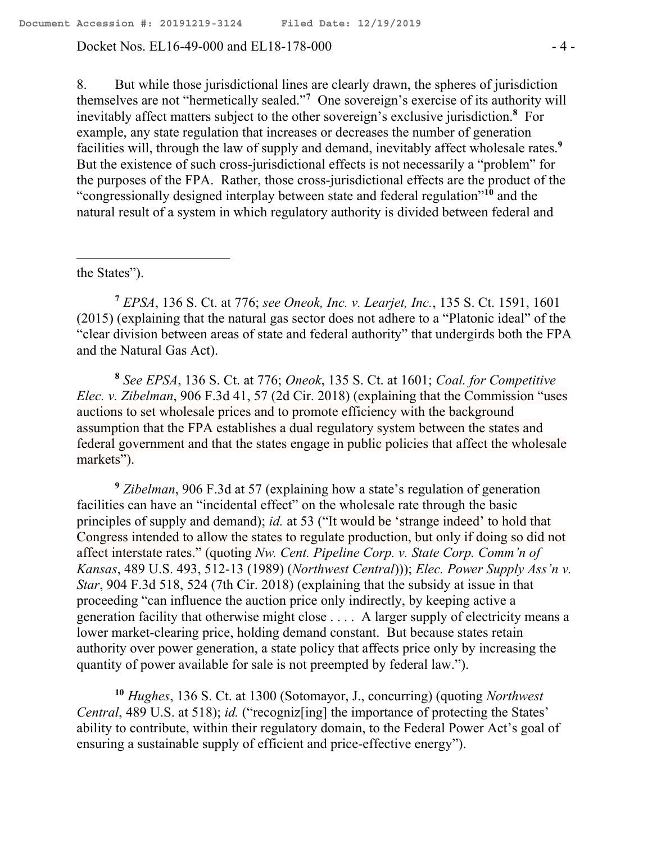Docket Nos. EL16-49-000 and EL18-178-000  $-4$  -

8. But while those jurisdictional lines are clearly drawn, the spheres of jurisdiction themselves are not "hermetically sealed."**<sup>7</sup>** One sovereign's exercise of its authority will inevitably affect matters subject to the other sovereign's exclusive jurisdiction.**<sup>8</sup>** For example, any state regulation that increases or decreases the number of generation facilities will, through the law of supply and demand, inevitably affect wholesale rates.**<sup>9</sup>** But the existence of such cross-jurisdictional effects is not necessarily a "problem" for the purposes of the FPA. Rather, those cross-jurisdictional effects are the product of the "congressionally designed interplay between state and federal regulation"**<sup>10</sup>** and the natural result of a system in which regulatory authority is divided between federal and

the States").

 $\overline{a}$ 

**<sup>7</sup>** *EPSA*, 136 S. Ct. at 776; *see Oneok, Inc. v. Learjet, Inc.*, 135 S. Ct. 1591, 1601 (2015) (explaining that the natural gas sector does not adhere to a "Platonic ideal" of the "clear division between areas of state and federal authority" that undergirds both the FPA and the Natural Gas Act).

**8** *See EPSA*, 136 S. Ct. at 776; *Oneok*, 135 S. Ct. at 1601; *Coal. for Competitive Elec. v. Zibelman*, 906 F.3d 41, 57 (2d Cir. 2018) (explaining that the Commission "uses auctions to set wholesale prices and to promote efficiency with the background assumption that the FPA establishes a dual regulatory system between the states and federal government and that the states engage in public policies that affect the wholesale markets").

**<sup>9</sup>** *Zibelman*, 906 F.3d at 57 (explaining how a state's regulation of generation facilities can have an "incidental effect" on the wholesale rate through the basic principles of supply and demand); *id.* at 53 ("It would be 'strange indeed' to hold that Congress intended to allow the states to regulate production, but only if doing so did not affect interstate rates." (quoting *Nw. Cent. Pipeline Corp. v. State Corp. Comm'n of Kansas*, 489 U.S. 493, 512-13 (1989) (*Northwest Central*))); *Elec. Power Supply Ass'n v. Star*, 904 F.3d 518, 524 (7th Cir. 2018) (explaining that the subsidy at issue in that proceeding "can influence the auction price only indirectly, by keeping active a generation facility that otherwise might close . . . . A larger supply of electricity means a lower market-clearing price, holding demand constant. But because states retain authority over power generation, a state policy that affects price only by increasing the quantity of power available for sale is not preempted by federal law.").

**<sup>10</sup>** *Hughes*, 136 S. Ct. at 1300 (Sotomayor, J., concurring) (quoting *Northwest Central*, 489 U.S. at 518); *id.* ("recogniz[ing] the importance of protecting the States' ability to contribute, within their regulatory domain, to the Federal Power Act's goal of ensuring a sustainable supply of efficient and price-effective energy").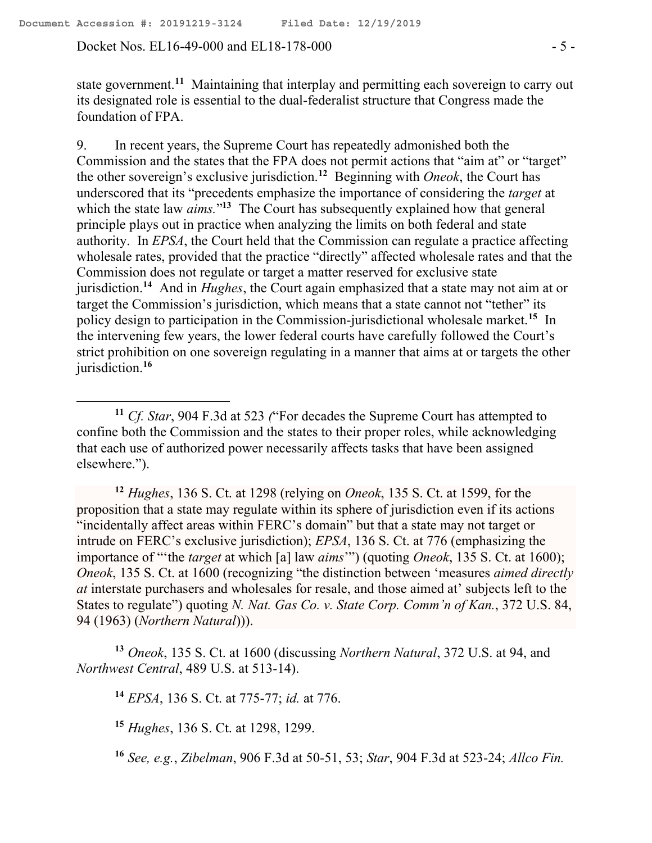Docket Nos. EL16-49-000 and EL18-178-000  $-5$  -

 $\overline{a}$ 

state government.**<sup>11</sup>** Maintaining that interplay and permitting each sovereign to carry out its designated role is essential to the dual-federalist structure that Congress made the foundation of FPA.

9. In recent years, the Supreme Court has repeatedly admonished both the Commission and the states that the FPA does not permit actions that "aim at" or "target" the other sovereign's exclusive jurisdiction.**<sup>12</sup>** Beginning with *Oneok*, the Court has underscored that its "precedents emphasize the importance of considering the *target* at which the state law *aims*."<sup>13</sup> The Court has subsequently explained how that general principle plays out in practice when analyzing the limits on both federal and state authority. In *EPSA*, the Court held that the Commission can regulate a practice affecting wholesale rates, provided that the practice "directly" affected wholesale rates and that the Commission does not regulate or target a matter reserved for exclusive state jurisdiction.**<sup>14</sup>** And in *Hughes*, the Court again emphasized that a state may not aim at or target the Commission's jurisdiction, which means that a state cannot not "tether" its policy design to participation in the Commission-jurisdictional wholesale market.**<sup>15</sup>** In the intervening few years, the lower federal courts have carefully followed the Court's strict prohibition on one sovereign regulating in a manner that aims at or targets the other jurisdiction.**<sup>16</sup>**

**<sup>12</sup>** *Hughes*, 136 S. Ct. at 1298 (relying on *Oneok*, 135 S. Ct. at 1599, for the proposition that a state may regulate within its sphere of jurisdiction even if its actions "incidentally affect areas within FERC's domain" but that a state may not target or intrude on FERC's exclusive jurisdiction); *EPSA*, 136 S. Ct. at 776 (emphasizing the importance of "'the *target* at which [a] law *aims*'") (quoting *Oneok*, 135 S. Ct. at 1600); *Oneok*, 135 S. Ct. at 1600 (recognizing "the distinction between 'measures *aimed directly at* interstate purchasers and wholesales for resale, and those aimed at' subjects left to the States to regulate") quoting *N. Nat. Gas Co. v. State Corp. Comm'n of Kan.*, 372 U.S. 84, 94 (1963) (*Northern Natural*))).

**<sup>13</sup>** *Oneok*, 135 S. Ct. at 1600 (discussing *Northern Natural*, 372 U.S. at 94, and *Northwest Central*, 489 U.S. at 513-14).

**<sup>14</sup>** *EPSA*, 136 S. Ct. at 775-77; *id.* at 776.

**<sup>15</sup>** *Hughes*, 136 S. Ct. at 1298, 1299.

**<sup>16</sup>** *See, e.g.*, *Zibelman*, 906 F.3d at 50-51, 53; *Star*, 904 F.3d at 523-24; *Allco Fin.* 

**<sup>11</sup>** *Cf. Star*, 904 F.3d at 523 *(*"For decades the Supreme Court has attempted to confine both the Commission and the states to their proper roles, while acknowledging that each use of authorized power necessarily affects tasks that have been assigned elsewhere.").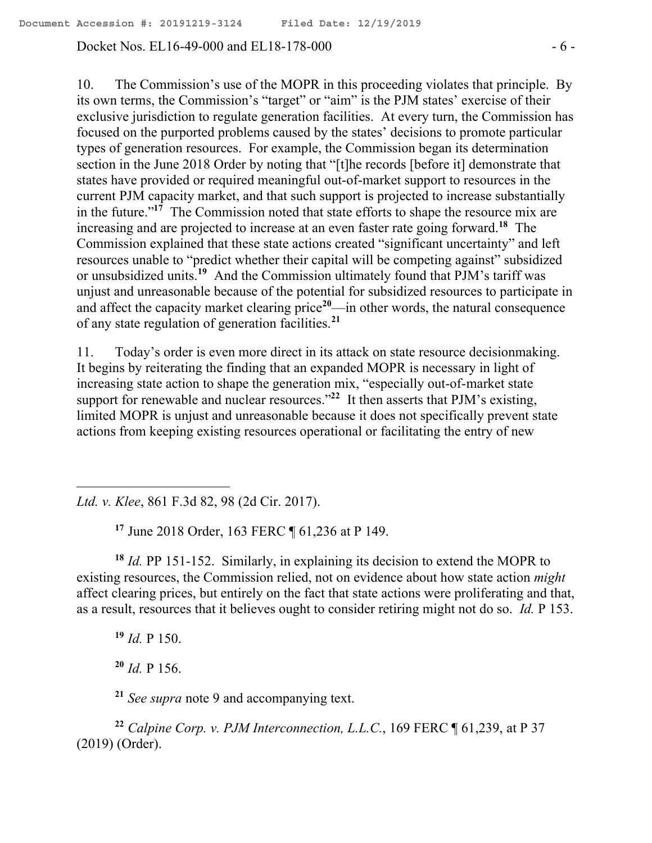Docket Nos. EL16-49-000 and EL18-178-000  $-6$  -

10. The Commission's use of the MOPR in this proceeding violates that principle. By its own terms, the Commission's "target" or "aim" is the PJM states' exercise of their exclusive jurisdiction to regulate generation facilities. At every turn, the Commission has focused on the purported problems caused by the states' decisions to promote particular types of generation resources. For example, the Commission began its determination section in the June 2018 Order by noting that "[t]he records [before it] demonstrate that states have provided or required meaningful out-of-market support to resources in the current PJM capacity market, and that such support is projected to increase substantially in the future."**<sup>17</sup>** The Commission noted that state efforts to shape the resource mix are increasing and are projected to increase at an even faster rate going forward.**<sup>18</sup>** The Commission explained that these state actions created "significant uncertainty" and left resources unable to "predict whether their capital will be competing against" subsidized or unsubsidized units.**<sup>19</sup>** And the Commission ultimately found that PJM's tariff was unjust and unreasonable because of the potential for subsidized resources to participate in and affect the capacity market clearing price**<sup>20</sup>**—in other words, the natural consequence of any state regulation of generation facilities.**<sup>21</sup>**

11. Today's order is even more direct in its attack on state resource decisionmaking. It begins by reiterating the finding that an expanded MOPR is necessary in light of increasing state action to shape the generation mix, "especially out-of-market state support for renewable and nuclear resources."**<sup>22</sup>** It then asserts that PJM's existing, limited MOPR is unjust and unreasonable because it does not specifically prevent state actions from keeping existing resources operational or facilitating the entry of new

*Ltd. v. Klee*, 861 F.3d 82, 98 (2d Cir. 2017).

**<sup>17</sup>** June 2018 Order, 163 FERC ¶ 61,236 at P 149.

**<sup>18</sup>** *Id.* PP 151-152. Similarly, in explaining its decision to extend the MOPR to existing resources, the Commission relied, not on evidence about how state action *might*  affect clearing prices, but entirely on the fact that state actions were proliferating and that, as a result, resources that it believes ought to consider retiring might not do so. *Id.* P 153.

**<sup>19</sup>** *Id.* P 150.

 $\overline{a}$ 

**<sup>20</sup>** *Id.* P 156.

**<sup>21</sup>** *See supra* note 9 and accompanying text.

**<sup>22</sup>** *Calpine Corp. v. PJM Interconnection, L.L.C.*, 169 FERC ¶ 61,239, at P 37 (2019) (Order).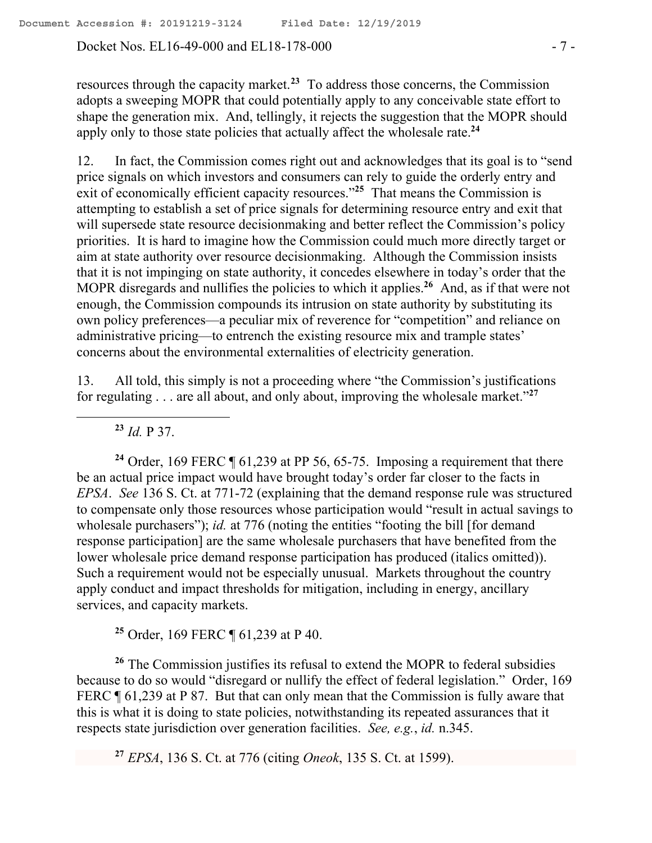Docket Nos. EL16-49-000 and EL18-178-000 - 7 -

resources through the capacity market.**<sup>23</sup>** To address those concerns, the Commission adopts a sweeping MOPR that could potentially apply to any conceivable state effort to shape the generation mix. And, tellingly, it rejects the suggestion that the MOPR should apply only to those state policies that actually affect the wholesale rate.**<sup>24</sup>**

12. In fact, the Commission comes right out and acknowledges that its goal is to "send price signals on which investors and consumers can rely to guide the orderly entry and exit of economically efficient capacity resources."<sup>25</sup> That means the Commission is attempting to establish a set of price signals for determining resource entry and exit that will supersede state resource decisionmaking and better reflect the Commission's policy priorities. It is hard to imagine how the Commission could much more directly target or aim at state authority over resource decisionmaking. Although the Commission insists that it is not impinging on state authority, it concedes elsewhere in today's order that the MOPR disregards and nullifies the policies to which it applies.**<sup>26</sup>** And, as if that were not enough, the Commission compounds its intrusion on state authority by substituting its own policy preferences—a peculiar mix of reverence for "competition" and reliance on administrative pricing—to entrench the existing resource mix and trample states' concerns about the environmental externalities of electricity generation.

13. All told, this simply is not a proceeding where "the Commission's justifications for regulating . . . are all about, and only about, improving the wholesale market."**<sup>27</sup>**

**<sup>23</sup>** *Id.* P 37.

**<sup>24</sup>** Order, 169 FERC ¶ 61,239 at PP 56, 65-75. Imposing a requirement that there be an actual price impact would have brought today's order far closer to the facts in *EPSA*. *See* 136 S. Ct. at 771-72 (explaining that the demand response rule was structured to compensate only those resources whose participation would "result in actual savings to wholesale purchasers"); *id.* at 776 (noting the entities "footing the bill [for demand response participation] are the same wholesale purchasers that have benefited from the lower wholesale price demand response participation has produced (italics omitted)). Such a requirement would not be especially unusual. Markets throughout the country apply conduct and impact thresholds for mitigation, including in energy, ancillary services, and capacity markets.

**<sup>25</sup>** Order, 169 FERC ¶ 61,239 at P 40.

**<sup>26</sup>** The Commission justifies its refusal to extend the MOPR to federal subsidies because to do so would "disregard or nullify the effect of federal legislation." Order, 169 FERC  $\P$  61,239 at P 87. But that can only mean that the Commission is fully aware that this is what it is doing to state policies, notwithstanding its repeated assurances that it respects state jurisdiction over generation facilities. *See, e.g.*, *id.* n.345.

**<sup>27</sup>** *EPSA*, 136 S. Ct. at 776 (citing *Oneok*, 135 S. Ct. at 1599).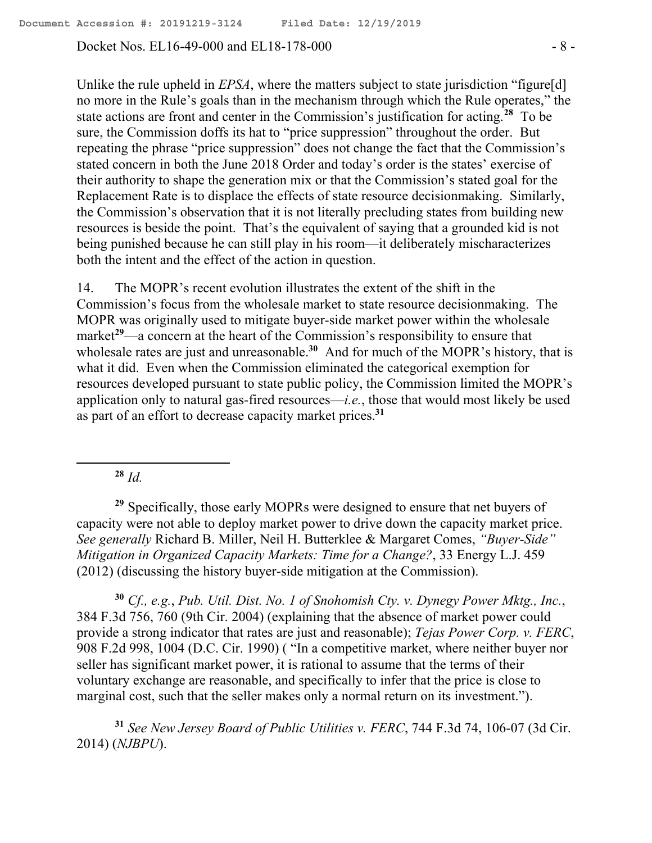Docket Nos. EL16-49-000 and EL18-178-000  $- 8 - 8$ 

Unlike the rule upheld in *EPSA*, where the matters subject to state jurisdiction "figure[d] no more in the Rule's goals than in the mechanism through which the Rule operates," the state actions are front and center in the Commission's justification for acting.**<sup>28</sup>** To be sure, the Commission doffs its hat to "price suppression" throughout the order. But repeating the phrase "price suppression" does not change the fact that the Commission's stated concern in both the June 2018 Order and today's order is the states' exercise of their authority to shape the generation mix or that the Commission's stated goal for the Replacement Rate is to displace the effects of state resource decisionmaking. Similarly, the Commission's observation that it is not literally precluding states from building new resources is beside the point. That's the equivalent of saying that a grounded kid is not being punished because he can still play in his room—it deliberately mischaracterizes both the intent and the effect of the action in question.

14. The MOPR's recent evolution illustrates the extent of the shift in the Commission's focus from the wholesale market to state resource decisionmaking. The MOPR was originally used to mitigate buyer-side market power within the wholesale market**<sup>29</sup>**—a concern at the heart of the Commission's responsibility to ensure that wholesale rates are just and unreasonable.<sup>30</sup> And for much of the MOPR's history, that is what it did. Even when the Commission eliminated the categorical exemption for resources developed pursuant to state public policy, the Commission limited the MOPR's application only to natural gas-fired resources—*i.e.*, those that would most likely be used as part of an effort to decrease capacity market prices.**<sup>31</sup>**

 $28$  *Id.* 

 $\overline{a}$ 

**<sup>29</sup>** Specifically, those early MOPRs were designed to ensure that net buyers of capacity were not able to deploy market power to drive down the capacity market price. *See generally* Richard B. Miller, Neil H. Butterklee & Margaret Comes, *"Buyer-Side" Mitigation in Organized Capacity Markets: Time for a Change?*, 33 Energy L.J. 459 (2012) (discussing the history buyer-side mitigation at the Commission).

**<sup>30</sup>** *Cf., e.g.*, *Pub. Util. Dist. No. 1 of Snohomish Cty. v. Dynegy Power Mktg., Inc.*, 384 F.3d 756, 760 (9th Cir. 2004) (explaining that the absence of market power could provide a strong indicator that rates are just and reasonable); *Tejas Power Corp. v. FERC*, 908 F.2d 998, 1004 (D.C. Cir. 1990) ( "In a competitive market, where neither buyer nor seller has significant market power, it is rational to assume that the terms of their voluntary exchange are reasonable, and specifically to infer that the price is close to marginal cost, such that the seller makes only a normal return on its investment.").

**<sup>31</sup>** *See New Jersey Board of Public Utilities v. FERC*, 744 F.3d 74, 106-07 (3d Cir. 2014) (*NJBPU*).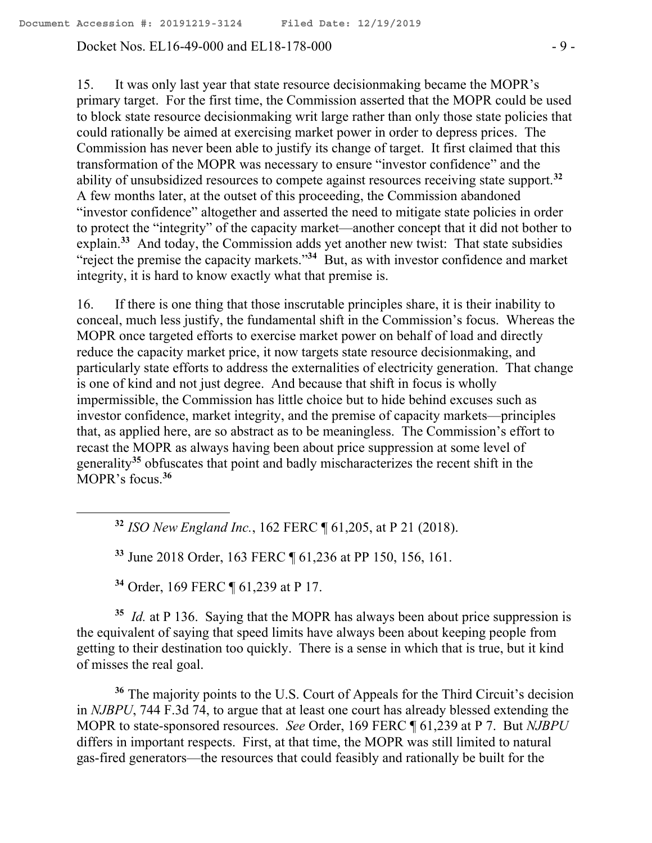#### Docket Nos. EL16-49-000 and EL18-178-000  $-9$  -

15. It was only last year that state resource decisionmaking became the MOPR's primary target. For the first time, the Commission asserted that the MOPR could be used to block state resource decisionmaking writ large rather than only those state policies that could rationally be aimed at exercising market power in order to depress prices. The Commission has never been able to justify its change of target. It first claimed that this transformation of the MOPR was necessary to ensure "investor confidence" and the ability of unsubsidized resources to compete against resources receiving state support.**<sup>32</sup>** A few months later, at the outset of this proceeding, the Commission abandoned "investor confidence" altogether and asserted the need to mitigate state policies in order to protect the "integrity" of the capacity market—another concept that it did not bother to explain.<sup>33</sup> And today, the Commission adds yet another new twist: That state subsidies "reject the premise the capacity markets."**<sup>34</sup>** But, as with investor confidence and market integrity, it is hard to know exactly what that premise is.

16. If there is one thing that those inscrutable principles share, it is their inability to conceal, much less justify, the fundamental shift in the Commission's focus. Whereas the MOPR once targeted efforts to exercise market power on behalf of load and directly reduce the capacity market price, it now targets state resource decisionmaking, and particularly state efforts to address the externalities of electricity generation. That change is one of kind and not just degree. And because that shift in focus is wholly impermissible, the Commission has little choice but to hide behind excuses such as investor confidence, market integrity, and the premise of capacity markets—principles that, as applied here, are so abstract as to be meaningless. The Commission's effort to recast the MOPR as always having been about price suppression at some level of generality**<sup>35</sup>** obfuscates that point and badly mischaracterizes the recent shift in the MOPR's focus.**<sup>36</sup>**

**<sup>32</sup>** *ISO New England Inc.*, 162 FERC ¶ 61,205, at P 21 (2018).

**<sup>33</sup>** June 2018 Order, 163 FERC ¶ 61,236 at PP 150, 156, 161.

**<sup>34</sup>** Order, 169 FERC ¶ 61,239 at P 17.

 $\overline{a}$ 

<sup>35</sup> *Id.* at P 136. Saying that the MOPR has always been about price suppression is the equivalent of saying that speed limits have always been about keeping people from getting to their destination too quickly. There is a sense in which that is true, but it kind of misses the real goal.

**<sup>36</sup>** The majority points to the U.S. Court of Appeals for the Third Circuit's decision in *NJBPU*, 744 F.3d 74, to argue that at least one court has already blessed extending the MOPR to state-sponsored resources. *See* Order, 169 FERC ¶ 61,239 at P 7. But *NJBPU* differs in important respects. First, at that time, the MOPR was still limited to natural gas-fired generators—the resources that could feasibly and rationally be built for the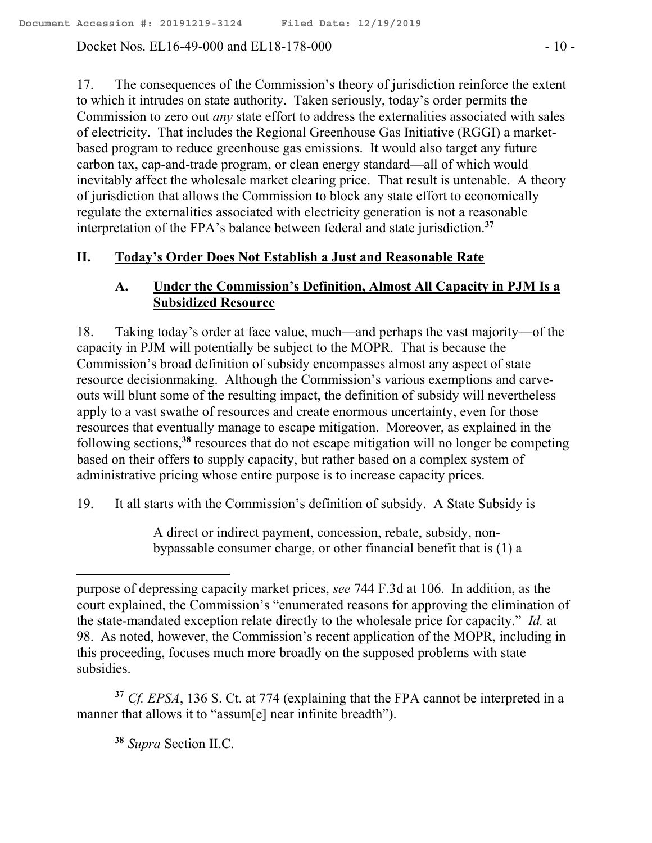Docket Nos. EL16-49-000 and EL18-178-000  $-10$  -

17. The consequences of the Commission's theory of jurisdiction reinforce the extent to which it intrudes on state authority. Taken seriously, today's order permits the Commission to zero out *any* state effort to address the externalities associated with sales of electricity. That includes the Regional Greenhouse Gas Initiative (RGGI) a marketbased program to reduce greenhouse gas emissions. It would also target any future carbon tax, cap-and-trade program, or clean energy standard—all of which would inevitably affect the wholesale market clearing price. That result is untenable. A theory of jurisdiction that allows the Commission to block any state effort to economically regulate the externalities associated with electricity generation is not a reasonable interpretation of the FPA's balance between federal and state jurisdiction.**<sup>37</sup>**

# **II. Today's Order Does Not Establish a Just and Reasonable Rate**

# **A. Under the Commission's Definition, Almost All Capacity in PJM Is a Subsidized Resource**

18. Taking today's order at face value, much—and perhaps the vast majority—of the capacity in PJM will potentially be subject to the MOPR. That is because the Commission's broad definition of subsidy encompasses almost any aspect of state resource decisionmaking. Although the Commission's various exemptions and carveouts will blunt some of the resulting impact, the definition of subsidy will nevertheless apply to a vast swathe of resources and create enormous uncertainty, even for those resources that eventually manage to escape mitigation. Moreover, as explained in the following sections,<sup>38</sup> resources that do not escape mitigation will no longer be competing based on their offers to supply capacity, but rather based on a complex system of administrative pricing whose entire purpose is to increase capacity prices.

19. It all starts with the Commission's definition of subsidy. A State Subsidy is

A direct or indirect payment, concession, rebate, subsidy, nonbypassable consumer charge, or other financial benefit that is (1) a

**<sup>37</sup>** *Cf. EPSA*, 136 S. Ct. at 774 (explaining that the FPA cannot be interpreted in a manner that allows it to "assum[e] near infinite breadth").

**<sup>38</sup>** *Supra* Section II.C.

 $\overline{a}$ 

purpose of depressing capacity market prices, *see* 744 F.3d at 106. In addition, as the court explained, the Commission's "enumerated reasons for approving the elimination of the state-mandated exception relate directly to the wholesale price for capacity." *Id.* at 98. As noted, however, the Commission's recent application of the MOPR, including in this proceeding, focuses much more broadly on the supposed problems with state subsidies.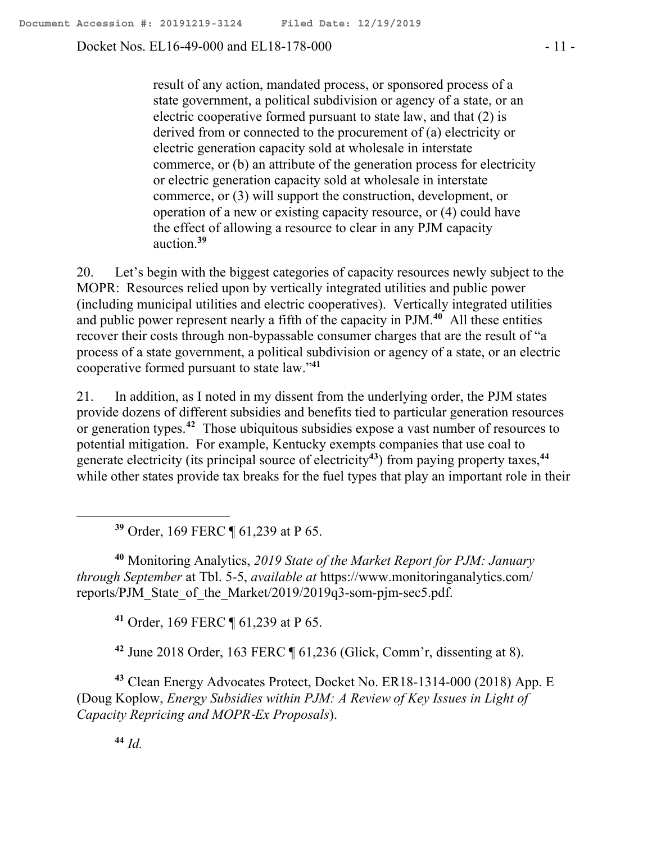Docket Nos. EL16-49-000 and EL18-178-000 - 11 -

result of any action, mandated process, or sponsored process of a state government, a political subdivision or agency of a state, or an electric cooperative formed pursuant to state law, and that (2) is derived from or connected to the procurement of (a) electricity or electric generation capacity sold at wholesale in interstate commerce, or (b) an attribute of the generation process for electricity or electric generation capacity sold at wholesale in interstate commerce, or (3) will support the construction, development, or operation of a new or existing capacity resource, or (4) could have the effect of allowing a resource to clear in any PJM capacity auction.**<sup>39</sup>**

20. Let's begin with the biggest categories of capacity resources newly subject to the MOPR: Resources relied upon by vertically integrated utilities and public power (including municipal utilities and electric cooperatives). Vertically integrated utilities and public power represent nearly a fifth of the capacity in PJM.**<sup>40</sup>** All these entities recover their costs through non-bypassable consumer charges that are the result of "a process of a state government, a political subdivision or agency of a state, or an electric cooperative formed pursuant to state law."**<sup>41</sup>**

21. In addition, as I noted in my dissent from the underlying order, the PJM states provide dozens of different subsidies and benefits tied to particular generation resources or generation types.**<sup>42</sup>** Those ubiquitous subsidies expose a vast number of resources to potential mitigation. For example, Kentucky exempts companies that use coal to generate electricity (its principal source of electricity**<sup>43</sup>**) from paying property taxes,**<sup>44</sup>** while other states provide tax breaks for the fuel types that play an important role in their

**<sup>39</sup>** Order, 169 FERC ¶ 61,239 at P 65.

**<sup>40</sup>** Monitoring Analytics, *2019 State of the Market Report for PJM: January through September* at Tbl. 5-5, *available at* https://www.monitoringanalytics.com/ reports/PJM\_State\_of\_the\_Market/2019/2019q3-som-pjm-sec5.pdf.

**<sup>41</sup>** Order, 169 FERC ¶ 61,239 at P 65.

**<sup>42</sup>** June 2018 Order, 163 FERC ¶ 61,236 (Glick, Comm'r, dissenting at 8).

**<sup>43</sup>** Clean Energy Advocates Protect, Docket No. ER18-1314-000 (2018) App. E (Doug Koplow, *Energy Subsidies within PJM: A Review of Key Issues in Light of Capacity Repricing and MOPR*-*Ex Proposals*).

**<sup>44</sup>** *Id.*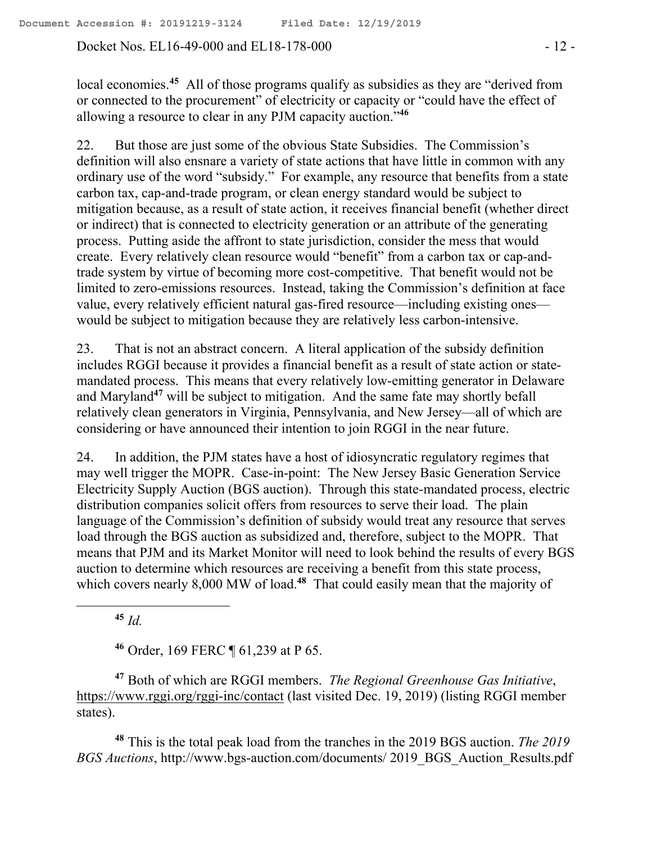Docket Nos. EL16-49-000 and EL18-178-000 - 12 -

local economies.**<sup>45</sup>** All of those programs qualify as subsidies as they are "derived from or connected to the procurement" of electricity or capacity or "could have the effect of allowing a resource to clear in any PJM capacity auction."**<sup>46</sup>**

22. But those are just some of the obvious State Subsidies. The Commission's definition will also ensnare a variety of state actions that have little in common with any ordinary use of the word "subsidy." For example, any resource that benefits from a state carbon tax, cap-and-trade program, or clean energy standard would be subject to mitigation because, as a result of state action, it receives financial benefit (whether direct or indirect) that is connected to electricity generation or an attribute of the generating process. Putting aside the affront to state jurisdiction, consider the mess that would create. Every relatively clean resource would "benefit" from a carbon tax or cap-andtrade system by virtue of becoming more cost-competitive. That benefit would not be limited to zero-emissions resources. Instead, taking the Commission's definition at face value, every relatively efficient natural gas-fired resource—including existing ones would be subject to mitigation because they are relatively less carbon-intensive.

23. That is not an abstract concern. A literal application of the subsidy definition includes RGGI because it provides a financial benefit as a result of state action or statemandated process. This means that every relatively low-emitting generator in Delaware and Maryland**<sup>47</sup>** will be subject to mitigation. And the same fate may shortly befall relatively clean generators in Virginia, Pennsylvania, and New Jersey—all of which are considering or have announced their intention to join RGGI in the near future.

24. In addition, the PJM states have a host of idiosyncratic regulatory regimes that may well trigger the MOPR. Case-in-point: The New Jersey Basic Generation Service Electricity Supply Auction (BGS auction). Through this state-mandated process, electric distribution companies solicit offers from resources to serve their load. The plain language of the Commission's definition of subsidy would treat any resource that serves load through the BGS auction as subsidized and, therefore, subject to the MOPR. That means that PJM and its Market Monitor will need to look behind the results of every BGS auction to determine which resources are receiving a benefit from this state process, which covers nearly 8,000 MW of load.<sup>48</sup> That could easily mean that the majority of

**<sup>45</sup>** *Id.*

**<sup>46</sup>** Order, 169 FERC ¶ 61,239 at P 65.

**<sup>47</sup>** Both of which are RGGI members. *The Regional Greenhouse Gas Initiative*, https://www.rggi.org/rggi-inc/contact (last visited Dec. 19, 2019) (listing RGGI member states).

**<sup>48</sup>** This is the total peak load from the tranches in the 2019 BGS auction. *The 2019 BGS Auctions*, http://www.bgs-auction.com/documents/ 2019\_BGS\_Auction\_Results.pdf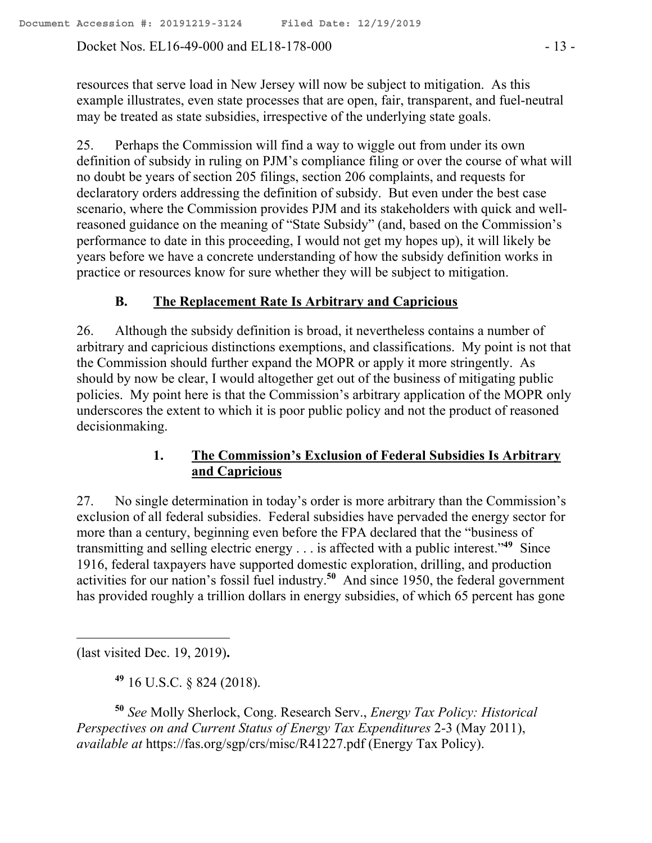Docket Nos. EL16-49-000 and EL18-178-000 - 13 -

resources that serve load in New Jersey will now be subject to mitigation. As this example illustrates, even state processes that are open, fair, transparent, and fuel-neutral may be treated as state subsidies, irrespective of the underlying state goals.

25. Perhaps the Commission will find a way to wiggle out from under its own definition of subsidy in ruling on PJM's compliance filing or over the course of what will no doubt be years of section 205 filings, section 206 complaints, and requests for declaratory orders addressing the definition of subsidy. But even under the best case scenario, where the Commission provides PJM and its stakeholders with quick and wellreasoned guidance on the meaning of "State Subsidy" (and, based on the Commission's performance to date in this proceeding, I would not get my hopes up), it will likely be years before we have a concrete understanding of how the subsidy definition works in practice or resources know for sure whether they will be subject to mitigation.

### **B. The Replacement Rate Is Arbitrary and Capricious**

26. Although the subsidy definition is broad, it nevertheless contains a number of arbitrary and capricious distinctions exemptions, and classifications. My point is not that the Commission should further expand the MOPR or apply it more stringently. As should by now be clear, I would altogether get out of the business of mitigating public policies. My point here is that the Commission's arbitrary application of the MOPR only underscores the extent to which it is poor public policy and not the product of reasoned decisionmaking.

# **1. The Commission's Exclusion of Federal Subsidies Is Arbitrary and Capricious**

27. No single determination in today's order is more arbitrary than the Commission's exclusion of all federal subsidies. Federal subsidies have pervaded the energy sector for more than a century, beginning even before the FPA declared that the "business of transmitting and selling electric energy . . . is affected with a public interest."**<sup>49</sup>** Since 1916, federal taxpayers have supported domestic exploration, drilling, and production activities for our nation's fossil fuel industry.**<sup>50</sup>** And since 1950, the federal government has provided roughly a trillion dollars in energy subsidies, of which 65 percent has gone

(last visited Dec. 19, 2019)**.**

**<sup>49</sup>** 16 U.S.C. § 824 (2018).

**<sup>50</sup>** *See* Molly Sherlock, Cong. Research Serv., *Energy Tax Policy: Historical Perspectives on and Current Status of Energy Tax Expenditures* 2-3 (May 2011), *available at* https://fas.org/sgp/crs/misc/R41227.pdf (Energy Tax Policy).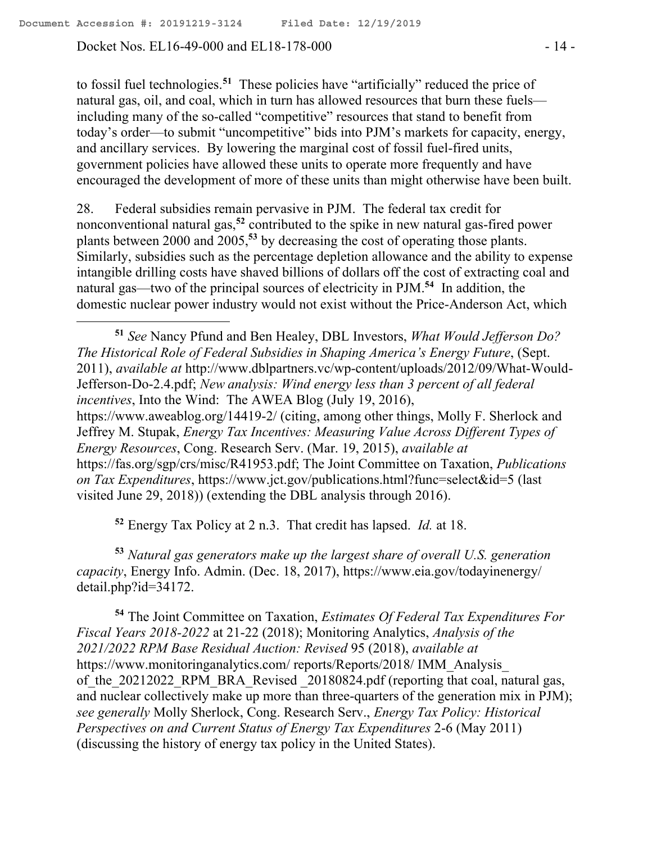Docket Nos. EL16-49-000 and EL18-178-000 - 14 -

 $\overline{a}$ 

to fossil fuel technologies.**<sup>51</sup>** These policies have "artificially" reduced the price of natural gas, oil, and coal, which in turn has allowed resources that burn these fuels including many of the so-called "competitive" resources that stand to benefit from today's order—to submit "uncompetitive" bids into PJM's markets for capacity, energy, and ancillary services. By lowering the marginal cost of fossil fuel-fired units, government policies have allowed these units to operate more frequently and have encouraged the development of more of these units than might otherwise have been built.

28. Federal subsidies remain pervasive in PJM. The federal tax credit for nonconventional natural gas,**<sup>52</sup>** contributed to the spike in new natural gas-fired power plants between 2000 and 2005,**<sup>53</sup>** by decreasing the cost of operating those plants. Similarly, subsidies such as the percentage depletion allowance and the ability to expense intangible drilling costs have shaved billions of dollars off the cost of extracting coal and natural gas—two of the principal sources of electricity in PJM.**<sup>54</sup>** In addition, the domestic nuclear power industry would not exist without the Price-Anderson Act, which

**<sup>51</sup>** *See* Nancy Pfund and Ben Healey, DBL Investors, *What Would Jefferson Do? The Historical Role of Federal Subsidies in Shaping America's Energy Future*, (Sept. 2011), *available at* http://www.dblpartners.vc/wp-content/uploads/2012/09/What-Would-Jefferson-Do-2.4.pdf; *New analysis: Wind energy less than 3 percent of all federal incentives*, Into the Wind: The AWEA Blog (July 19, 2016), https://www.aweablog.org/14419-2/ (citing, among other things, Molly F. Sherlock and Jeffrey M. Stupak, *Energy Tax Incentives: Measuring Value Across Different Types of Energy Resources*, Cong. Research Serv. (Mar. 19, 2015), *available at* https://fas.org/sgp/crs/misc/R41953.pdf; The Joint Committee on Taxation, *Publications on Tax Expenditures*, https://www.jct.gov/publications.html?func=select&id=5 (last visited June 29, 2018)) (extending the DBL analysis through 2016).

**<sup>52</sup>** Energy Tax Policy at 2 n.3. That credit has lapsed. *Id.* at 18.

**<sup>53</sup>** *Natural gas generators make up the largest share of overall U.S. generation capacity*, Energy Info. Admin. (Dec. 18, 2017), https://www.eia.gov/todayinenergy/ detail.php?id=34172.

**<sup>54</sup>** The Joint Committee on Taxation, *Estimates Of Federal Tax Expenditures For Fiscal Years 2018-2022* at 21-22 (2018); Monitoring Analytics, *Analysis of the 2021/2022 RPM Base Residual Auction: Revised* 95 (2018), *available at*  https://www.monitoringanalytics.com/ reports/Reports/2018/ IMM\_Analysis\_ of the 20212022 RPM BRA Revised 20180824.pdf (reporting that coal, natural gas, and nuclear collectively make up more than three-quarters of the generation mix in PJM); *see generally* Molly Sherlock, Cong. Research Serv., *Energy Tax Policy: Historical Perspectives on and Current Status of Energy Tax Expenditures* 2-6 (May 2011) (discussing the history of energy tax policy in the United States).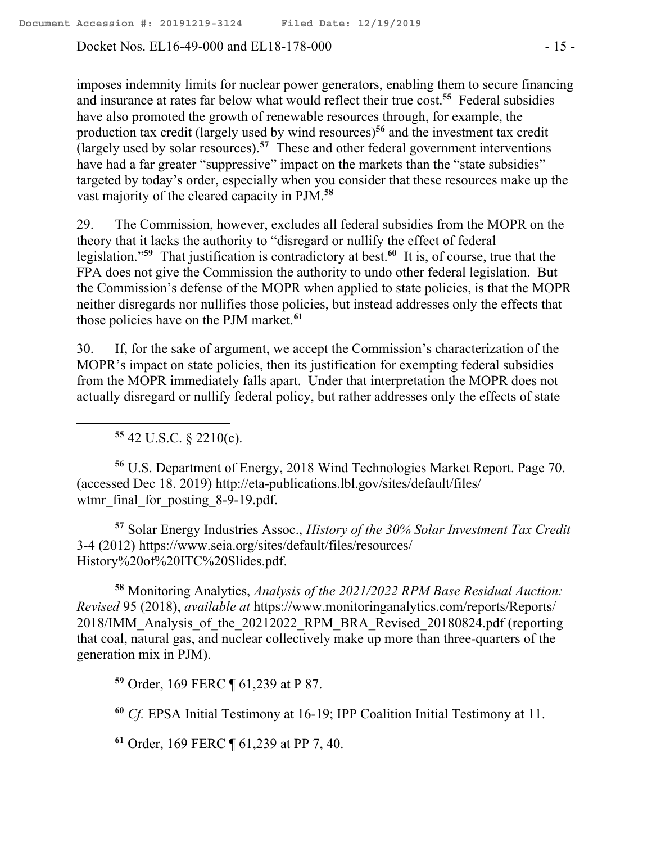Docket Nos. EL16-49-000 and EL18-178-000 - 15 -

imposes indemnity limits for nuclear power generators, enabling them to secure financing and insurance at rates far below what would reflect their true cost.**<sup>55</sup>** Federal subsidies have also promoted the growth of renewable resources through, for example, the production tax credit (largely used by wind resources)**<sup>56</sup>** and the investment tax credit (largely used by solar resources).**<sup>57</sup>** These and other federal government interventions have had a far greater "suppressive" impact on the markets than the "state subsidies" targeted by today's order, especially when you consider that these resources make up the vast majority of the cleared capacity in PJM.**<sup>58</sup>**

29. The Commission, however, excludes all federal subsidies from the MOPR on the theory that it lacks the authority to "disregard or nullify the effect of federal legislation." **59** That justification is contradictory at best.**<sup>60</sup>** It is, of course, true that the FPA does not give the Commission the authority to undo other federal legislation. But the Commission's defense of the MOPR when applied to state policies, is that the MOPR neither disregards nor nullifies those policies, but instead addresses only the effects that those policies have on the PJM market.**<sup>61</sup>**

30. If, for the sake of argument, we accept the Commission's characterization of the MOPR's impact on state policies, then its justification for exempting federal subsidies from the MOPR immediately falls apart. Under that interpretation the MOPR does not actually disregard or nullify federal policy, but rather addresses only the effects of state

**<sup>55</sup>** 42 U.S.C. § 2210(c).

 $\overline{a}$ 

**<sup>56</sup>** U.S. Department of Energy, 2018 Wind Technologies Market Report. Page 70. (accessed Dec 18. 2019) http://eta-publications.lbl.gov/sites/default/files/ wtmr\_final\_for\_posting\_8-9-19.pdf.

**<sup>57</sup>** Solar Energy Industries Assoc., *History of the 30% Solar Investment Tax Credit* 3-4 (2012) https://www.seia.org/sites/default/files/resources/ History%20of%20ITC%20Slides.pdf.

**<sup>58</sup>** Monitoring Analytics, *Analysis of the 2021/2022 RPM Base Residual Auction: Revised* 95 (2018), *available at* https://www.monitoringanalytics.com/reports/Reports/ 2018/IMM\_Analysis\_of\_the\_20212022\_RPM\_BRA\_Revised\_20180824.pdf (reporting that coal, natural gas, and nuclear collectively make up more than three-quarters of the generation mix in PJM).

**<sup>59</sup>** Order, 169 FERC ¶ 61,239 at P 87.

**<sup>60</sup>** *Cf.* EPSA Initial Testimony at 16-19; IPP Coalition Initial Testimony at 11.

**<sup>61</sup>** Order, 169 FERC ¶ 61,239 at PP 7, 40.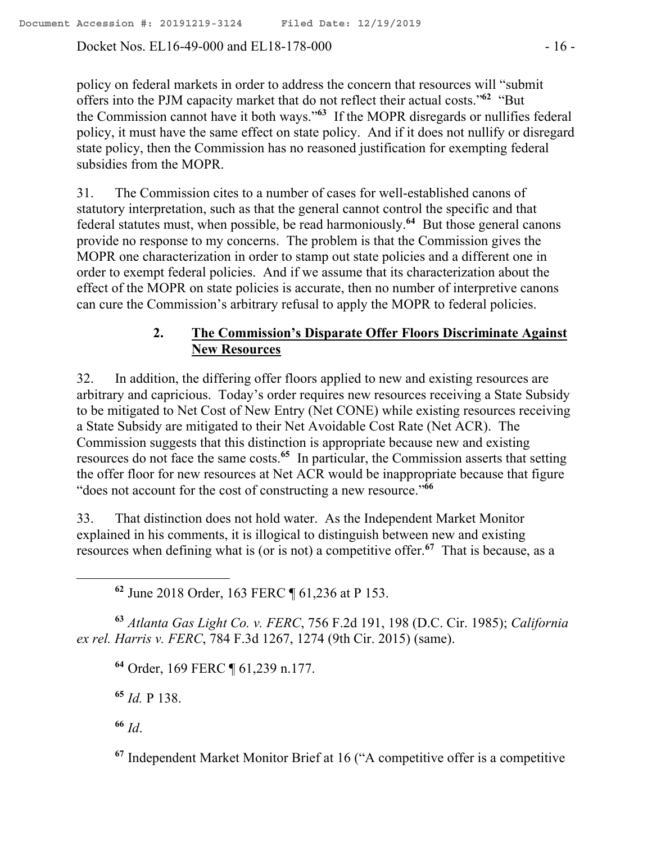Docket Nos. EL16-49-000 and EL18-178-000  $-16$ 

policy on federal markets in order to address the concern that resources will "submit offers into the PJM capacity market that do not reflect their actual costs."<sup>62</sup> "But the Commission cannot have it both ways."**<sup>63</sup>** If the MOPR disregards or nullifies federal policy, it must have the same effect on state policy. And if it does not nullify or disregard state policy, then the Commission has no reasoned justification for exempting federal subsidies from the MOPR.

31. The Commission cites to a number of cases for well-established canons of statutory interpretation, such as that the general cannot control the specific and that federal statutes must, when possible, be read harmoniously.**<sup>64</sup>** But those general canons provide no response to my concerns. The problem is that the Commission gives the MOPR one characterization in order to stamp out state policies and a different one in order to exempt federal policies. And if we assume that its characterization about the effect of the MOPR on state policies is accurate, then no number of interpretive canons can cure the Commission's arbitrary refusal to apply the MOPR to federal policies.

### **2. The Commission's Disparate Offer Floors Discriminate Against New Resources**

32. In addition, the differing offer floors applied to new and existing resources are arbitrary and capricious. Today's order requires new resources receiving a State Subsidy to be mitigated to Net Cost of New Entry (Net CONE) while existing resources receiving a State Subsidy are mitigated to their Net Avoidable Cost Rate (Net ACR). The Commission suggests that this distinction is appropriate because new and existing resources do not face the same costs.**<sup>65</sup>** In particular, the Commission asserts that setting the offer floor for new resources at Net ACR would be inappropriate because that figure "does not account for the cost of constructing a new resource."**<sup>66</sup>**

33. That distinction does not hold water. As the Independent Market Monitor explained in his comments, it is illogical to distinguish between new and existing resources when defining what is (or is not) a competitive offer.**<sup>67</sup>** That is because, as a

**<sup>62</sup>** June 2018 Order, 163 FERC ¶ 61,236 at P 153.

**<sup>63</sup>** *Atlanta Gas Light Co. v. FERC*, 756 F.2d 191, 198 (D.C. Cir. 1985); *California ex rel. Harris v. FERC*, 784 F.3d 1267, 1274 (9th Cir. 2015) (same).

**<sup>64</sup>** Order, 169 FERC ¶ 61,239 n.177.

**<sup>65</sup>** *Id.* P 138.

**<sup>66</sup>** *Id*.

**<sup>67</sup>** Independent Market Monitor Brief at 16 ("A competitive offer is a competitive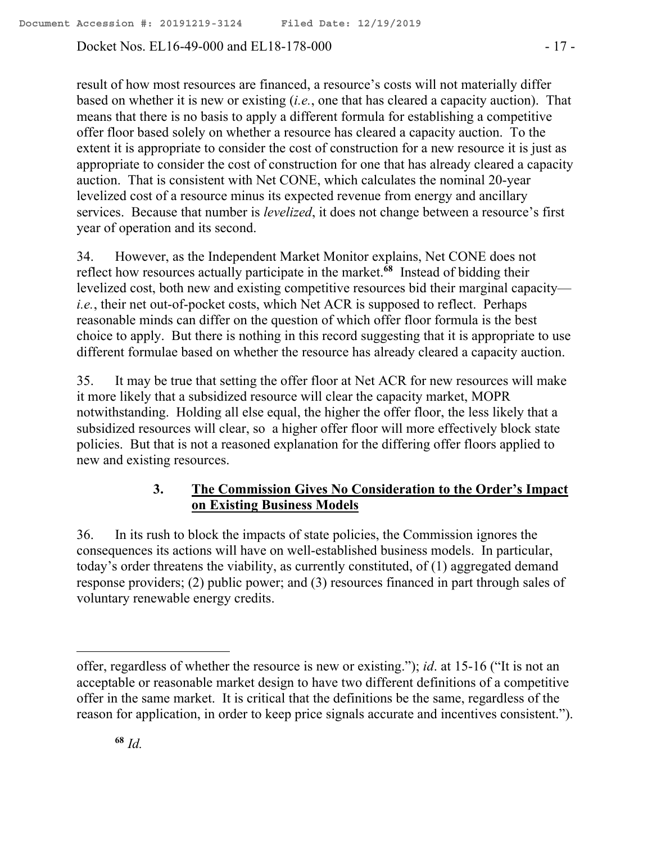Docket Nos. EL16-49-000 and EL18-178-000 - 17 -

result of how most resources are financed, a resource's costs will not materially differ based on whether it is new or existing (*i.e.*, one that has cleared a capacity auction). That means that there is no basis to apply a different formula for establishing a competitive offer floor based solely on whether a resource has cleared a capacity auction. To the extent it is appropriate to consider the cost of construction for a new resource it is just as appropriate to consider the cost of construction for one that has already cleared a capacity auction. That is consistent with Net CONE, which calculates the nominal 20-year levelized cost of a resource minus its expected revenue from energy and ancillary services. Because that number is *levelized*, it does not change between a resource's first year of operation and its second.

34. However, as the Independent Market Monitor explains, Net CONE does not reflect how resources actually participate in the market.**<sup>68</sup>** Instead of bidding their levelized cost, both new and existing competitive resources bid their marginal capacity *i.e.*, their net out-of-pocket costs, which Net ACR is supposed to reflect. Perhaps reasonable minds can differ on the question of which offer floor formula is the best choice to apply. But there is nothing in this record suggesting that it is appropriate to use different formulae based on whether the resource has already cleared a capacity auction.

35. It may be true that setting the offer floor at Net ACR for new resources will make it more likely that a subsidized resource will clear the capacity market, MOPR notwithstanding. Holding all else equal, the higher the offer floor, the less likely that a subsidized resources will clear, so a higher offer floor will more effectively block state policies. But that is not a reasoned explanation for the differing offer floors applied to new and existing resources.

# **3. The Commission Gives No Consideration to the Order's Impact on Existing Business Models**

36. In its rush to block the impacts of state policies, the Commission ignores the consequences its actions will have on well-established business models. In particular, today's order threatens the viability, as currently constituted, of (1) aggregated demand response providers; (2) public power; and (3) resources financed in part through sales of voluntary renewable energy credits.

 $\overline{a}$ 

offer, regardless of whether the resource is new or existing."); *id*. at 15-16 ("It is not an acceptable or reasonable market design to have two different definitions of a competitive offer in the same market. It is critical that the definitions be the same, regardless of the reason for application, in order to keep price signals accurate and incentives consistent.").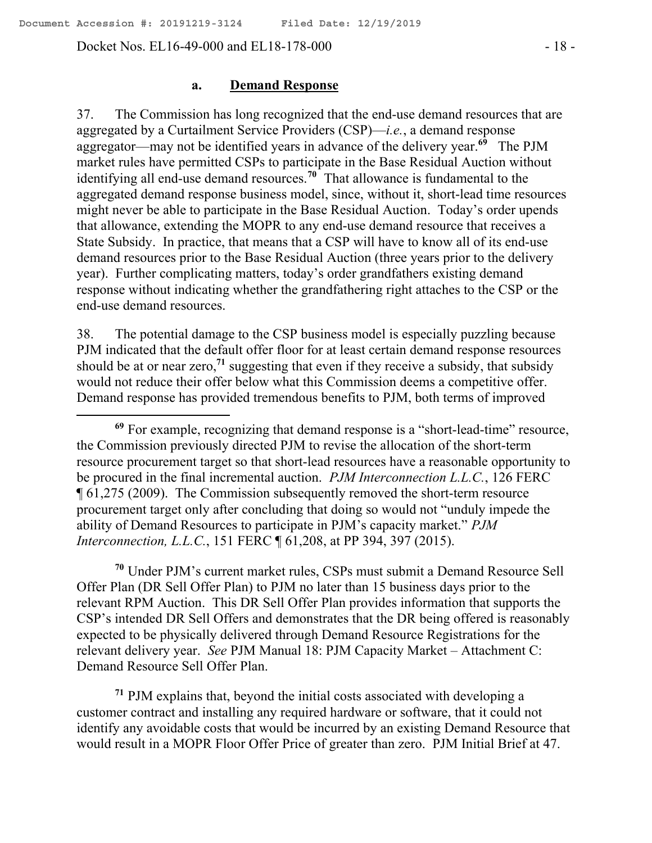Docket Nos. EL16-49-000 and EL18-178-000 - 18 -

#### **a. Demand Response**

37. The Commission has long recognized that the end-use demand resources that are aggregated by a Curtailment Service Providers (CSP)—*i.e.*, a demand response aggregator—may not be identified years in advance of the delivery year.**<sup>69</sup>** The PJM market rules have permitted CSPs to participate in the Base Residual Auction without identifying all end-use demand resources.**<sup>70</sup>** That allowance is fundamental to the aggregated demand response business model, since, without it, short-lead time resources might never be able to participate in the Base Residual Auction. Today's order upends that allowance, extending the MOPR to any end-use demand resource that receives a State Subsidy. In practice, that means that a CSP will have to know all of its end-use demand resources prior to the Base Residual Auction (three years prior to the delivery year). Further complicating matters, today's order grandfathers existing demand response without indicating whether the grandfathering right attaches to the CSP or the end-use demand resources.

38. The potential damage to the CSP business model is especially puzzling because PJM indicated that the default offer floor for at least certain demand response resources should be at or near zero,**<sup>71</sup>** suggesting that even if they receive a subsidy, that subsidy would not reduce their offer below what this Commission deems a competitive offer. Demand response has provided tremendous benefits to PJM, both terms of improved

**<sup>70</sup>** Under PJM's current market rules, CSPs must submit a Demand Resource Sell Offer Plan (DR Sell Offer Plan) to PJM no later than 15 business days prior to the relevant RPM Auction. This DR Sell Offer Plan provides information that supports the CSP's intended DR Sell Offers and demonstrates that the DR being offered is reasonably expected to be physically delivered through Demand Resource Registrations for the relevant delivery year. *See* PJM Manual 18: PJM Capacity Market – Attachment C: Demand Resource Sell Offer Plan.

**<sup>71</sup>** PJM explains that, beyond the initial costs associated with developing a customer contract and installing any required hardware or software, that it could not identify any avoidable costs that would be incurred by an existing Demand Resource that would result in a MOPR Floor Offer Price of greater than zero. PJM Initial Brief at 47.

**<sup>69</sup>** For example, recognizing that demand response is a "short-lead-time" resource, the Commission previously directed PJM to revise the allocation of the short-term resource procurement target so that short-lead resources have a reasonable opportunity to be procured in the final incremental auction. *PJM Interconnection L.L.C.*, 126 FERC ¶ 61,275 (2009). The Commission subsequently removed the short-term resource procurement target only after concluding that doing so would not "unduly impede the ability of Demand Resources to participate in PJM's capacity market." *PJM Interconnection, L.L.C.*, 151 FERC ¶ 61,208, at PP 394, 397 (2015).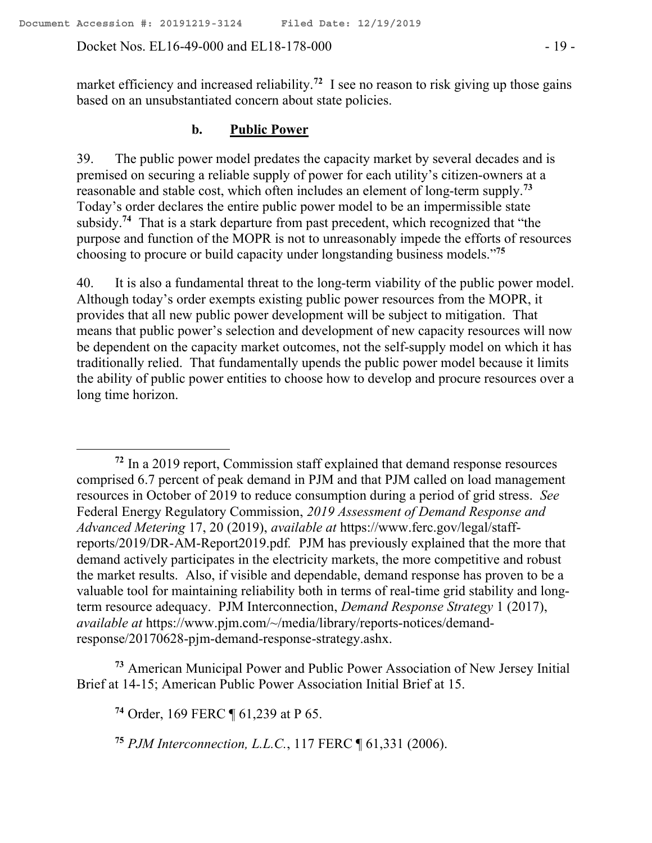#### Docket Nos. EL16-49-000 and EL18-178-000  $-19$

market efficiency and increased reliability.<sup>72</sup> I see no reason to risk giving up those gains based on an unsubstantiated concern about state policies.

### **b. Public Power**

39. The public power model predates the capacity market by several decades and is premised on securing a reliable supply of power for each utility's citizen-owners at a reasonable and stable cost, which often includes an element of long-term supply.**<sup>73</sup>** Today's order declares the entire public power model to be an impermissible state subsidy.**<sup>74</sup>** That is a stark departure from past precedent, which recognized that "the purpose and function of the MOPR is not to unreasonably impede the efforts of resources choosing to procure or build capacity under longstanding business models."**<sup>75</sup>**

40. It is also a fundamental threat to the long-term viability of the public power model. Although today's order exempts existing public power resources from the MOPR, it provides that all new public power development will be subject to mitigation. That means that public power's selection and development of new capacity resources will now be dependent on the capacity market outcomes, not the self-supply model on which it has traditionally relied. That fundamentally upends the public power model because it limits the ability of public power entities to choose how to develop and procure resources over a long time horizon.

**<sup>72</sup>** In a 2019 report, Commission staff explained that demand response resources comprised 6.7 percent of peak demand in PJM and that PJM called on load management resources in October of 2019 to reduce consumption during a period of grid stress. *See* Federal Energy Regulatory Commission, *2019 Assessment of Demand Response and Advanced Metering* 17, 20 (2019), *available at* https://www.ferc.gov/legal/staffreports/2019/DR-AM-Report2019.pdf*.* PJM has previously explained that the more that demand actively participates in the electricity markets, the more competitive and robust the market results. Also, if visible and dependable, demand response has proven to be a valuable tool for maintaining reliability both in terms of real-time grid stability and longterm resource adequacy. PJM Interconnection, *Demand Response Strategy* 1 (2017), *available at* https://www.pjm.com/~/media/library/reports-notices/demandresponse/20170628-pjm-demand-response-strategy.ashx.

**<sup>73</sup>** American Municipal Power and Public Power Association of New Jersey Initial Brief at 14-15; American Public Power Association Initial Brief at 15.

**<sup>74</sup>** Order, 169 FERC ¶ 61,239 at P 65.

**<sup>75</sup>** *PJM Interconnection, L.L.C.*, 117 FERC ¶ 61,331 (2006).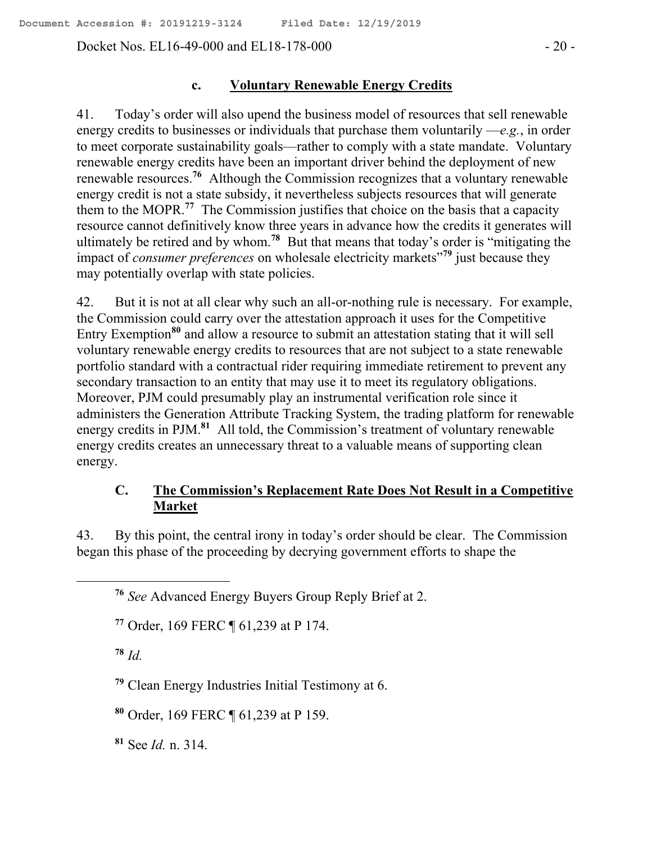Docket Nos. EL16-49-000 and EL18-178-000 - 20 -

### **c. Voluntary Renewable Energy Credits**

41. Today's order will also upend the business model of resources that sell renewable energy credits to businesses or individuals that purchase them voluntarily —*e.g.*, in order to meet corporate sustainability goals—rather to comply with a state mandate. Voluntary renewable energy credits have been an important driver behind the deployment of new renewable resources.**<sup>76</sup>** Although the Commission recognizes that a voluntary renewable energy credit is not a state subsidy, it nevertheless subjects resources that will generate them to the MOPR.**<sup>77</sup>** The Commission justifies that choice on the basis that a capacity resource cannot definitively know three years in advance how the credits it generates will ultimately be retired and by whom.**<sup>78</sup>** But that means that today's order is "mitigating the impact of *consumer preferences* on wholesale electricity markets"**<sup>79</sup>** just because they may potentially overlap with state policies.

42. But it is not at all clear why such an all-or-nothing rule is necessary. For example, the Commission could carry over the attestation approach it uses for the Competitive Entry Exemption**<sup>80</sup>** and allow a resource to submit an attestation stating that it will sell voluntary renewable energy credits to resources that are not subject to a state renewable portfolio standard with a contractual rider requiring immediate retirement to prevent any secondary transaction to an entity that may use it to meet its regulatory obligations. Moreover, PJM could presumably play an instrumental verification role since it administers the Generation Attribute Tracking System, the trading platform for renewable energy credits in PJM.**<sup>81</sup>** All told, the Commission's treatment of voluntary renewable energy credits creates an unnecessary threat to a valuable means of supporting clean energy.

# **C. The Commission's Replacement Rate Does Not Result in a Competitive Market**

43. By this point, the central irony in today's order should be clear. The Commission began this phase of the proceeding by decrying government efforts to shape the

 $78$  *Id.* 

 $\overline{a}$ 

**<sup>79</sup>** Clean Energy Industries Initial Testimony at 6.

**<sup>80</sup>** Order, 169 FERC ¶ 61,239 at P 159.

**<sup>81</sup>** See *Id.* n. 314.

**<sup>76</sup>** *See* Advanced Energy Buyers Group Reply Brief at 2.

**<sup>77</sup>** Order, 169 FERC ¶ 61,239 at P 174.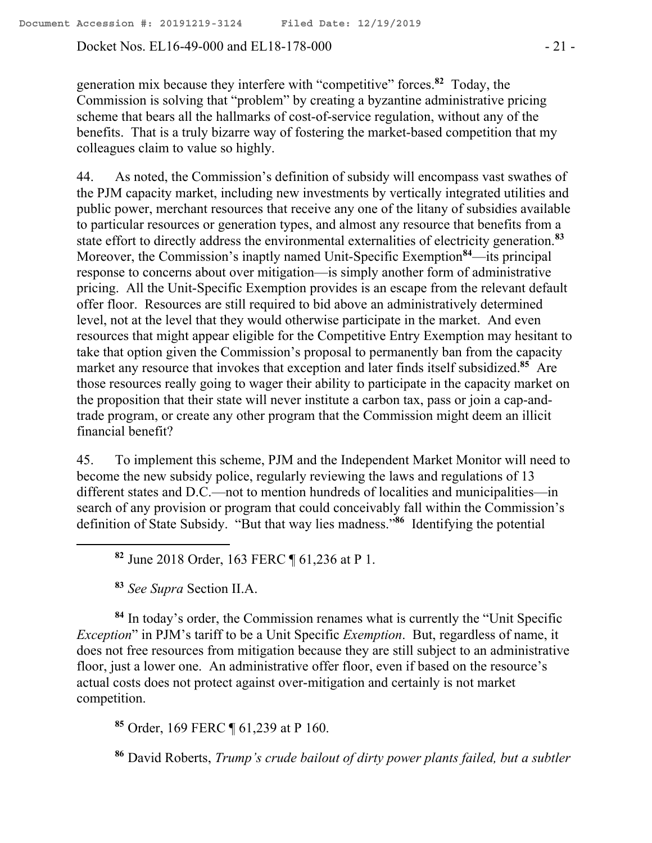Docket Nos. EL16-49-000 and EL18-178-000 - 21 -

generation mix because they interfere with "competitive" forces.**<sup>82</sup>** Today, the Commission is solving that "problem" by creating a byzantine administrative pricing scheme that bears all the hallmarks of cost-of-service regulation, without any of the benefits. That is a truly bizarre way of fostering the market-based competition that my colleagues claim to value so highly.

44. As noted, the Commission's definition of subsidy will encompass vast swathes of the PJM capacity market, including new investments by vertically integrated utilities and public power, merchant resources that receive any one of the litany of subsidies available to particular resources or generation types, and almost any resource that benefits from a state effort to directly address the environmental externalities of electricity generation.**<sup>83</sup>** Moreover, the Commission's inaptly named Unit-Specific Exemption**<sup>84</sup>**—its principal response to concerns about over mitigation—is simply another form of administrative pricing. All the Unit-Specific Exemption provides is an escape from the relevant default offer floor. Resources are still required to bid above an administratively determined level, not at the level that they would otherwise participate in the market. And even resources that might appear eligible for the Competitive Entry Exemption may hesitant to take that option given the Commission's proposal to permanently ban from the capacity market any resource that invokes that exception and later finds itself subsidized.**<sup>85</sup>** Are those resources really going to wager their ability to participate in the capacity market on the proposition that their state will never institute a carbon tax, pass or join a cap-andtrade program, or create any other program that the Commission might deem an illicit financial benefit?

45. To implement this scheme, PJM and the Independent Market Monitor will need to become the new subsidy police, regularly reviewing the laws and regulations of 13 different states and D.C.—not to mention hundreds of localities and municipalities—in search of any provision or program that could conceivably fall within the Commission's definition of State Subsidy. "But that way lies madness."**<sup>86</sup>** Identifying the potential

**<sup>82</sup>** June 2018 Order, 163 FERC ¶ 61,236 at P 1.

**<sup>83</sup>** *See Supra* Section II.A.

 $\overline{a}$ 

**<sup>84</sup>** In today's order, the Commission renames what is currently the "Unit Specific *Exception*" in PJM's tariff to be a Unit Specific *Exemption*. But, regardless of name, it does not free resources from mitigation because they are still subject to an administrative floor, just a lower one. An administrative offer floor, even if based on the resource's actual costs does not protect against over-mitigation and certainly is not market competition.

**<sup>85</sup>** Order, 169 FERC ¶ 61,239 at P 160.

**<sup>86</sup>** David Roberts, *Trump's crude bailout of dirty power plants failed, but a subtler*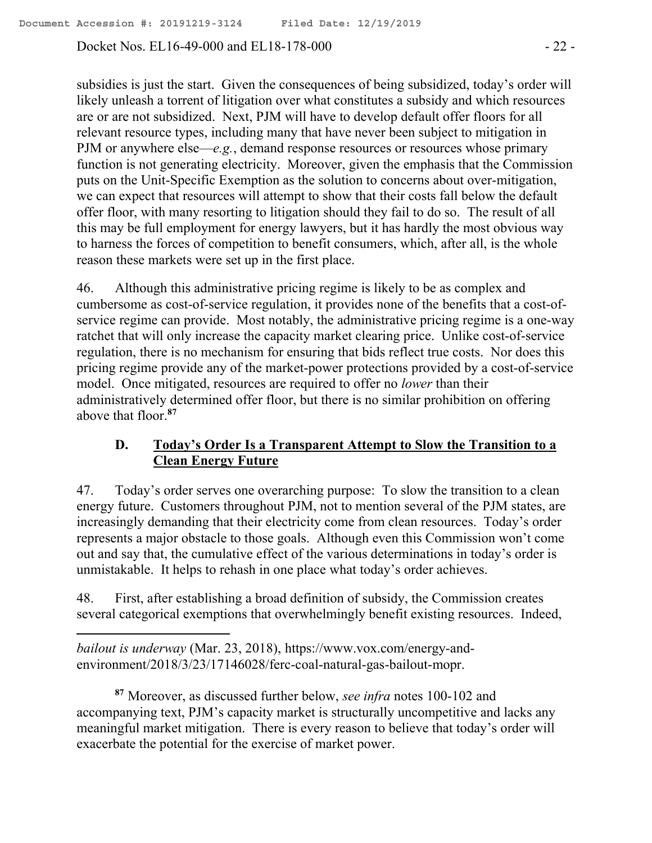Docket Nos. EL16-49-000 and EL18-178-000 - 22 -

subsidies is just the start. Given the consequences of being subsidized, today's order will likely unleash a torrent of litigation over what constitutes a subsidy and which resources are or are not subsidized. Next, PJM will have to develop default offer floors for all relevant resource types, including many that have never been subject to mitigation in PJM or anywhere else—*e.g.*, demand response resources or resources whose primary function is not generating electricity. Moreover, given the emphasis that the Commission puts on the Unit-Specific Exemption as the solution to concerns about over-mitigation, we can expect that resources will attempt to show that their costs fall below the default offer floor, with many resorting to litigation should they fail to do so. The result of all this may be full employment for energy lawyers, but it has hardly the most obvious way to harness the forces of competition to benefit consumers, which, after all, is the whole reason these markets were set up in the first place.

46. Although this administrative pricing regime is likely to be as complex and cumbersome as cost-of-service regulation, it provides none of the benefits that a cost-ofservice regime can provide. Most notably, the administrative pricing regime is a one-way ratchet that will only increase the capacity market clearing price. Unlike cost-of-service regulation, there is no mechanism for ensuring that bids reflect true costs. Nor does this pricing regime provide any of the market-power protections provided by a cost-of-service model. Once mitigated, resources are required to offer no *lower* than their administratively determined offer floor, but there is no similar prohibition on offering above that floor.**<sup>87</sup>**

# **D. Today's Order Is a Transparent Attempt to Slow the Transition to a Clean Energy Future**

47. Today's order serves one overarching purpose: To slow the transition to a clean energy future. Customers throughout PJM, not to mention several of the PJM states, are increasingly demanding that their electricity come from clean resources. Today's order represents a major obstacle to those goals. Although even this Commission won't come out and say that, the cumulative effect of the various determinations in today's order is unmistakable. It helps to rehash in one place what today's order achieves.

48. First, after establishing a broad definition of subsidy, the Commission creates several categorical exemptions that overwhelmingly benefit existing resources. Indeed,

*bailout is underway* (Mar. 23, 2018), https://www.vox.com/energy-andenvironment/2018/3/23/17146028/ferc-coal-natural-gas-bailout-mopr.

 $\overline{a}$ 

**<sup>87</sup>** Moreover, as discussed further below, *see infra* notes 100-102 and accompanying text, PJM's capacity market is structurally uncompetitive and lacks any meaningful market mitigation. There is every reason to believe that today's order will exacerbate the potential for the exercise of market power.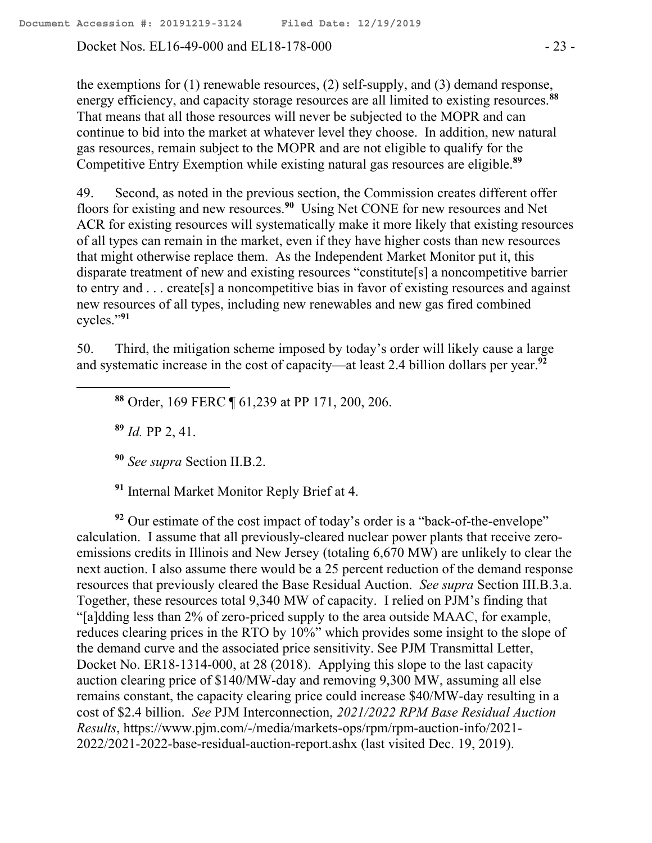Docket Nos. EL16-49-000 and EL18-178-000 - 23 -

the exemptions for (1) renewable resources, (2) self-supply, and (3) demand response, energy efficiency, and capacity storage resources are all limited to existing resources.**<sup>88</sup>** That means that all those resources will never be subjected to the MOPR and can continue to bid into the market at whatever level they choose. In addition, new natural gas resources, remain subject to the MOPR and are not eligible to qualify for the Competitive Entry Exemption while existing natural gas resources are eligible.**<sup>89</sup>**

49. Second, as noted in the previous section, the Commission creates different offer floors for existing and new resources.**<sup>90</sup>** Using Net CONE for new resources and Net ACR for existing resources will systematically make it more likely that existing resources of all types can remain in the market, even if they have higher costs than new resources that might otherwise replace them. As the Independent Market Monitor put it, this disparate treatment of new and existing resources "constitute[s] a noncompetitive barrier to entry and . . . create[s] a noncompetitive bias in favor of existing resources and against new resources of all types, including new renewables and new gas fired combined cycles."**<sup>91</sup>**

50. Third, the mitigation scheme imposed by today's order will likely cause a large and systematic increase in the cost of capacity—at least 2.4 billion dollars per year.**<sup>92</sup>**

**<sup>88</sup>** Order, 169 FERC ¶ 61,239 at PP 171, 200, 206.

**<sup>89</sup>** *Id.* PP 2, 41.

 $\overline{a}$ 

**<sup>90</sup>** *See supra* Section II.B.2.

**<sup>91</sup>** Internal Market Monitor Reply Brief at 4.

**<sup>92</sup>** Our estimate of the cost impact of today's order is a "back-of-the-envelope" calculation. I assume that all previously-cleared nuclear power plants that receive zeroemissions credits in Illinois and New Jersey (totaling 6,670 MW) are unlikely to clear the next auction. I also assume there would be a 25 percent reduction of the demand response resources that previously cleared the Base Residual Auction. *See supra* Section III.B.3.a. Together, these resources total 9,340 MW of capacity. I relied on PJM's finding that "[a]dding less than 2% of zero-priced supply to the area outside MAAC, for example, reduces clearing prices in the RTO by 10%" which provides some insight to the slope of the demand curve and the associated price sensitivity. See PJM Transmittal Letter, Docket No. ER18-1314-000, at 28 (2018). Applying this slope to the last capacity auction clearing price of \$140/MW-day and removing 9,300 MW, assuming all else remains constant, the capacity clearing price could increase \$40/MW-day resulting in a cost of \$2.4 billion. *See* PJM Interconnection, *2021/2022 RPM Base Residual Auction Results*, https://www.pjm.com/-/media/markets-ops/rpm/rpm-auction-info/2021- 2022/2021-2022-base-residual-auction-report.ashx (last visited Dec. 19, 2019).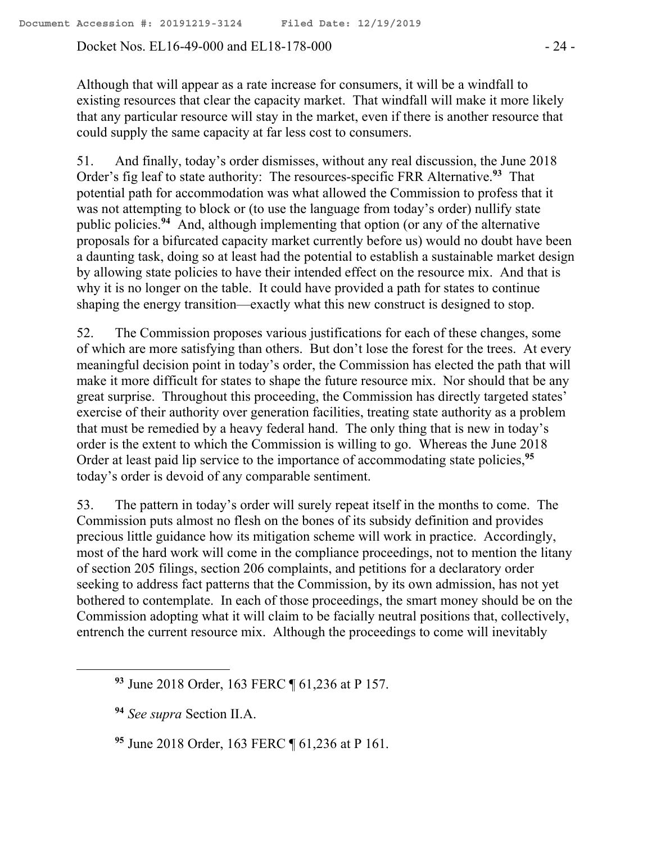Docket Nos. EL16-49-000 and EL18-178-000 - 24 -

Although that will appear as a rate increase for consumers, it will be a windfall to existing resources that clear the capacity market. That windfall will make it more likely that any particular resource will stay in the market, even if there is another resource that could supply the same capacity at far less cost to consumers.

51. And finally, today's order dismisses, without any real discussion, the June 2018 Order's fig leaf to state authority: The resources-specific FRR Alternative.**<sup>93</sup>** That potential path for accommodation was what allowed the Commission to profess that it was not attempting to block or (to use the language from today's order) nullify state public policies.**<sup>94</sup>** And, although implementing that option (or any of the alternative proposals for a bifurcated capacity market currently before us) would no doubt have been a daunting task, doing so at least had the potential to establish a sustainable market design by allowing state policies to have their intended effect on the resource mix. And that is why it is no longer on the table. It could have provided a path for states to continue shaping the energy transition—exactly what this new construct is designed to stop.

52. The Commission proposes various justifications for each of these changes, some of which are more satisfying than others. But don't lose the forest for the trees. At every meaningful decision point in today's order, the Commission has elected the path that will make it more difficult for states to shape the future resource mix. Nor should that be any great surprise. Throughout this proceeding, the Commission has directly targeted states' exercise of their authority over generation facilities, treating state authority as a problem that must be remedied by a heavy federal hand. The only thing that is new in today's order is the extent to which the Commission is willing to go. Whereas the June 2018 Order at least paid lip service to the importance of accommodating state policies,**<sup>95</sup>** today's order is devoid of any comparable sentiment.

53. The pattern in today's order will surely repeat itself in the months to come. The Commission puts almost no flesh on the bones of its subsidy definition and provides precious little guidance how its mitigation scheme will work in practice. Accordingly, most of the hard work will come in the compliance proceedings, not to mention the litany of section 205 filings, section 206 complaints, and petitions for a declaratory order seeking to address fact patterns that the Commission, by its own admission, has not yet bothered to contemplate. In each of those proceedings, the smart money should be on the Commission adopting what it will claim to be facially neutral positions that, collectively, entrench the current resource mix. Although the proceedings to come will inevitably

 $\overline{a}$ 

**<sup>93</sup>** June 2018 Order, 163 FERC ¶ 61,236 at P 157.

**<sup>94</sup>** *See supra* Section II.A.

**<sup>95</sup>** June 2018 Order, 163 FERC ¶ 61,236 at P 161.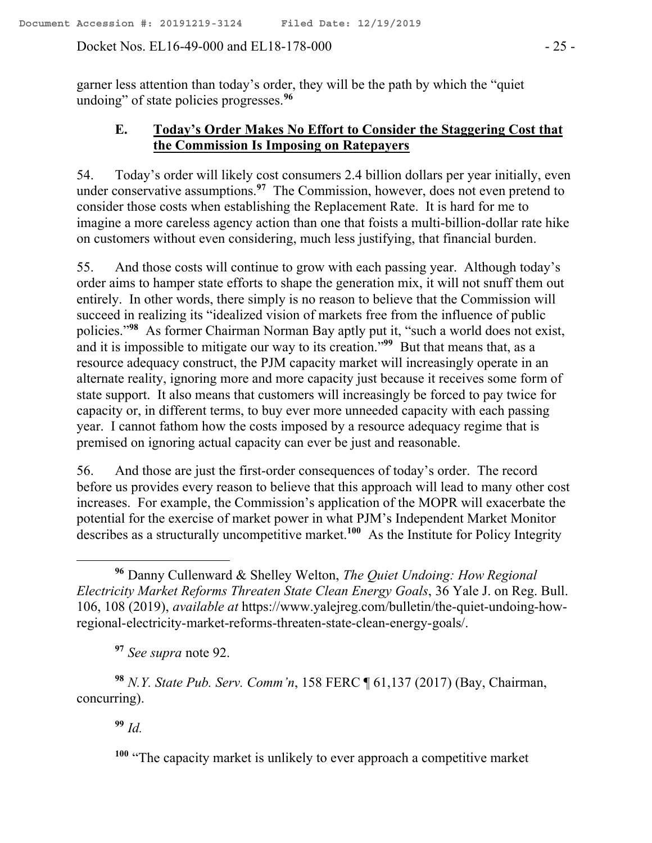Docket Nos. EL16-49-000 and EL18-178-000 - 25 -

garner less attention than today's order, they will be the path by which the "quiet undoing" of state policies progresses.**<sup>96</sup>**

### **E. Today's Order Makes No Effort to Consider the Staggering Cost that the Commission Is Imposing on Ratepayers**

54. Today's order will likely cost consumers 2.4 billion dollars per year initially, even under conservative assumptions.**<sup>97</sup>** The Commission, however, does not even pretend to consider those costs when establishing the Replacement Rate. It is hard for me to imagine a more careless agency action than one that foists a multi-billion-dollar rate hike on customers without even considering, much less justifying, that financial burden.

55. And those costs will continue to grow with each passing year. Although today's order aims to hamper state efforts to shape the generation mix, it will not snuff them out entirely. In other words, there simply is no reason to believe that the Commission will succeed in realizing its "idealized vision of markets free from the influence of public policies."**<sup>98</sup>** As former Chairman Norman Bay aptly put it, "such a world does not exist, and it is impossible to mitigate our way to its creation."**<sup>99</sup>** But that means that, as a resource adequacy construct, the PJM capacity market will increasingly operate in an alternate reality, ignoring more and more capacity just because it receives some form of state support. It also means that customers will increasingly be forced to pay twice for capacity or, in different terms, to buy ever more unneeded capacity with each passing year. I cannot fathom how the costs imposed by a resource adequacy regime that is premised on ignoring actual capacity can ever be just and reasonable.

56. And those are just the first-order consequences of today's order. The record before us provides every reason to believe that this approach will lead to many other cost increases. For example, the Commission's application of the MOPR will exacerbate the potential for the exercise of market power in what PJM's Independent Market Monitor describes as a structurally uncompetitive market.**<sup>100</sup>** As the Institute for Policy Integrity

**<sup>97</sup>** *See supra* note 92.

**<sup>98</sup>** *N.Y. State Pub. Serv. Comm'n*, 158 FERC ¶ 61,137 (2017) (Bay, Chairman, concurring).

**<sup>99</sup>** *Id.*

**<sup>100</sup>** "The capacity market is unlikely to ever approach a competitive market

**<sup>96</sup>** Danny Cullenward & Shelley Welton, *The Quiet Undoing: How Regional Electricity Market Reforms Threaten State Clean Energy Goals*, 36 Yale J. on Reg. Bull. 106, 108 (2019), *available at* https://www.yalejreg.com/bulletin/the-quiet-undoing-howregional-electricity-market-reforms-threaten-state-clean-energy-goals/.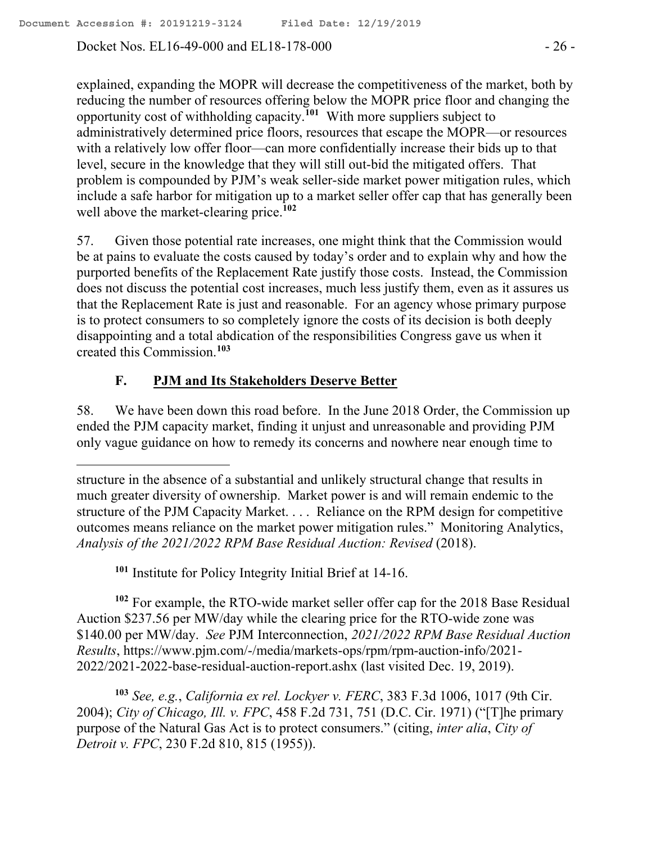Docket Nos. EL16-49-000 and EL18-178-000 - 26 -

explained, expanding the MOPR will decrease the competitiveness of the market, both by reducing the number of resources offering below the MOPR price floor and changing the opportunity cost of withholding capacity.**<sup>101</sup>** With more suppliers subject to administratively determined price floors, resources that escape the MOPR—or resources with a relatively low offer floor—can more confidentially increase their bids up to that level, secure in the knowledge that they will still out-bid the mitigated offers. That problem is compounded by PJM's weak seller-side market power mitigation rules, which include a safe harbor for mitigation up to a market seller offer cap that has generally been well above the market-clearing price.**<sup>102</sup>**

57. Given those potential rate increases, one might think that the Commission would be at pains to evaluate the costs caused by today's order and to explain why and how the purported benefits of the Replacement Rate justify those costs. Instead, the Commission does not discuss the potential cost increases, much less justify them, even as it assures us that the Replacement Rate is just and reasonable. For an agency whose primary purpose is to protect consumers to so completely ignore the costs of its decision is both deeply disappointing and a total abdication of the responsibilities Congress gave us when it created this Commission.**<sup>103</sup>**

# **F. PJM and Its Stakeholders Deserve Better**

 $\overline{a}$ 

58. We have been down this road before. In the June 2018 Order, the Commission up ended the PJM capacity market, finding it unjust and unreasonable and providing PJM only vague guidance on how to remedy its concerns and nowhere near enough time to

**<sup>101</sup>** Institute for Policy Integrity Initial Brief at 14-16.

**<sup>102</sup>** For example, the RTO-wide market seller offer cap for the 2018 Base Residual Auction \$237.56 per MW/day while the clearing price for the RTO-wide zone was \$140.00 per MW/day. *See* PJM Interconnection, *2021/2022 RPM Base Residual Auction Results*, https://www.pjm.com/-/media/markets-ops/rpm/rpm-auction-info/2021- 2022/2021-2022-base-residual-auction-report.ashx (last visited Dec. 19, 2019).

**<sup>103</sup>** *See, e.g.*, *California ex rel. Lockyer v. FERC*, 383 F.3d 1006, 1017 (9th Cir. 2004); *City of Chicago, Ill. v. FPC*, 458 F.2d 731, 751 (D.C. Cir. 1971) ("[T]he primary purpose of the Natural Gas Act is to protect consumers." (citing, *inter alia*, *City of Detroit v. FPC*, 230 F.2d 810, 815 (1955)).

structure in the absence of a substantial and unlikely structural change that results in much greater diversity of ownership. Market power is and will remain endemic to the structure of the PJM Capacity Market. . . . Reliance on the RPM design for competitive outcomes means reliance on the market power mitigation rules." Monitoring Analytics, *Analysis of the 2021/2022 RPM Base Residual Auction: Revised* (2018).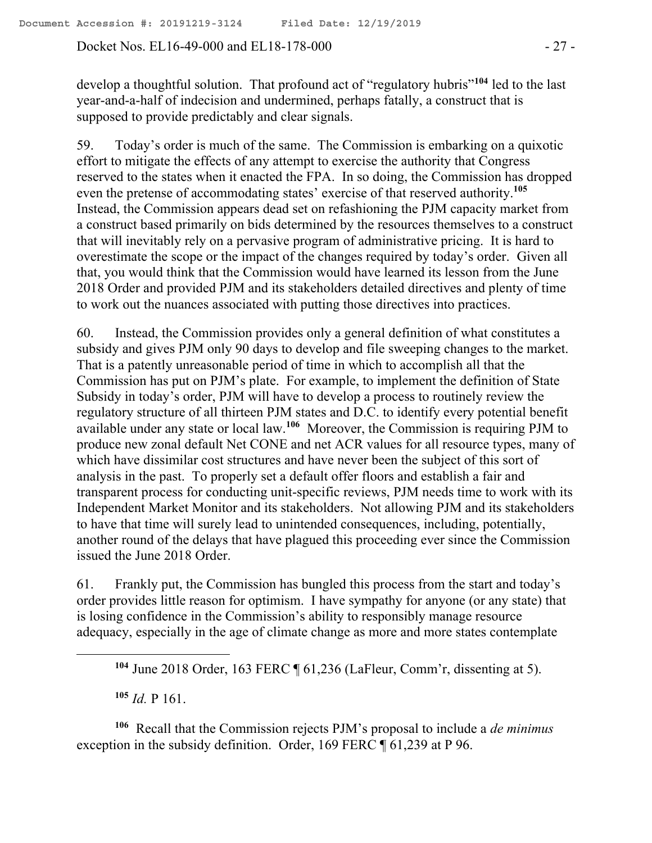Docket Nos. EL16-49-000 and EL18-178-000 - 27 -

develop a thoughtful solution. That profound act of "regulatory hubris"**<sup>104</sup>** led to the last year-and-a-half of indecision and undermined, perhaps fatally, a construct that is supposed to provide predictably and clear signals.

59. Today's order is much of the same. The Commission is embarking on a quixotic effort to mitigate the effects of any attempt to exercise the authority that Congress reserved to the states when it enacted the FPA. In so doing, the Commission has dropped even the pretense of accommodating states' exercise of that reserved authority.**<sup>105</sup>** Instead, the Commission appears dead set on refashioning the PJM capacity market from a construct based primarily on bids determined by the resources themselves to a construct that will inevitably rely on a pervasive program of administrative pricing. It is hard to overestimate the scope or the impact of the changes required by today's order. Given all that, you would think that the Commission would have learned its lesson from the June 2018 Order and provided PJM and its stakeholders detailed directives and plenty of time to work out the nuances associated with putting those directives into practices.

60. Instead, the Commission provides only a general definition of what constitutes a subsidy and gives PJM only 90 days to develop and file sweeping changes to the market. That is a patently unreasonable period of time in which to accomplish all that the Commission has put on PJM's plate. For example, to implement the definition of State Subsidy in today's order, PJM will have to develop a process to routinely review the regulatory structure of all thirteen PJM states and D.C. to identify every potential benefit available under any state or local law.**<sup>106</sup>** Moreover, the Commission is requiring PJM to produce new zonal default Net CONE and net ACR values for all resource types, many of which have dissimilar cost structures and have never been the subject of this sort of analysis in the past. To properly set a default offer floors and establish a fair and transparent process for conducting unit-specific reviews, PJM needs time to work with its Independent Market Monitor and its stakeholders. Not allowing PJM and its stakeholders to have that time will surely lead to unintended consequences, including, potentially, another round of the delays that have plagued this proceeding ever since the Commission issued the June 2018 Order.

61. Frankly put, the Commission has bungled this process from the start and today's order provides little reason for optimism. I have sympathy for anyone (or any state) that is losing confidence in the Commission's ability to responsibly manage resource adequacy, especially in the age of climate change as more and more states contemplate

**<sup>104</sup>** June 2018 Order, 163 FERC ¶ 61,236 (LaFleur, Comm'r, dissenting at 5).

**<sup>105</sup>** *Id.* P 161.

 $\overline{a}$ 

**106** Recall that the Commission rejects PJM's proposal to include a *de minimus* exception in the subsidy definition. Order, 169 FERC  $\P$  61,239 at P 96.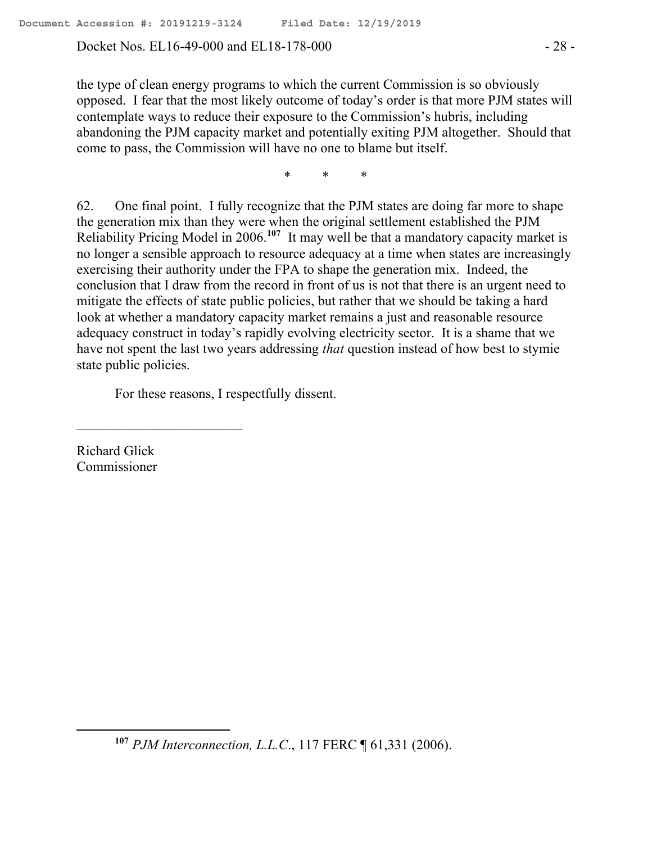Docket Nos. EL16-49-000 and EL18-178-000 - 28 -

the type of clean energy programs to which the current Commission is so obviously opposed. I fear that the most likely outcome of today's order is that more PJM states will contemplate ways to reduce their exposure to the Commission's hubris, including abandoning the PJM capacity market and potentially exiting PJM altogether. Should that come to pass, the Commission will have no one to blame but itself.

\* \* \*

62. One final point. I fully recognize that the PJM states are doing far more to shape the generation mix than they were when the original settlement established the PJM Reliability Pricing Model in 2006.**<sup>107</sup>** It may well be that a mandatory capacity market is no longer a sensible approach to resource adequacy at a time when states are increasingly exercising their authority under the FPA to shape the generation mix. Indeed, the conclusion that I draw from the record in front of us is not that there is an urgent need to mitigate the effects of state public policies, but rather that we should be taking a hard look at whether a mandatory capacity market remains a just and reasonable resource adequacy construct in today's rapidly evolving electricity sector. It is a shame that we have not spent the last two years addressing *that* question instead of how best to stymie state public policies.

For these reasons, I respectfully dissent.

Richard Glick Commissioner

 $\overline{a}$ 

 $\mathcal{L}_\text{max}$ 

**<sup>107</sup>** *PJM Interconnection, L.L.C*., 117 FERC ¶ 61,331 (2006).